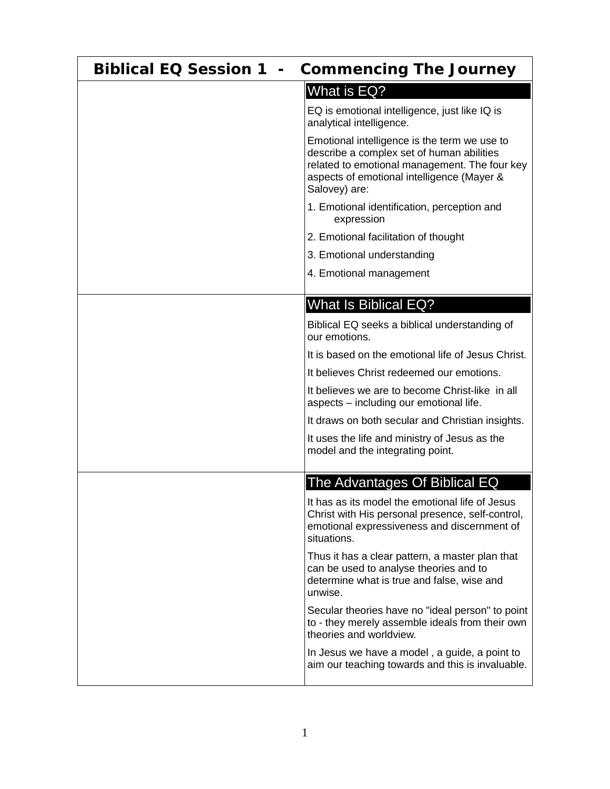| <b>Biblical EQ Session 1</b> | <b>Commencing The Journey</b>                                                                                                                                                                             |
|------------------------------|-----------------------------------------------------------------------------------------------------------------------------------------------------------------------------------------------------------|
|                              | What is EQ?                                                                                                                                                                                               |
|                              | EQ is emotional intelligence, just like IQ is<br>analytical intelligence.                                                                                                                                 |
|                              | Emotional intelligence is the term we use to<br>describe a complex set of human abilities<br>related to emotional management. The four key<br>aspects of emotional intelligence (Mayer &<br>Salovey) are: |
|                              | 1. Emotional identification, perception and<br>expression                                                                                                                                                 |
|                              | 2. Emotional facilitation of thought                                                                                                                                                                      |
|                              | 3. Emotional understanding                                                                                                                                                                                |
|                              | 4. Emotional management                                                                                                                                                                                   |
|                              | What Is Biblical EQ?                                                                                                                                                                                      |
|                              | Biblical EQ seeks a biblical understanding of<br>our emotions.                                                                                                                                            |
|                              | It is based on the emotional life of Jesus Christ.                                                                                                                                                        |
|                              | It believes Christ redeemed our emotions.                                                                                                                                                                 |
|                              | It believes we are to become Christ-like in all<br>aspects - including our emotional life.                                                                                                                |
|                              | It draws on both secular and Christian insights.                                                                                                                                                          |
|                              | It uses the life and ministry of Jesus as the<br>model and the integrating point.                                                                                                                         |
|                              | The Advantages Of Biblical EQ                                                                                                                                                                             |
|                              | It has as its model the emotional life of Jesus<br>Christ with His personal presence, self-control,<br>emotional expressiveness and discernment of<br>situations.                                         |
|                              | Thus it has a clear pattern, a master plan that<br>can be used to analyse theories and to<br>determine what is true and false, wise and<br>unwise.                                                        |
|                              | Secular theories have no "ideal person" to point<br>to - they merely assemble ideals from their own<br>theories and worldview.                                                                            |
|                              | In Jesus we have a model, a guide, a point to<br>aim our teaching towards and this is invaluable.                                                                                                         |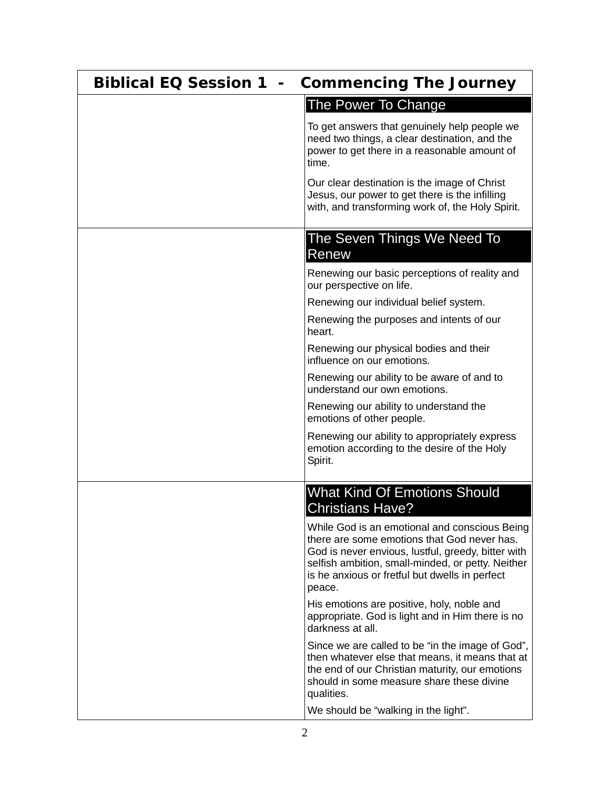| <b>Biblical EQ Session 1</b> | <b>Commencing The Journey</b>                                                                                                                                                                                                                                       |
|------------------------------|---------------------------------------------------------------------------------------------------------------------------------------------------------------------------------------------------------------------------------------------------------------------|
|                              | The Power To Change                                                                                                                                                                                                                                                 |
|                              | To get answers that genuinely help people we<br>need two things, a clear destination, and the<br>power to get there in a reasonable amount of<br>time.                                                                                                              |
|                              | Our clear destination is the image of Christ<br>Jesus, our power to get there is the infilling<br>with, and transforming work of, the Holy Spirit.                                                                                                                  |
|                              | The Seven Things We Need To<br>Renew                                                                                                                                                                                                                                |
|                              | Renewing our basic perceptions of reality and<br>our perspective on life.                                                                                                                                                                                           |
|                              | Renewing our individual belief system.                                                                                                                                                                                                                              |
|                              | Renewing the purposes and intents of our<br>heart.                                                                                                                                                                                                                  |
|                              | Renewing our physical bodies and their<br>influence on our emotions.                                                                                                                                                                                                |
|                              | Renewing our ability to be aware of and to<br>understand our own emotions.                                                                                                                                                                                          |
|                              | Renewing our ability to understand the<br>emotions of other people.                                                                                                                                                                                                 |
|                              | Renewing our ability to appropriately express<br>emotion according to the desire of the Holy<br>Spirit.                                                                                                                                                             |
|                              | <b>What Kind Of Emotions Should</b><br><b>Christians Have?</b>                                                                                                                                                                                                      |
|                              | While God is an emotional and conscious Being<br>there are some emotions that God never has.<br>God is never envious, lustful, greedy, bitter with<br>selfish ambition, small-minded, or petty. Neither<br>is he anxious or fretful but dwells in perfect<br>peace. |
|                              | His emotions are positive, holy, noble and<br>appropriate. God is light and in Him there is no<br>darkness at all.                                                                                                                                                  |
|                              | Since we are called to be "in the image of God",<br>then whatever else that means, it means that at<br>the end of our Christian maturity, our emotions<br>should in some measure share these divine<br>qualities.                                                   |
|                              | We should be "walking in the light".                                                                                                                                                                                                                                |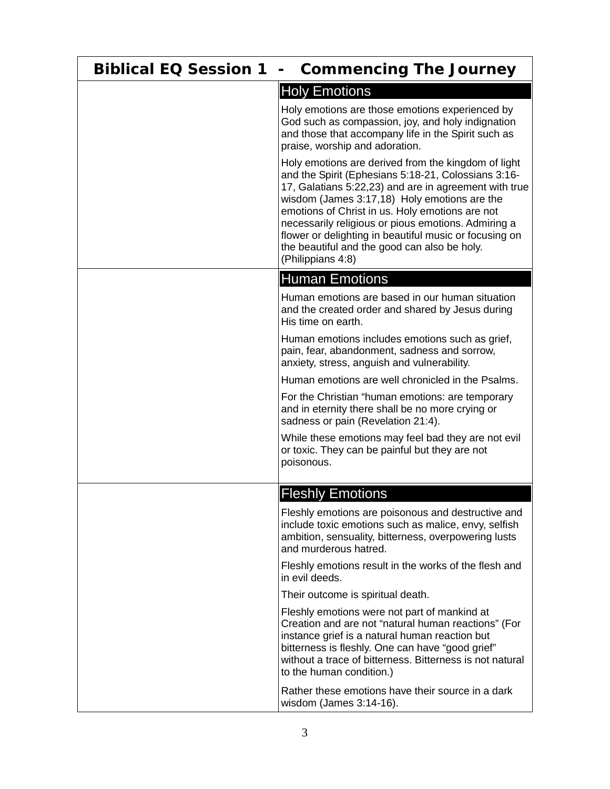| <b>Biblical EQ Session 1</b> | <b>Commencing The Journey</b>                                                                                                                                                                                                                                                                                                                                                                                                                                |
|------------------------------|--------------------------------------------------------------------------------------------------------------------------------------------------------------------------------------------------------------------------------------------------------------------------------------------------------------------------------------------------------------------------------------------------------------------------------------------------------------|
|                              | <b>Holy Emotions</b>                                                                                                                                                                                                                                                                                                                                                                                                                                         |
|                              | Holy emotions are those emotions experienced by<br>God such as compassion, joy, and holy indignation<br>and those that accompany life in the Spirit such as<br>praise, worship and adoration.                                                                                                                                                                                                                                                                |
|                              | Holy emotions are derived from the kingdom of light<br>and the Spirit (Ephesians 5:18-21, Colossians 3:16-<br>17, Galatians 5:22,23) and are in agreement with true<br>wisdom (James 3:17,18) Holy emotions are the<br>emotions of Christ in us. Holy emotions are not<br>necessarily religious or pious emotions. Admiring a<br>flower or delighting in beautiful music or focusing on<br>the beautiful and the good can also be holy.<br>(Philippians 4:8) |
|                              | <b>Human Emotions</b>                                                                                                                                                                                                                                                                                                                                                                                                                                        |
|                              | Human emotions are based in our human situation<br>and the created order and shared by Jesus during<br>His time on earth.                                                                                                                                                                                                                                                                                                                                    |
|                              | Human emotions includes emotions such as grief,<br>pain, fear, abandonment, sadness and sorrow,<br>anxiety, stress, anguish and vulnerability.                                                                                                                                                                                                                                                                                                               |
|                              | Human emotions are well chronicled in the Psalms.                                                                                                                                                                                                                                                                                                                                                                                                            |
|                              | For the Christian "human emotions: are temporary<br>and in eternity there shall be no more crying or<br>sadness or pain (Revelation 21:4).                                                                                                                                                                                                                                                                                                                   |
|                              | While these emotions may feel bad they are not evil<br>or toxic. They can be painful but they are not<br>poisonous.                                                                                                                                                                                                                                                                                                                                          |
|                              | <b>Fleshly Emotions</b>                                                                                                                                                                                                                                                                                                                                                                                                                                      |
|                              | Fleshly emotions are poisonous and destructive and<br>include toxic emotions such as malice, envy, selfish<br>ambition, sensuality, bitterness, overpowering lusts<br>and murderous hatred.                                                                                                                                                                                                                                                                  |
|                              | Fleshly emotions result in the works of the flesh and<br>in evil deeds.                                                                                                                                                                                                                                                                                                                                                                                      |
|                              | Their outcome is spiritual death.                                                                                                                                                                                                                                                                                                                                                                                                                            |
|                              | Fleshly emotions were not part of mankind at<br>Creation and are not "natural human reactions" (For<br>instance grief is a natural human reaction but<br>bitterness is fleshly. One can have "good grief"<br>without a trace of bitterness. Bitterness is not natural<br>to the human condition.)                                                                                                                                                            |
|                              | Rather these emotions have their source in a dark<br>wisdom (James 3:14-16).                                                                                                                                                                                                                                                                                                                                                                                 |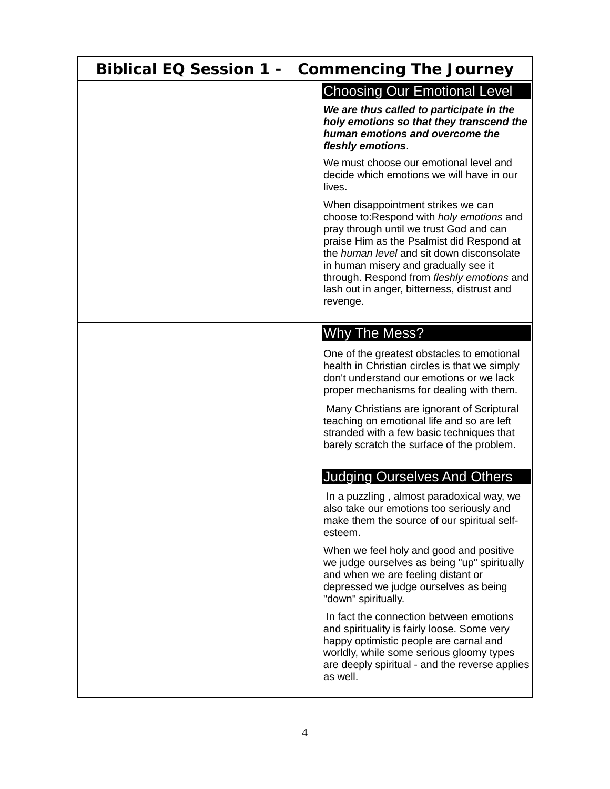| <b>Biblical EQ Session 1 -</b> | <b>Commencing The Journey</b>                                                                                                                                                                                                                                                                                                                                                |
|--------------------------------|------------------------------------------------------------------------------------------------------------------------------------------------------------------------------------------------------------------------------------------------------------------------------------------------------------------------------------------------------------------------------|
|                                | <b>Choosing Our Emotional Level</b>                                                                                                                                                                                                                                                                                                                                          |
|                                | We are thus called to participate in the<br>holy emotions so that they transcend the<br>human emotions and overcome the<br>fleshly emotions.                                                                                                                                                                                                                                 |
|                                | We must choose our emotional level and<br>decide which emotions we will have in our<br>lives.                                                                                                                                                                                                                                                                                |
|                                | When disappointment strikes we can<br>choose to: Respond with holy emotions and<br>pray through until we trust God and can<br>praise Him as the Psalmist did Respond at<br>the <i>human level</i> and sit down disconsolate<br>in human misery and gradually see it<br>through. Respond from fleshly emotions and<br>lash out in anger, bitterness, distrust and<br>revenge. |
|                                | Why The Mess?                                                                                                                                                                                                                                                                                                                                                                |
|                                | One of the greatest obstacles to emotional<br>health in Christian circles is that we simply<br>don't understand our emotions or we lack<br>proper mechanisms for dealing with them.                                                                                                                                                                                          |
|                                | Many Christians are ignorant of Scriptural<br>teaching on emotional life and so are left<br>stranded with a few basic techniques that<br>barely scratch the surface of the problem.                                                                                                                                                                                          |
|                                | <b>Judging Ourselves And Others</b>                                                                                                                                                                                                                                                                                                                                          |
|                                | In a puzzling, almost paradoxical way, we<br>also take our emotions too seriously and<br>make them the source of our spiritual self-<br>esteem.                                                                                                                                                                                                                              |
|                                | When we feel holy and good and positive<br>we judge ourselves as being "up" spiritually<br>and when we are feeling distant or<br>depressed we judge ourselves as being<br>"down" spiritually.                                                                                                                                                                                |
|                                | In fact the connection between emotions<br>and spirituality is fairly loose. Some very<br>happy optimistic people are carnal and<br>worldly, while some serious gloomy types<br>are deeply spiritual - and the reverse applies<br>as well.                                                                                                                                   |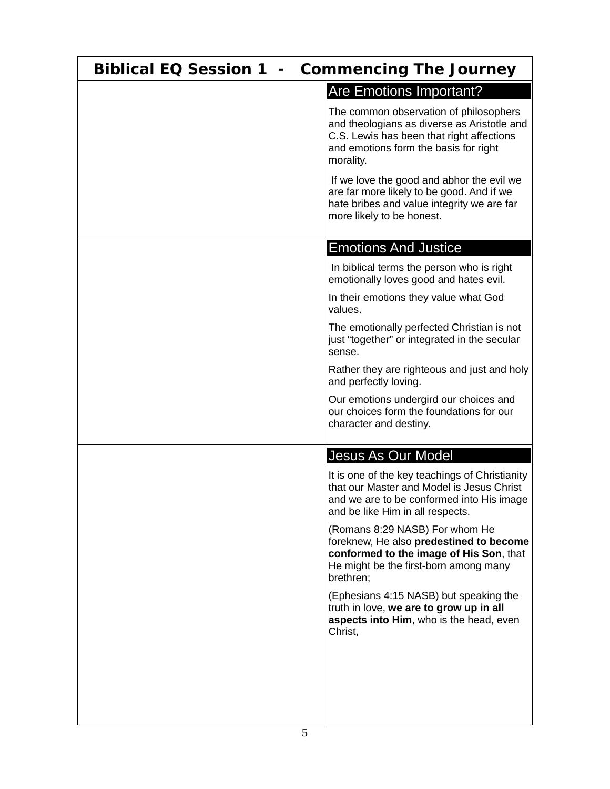| <b>Biblical EQ Session 1</b> | <b>Commencing The Journey</b>                                                                                                                                                            |
|------------------------------|------------------------------------------------------------------------------------------------------------------------------------------------------------------------------------------|
|                              | <b>Are Emotions Important?</b>                                                                                                                                                           |
|                              | The common observation of philosophers<br>and theologians as diverse as Aristotle and<br>C.S. Lewis has been that right affections<br>and emotions form the basis for right<br>morality. |
|                              | If we love the good and abhor the evil we<br>are far more likely to be good. And if we<br>hate bribes and value integrity we are far<br>more likely to be honest.                        |
|                              | <b>Emotions And Justice</b>                                                                                                                                                              |
|                              | In biblical terms the person who is right<br>emotionally loves good and hates evil.                                                                                                      |
|                              | In their emotions they value what God<br>values.                                                                                                                                         |
|                              | The emotionally perfected Christian is not<br>just "together" or integrated in the secular<br>sense.                                                                                     |
|                              | Rather they are righteous and just and holy<br>and perfectly loving.                                                                                                                     |
|                              | Our emotions undergird our choices and<br>our choices form the foundations for our<br>character and destiny.                                                                             |
|                              | Jesus As Our Model                                                                                                                                                                       |
|                              | It is one of the key teachings of Christianity<br>that our Master and Model is Jesus Christ<br>and we are to be conformed into His image<br>and be like Him in all respects.             |
|                              | (Romans 8:29 NASB) For whom He<br>foreknew, He also predestined to become<br>conformed to the image of His Son, that<br>He might be the first-born among many<br>brethren;               |
|                              | (Ephesians 4:15 NASB) but speaking the<br>truth in love, we are to grow up in all<br>aspects into Him, who is the head, even<br>Christ,                                                  |
|                              |                                                                                                                                                                                          |
|                              |                                                                                                                                                                                          |
|                              |                                                                                                                                                                                          |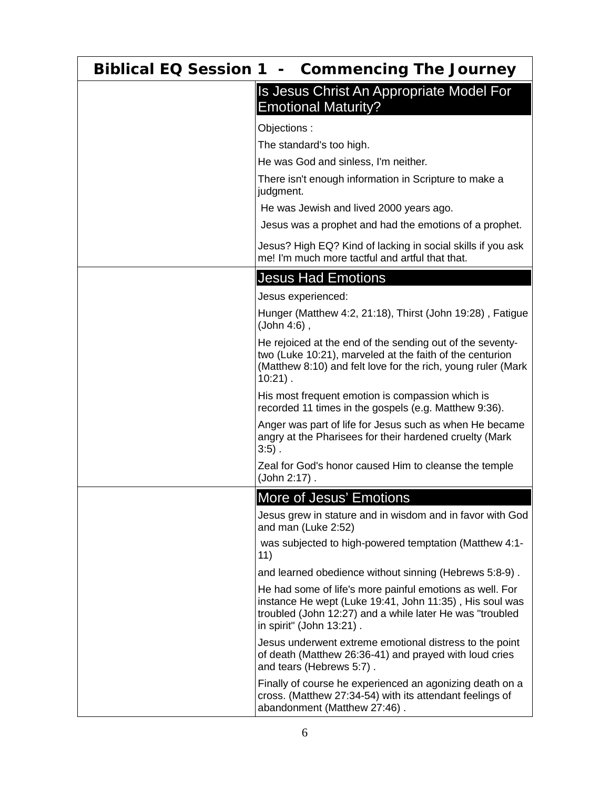| <b>Biblical EQ Session 1</b> | <b>Commencing The Journey</b>                                                                                                                                                                               |
|------------------------------|-------------------------------------------------------------------------------------------------------------------------------------------------------------------------------------------------------------|
|                              | Is Jesus Christ An Appropriate Model For<br><b>Emotional Maturity?</b>                                                                                                                                      |
|                              | Objections:                                                                                                                                                                                                 |
|                              | The standard's too high.                                                                                                                                                                                    |
|                              | He was God and sinless, I'm neither.                                                                                                                                                                        |
|                              | There isn't enough information in Scripture to make a<br>judgment.                                                                                                                                          |
|                              | He was Jewish and lived 2000 years ago.                                                                                                                                                                     |
|                              | Jesus was a prophet and had the emotions of a prophet.                                                                                                                                                      |
|                              | Jesus? High EQ? Kind of lacking in social skills if you ask<br>me! I'm much more tactful and artful that that.                                                                                              |
|                              | <b>Jesus Had Emotions</b>                                                                                                                                                                                   |
|                              | Jesus experienced:                                                                                                                                                                                          |
|                              | Hunger (Matthew 4:2, 21:18), Thirst (John 19:28), Fatigue<br>$(John 4:6)$ ,                                                                                                                                 |
|                              | He rejoiced at the end of the sending out of the seventy-<br>two (Luke 10:21), marveled at the faith of the centurion<br>(Matthew 8:10) and felt love for the rich, young ruler (Mark<br>$10:21$ .          |
|                              | His most frequent emotion is compassion which is<br>recorded 11 times in the gospels (e.g. Matthew 9:36).                                                                                                   |
|                              | Anger was part of life for Jesus such as when He became<br>angry at the Pharisees for their hardened cruelty (Mark<br>$3:5$ ).                                                                              |
|                              | Zeal for God's honor caused Him to cleanse the temple<br>(John 2:17).                                                                                                                                       |
|                              | More of Jesus' Emotions                                                                                                                                                                                     |
|                              | Jesus grew in stature and in wisdom and in favor with God<br>and man (Luke 2:52)                                                                                                                            |
|                              | was subjected to high-powered temptation (Matthew 4:1-<br>11)                                                                                                                                               |
|                              | and learned obedience without sinning (Hebrews 5:8-9).                                                                                                                                                      |
|                              | He had some of life's more painful emotions as well. For<br>instance He wept (Luke 19:41, John 11:35), His soul was<br>troubled (John 12:27) and a while later He was "troubled<br>in spirit" (John 13:21). |
|                              | Jesus underwent extreme emotional distress to the point<br>of death (Matthew 26:36-41) and prayed with loud cries<br>and tears (Hebrews 5:7).                                                               |
|                              | Finally of course he experienced an agonizing death on a<br>cross. (Matthew 27:34-54) with its attendant feelings of<br>abandonment (Matthew 27:46).                                                        |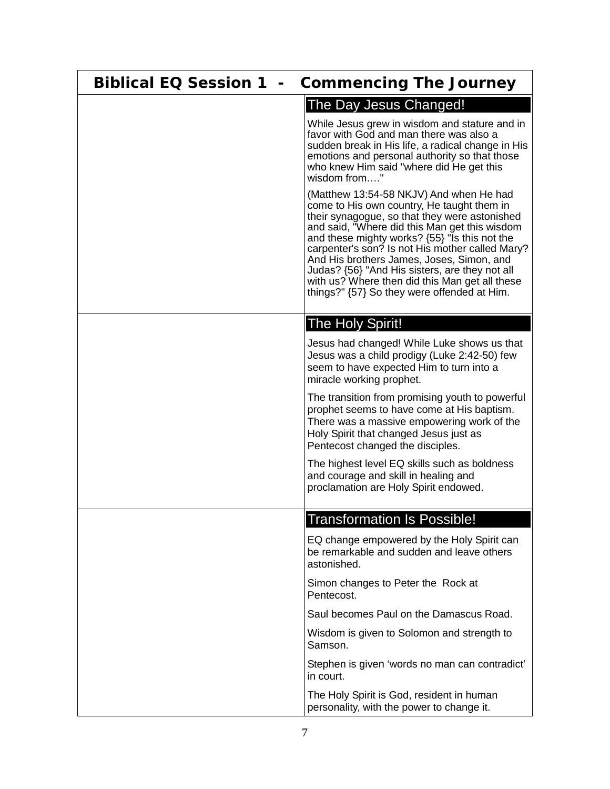| <b>Biblical EQ Session 1</b> | <b>Commencing The Journey</b>                                                                                                                                                                                                                                                                                                                                                                                                                                                               |
|------------------------------|---------------------------------------------------------------------------------------------------------------------------------------------------------------------------------------------------------------------------------------------------------------------------------------------------------------------------------------------------------------------------------------------------------------------------------------------------------------------------------------------|
|                              | The Day Jesus Changed!                                                                                                                                                                                                                                                                                                                                                                                                                                                                      |
|                              | While Jesus grew in wisdom and stature and in<br>favor with God and man there was also a<br>sudden break in His life, a radical change in His<br>emotions and personal authority so that those<br>who knew Him said "where did He get this<br>wisdom from"                                                                                                                                                                                                                                  |
|                              | (Matthew 13:54-58 NKJV) And when He had<br>come to His own country, He taught them in<br>their synagogue, so that they were astonished<br>and said, "Where did this Man get this wisdom<br>and these mighty works? {55} "Is this not the<br>carpenter's son? Is not His mother called Mary?<br>And His brothers James, Joses, Simon, and<br>Judas? {56} "And His sisters, are they not all<br>with us? Where then did this Man get all these<br>things?" {57} So they were offended at Him. |
|                              | The Holy Spirit!                                                                                                                                                                                                                                                                                                                                                                                                                                                                            |
|                              | Jesus had changed! While Luke shows us that<br>Jesus was a child prodigy (Luke 2:42-50) few<br>seem to have expected Him to turn into a<br>miracle working prophet.                                                                                                                                                                                                                                                                                                                         |
|                              | The transition from promising youth to powerful<br>prophet seems to have come at His baptism.<br>There was a massive empowering work of the<br>Holy Spirit that changed Jesus just as<br>Pentecost changed the disciples.                                                                                                                                                                                                                                                                   |
|                              | The highest level EQ skills such as boldness<br>and courage and skill in healing and<br>proclamation are Holy Spirit endowed.                                                                                                                                                                                                                                                                                                                                                               |
|                              | <b>Transformation Is Possible!</b>                                                                                                                                                                                                                                                                                                                                                                                                                                                          |
|                              | EQ change empowered by the Holy Spirit can<br>be remarkable and sudden and leave others<br>astonished.                                                                                                                                                                                                                                                                                                                                                                                      |
|                              | Simon changes to Peter the Rock at<br>Pentecost.                                                                                                                                                                                                                                                                                                                                                                                                                                            |
|                              | Saul becomes Paul on the Damascus Road.                                                                                                                                                                                                                                                                                                                                                                                                                                                     |
|                              | Wisdom is given to Solomon and strength to<br>Samson.                                                                                                                                                                                                                                                                                                                                                                                                                                       |
|                              | Stephen is given 'words no man can contradict'<br>in court.                                                                                                                                                                                                                                                                                                                                                                                                                                 |
|                              | The Holy Spirit is God, resident in human<br>personality, with the power to change it.                                                                                                                                                                                                                                                                                                                                                                                                      |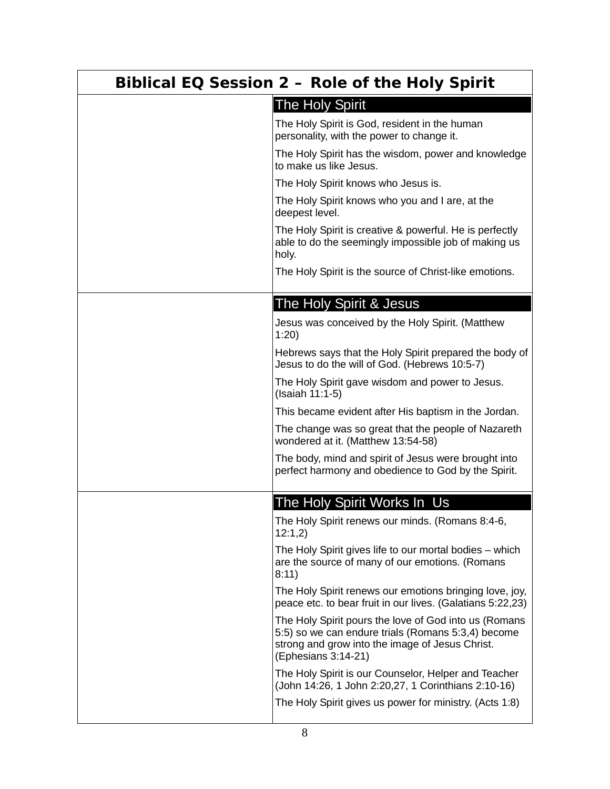| Biblical EQ Session 2 – Role of the Holy Spirit                                                                                                                                       |
|---------------------------------------------------------------------------------------------------------------------------------------------------------------------------------------|
| The Holy Spirit                                                                                                                                                                       |
| The Holy Spirit is God, resident in the human<br>personality, with the power to change it.                                                                                            |
| The Holy Spirit has the wisdom, power and knowledge<br>to make us like Jesus.                                                                                                         |
| The Holy Spirit knows who Jesus is.                                                                                                                                                   |
| The Holy Spirit knows who you and I are, at the<br>deepest level.                                                                                                                     |
| The Holy Spirit is creative & powerful. He is perfectly<br>able to do the seemingly impossible job of making us<br>holy.                                                              |
| The Holy Spirit is the source of Christ-like emotions.                                                                                                                                |
| The Holy Spirit & Jesus                                                                                                                                                               |
| Jesus was conceived by the Holy Spirit. (Matthew<br>1:20)                                                                                                                             |
| Hebrews says that the Holy Spirit prepared the body of<br>Jesus to do the will of God. (Hebrews 10:5-7)                                                                               |
| The Holy Spirit gave wisdom and power to Jesus.<br>(Isaiah 11:1-5)                                                                                                                    |
| This became evident after His baptism in the Jordan.                                                                                                                                  |
| The change was so great that the people of Nazareth<br>wondered at it. (Matthew 13:54-58)                                                                                             |
| The body, mind and spirit of Jesus were brought into<br>perfect harmony and obedience to God by the Spirit.                                                                           |
| The Holy Spirit Works In Us                                                                                                                                                           |
| The Holy Spirit renews our minds. (Romans 8:4-6,<br>12:1,2)                                                                                                                           |
| The Holy Spirit gives life to our mortal bodies – which<br>are the source of many of our emotions. (Romans<br>8:11)                                                                   |
| The Holy Spirit renews our emotions bringing love, joy,<br>peace etc. to bear fruit in our lives. (Galatians 5:22,23)                                                                 |
| The Holy Spirit pours the love of God into us (Romans<br>5:5) so we can endure trials (Romans 5:3,4) become<br>strong and grow into the image of Jesus Christ.<br>(Ephesians 3:14-21) |
| The Holy Spirit is our Counselor, Helper and Teacher<br>(John 14:26, 1 John 2:20,27, 1 Corinthians 2:10-16)                                                                           |
| The Holy Spirit gives us power for ministry. (Acts 1:8)                                                                                                                               |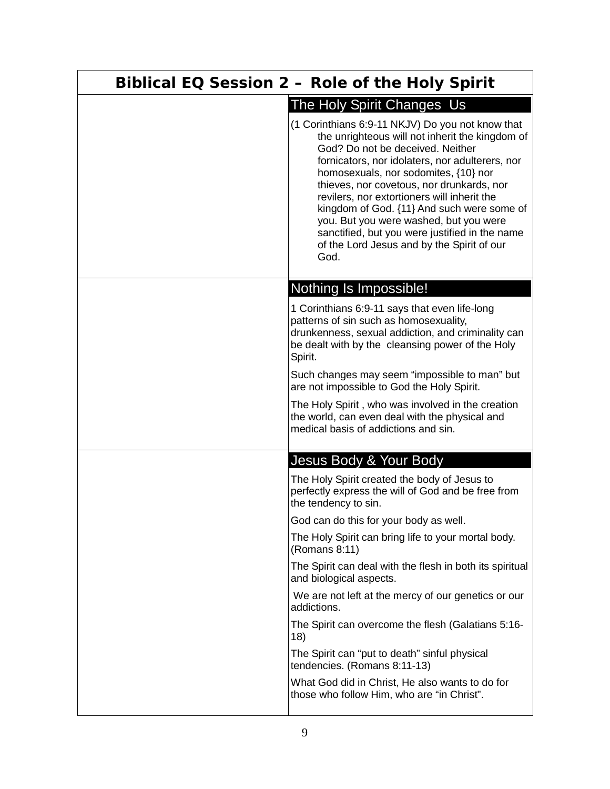| Biblical EQ Session 2 - Role of the Holy Spirit                                                                                                                                                                                                                                                                                                                                                                                                                                                                                |
|--------------------------------------------------------------------------------------------------------------------------------------------------------------------------------------------------------------------------------------------------------------------------------------------------------------------------------------------------------------------------------------------------------------------------------------------------------------------------------------------------------------------------------|
| The Holy Spirit Changes Us                                                                                                                                                                                                                                                                                                                                                                                                                                                                                                     |
| (1 Corinthians 6:9-11 NKJV) Do you not know that<br>the unrighteous will not inherit the kingdom of<br>God? Do not be deceived. Neither<br>fornicators, nor idolaters, nor adulterers, nor<br>homosexuals, nor sodomites, {10} nor<br>thieves, nor covetous, nor drunkards, nor<br>revilers, nor extortioners will inherit the<br>kingdom of God. {11} And such were some of<br>you. But you were washed, but you were<br>sanctified, but you were justified in the name<br>of the Lord Jesus and by the Spirit of our<br>God. |
| Nothing Is Impossible!                                                                                                                                                                                                                                                                                                                                                                                                                                                                                                         |
| 1 Corinthians 6:9-11 says that even life-long<br>patterns of sin such as homosexuality,<br>drunkenness, sexual addiction, and criminality can<br>be dealt with by the cleansing power of the Holy<br>Spirit.                                                                                                                                                                                                                                                                                                                   |
| Such changes may seem "impossible to man" but<br>are not impossible to God the Holy Spirit.                                                                                                                                                                                                                                                                                                                                                                                                                                    |
| The Holy Spirit, who was involved in the creation<br>the world, can even deal with the physical and<br>medical basis of addictions and sin.                                                                                                                                                                                                                                                                                                                                                                                    |
| Jesus Body & Your Body                                                                                                                                                                                                                                                                                                                                                                                                                                                                                                         |
| The Holy Spirit created the body of Jesus to<br>perfectly express the will of God and be free from<br>the tendency to sin.                                                                                                                                                                                                                                                                                                                                                                                                     |
| God can do this for your body as well.                                                                                                                                                                                                                                                                                                                                                                                                                                                                                         |
| The Holy Spirit can bring life to your mortal body.<br>(Romans 8:11)                                                                                                                                                                                                                                                                                                                                                                                                                                                           |
| The Spirit can deal with the flesh in both its spiritual<br>and biological aspects.                                                                                                                                                                                                                                                                                                                                                                                                                                            |
| We are not left at the mercy of our genetics or our<br>addictions.                                                                                                                                                                                                                                                                                                                                                                                                                                                             |
| The Spirit can overcome the flesh (Galatians 5:16-<br>18)                                                                                                                                                                                                                                                                                                                                                                                                                                                                      |
| The Spirit can "put to death" sinful physical<br>tendencies. (Romans 8:11-13)                                                                                                                                                                                                                                                                                                                                                                                                                                                  |
| What God did in Christ, He also wants to do for<br>those who follow Him, who are "in Christ".                                                                                                                                                                                                                                                                                                                                                                                                                                  |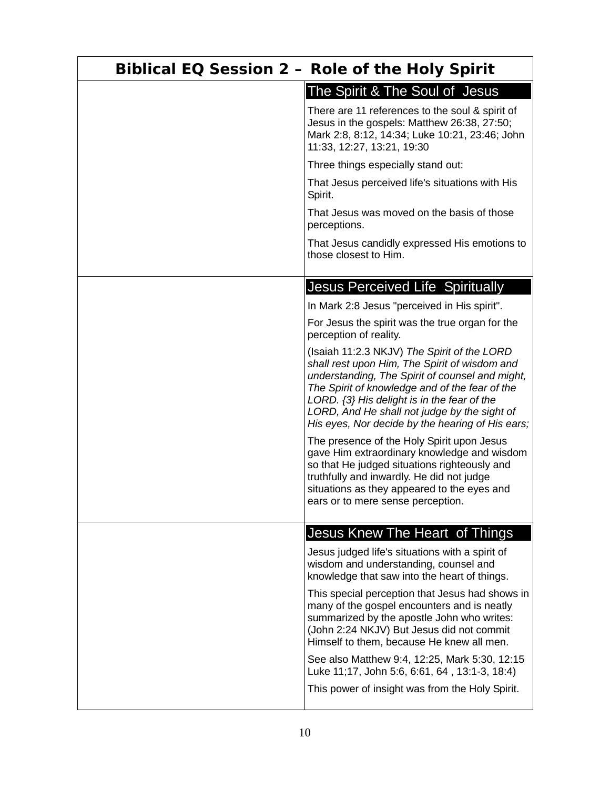| Biblical EQ Session 2 – Role of the Holy Spirit |                                                                                                                                                                                                                                                                                                                                                      |  |
|-------------------------------------------------|------------------------------------------------------------------------------------------------------------------------------------------------------------------------------------------------------------------------------------------------------------------------------------------------------------------------------------------------------|--|
|                                                 | The Spirit & The Soul of Jesus                                                                                                                                                                                                                                                                                                                       |  |
|                                                 | There are 11 references to the soul & spirit of<br>Jesus in the gospels: Matthew 26:38, 27:50;<br>Mark 2:8, 8:12, 14:34; Luke 10:21, 23:46; John<br>11:33, 12:27, 13:21, 19:30                                                                                                                                                                       |  |
|                                                 | Three things especially stand out:                                                                                                                                                                                                                                                                                                                   |  |
|                                                 | That Jesus perceived life's situations with His<br>Spirit.                                                                                                                                                                                                                                                                                           |  |
|                                                 | That Jesus was moved on the basis of those<br>perceptions.                                                                                                                                                                                                                                                                                           |  |
|                                                 | That Jesus candidly expressed His emotions to<br>those closest to Him.                                                                                                                                                                                                                                                                               |  |
|                                                 | <b>Jesus Perceived Life Spiritually</b>                                                                                                                                                                                                                                                                                                              |  |
|                                                 | In Mark 2:8 Jesus "perceived in His spirit".                                                                                                                                                                                                                                                                                                         |  |
|                                                 | For Jesus the spirit was the true organ for the<br>perception of reality.                                                                                                                                                                                                                                                                            |  |
|                                                 | (Isaiah 11:2.3 NKJV) The Spirit of the LORD<br>shall rest upon Him, The Spirit of wisdom and<br>understanding, The Spirit of counsel and might,<br>The Spirit of knowledge and of the fear of the<br>LORD. {3} His delight is in the fear of the<br>LORD, And He shall not judge by the sight of<br>His eyes, Nor decide by the hearing of His ears; |  |
|                                                 | The presence of the Holy Spirit upon Jesus<br>gave Him extraordinary knowledge and wisdom<br>so that He judged situations righteously and<br>truthfully and inwardly. He did not judge<br>situations as they appeared to the eyes and<br>ears or to mere sense perception.                                                                           |  |
|                                                 | Jesus Knew The Heart of Things                                                                                                                                                                                                                                                                                                                       |  |
|                                                 | Jesus judged life's situations with a spirit of<br>wisdom and understanding, counsel and<br>knowledge that saw into the heart of things.                                                                                                                                                                                                             |  |
|                                                 | This special perception that Jesus had shows in<br>many of the gospel encounters and is neatly<br>summarized by the apostle John who writes:<br>(John 2:24 NKJV) But Jesus did not commit<br>Himself to them, because He knew all men.                                                                                                               |  |
|                                                 | See also Matthew 9:4, 12:25, Mark 5:30, 12:15<br>Luke 11;17, John 5:6, 6:61, 64, 13:1-3, 18:4)                                                                                                                                                                                                                                                       |  |
|                                                 | This power of insight was from the Holy Spirit.                                                                                                                                                                                                                                                                                                      |  |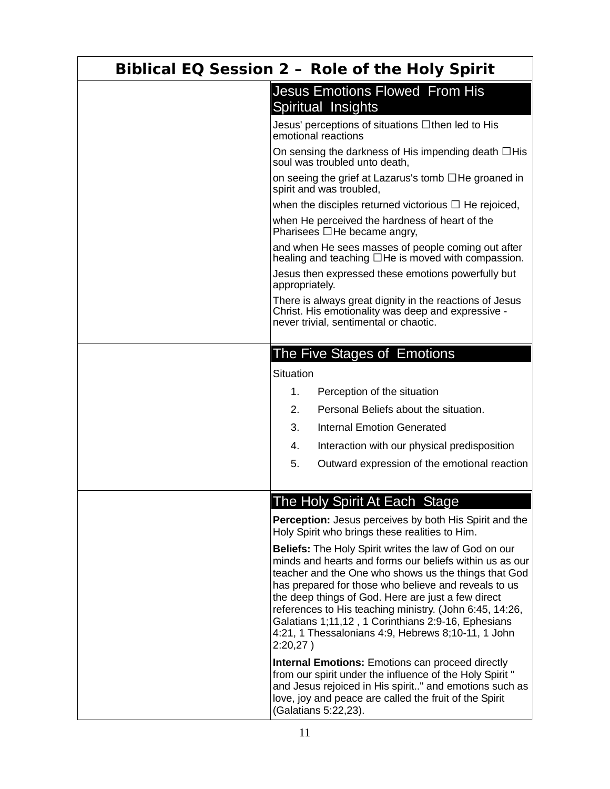| Biblical EQ Session 2 - Role of the Holy Spirit                                                                                                                                                                                                                                                                                                                                                                                                                              |
|------------------------------------------------------------------------------------------------------------------------------------------------------------------------------------------------------------------------------------------------------------------------------------------------------------------------------------------------------------------------------------------------------------------------------------------------------------------------------|
| <b>Jesus Emotions Flowed From His</b><br>Spiritual Insights                                                                                                                                                                                                                                                                                                                                                                                                                  |
| Jesus' perceptions of situations □then led to His<br>emotional reactions                                                                                                                                                                                                                                                                                                                                                                                                     |
| On sensing the darkness of His impending death $\Box$ His<br>soul was troubled unto death,                                                                                                                                                                                                                                                                                                                                                                                   |
| on seeing the grief at Lazarus's tomb $\Box$ He groaned in<br>spirit and was troubled,                                                                                                                                                                                                                                                                                                                                                                                       |
| when the disciples returned victorious $\Box$ He rejoiced,                                                                                                                                                                                                                                                                                                                                                                                                                   |
| when He perceived the hardness of heart of the<br>Pharisees □He became angry,                                                                                                                                                                                                                                                                                                                                                                                                |
| and when He sees masses of people coming out after<br>healing and teaching $\Box$ He is moved with compassion.                                                                                                                                                                                                                                                                                                                                                               |
| Jesus then expressed these emotions powerfully but<br>appropriately.                                                                                                                                                                                                                                                                                                                                                                                                         |
| There is always great dignity in the reactions of Jesus<br>Christ. His emotionality was deep and expressive -<br>never trivial, sentimental or chaotic.                                                                                                                                                                                                                                                                                                                      |
| The Five Stages of Emotions                                                                                                                                                                                                                                                                                                                                                                                                                                                  |
|                                                                                                                                                                                                                                                                                                                                                                                                                                                                              |
| Situation                                                                                                                                                                                                                                                                                                                                                                                                                                                                    |
| 1.<br>Perception of the situation                                                                                                                                                                                                                                                                                                                                                                                                                                            |
| 2.<br>Personal Beliefs about the situation.                                                                                                                                                                                                                                                                                                                                                                                                                                  |
| 3.<br><b>Internal Emotion Generated</b>                                                                                                                                                                                                                                                                                                                                                                                                                                      |
| Interaction with our physical predisposition<br>4.                                                                                                                                                                                                                                                                                                                                                                                                                           |
| 5.<br>Outward expression of the emotional reaction                                                                                                                                                                                                                                                                                                                                                                                                                           |
|                                                                                                                                                                                                                                                                                                                                                                                                                                                                              |
| The Holy Spirit At Each Stage                                                                                                                                                                                                                                                                                                                                                                                                                                                |
| <b>Perception:</b> Jesus perceives by both His Spirit and the<br>Holy Spirit who brings these realities to Him.                                                                                                                                                                                                                                                                                                                                                              |
| Beliefs: The Holy Spirit writes the law of God on our<br>minds and hearts and forms our beliefs within us as our<br>teacher and the One who shows us the things that God<br>has prepared for those who believe and reveals to us<br>the deep things of God. Here are just a few direct<br>references to His teaching ministry. (John 6:45, 14:26,<br>Galatians 1;11,12, 1 Corinthians 2:9-16, Ephesians<br>4:21, 1 Thessalonians 4:9, Hebrews 8;10-11, 1 John<br>$2:20,27$ ) |
| <b>Internal Emotions:</b> Emotions can proceed directly<br>from our spirit under the influence of the Holy Spirit"<br>and Jesus rejoiced in His spirit" and emotions such as<br>love, joy and peace are called the fruit of the Spirit<br>(Galatians 5:22,23).                                                                                                                                                                                                               |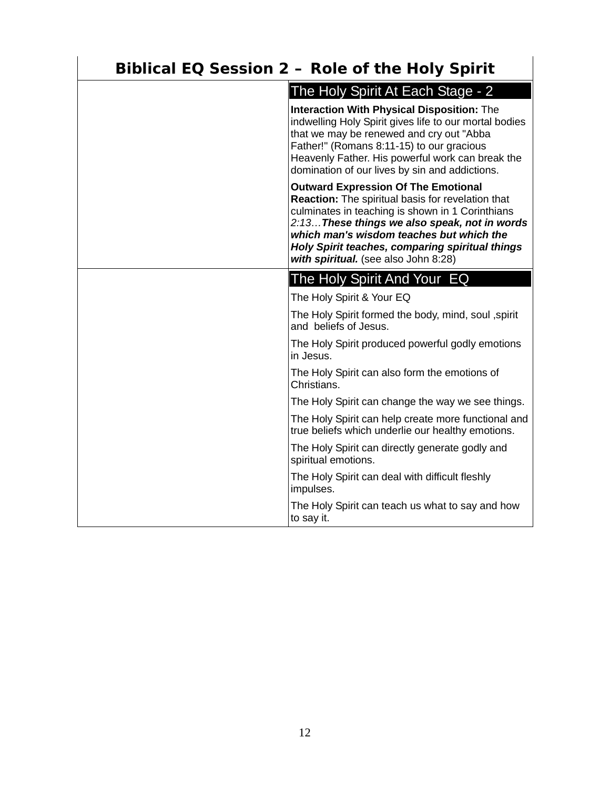| <b>Biblical EQ Session 2 – Role of the Holy Spirit</b> |                                                                                                                                                                                                                                                                                                                                                    |
|--------------------------------------------------------|----------------------------------------------------------------------------------------------------------------------------------------------------------------------------------------------------------------------------------------------------------------------------------------------------------------------------------------------------|
|                                                        | The Holy Spirit At Each Stage - 2                                                                                                                                                                                                                                                                                                                  |
|                                                        | <b>Interaction With Physical Disposition: The</b><br>indwelling Holy Spirit gives life to our mortal bodies<br>that we may be renewed and cry out "Abba<br>Father!" (Romans 8:11-15) to our gracious<br>Heavenly Father. His powerful work can break the<br>domination of our lives by sin and addictions.                                         |
|                                                        | <b>Outward Expression Of The Emotional</b><br><b>Reaction:</b> The spiritual basis for revelation that<br>culminates in teaching is shown in 1 Corinthians<br>2:13 These things we also speak, not in words<br>which man's wisdom teaches but which the<br>Holy Spirit teaches, comparing spiritual things<br>with spiritual. (see also John 8:28) |
|                                                        | The Holy Spirit And Your EQ                                                                                                                                                                                                                                                                                                                        |
|                                                        | The Holy Spirit & Your EQ                                                                                                                                                                                                                                                                                                                          |
|                                                        | The Holy Spirit formed the body, mind, soul , spirit<br>and beliefs of Jesus.                                                                                                                                                                                                                                                                      |
|                                                        | The Holy Spirit produced powerful godly emotions<br>in Jesus.                                                                                                                                                                                                                                                                                      |
|                                                        | The Holy Spirit can also form the emotions of<br>Christians.                                                                                                                                                                                                                                                                                       |
|                                                        | The Holy Spirit can change the way we see things.                                                                                                                                                                                                                                                                                                  |
|                                                        | The Holy Spirit can help create more functional and<br>true beliefs which underlie our healthy emotions.                                                                                                                                                                                                                                           |
|                                                        | The Holy Spirit can directly generate godly and<br>spiritual emotions.                                                                                                                                                                                                                                                                             |
|                                                        | The Holy Spirit can deal with difficult fleshly<br>impulses.                                                                                                                                                                                                                                                                                       |
|                                                        | The Holy Spirit can teach us what to say and how<br>to say it.                                                                                                                                                                                                                                                                                     |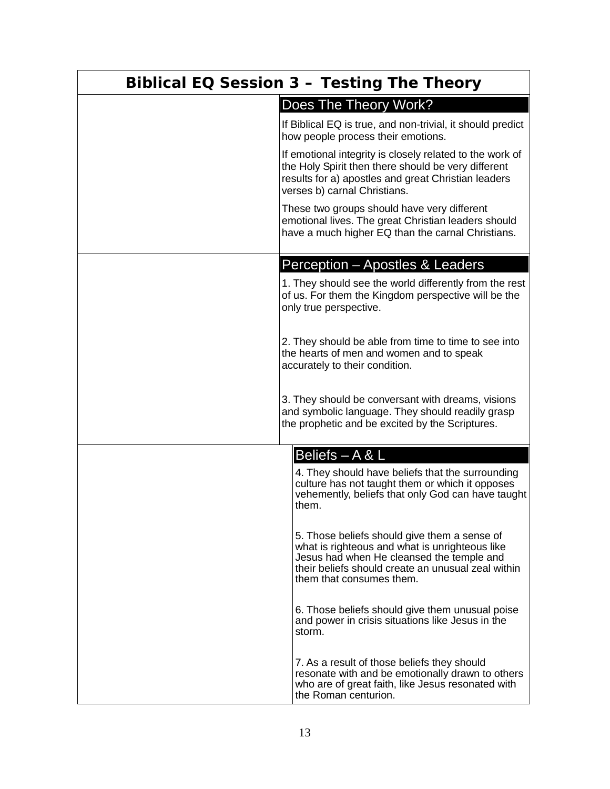| <b>Biblical EQ Session 3 – Testing The Theory</b>                                                                                                                                                                             |
|-------------------------------------------------------------------------------------------------------------------------------------------------------------------------------------------------------------------------------|
| Does The Theory Work?                                                                                                                                                                                                         |
| If Biblical EQ is true, and non-trivial, it should predict<br>how people process their emotions.                                                                                                                              |
| If emotional integrity is closely related to the work of<br>the Holy Spirit then there should be very different<br>results for a) apostles and great Christian leaders<br>verses b) carnal Christians.                        |
| These two groups should have very different<br>emotional lives. The great Christian leaders should<br>have a much higher EQ than the carnal Christians.                                                                       |
| Perception - Apostles & Leaders                                                                                                                                                                                               |
| 1. They should see the world differently from the rest<br>of us. For them the Kingdom perspective will be the<br>only true perspective.                                                                                       |
| 2. They should be able from time to time to see into<br>the hearts of men and women and to speak<br>accurately to their condition.                                                                                            |
| 3. They should be conversant with dreams, visions<br>and symbolic language. They should readily grasp<br>the prophetic and be excited by the Scriptures.                                                                      |
| Beliefs $- A < L$                                                                                                                                                                                                             |
| 4. They should have beliefs that the surrounding<br>culture has not taught them or which it opposes<br>vehemently, beliefs that only God can have taught<br>them.                                                             |
| 5. Those beliefs should give them a sense of<br>what is righteous and what is unrighteous like<br>Jesus had when He cleansed the temple and<br>their beliefs should create an unusual zeal within<br>them that consumes them. |
| 6. Those beliefs should give them unusual poise<br>and power in crisis situations like Jesus in the<br>storm.                                                                                                                 |
| 7. As a result of those beliefs they should<br>resonate with and be emotionally drawn to others<br>who are of great faith, like Jesus resonated with<br>the Roman centurion.                                                  |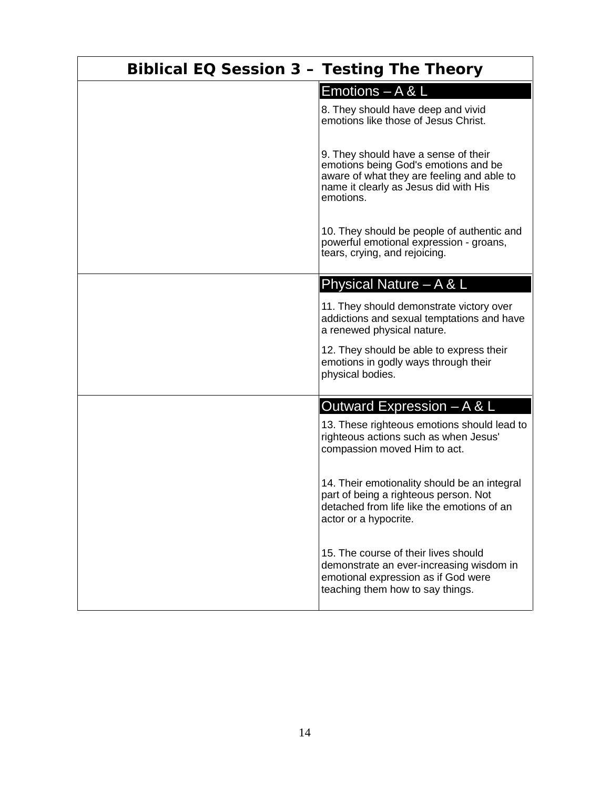| <b>Biblical EQ Session 3 – Testing The Theory</b>                                                                                                                                |  |
|----------------------------------------------------------------------------------------------------------------------------------------------------------------------------------|--|
| Emotions - A & L                                                                                                                                                                 |  |
| 8. They should have deep and vivid<br>emotions like those of Jesus Christ.                                                                                                       |  |
| 9. They should have a sense of their<br>emotions being God's emotions and be<br>aware of what they are feeling and able to<br>name it clearly as Jesus did with His<br>emotions. |  |
| 10. They should be people of authentic and<br>powerful emotional expression - groans,<br>tears, crying, and rejoicing.                                                           |  |
| Physical Nature - A & L                                                                                                                                                          |  |
| 11. They should demonstrate victory over<br>addictions and sexual temptations and have<br>a renewed physical nature.                                                             |  |
| 12. They should be able to express their<br>emotions in godly ways through their<br>physical bodies.                                                                             |  |
| Outward Expression - A & L                                                                                                                                                       |  |
| 13. These righteous emotions should lead to<br>righteous actions such as when Jesus'<br>compassion moved Him to act.                                                             |  |
| 14. Their emotionality should be an integral<br>part of being a righteous person. Not<br>detached from life like the emotions of an<br>actor or a hypocrite.                     |  |
| 15. The course of their lives should<br>demonstrate an ever-increasing wisdom in<br>emotional expression as if God were<br>teaching them how to say things.                      |  |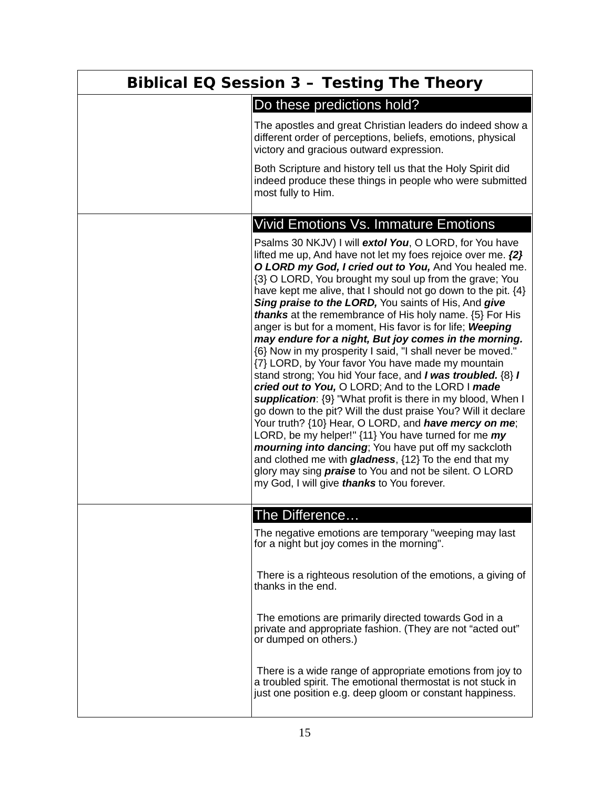| <b>Biblical EQ Session 3 - Testing The Theory</b>                                                                                                                                                                                                                                                                                                                                                                                                                                                                                                                                                                                                                                                                                                                                                                                                                                                                                                                                                                                                                                                                                                                                                                                                                                                                 |
|-------------------------------------------------------------------------------------------------------------------------------------------------------------------------------------------------------------------------------------------------------------------------------------------------------------------------------------------------------------------------------------------------------------------------------------------------------------------------------------------------------------------------------------------------------------------------------------------------------------------------------------------------------------------------------------------------------------------------------------------------------------------------------------------------------------------------------------------------------------------------------------------------------------------------------------------------------------------------------------------------------------------------------------------------------------------------------------------------------------------------------------------------------------------------------------------------------------------------------------------------------------------------------------------------------------------|
| Do these predictions hold?                                                                                                                                                                                                                                                                                                                                                                                                                                                                                                                                                                                                                                                                                                                                                                                                                                                                                                                                                                                                                                                                                                                                                                                                                                                                                        |
| The apostles and great Christian leaders do indeed show a<br>different order of perceptions, beliefs, emotions, physical<br>victory and gracious outward expression.                                                                                                                                                                                                                                                                                                                                                                                                                                                                                                                                                                                                                                                                                                                                                                                                                                                                                                                                                                                                                                                                                                                                              |
| Both Scripture and history tell us that the Holy Spirit did<br>indeed produce these things in people who were submitted<br>most fully to Him.                                                                                                                                                                                                                                                                                                                                                                                                                                                                                                                                                                                                                                                                                                                                                                                                                                                                                                                                                                                                                                                                                                                                                                     |
| <b>Vivid Emotions Vs. Immature Emotions</b>                                                                                                                                                                                                                                                                                                                                                                                                                                                                                                                                                                                                                                                                                                                                                                                                                                                                                                                                                                                                                                                                                                                                                                                                                                                                       |
| Psalms 30 NKJV) I will extol You, O LORD, for You have<br>lifted me up, And have not let my foes rejoice over me. {2}<br>O LORD my God, I cried out to You, And You healed me.<br>{3} O LORD, You brought my soul up from the grave; You<br>have kept me alive, that I should not go down to the pit. $\{4\}$<br>Sing praise to the LORD, You saints of His, And give<br>thanks at the remembrance of His holy name. {5} For His<br>anger is but for a moment, His favor is for life; Weeping<br>may endure for a night, But joy comes in the morning.<br>{6} Now in my prosperity I said, "I shall never be moved."<br>{7} LORD, by Your favor You have made my mountain<br>stand strong; You hid Your face, and <i>I was troubled.</i> {8} <i>I</i><br>cried out to You, O LORD; And to the LORD I made<br>supplication: {9} "What profit is there in my blood, When I<br>go down to the pit? Will the dust praise You? Will it declare<br>Your truth? {10} Hear, O LORD, and have mercy on me;<br>LORD, be my helper!" $\{11\}$ You have turned for me $my$<br>mourning into dancing; You have put off my sackcloth<br>and clothed me with <b>gladness</b> , $\{12\}$ To the end that my<br>glory may sing <i>praise</i> to You and not be silent. O LORD<br>my God, I will give <i>thanks</i> to You forever. |
|                                                                                                                                                                                                                                                                                                                                                                                                                                                                                                                                                                                                                                                                                                                                                                                                                                                                                                                                                                                                                                                                                                                                                                                                                                                                                                                   |
| The Difference<br>The negative emotions are temporary "weeping may last<br>for a night but joy comes in the morning".                                                                                                                                                                                                                                                                                                                                                                                                                                                                                                                                                                                                                                                                                                                                                                                                                                                                                                                                                                                                                                                                                                                                                                                             |
| There is a righteous resolution of the emotions, a giving of<br>thanks in the end.                                                                                                                                                                                                                                                                                                                                                                                                                                                                                                                                                                                                                                                                                                                                                                                                                                                                                                                                                                                                                                                                                                                                                                                                                                |
| The emotions are primarily directed towards God in a<br>private and appropriate fashion. (They are not "acted out"<br>or dumped on others.)                                                                                                                                                                                                                                                                                                                                                                                                                                                                                                                                                                                                                                                                                                                                                                                                                                                                                                                                                                                                                                                                                                                                                                       |
| There is a wide range of appropriate emotions from joy to<br>a troubled spirit. The emotional thermostat is not stuck in<br>just one position e.g. deep gloom or constant happiness.                                                                                                                                                                                                                                                                                                                                                                                                                                                                                                                                                                                                                                                                                                                                                                                                                                                                                                                                                                                                                                                                                                                              |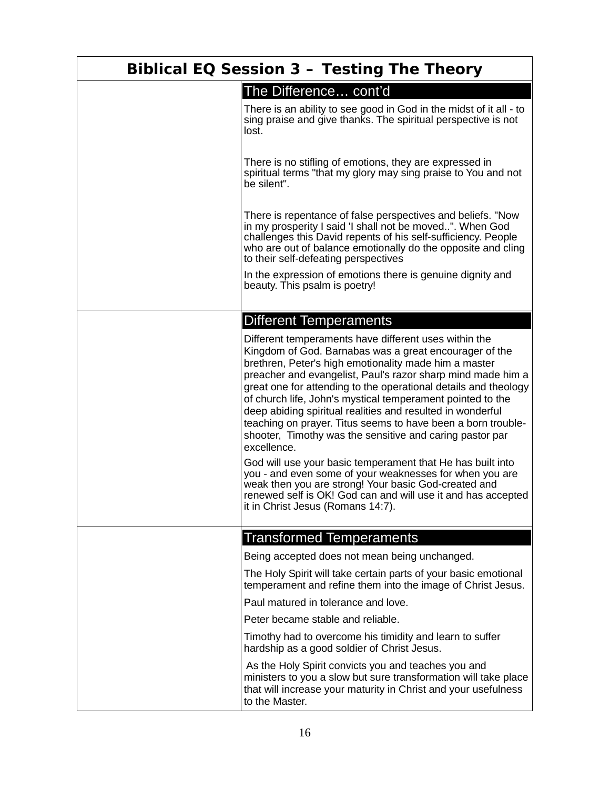| <b>Biblical EQ Session 3 - Testing The Theory</b>                                                                                                                                                                                                                                                                                                                                                                                                                                                                                                                                                                                                                                                                                                                                                                                                                       |
|-------------------------------------------------------------------------------------------------------------------------------------------------------------------------------------------------------------------------------------------------------------------------------------------------------------------------------------------------------------------------------------------------------------------------------------------------------------------------------------------------------------------------------------------------------------------------------------------------------------------------------------------------------------------------------------------------------------------------------------------------------------------------------------------------------------------------------------------------------------------------|
| The Difference cont'd                                                                                                                                                                                                                                                                                                                                                                                                                                                                                                                                                                                                                                                                                                                                                                                                                                                   |
| There is an ability to see good in God in the midst of it all - to<br>sing praise and give thanks. The spiritual perspective is not<br>lost.                                                                                                                                                                                                                                                                                                                                                                                                                                                                                                                                                                                                                                                                                                                            |
| There is no stifling of emotions, they are expressed in<br>spiritual terms "that my glory may sing praise to You and not<br>be silent".                                                                                                                                                                                                                                                                                                                                                                                                                                                                                                                                                                                                                                                                                                                                 |
| There is repentance of false perspectives and beliefs. "Now<br>in my prosperity I said 'I shall not be moved". When God<br>challenges this David repents of his self-sufficiency. People<br>who are out of balance emotionally do the opposite and cling<br>to their self-defeating perspectives                                                                                                                                                                                                                                                                                                                                                                                                                                                                                                                                                                        |
| In the expression of emotions there is genuine dignity and<br>beauty. This psalm is poetry!                                                                                                                                                                                                                                                                                                                                                                                                                                                                                                                                                                                                                                                                                                                                                                             |
| <b>Different Temperaments</b>                                                                                                                                                                                                                                                                                                                                                                                                                                                                                                                                                                                                                                                                                                                                                                                                                                           |
| Different temperaments have different uses within the<br>Kingdom of God. Barnabas was a great encourager of the<br>brethren, Peter's high emotionality made him a master<br>preacher and evangelist, Paul's razor sharp mind made him a<br>great one for attending to the operational details and theology<br>of church life, John's mystical temperament pointed to the<br>deep abiding spiritual realities and resulted in wonderful<br>teaching on prayer. Titus seems to have been a born trouble-<br>shooter, Timothy was the sensitive and caring pastor par<br>excellence.<br>God will use your basic temperament that He has built into<br>you - and even some of your weaknesses for when you are<br>weak then you are strong! Your basic God-created and<br>renewed self is OK! God can and will use it and has accepted<br>it in Christ Jesus (Romans 14:7). |
|                                                                                                                                                                                                                                                                                                                                                                                                                                                                                                                                                                                                                                                                                                                                                                                                                                                                         |
| <b>Transformed Temperaments</b>                                                                                                                                                                                                                                                                                                                                                                                                                                                                                                                                                                                                                                                                                                                                                                                                                                         |
| Being accepted does not mean being unchanged.                                                                                                                                                                                                                                                                                                                                                                                                                                                                                                                                                                                                                                                                                                                                                                                                                           |
| The Holy Spirit will take certain parts of your basic emotional<br>temperament and refine them into the image of Christ Jesus.                                                                                                                                                                                                                                                                                                                                                                                                                                                                                                                                                                                                                                                                                                                                          |
| Paul matured in tolerance and love.                                                                                                                                                                                                                                                                                                                                                                                                                                                                                                                                                                                                                                                                                                                                                                                                                                     |
| Peter became stable and reliable.                                                                                                                                                                                                                                                                                                                                                                                                                                                                                                                                                                                                                                                                                                                                                                                                                                       |
| Timothy had to overcome his timidity and learn to suffer<br>hardship as a good soldier of Christ Jesus.                                                                                                                                                                                                                                                                                                                                                                                                                                                                                                                                                                                                                                                                                                                                                                 |
| As the Holy Spirit convicts you and teaches you and<br>ministers to you a slow but sure transformation will take place<br>that will increase your maturity in Christ and your usefulness<br>to the Master.                                                                                                                                                                                                                                                                                                                                                                                                                                                                                                                                                                                                                                                              |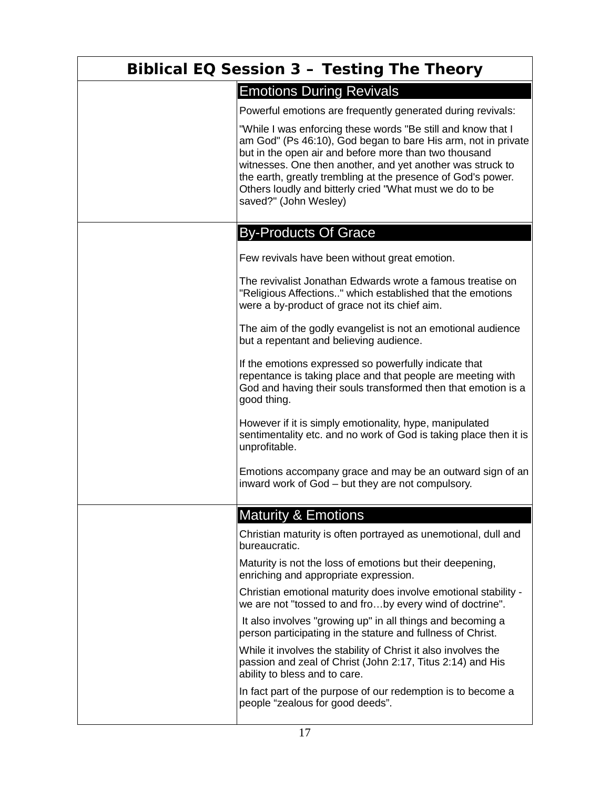| <b>Biblical EQ Session 3 - Testing The Theory</b>                                                                                                                                                                                                                                                                                                                                                        |
|----------------------------------------------------------------------------------------------------------------------------------------------------------------------------------------------------------------------------------------------------------------------------------------------------------------------------------------------------------------------------------------------------------|
| <b>Emotions During Revivals</b>                                                                                                                                                                                                                                                                                                                                                                          |
| Powerful emotions are frequently generated during revivals:                                                                                                                                                                                                                                                                                                                                              |
| "While I was enforcing these words "Be still and know that I<br>am God" (Ps 46:10), God began to bare His arm, not in private<br>but in the open air and before more than two thousand<br>witnesses. One then another, and yet another was struck to<br>the earth, greatly trembling at the presence of God's power.<br>Others loudly and bitterly cried "What must we do to be<br>saved?" (John Wesley) |
| <b>By-Products Of Grace</b>                                                                                                                                                                                                                                                                                                                                                                              |
| Few revivals have been without great emotion.                                                                                                                                                                                                                                                                                                                                                            |
| The revivalist Jonathan Edwards wrote a famous treatise on<br>"Religious Affections" which established that the emotions<br>were a by-product of grace not its chief aim.                                                                                                                                                                                                                                |
| The aim of the godly evangelist is not an emotional audience<br>but a repentant and believing audience.                                                                                                                                                                                                                                                                                                  |
| If the emotions expressed so powerfully indicate that<br>repentance is taking place and that people are meeting with<br>God and having their souls transformed then that emotion is a<br>good thing.                                                                                                                                                                                                     |
| However if it is simply emotionality, hype, manipulated<br>sentimentality etc. and no work of God is taking place then it is<br>unprofitable.                                                                                                                                                                                                                                                            |
| Emotions accompany grace and may be an outward sign of an<br>inward work of God - but they are not compulsory.                                                                                                                                                                                                                                                                                           |
| <b>Maturity &amp; Emotions</b>                                                                                                                                                                                                                                                                                                                                                                           |
| Christian maturity is often portrayed as unemotional, dull and<br>bureaucratic.                                                                                                                                                                                                                                                                                                                          |
| Maturity is not the loss of emotions but their deepening,<br>enriching and appropriate expression.                                                                                                                                                                                                                                                                                                       |
| Christian emotional maturity does involve emotional stability -<br>we are not "tossed to and froby every wind of doctrine".                                                                                                                                                                                                                                                                              |
| It also involves "growing up" in all things and becoming a<br>person participating in the stature and fullness of Christ.                                                                                                                                                                                                                                                                                |
| While it involves the stability of Christ it also involves the<br>passion and zeal of Christ (John 2:17, Titus 2:14) and His<br>ability to bless and to care.                                                                                                                                                                                                                                            |
| In fact part of the purpose of our redemption is to become a<br>people "zealous for good deeds".                                                                                                                                                                                                                                                                                                         |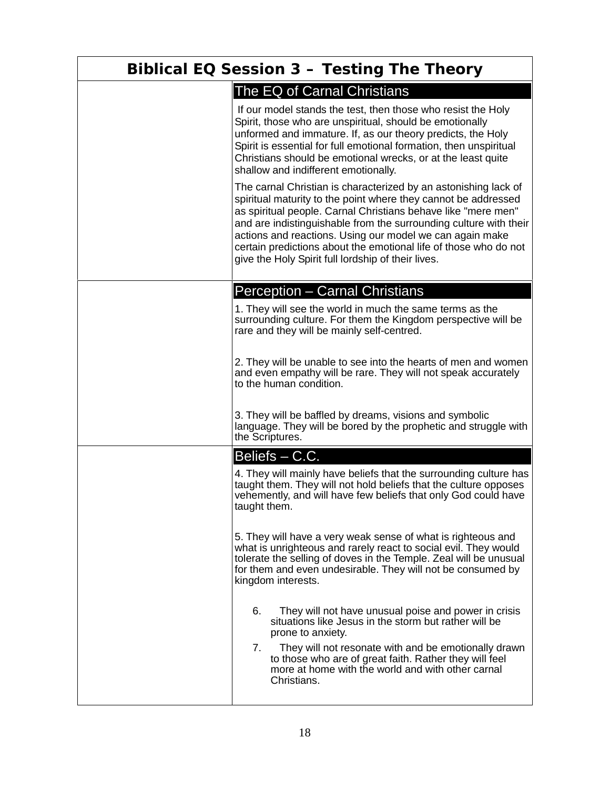| <b>Biblical EQ Session 3 - Testing The Theory</b>                                                                                                                                                                                                                                                                                                                                                                                                             |
|---------------------------------------------------------------------------------------------------------------------------------------------------------------------------------------------------------------------------------------------------------------------------------------------------------------------------------------------------------------------------------------------------------------------------------------------------------------|
| The EQ of Carnal Christians                                                                                                                                                                                                                                                                                                                                                                                                                                   |
| If our model stands the test, then those who resist the Holy<br>Spirit, those who are unspiritual, should be emotionally<br>unformed and immature. If, as our theory predicts, the Holy<br>Spirit is essential for full emotional formation, then unspiritual<br>Christians should be emotional wrecks, or at the least quite<br>shallow and indifferent emotionally.                                                                                         |
| The carnal Christian is characterized by an astonishing lack of<br>spiritual maturity to the point where they cannot be addressed<br>as spiritual people. Carnal Christians behave like "mere men"<br>and are indistinguishable from the surrounding culture with their<br>actions and reactions. Using our model we can again make<br>certain predictions about the emotional life of those who do not<br>give the Holy Spirit full lordship of their lives. |
| <b>Perception - Carnal Christians</b>                                                                                                                                                                                                                                                                                                                                                                                                                         |
| 1. They will see the world in much the same terms as the<br>surrounding culture. For them the Kingdom perspective will be<br>rare and they will be mainly self-centred.                                                                                                                                                                                                                                                                                       |
| 2. They will be unable to see into the hearts of men and women<br>and even empathy will be rare. They will not speak accurately<br>to the human condition.                                                                                                                                                                                                                                                                                                    |
| 3. They will be baffled by dreams, visions and symbolic<br>language. They will be bored by the prophetic and struggle with<br>the Scriptures.                                                                                                                                                                                                                                                                                                                 |
| Beliefs - C.C.                                                                                                                                                                                                                                                                                                                                                                                                                                                |
| 4. They will mainly have beliefs that the surrounding culture has<br>taught them. They will not hold beliefs that the culture opposes<br>vehemently, and will have few beliefs that only God could have<br>taught them.                                                                                                                                                                                                                                       |
| 5. They will have a very weak sense of what is righteous and<br>what is unrighteous and rarely react to social evil. They would<br>tolerate the selling of doves in the Temple. Zeal will be unusual<br>for them and even undesirable. They will not be consumed by<br>kingdom interests.                                                                                                                                                                     |
| 6.<br>They will not have unusual poise and power in crisis<br>situations like Jesus in the storm but rather will be<br>prone to anxiety.                                                                                                                                                                                                                                                                                                                      |
| 7.<br>They will not resonate with and be emotionally drawn<br>to those who are of great faith. Rather they will feel<br>more at home with the world and with other carnal<br>Christians.                                                                                                                                                                                                                                                                      |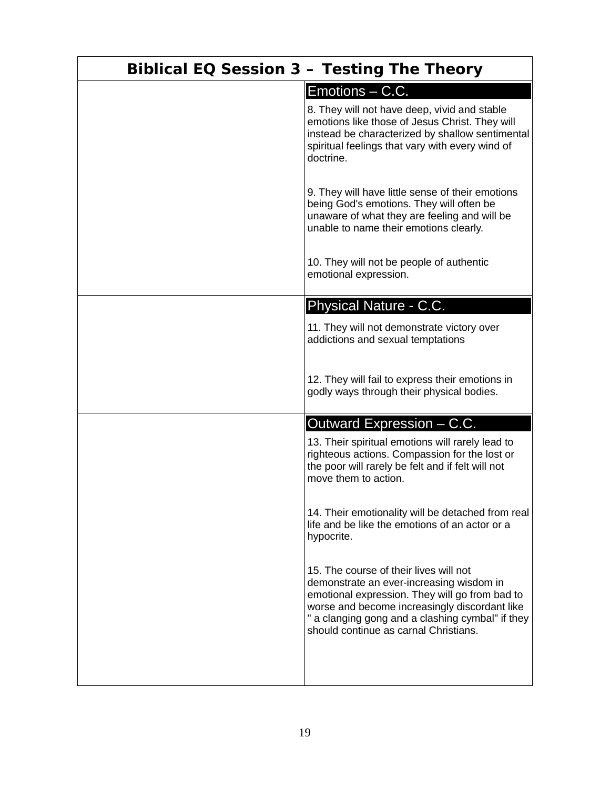| <b>Biblical EQ Session 3 - Testing The Theory</b>                                                                                                                                                                                                                                  |
|------------------------------------------------------------------------------------------------------------------------------------------------------------------------------------------------------------------------------------------------------------------------------------|
| Emotions - C.C.                                                                                                                                                                                                                                                                    |
| 8. They will not have deep, vivid and stable<br>emotions like those of Jesus Christ. They will<br>instead be characterized by shallow sentimental<br>spiritual feelings that vary with every wind of<br>doctrine.                                                                  |
| 9. They will have little sense of their emotions<br>being God's emotions. They will often be<br>unaware of what they are feeling and will be<br>unable to name their emotions clearly.                                                                                             |
| 10. They will not be people of authentic<br>emotional expression.                                                                                                                                                                                                                  |
| Physical Nature - C.C.                                                                                                                                                                                                                                                             |
| 11. They will not demonstrate victory over<br>addictions and sexual temptations                                                                                                                                                                                                    |
| 12. They will fail to express their emotions in<br>godly ways through their physical bodies.                                                                                                                                                                                       |
| Outward Expression - C.C.                                                                                                                                                                                                                                                          |
| 13. Their spiritual emotions will rarely lead to<br>righteous actions. Compassion for the lost or<br>the poor will rarely be felt and if felt will not<br>move them to action.                                                                                                     |
| 14. Their emotionality will be detached from real<br>life and be like the emotions of an actor or a<br>hypocrite.                                                                                                                                                                  |
| 15. The course of their lives will not<br>demonstrate an ever-increasing wisdom in<br>emotional expression. They will go from bad to<br>worse and become increasingly discordant like<br>" a clanging gong and a clashing cymbal" if they<br>should continue as carnal Christians. |
|                                                                                                                                                                                                                                                                                    |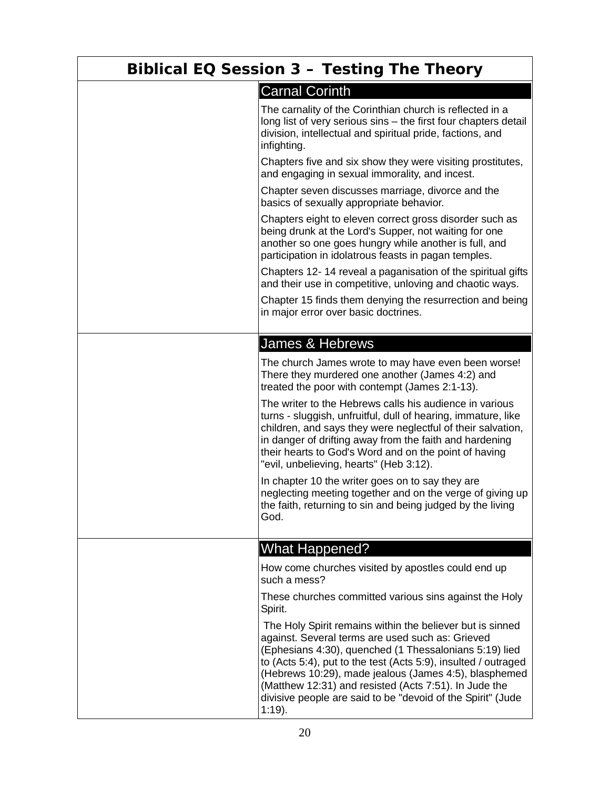| <b>Biblical EQ Session 3 - Testing The Theory</b>                                                                                                                                                                                                                                                                                                                                                                                       |
|-----------------------------------------------------------------------------------------------------------------------------------------------------------------------------------------------------------------------------------------------------------------------------------------------------------------------------------------------------------------------------------------------------------------------------------------|
| <b>Carnal Corinth</b>                                                                                                                                                                                                                                                                                                                                                                                                                   |
| The carnality of the Corinthian church is reflected in a<br>long list of very serious sins - the first four chapters detail<br>division, intellectual and spiritual pride, factions, and<br>infighting.                                                                                                                                                                                                                                 |
| Chapters five and six show they were visiting prostitutes,<br>and engaging in sexual immorality, and incest.                                                                                                                                                                                                                                                                                                                            |
| Chapter seven discusses marriage, divorce and the<br>basics of sexually appropriate behavior.                                                                                                                                                                                                                                                                                                                                           |
| Chapters eight to eleven correct gross disorder such as<br>being drunk at the Lord's Supper, not waiting for one<br>another so one goes hungry while another is full, and<br>participation in idolatrous feasts in pagan temples.                                                                                                                                                                                                       |
| Chapters 12-14 reveal a paganisation of the spiritual gifts<br>and their use in competitive, unloving and chaotic ways.                                                                                                                                                                                                                                                                                                                 |
| Chapter 15 finds them denying the resurrection and being<br>in major error over basic doctrines.                                                                                                                                                                                                                                                                                                                                        |
| James & Hebrews                                                                                                                                                                                                                                                                                                                                                                                                                         |
| The church James wrote to may have even been worse!<br>There they murdered one another (James 4:2) and<br>treated the poor with contempt (James 2:1-13).                                                                                                                                                                                                                                                                                |
| The writer to the Hebrews calls his audience in various<br>turns - sluggish, unfruitful, dull of hearing, immature, like<br>children, and says they were neglectful of their salvation,<br>in danger of drifting away from the faith and hardening<br>their hearts to God's Word and on the point of having<br>"evil, unbelieving, hearts" (Heb 3:12).                                                                                  |
| In chapter 10 the writer goes on to say they are<br>neglecting meeting together and on the verge of giving up<br>the faith, returning to sin and being judged by the living<br>God.                                                                                                                                                                                                                                                     |
| What Happened?                                                                                                                                                                                                                                                                                                                                                                                                                          |
| How come churches visited by apostles could end up<br>such a mess?                                                                                                                                                                                                                                                                                                                                                                      |
| These churches committed various sins against the Holy<br>Spirit.                                                                                                                                                                                                                                                                                                                                                                       |
| The Holy Spirit remains within the believer but is sinned<br>against. Several terms are used such as: Grieved<br>(Ephesians 4:30), quenched (1 Thessalonians 5:19) lied<br>to (Acts 5:4), put to the test (Acts 5:9), insulted / outraged<br>(Hebrews 10:29), made jealous (James 4:5), blasphemed<br>(Matthew 12:31) and resisted (Acts 7:51). In Jude the<br>divisive people are said to be "devoid of the Spirit" (Jude<br>$1:19$ ). |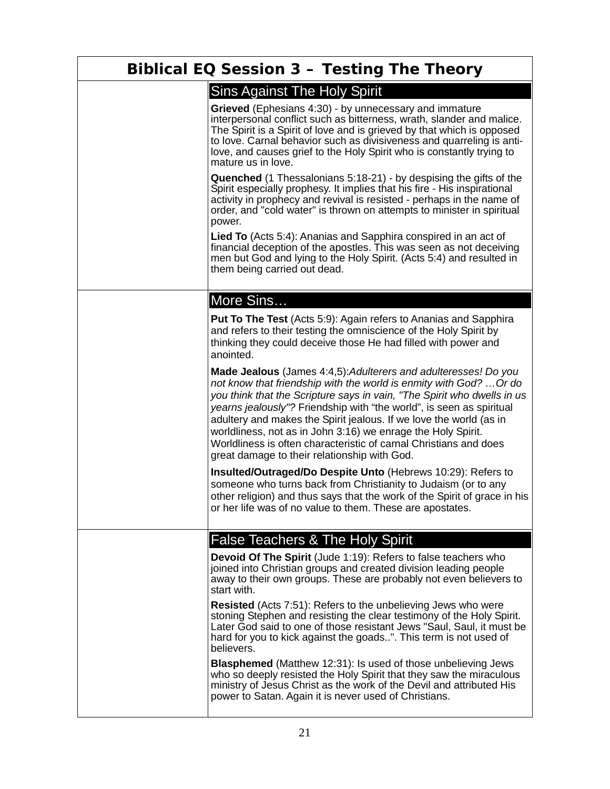| <b>Biblical EQ Session 3 – Testing The Theory</b>                                                                                                                                                                                                                                                                                                                                                                                                                                                                                                   |
|-----------------------------------------------------------------------------------------------------------------------------------------------------------------------------------------------------------------------------------------------------------------------------------------------------------------------------------------------------------------------------------------------------------------------------------------------------------------------------------------------------------------------------------------------------|
| <b>Sins Against The Holy Spirit</b>                                                                                                                                                                                                                                                                                                                                                                                                                                                                                                                 |
| Grieved (Ephesians 4:30) - by unnecessary and immature<br>interpersonal conflict such as bitterness, wrath, slander and malice.<br>The Spirit is a Spirit of love and is grieved by that which is opposed<br>to love. Carnal behavior such as divisiveness and quarreling is anti-<br>love, and causes grief to the Holy Spirit who is constantly trying to<br>mature us in love.                                                                                                                                                                   |
| Quenched (1 Thessalonians 5:18-21) - by despising the gifts of the<br>Spirit especially prophesy. It implies that his fire - His inspirational<br>activity in prophecy and revival is resisted - perhaps in the name of<br>order, and "cold water" is thrown on attempts to minister in spiritual<br>power.                                                                                                                                                                                                                                         |
| <b>Lied To</b> (Acts 5:4): Ananias and Sapphira conspired in an act of<br>financial deception of the apostles. This was seen as not deceiving<br>men but God and lying to the Holy Spirit. (Acts 5:4) and resulted in<br>them being carried out dead.                                                                                                                                                                                                                                                                                               |
| More Sins                                                                                                                                                                                                                                                                                                                                                                                                                                                                                                                                           |
| <b>Put To The Test</b> (Acts 5:9): Again refers to Ananias and Sapphira<br>and refers to their testing the omniscience of the Holy Spirit by<br>thinking they could deceive those He had filled with power and<br>anointed.                                                                                                                                                                                                                                                                                                                         |
| Made Jealous (James 4:4,5): Adulterers and adulteresses! Do you<br>not know that friendship with the world is enmity with God?  Or do<br>you think that the Scripture says in vain, "The Spirit who dwells in us<br>yearns jealously"? Friendship with "the world", is seen as spiritual<br>adultery and makes the Spirit jealous. If we love the world (as in<br>worldliness, not as in John 3:16) we enrage the Holy Spirit.<br>Worldliness is often characteristic of carnal Christians and does<br>great damage to their relationship with God. |
| Insulted/Outraged/Do Despite Unto (Hebrews 10:29): Refers to<br>someone who turns back from Christianity to Judaism (or to any<br>other religion) and thus says that the work of the Spirit of grace in his<br>or her life was of no value to them. These are apostates.                                                                                                                                                                                                                                                                            |
| False Teachers & The Holy Spirit                                                                                                                                                                                                                                                                                                                                                                                                                                                                                                                    |
| <b>Devoid Of The Spirit (Jude 1:19): Refers to false teachers who</b><br>joined into Christian groups and created division leading people<br>away to their own groups. These are probably not even believers to<br>start with.                                                                                                                                                                                                                                                                                                                      |
| <b>Resisted</b> (Acts 7:51): Refers to the unbelieving Jews who were<br>stoning Stephen and resisting the clear testimony of the Holy Spirit.<br>Later God said to one of those resistant Jews "Saul, Saul, it must be<br>hard for you to kick against the goads". This term is not used of<br>believers.                                                                                                                                                                                                                                           |
| <b>Blasphemed</b> (Matthew 12:31): Is used of those unbelieving Jews<br>who so deeply resisted the Holy Spirit that they saw the miraculous<br>ministry of Jesus Christ as the work of the Devil and attributed His<br>power to Satan. Again it is never used of Christians.                                                                                                                                                                                                                                                                        |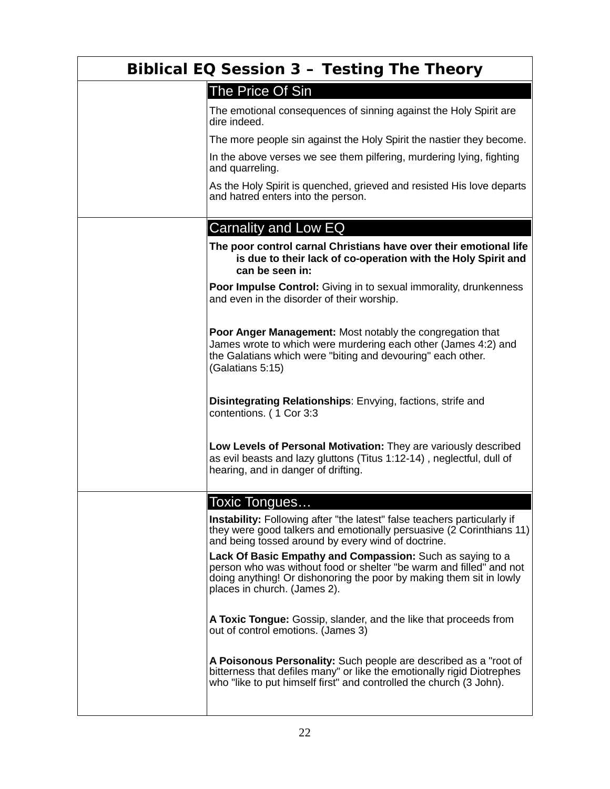| <b>Biblical EQ Session 3 - Testing The Theory</b>                                                                                                                                                                                       |
|-----------------------------------------------------------------------------------------------------------------------------------------------------------------------------------------------------------------------------------------|
| The Price Of Sin                                                                                                                                                                                                                        |
| The emotional consequences of sinning against the Holy Spirit are<br>dire indeed.                                                                                                                                                       |
| The more people sin against the Holy Spirit the nastier they become.                                                                                                                                                                    |
| In the above verses we see them pilfering, murdering lying, fighting<br>and quarreling.                                                                                                                                                 |
| As the Holy Spirit is quenched, grieved and resisted His love departs<br>and hatred enters into the person.                                                                                                                             |
| Carnality and Low EQ                                                                                                                                                                                                                    |
| The poor control carnal Christians have over their emotional life<br>is due to their lack of co-operation with the Holy Spirit and<br>can be seen in:                                                                                   |
| Poor Impulse Control: Giving in to sexual immorality, drunkenness<br>and even in the disorder of their worship.                                                                                                                         |
| Poor Anger Management: Most notably the congregation that<br>James wrote to which were murdering each other (James 4:2) and<br>the Galatians which were "biting and devouring" each other.<br>(Galatians 5:15)                          |
| <b>Disintegrating Relationships: Envying, factions, strife and</b><br>contentions. (1 Cor 3:3                                                                                                                                           |
| Low Levels of Personal Motivation: They are variously described<br>as evil beasts and lazy gluttons (Titus 1:12-14), neglectful, dull of<br>hearing, and in danger of drifting.                                                         |
| Toxic Tongues                                                                                                                                                                                                                           |
| <b>Instability:</b> Following after "the latest" false teachers particularly if<br>they were good talkers and emotionally persuasive (2 Corinthians 11)<br>and being tossed around by every wind of doctrine.                           |
| Lack Of Basic Empathy and Compassion: Such as saying to a<br>person who was without food or shelter "be warm and filled" and not<br>doing anything! Or dishonoring the poor by making them sit in lowly<br>places in church. (James 2). |
| A Toxic Tongue: Gossip, slander, and the like that proceeds from<br>out of control emotions. (James 3)                                                                                                                                  |
| A Poisonous Personality: Such people are described as a "root of<br>bitterness that defiles many" or like the emotionally rigid Diotrephes<br>who "like to put himself first" and controlled the church (3 John).                       |
|                                                                                                                                                                                                                                         |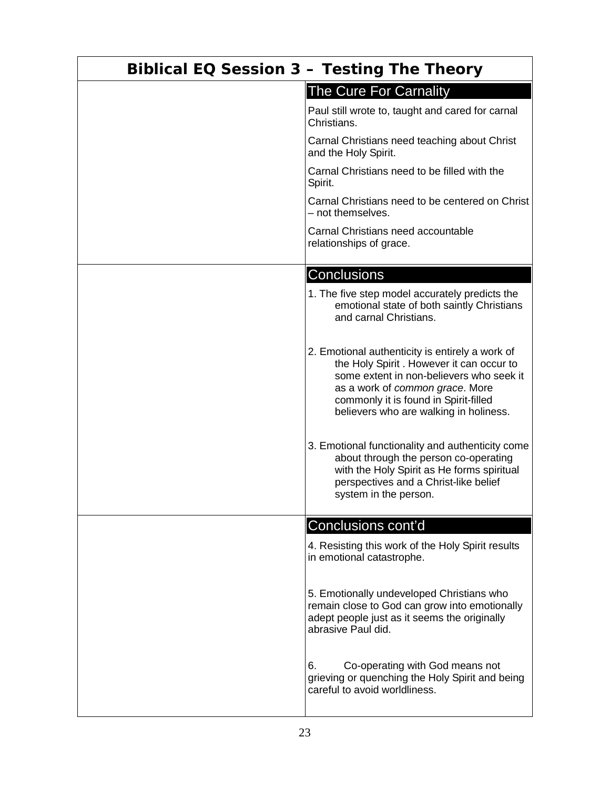| <b>Biblical EQ Session 3 - Testing The Theory</b>                                                                                                                                                                                                             |
|---------------------------------------------------------------------------------------------------------------------------------------------------------------------------------------------------------------------------------------------------------------|
| The Cure For Carnality                                                                                                                                                                                                                                        |
| Paul still wrote to, taught and cared for carnal<br>Christians.                                                                                                                                                                                               |
| Carnal Christians need teaching about Christ<br>and the Holy Spirit.                                                                                                                                                                                          |
| Carnal Christians need to be filled with the<br>Spirit.                                                                                                                                                                                                       |
| Carnal Christians need to be centered on Christ<br>- not themselves.                                                                                                                                                                                          |
| Carnal Christians need accountable<br>relationships of grace.                                                                                                                                                                                                 |
| Conclusions                                                                                                                                                                                                                                                   |
| 1. The five step model accurately predicts the<br>emotional state of both saintly Christians<br>and carnal Christians.                                                                                                                                        |
| 2. Emotional authenticity is entirely a work of<br>the Holy Spirit. However it can occur to<br>some extent in non-believers who seek it<br>as a work of common grace. More<br>commonly it is found in Spirit-filled<br>believers who are walking in holiness. |
| 3. Emotional functionality and authenticity come<br>about through the person co-operating<br>with the Holy Spirit as He forms spiritual<br>perspectives and a Christ-like belief<br>system in the person.                                                     |
| Conclusions cont'd                                                                                                                                                                                                                                            |
| 4. Resisting this work of the Holy Spirit results<br>in emotional catastrophe.                                                                                                                                                                                |
| 5. Emotionally undeveloped Christians who<br>remain close to God can grow into emotionally<br>adept people just as it seems the originally<br>abrasive Paul did.                                                                                              |
| 6.<br>Co-operating with God means not<br>grieving or quenching the Holy Spirit and being<br>careful to avoid worldliness.                                                                                                                                     |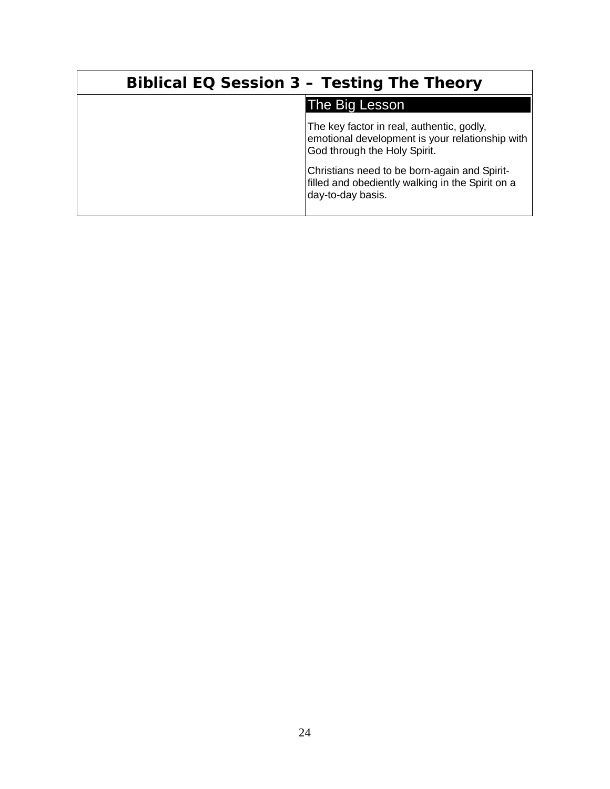| <b>Biblical EQ Session 3 – Testing The Theory</b> |                                                                                                                              |
|---------------------------------------------------|------------------------------------------------------------------------------------------------------------------------------|
|                                                   | The Big Lesson                                                                                                               |
|                                                   | The key factor in real, authentic, godly,<br>emotional development is your relationship with<br>God through the Holy Spirit. |
|                                                   | Christians need to be born-again and Spirit-<br>filled and obediently walking in the Spirit on a<br>day-to-day basis.        |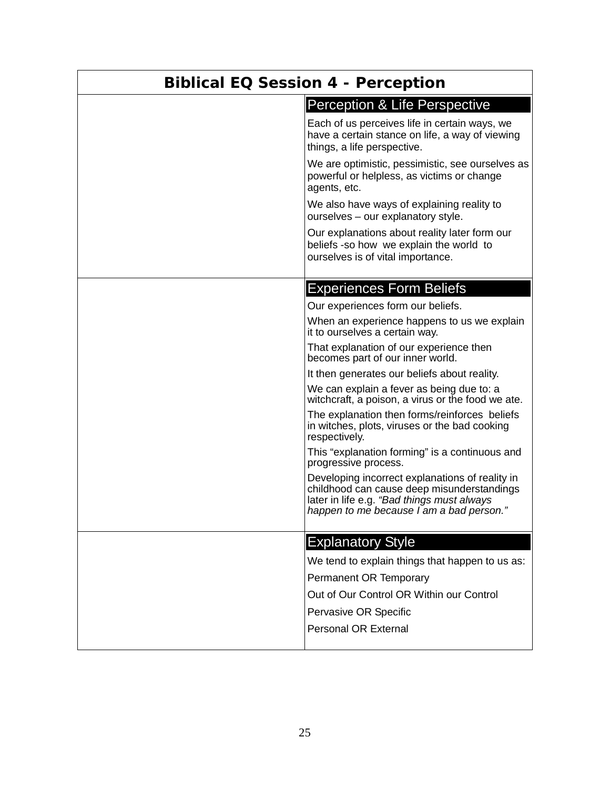| <b>Biblical EQ Session 4 - Perception</b> |                                                                                                                                                                                         |
|-------------------------------------------|-----------------------------------------------------------------------------------------------------------------------------------------------------------------------------------------|
|                                           | Perception & Life Perspective                                                                                                                                                           |
|                                           | Each of us perceives life in certain ways, we<br>have a certain stance on life, a way of viewing<br>things, a life perspective.                                                         |
|                                           | We are optimistic, pessimistic, see ourselves as<br>powerful or helpless, as victims or change<br>agents, etc.                                                                          |
|                                           | We also have ways of explaining reality to<br>ourselves - our explanatory style.                                                                                                        |
|                                           | Our explanations about reality later form our<br>beliefs -so how we explain the world to<br>ourselves is of vital importance.                                                           |
|                                           | <b>Experiences Form Beliefs</b>                                                                                                                                                         |
|                                           | Our experiences form our beliefs.                                                                                                                                                       |
|                                           | When an experience happens to us we explain<br>it to ourselves a certain way.                                                                                                           |
|                                           | That explanation of our experience then<br>becomes part of our inner world.                                                                                                             |
|                                           | It then generates our beliefs about reality.                                                                                                                                            |
|                                           | We can explain a fever as being due to: a<br>witchcraft, a poison, a virus or the food we ate.                                                                                          |
|                                           | The explanation then forms/reinforces beliefs<br>in witches, plots, viruses or the bad cooking<br>respectively.                                                                         |
|                                           | This "explanation forming" is a continuous and<br>progressive process.                                                                                                                  |
|                                           | Developing incorrect explanations of reality in<br>childhood can cause deep misunderstandings<br>later in life e.g. "Bad things must always<br>happen to me because I am a bad person." |
|                                           | <b>Explanatory Style</b>                                                                                                                                                                |
|                                           | We tend to explain things that happen to us as:                                                                                                                                         |
|                                           | Permanent OR Temporary                                                                                                                                                                  |
|                                           | Out of Our Control OR Within our Control                                                                                                                                                |
|                                           | Pervasive OR Specific                                                                                                                                                                   |
|                                           | <b>Personal OR External</b>                                                                                                                                                             |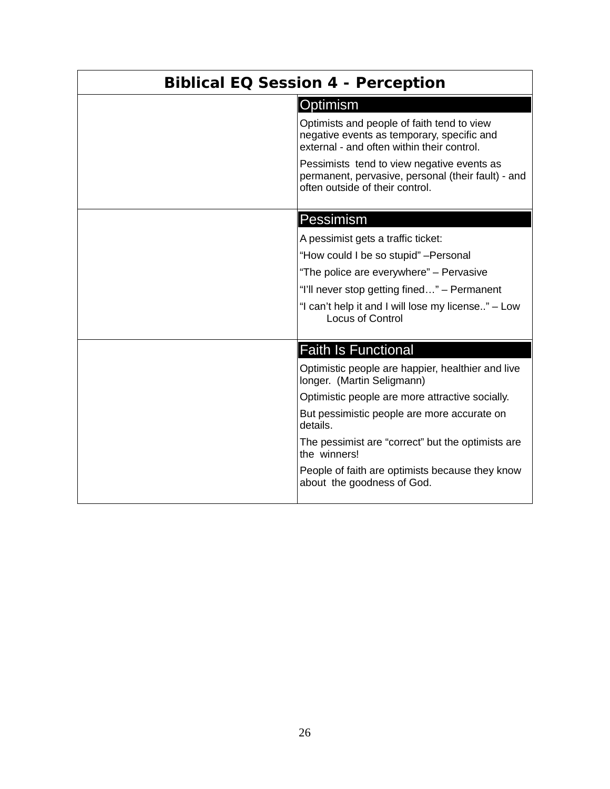| <b>Biblical EQ Session 4 - Perception</b> |                                                                                                                                        |
|-------------------------------------------|----------------------------------------------------------------------------------------------------------------------------------------|
|                                           | Optimism                                                                                                                               |
|                                           | Optimists and people of faith tend to view<br>negative events as temporary, specific and<br>external - and often within their control. |
|                                           | Pessimists tend to view negative events as<br>permanent, pervasive, personal (their fault) - and<br>often outside of their control.    |
|                                           | Pessimism                                                                                                                              |
|                                           | A pessimist gets a traffic ticket:                                                                                                     |
|                                           | "How could I be so stupid" - Personal                                                                                                  |
|                                           | "The police are everywhere" - Pervasive                                                                                                |
|                                           | "I'll never stop getting fined" - Permanent                                                                                            |
|                                           | "I can't help it and I will lose my license" - Low<br><b>Locus of Control</b>                                                          |
|                                           | <b>Faith Is Functional</b>                                                                                                             |
|                                           | Optimistic people are happier, healthier and live<br>longer. (Martin Seligmann)                                                        |
|                                           | Optimistic people are more attractive socially.                                                                                        |
|                                           | But pessimistic people are more accurate on<br>details.                                                                                |
|                                           | The pessimist are "correct" but the optimists are<br>the winners!                                                                      |
|                                           | People of faith are optimists because they know<br>about the goodness of God.                                                          |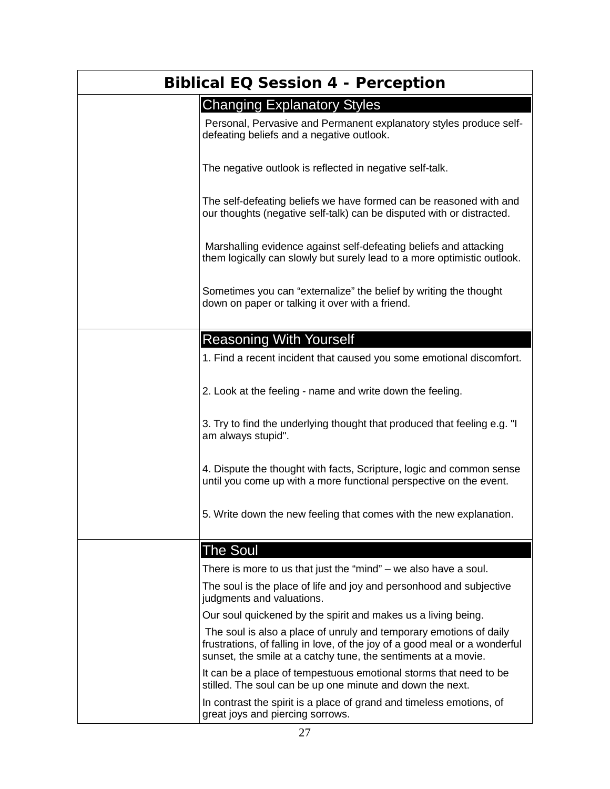| <b>Biblical EQ Session 4 - Perception</b> |                                                                                                                                                                                                                    |
|-------------------------------------------|--------------------------------------------------------------------------------------------------------------------------------------------------------------------------------------------------------------------|
|                                           | <b>Changing Explanatory Styles</b>                                                                                                                                                                                 |
|                                           | Personal, Pervasive and Permanent explanatory styles produce self-<br>defeating beliefs and a negative outlook.                                                                                                    |
|                                           | The negative outlook is reflected in negative self-talk.                                                                                                                                                           |
|                                           | The self-defeating beliefs we have formed can be reasoned with and<br>our thoughts (negative self-talk) can be disputed with or distracted.                                                                        |
|                                           | Marshalling evidence against self-defeating beliefs and attacking<br>them logically can slowly but surely lead to a more optimistic outlook.                                                                       |
|                                           | Sometimes you can "externalize" the belief by writing the thought<br>down on paper or talking it over with a friend.                                                                                               |
|                                           | <b>Reasoning With Yourself</b>                                                                                                                                                                                     |
|                                           | 1. Find a recent incident that caused you some emotional discomfort.                                                                                                                                               |
|                                           | 2. Look at the feeling - name and write down the feeling.                                                                                                                                                          |
|                                           | 3. Try to find the underlying thought that produced that feeling e.g. "I<br>am always stupid".                                                                                                                     |
|                                           | 4. Dispute the thought with facts, Scripture, logic and common sense<br>until you come up with a more functional perspective on the event.                                                                         |
|                                           | 5. Write down the new feeling that comes with the new explanation.                                                                                                                                                 |
|                                           | <b>The Soul</b>                                                                                                                                                                                                    |
|                                           | There is more to us that just the "mind" $-$ we also have a soul.                                                                                                                                                  |
|                                           | The soul is the place of life and joy and personhood and subjective<br>judgments and valuations.                                                                                                                   |
|                                           | Our soul quickened by the spirit and makes us a living being.                                                                                                                                                      |
|                                           | The soul is also a place of unruly and temporary emotions of daily<br>frustrations, of falling in love, of the joy of a good meal or a wonderful<br>sunset, the smile at a catchy tune, the sentiments at a movie. |
|                                           | It can be a place of tempestuous emotional storms that need to be<br>stilled. The soul can be up one minute and down the next.                                                                                     |
|                                           | In contrast the spirit is a place of grand and timeless emotions, of<br>great joys and piercing sorrows.                                                                                                           |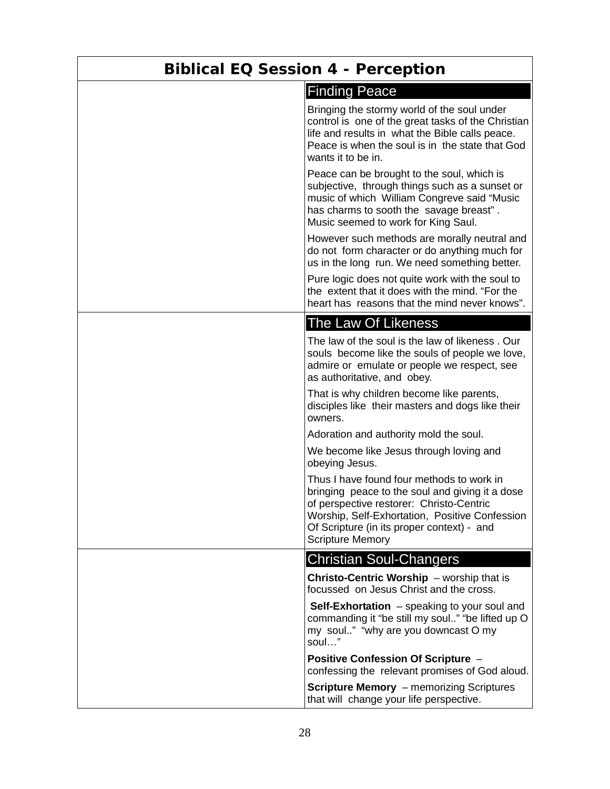| <b>Biblical EQ Session 4 - Perception</b> |                                                                                                                                                                                                                                                                     |
|-------------------------------------------|---------------------------------------------------------------------------------------------------------------------------------------------------------------------------------------------------------------------------------------------------------------------|
|                                           | <b>Finding Peace</b>                                                                                                                                                                                                                                                |
|                                           | Bringing the stormy world of the soul under<br>control is one of the great tasks of the Christian<br>life and results in what the Bible calls peace.<br>Peace is when the soul is in the state that God<br>wants it to be in.                                       |
|                                           | Peace can be brought to the soul, which is<br>subjective, through things such as a sunset or<br>music of which William Congreve said "Music<br>has charms to sooth the savage breast".<br>Music seemed to work for King Saul.                                       |
|                                           | However such methods are morally neutral and<br>do not form character or do anything much for<br>us in the long run. We need something better.                                                                                                                      |
|                                           | Pure logic does not quite work with the soul to<br>the extent that it does with the mind. "For the<br>heart has reasons that the mind never knows".                                                                                                                 |
|                                           | The Law Of Likeness                                                                                                                                                                                                                                                 |
|                                           | The law of the soul is the law of likeness. Our<br>souls become like the souls of people we love,<br>admire or emulate or people we respect, see<br>as authoritative, and obey.                                                                                     |
|                                           | That is why children become like parents,<br>disciples like their masters and dogs like their<br>owners.                                                                                                                                                            |
|                                           | Adoration and authority mold the soul.                                                                                                                                                                                                                              |
|                                           | We become like Jesus through loving and<br>obeying Jesus.                                                                                                                                                                                                           |
|                                           | Thus I have found four methods to work in<br>bringing peace to the soul and giving it a dose<br>of perspective restorer: Christo-Centric<br>Worship, Self-Exhortation, Positive Confession<br>Of Scripture (in its proper context) - and<br><b>Scripture Memory</b> |
|                                           | <b>Christian Soul-Changers</b>                                                                                                                                                                                                                                      |
|                                           | <b>Christo-Centric Worship</b> – worship that is<br>focussed on Jesus Christ and the cross.                                                                                                                                                                         |
|                                           | <b>Self-Exhortation</b> $-$ speaking to your soul and<br>commanding it "be still my soul" "be lifted up O<br>my soul" "why are you downcast O my<br>soul"                                                                                                           |
|                                           | <b>Positive Confession Of Scripture -</b><br>confessing the relevant promises of God aloud.                                                                                                                                                                         |
|                                           | <b>Scripture Memory</b> – memorizing Scriptures<br>that will change your life perspective.                                                                                                                                                                          |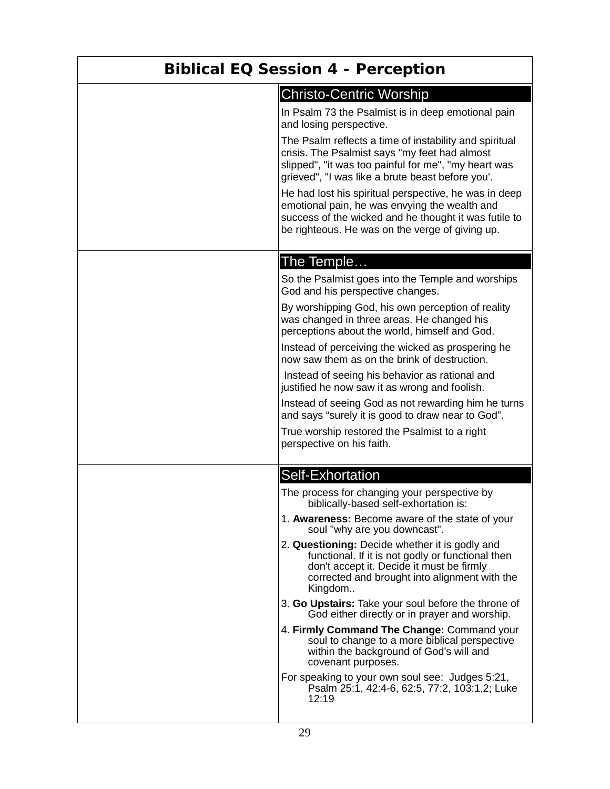| <b>Biblical EQ Session 4 - Perception</b> |                                                                                                                                                                                                                     |
|-------------------------------------------|---------------------------------------------------------------------------------------------------------------------------------------------------------------------------------------------------------------------|
|                                           | <b>Christo-Centric Worship</b>                                                                                                                                                                                      |
|                                           | In Psalm 73 the Psalmist is in deep emotional pain<br>and losing perspective.                                                                                                                                       |
|                                           | The Psalm reflects a time of instability and spiritual<br>crisis. The Psalmist says "my feet had almost<br>slipped", "it was too painful for me", "my heart was<br>grieved", "I was like a brute beast before you'. |
|                                           | He had lost his spiritual perspective, he was in deep<br>emotional pain, he was envying the wealth and<br>success of the wicked and he thought it was futile to<br>be righteous. He was on the verge of giving up.  |
|                                           | The Temple                                                                                                                                                                                                          |
|                                           | So the Psalmist goes into the Temple and worships<br>God and his perspective changes.                                                                                                                               |
|                                           | By worshipping God, his own perception of reality<br>was changed in three areas. He changed his<br>perceptions about the world, himself and God.                                                                    |
|                                           | Instead of perceiving the wicked as prospering he<br>now saw them as on the brink of destruction.                                                                                                                   |
|                                           | Instead of seeing his behavior as rational and<br>justified he now saw it as wrong and foolish.                                                                                                                     |
|                                           | Instead of seeing God as not rewarding him he turns<br>and says "surely it is good to draw near to God".                                                                                                            |
|                                           | True worship restored the Psalmist to a right<br>perspective on his faith.                                                                                                                                          |
|                                           | Self-Exhortation                                                                                                                                                                                                    |
|                                           | The process for changing your perspective by<br>biblically-based self-exhortation is:                                                                                                                               |
|                                           | 1. Awareness: Become aware of the state of your<br>soul "why are you downcast".                                                                                                                                     |
|                                           | 2. Questioning: Decide whether it is godly and<br>functional. If it is not godly or functional then<br>don't accept it. Decide it must be firmly<br>corrected and brought into alignment with the<br>Kingdom        |
|                                           | 3. Go Upstairs: Take your soul before the throne of<br>God either directly or in prayer and worship.                                                                                                                |
|                                           | 4. Firmly Command The Change: Command your<br>soul to change to a more biblical perspective<br>within the background of God's will and<br>covenant purposes.                                                        |
|                                           | For speaking to your own soul see: Judges 5:21,<br>Psalm 25:1, 42:4-6, 62:5, 77:2, 103:1,2; Luke<br>12:19                                                                                                           |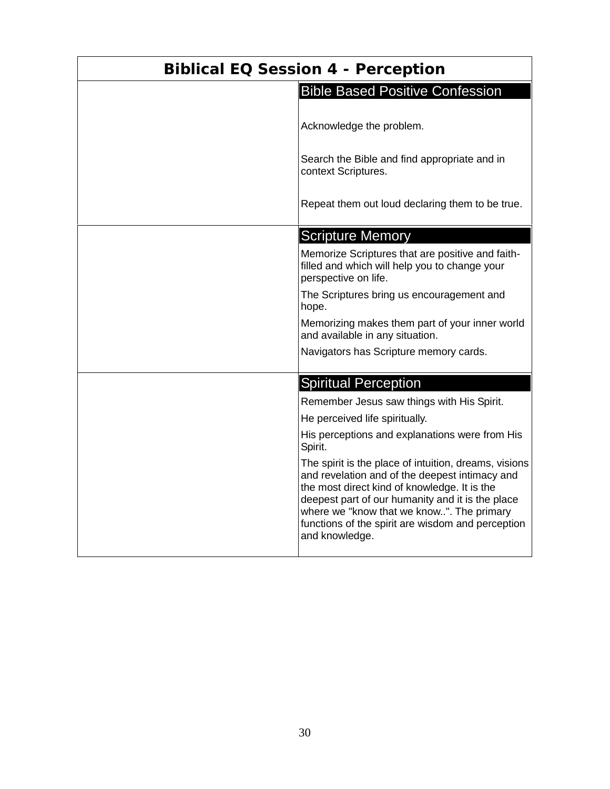| <b>Biblical EQ Session 4 - Perception</b> |                                                                                                                                                                                                                                                                                                                                 |
|-------------------------------------------|---------------------------------------------------------------------------------------------------------------------------------------------------------------------------------------------------------------------------------------------------------------------------------------------------------------------------------|
|                                           | <b>Bible Based Positive Confession</b>                                                                                                                                                                                                                                                                                          |
|                                           |                                                                                                                                                                                                                                                                                                                                 |
|                                           | Acknowledge the problem.                                                                                                                                                                                                                                                                                                        |
|                                           | Search the Bible and find appropriate and in<br>context Scriptures.                                                                                                                                                                                                                                                             |
|                                           | Repeat them out loud declaring them to be true.                                                                                                                                                                                                                                                                                 |
|                                           | <b>Scripture Memory</b>                                                                                                                                                                                                                                                                                                         |
|                                           | Memorize Scriptures that are positive and faith-<br>filled and which will help you to change your<br>perspective on life.                                                                                                                                                                                                       |
|                                           | The Scriptures bring us encouragement and<br>hope.                                                                                                                                                                                                                                                                              |
|                                           | Memorizing makes them part of your inner world<br>and available in any situation.                                                                                                                                                                                                                                               |
|                                           | Navigators has Scripture memory cards.                                                                                                                                                                                                                                                                                          |
|                                           | <b>Spiritual Perception</b>                                                                                                                                                                                                                                                                                                     |
|                                           | Remember Jesus saw things with His Spirit.                                                                                                                                                                                                                                                                                      |
|                                           | He perceived life spiritually.                                                                                                                                                                                                                                                                                                  |
|                                           | His perceptions and explanations were from His<br>Spirit.                                                                                                                                                                                                                                                                       |
|                                           | The spirit is the place of intuition, dreams, visions<br>and revelation and of the deepest intimacy and<br>the most direct kind of knowledge. It is the<br>deepest part of our humanity and it is the place<br>where we "know that we know". The primary<br>functions of the spirit are wisdom and perception<br>and knowledge. |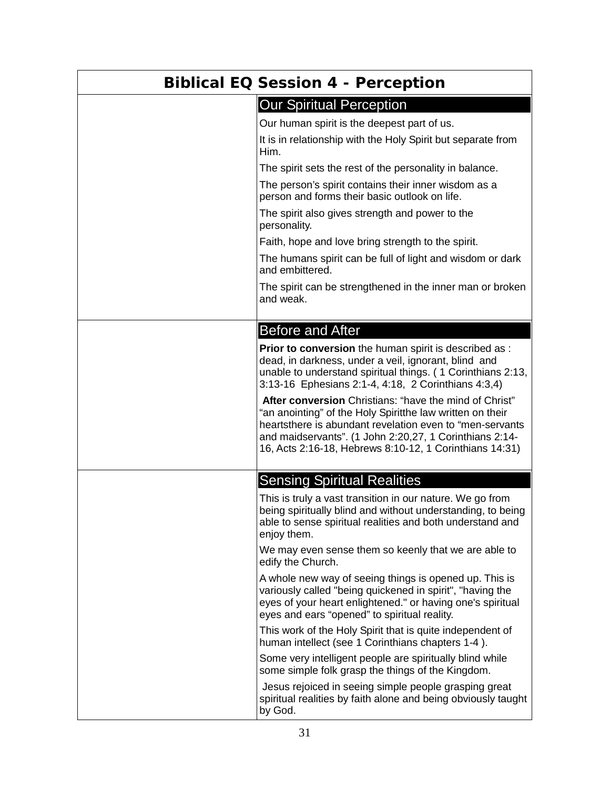| <b>Biblical EQ Session 4 - Perception</b> |                                                                                                                                                                                                                                                                                                       |
|-------------------------------------------|-------------------------------------------------------------------------------------------------------------------------------------------------------------------------------------------------------------------------------------------------------------------------------------------------------|
| <b>Our Spiritual Perception</b>           |                                                                                                                                                                                                                                                                                                       |
|                                           | Our human spirit is the deepest part of us.                                                                                                                                                                                                                                                           |
|                                           | It is in relationship with the Holy Spirit but separate from<br>Him.                                                                                                                                                                                                                                  |
|                                           | The spirit sets the rest of the personality in balance.                                                                                                                                                                                                                                               |
|                                           | The person's spirit contains their inner wisdom as a<br>person and forms their basic outlook on life.                                                                                                                                                                                                 |
|                                           | The spirit also gives strength and power to the<br>personality.                                                                                                                                                                                                                                       |
|                                           | Faith, hope and love bring strength to the spirit.                                                                                                                                                                                                                                                    |
|                                           | The humans spirit can be full of light and wisdom or dark<br>and embittered.                                                                                                                                                                                                                          |
|                                           | The spirit can be strengthened in the inner man or broken<br>and weak.                                                                                                                                                                                                                                |
|                                           | <b>Before and After</b>                                                                                                                                                                                                                                                                               |
|                                           | Prior to conversion the human spirit is described as :<br>dead, in darkness, under a veil, ignorant, blind and<br>unable to understand spiritual things. (1 Corinthians 2:13,<br>3:13-16 Ephesians 2:1-4, 4:18, 2 Corinthians 4:3,4)                                                                  |
|                                           | After conversion Christians: "have the mind of Christ"<br>"an anointing" of the Holy Spiritthe law written on their<br>heartsthere is abundant revelation even to "men-servants<br>and maidservants". (1 John 2:20,27, 1 Corinthians 2:14-<br>16, Acts 2:16-18, Hebrews 8:10-12, 1 Corinthians 14:31) |
|                                           | <b>Sensing Spiritual Realities</b>                                                                                                                                                                                                                                                                    |
|                                           | This is truly a vast transition in our nature. We go from<br>being spiritually blind and without understanding, to being<br>able to sense spiritual realities and both understand and<br>enjoy them.                                                                                                  |
|                                           | We may even sense them so keenly that we are able to<br>edify the Church.                                                                                                                                                                                                                             |
|                                           | A whole new way of seeing things is opened up. This is<br>variously called "being quickened in spirit", "having the<br>eyes of your heart enlightened." or having one's spiritual<br>eyes and ears "opened" to spiritual reality.                                                                     |
|                                           | This work of the Holy Spirit that is quite independent of<br>human intellect (see 1 Corinthians chapters 1-4).                                                                                                                                                                                        |
|                                           | Some very intelligent people are spiritually blind while<br>some simple folk grasp the things of the Kingdom.                                                                                                                                                                                         |
|                                           | Jesus rejoiced in seeing simple people grasping great<br>spiritual realities by faith alone and being obviously taught<br>by God.                                                                                                                                                                     |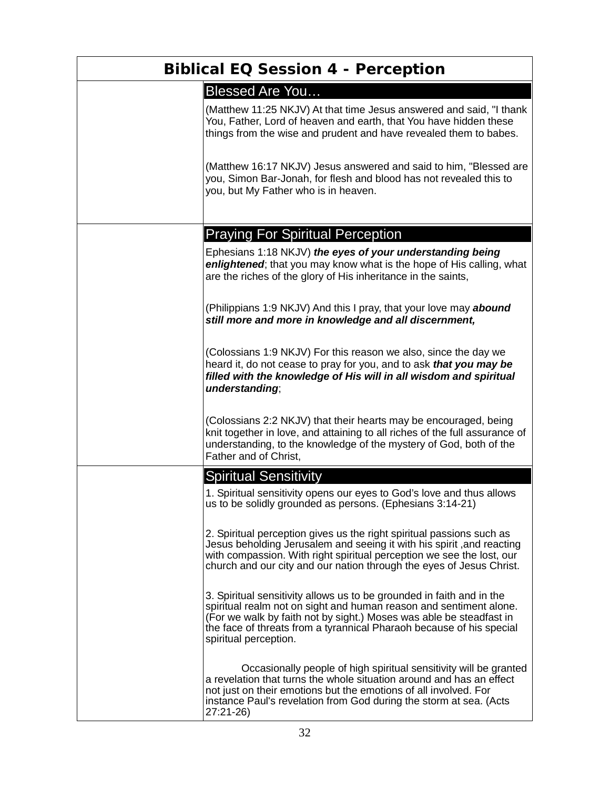| <b>Biblical EQ Session 4 - Perception</b> |                                                                                                                                                                                                                                                                                                                     |
|-------------------------------------------|---------------------------------------------------------------------------------------------------------------------------------------------------------------------------------------------------------------------------------------------------------------------------------------------------------------------|
|                                           | <b>Blessed Are You</b>                                                                                                                                                                                                                                                                                              |
|                                           | (Matthew 11:25 NKJV) At that time Jesus answered and said, "I thank<br>You, Father, Lord of heaven and earth, that You have hidden these<br>things from the wise and prudent and have revealed them to babes.                                                                                                       |
|                                           | (Matthew 16:17 NKJV) Jesus answered and said to him, "Blessed are<br>you, Simon Bar-Jonah, for flesh and blood has not revealed this to<br>you, but My Father who is in heaven.                                                                                                                                     |
|                                           | <b>Praying For Spiritual Perception</b>                                                                                                                                                                                                                                                                             |
|                                           | Ephesians 1:18 NKJV) the eyes of your understanding being<br>enlightened; that you may know what is the hope of His calling, what<br>are the riches of the glory of His inheritance in the saints,                                                                                                                  |
|                                           | (Philippians 1:9 NKJV) And this I pray, that your love may abound<br>still more and more in knowledge and all discernment,                                                                                                                                                                                          |
|                                           | (Colossians 1:9 NKJV) For this reason we also, since the day we<br>heard it, do not cease to pray for you, and to ask that you may be<br>filled with the knowledge of His will in all wisdom and spiritual<br>understanding;                                                                                        |
|                                           | (Colossians 2:2 NKJV) that their hearts may be encouraged, being<br>knit together in love, and attaining to all riches of the full assurance of<br>understanding, to the knowledge of the mystery of God, both of the<br>Father and of Christ,                                                                      |
|                                           | <b>Spiritual Sensitivity</b>                                                                                                                                                                                                                                                                                        |
|                                           | 1. Spiritual sensitivity opens our eyes to God's love and thus allows<br>us to be solidly grounded as persons. (Ephesians 3:14-21)                                                                                                                                                                                  |
|                                           | 2. Spiritual perception gives us the right spiritual passions such as<br>Jesus beholding Jerusalem and seeing it with his spirit, and reacting<br>with compassion. With right spiritual perception we see the lost, our<br>church and our city and our nation through the eyes of Jesus Christ.                     |
|                                           | 3. Spiritual sensitivity allows us to be grounded in faith and in the<br>spiritual realm not on sight and human reason and sentiment alone.<br>(For we walk by faith not by sight.) Moses was able be steadfast in<br>the face of threats from a tyrannical Pharaoh because of his special<br>spiritual perception. |
|                                           | Occasionally people of high spiritual sensitivity will be granted<br>a revelation that turns the whole situation around and has an effect<br>not just on their emotions but the emotions of all involved. For<br>instance Paul's revelation from God during the storm at sea. (Acts<br>$27:21-26$                   |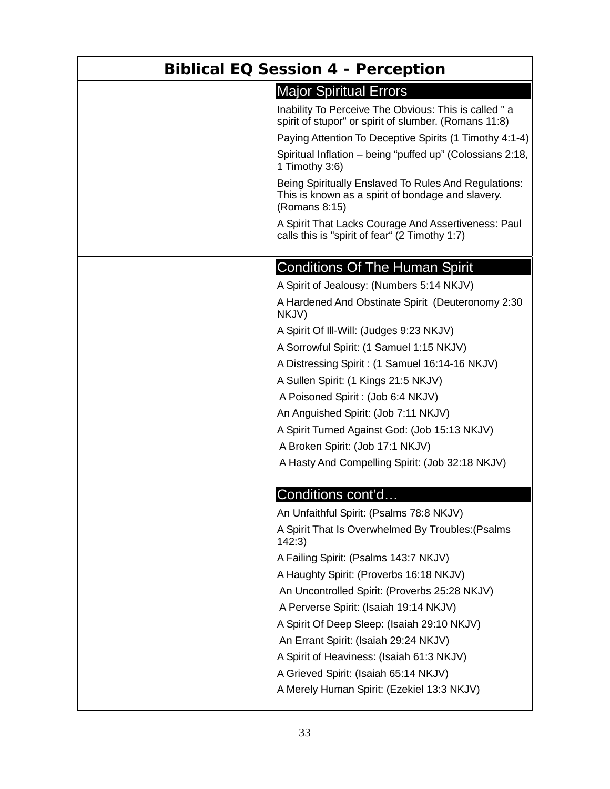| <b>Biblical EQ Session 4 - Perception</b> |                                                                                                                            |
|-------------------------------------------|----------------------------------------------------------------------------------------------------------------------------|
| <b>Major Spiritual Errors</b>             |                                                                                                                            |
|                                           | Inability To Perceive The Obvious: This is called "a<br>spirit of stupor" or spirit of slumber. (Romans 11:8)              |
|                                           | Paying Attention To Deceptive Spirits (1 Timothy 4:1-4)                                                                    |
|                                           | Spiritual Inflation - being "puffed up" (Colossians 2:18,<br>1 Timothy 3:6)                                                |
|                                           | Being Spiritually Enslaved To Rules And Regulations:<br>This is known as a spirit of bondage and slavery.<br>(Romans 8:15) |
|                                           | A Spirit That Lacks Courage And Assertiveness: Paul<br>calls this is "spirit of fear" (2 Timothy 1:7)                      |
|                                           | <b>Conditions Of The Human Spirit</b>                                                                                      |
|                                           | A Spirit of Jealousy: (Numbers 5:14 NKJV)                                                                                  |
|                                           | A Hardened And Obstinate Spirit (Deuteronomy 2:30<br>NKJV)                                                                 |
|                                           | A Spirit Of III-Will: (Judges 9:23 NKJV)                                                                                   |
|                                           | A Sorrowful Spirit: (1 Samuel 1:15 NKJV)                                                                                   |
|                                           | A Distressing Spirit: (1 Samuel 16:14-16 NKJV)                                                                             |
|                                           | A Sullen Spirit: (1 Kings 21:5 NKJV)                                                                                       |
|                                           | A Poisoned Spirit: (Job 6:4 NKJV)                                                                                          |
|                                           | An Anguished Spirit: (Job 7:11 NKJV)                                                                                       |
|                                           | A Spirit Turned Against God: (Job 15:13 NKJV)                                                                              |
|                                           | A Broken Spirit: (Job 17:1 NKJV)                                                                                           |
|                                           | A Hasty And Compelling Spirit: (Job 32:18 NKJV)                                                                            |
|                                           | Conditions cont'd                                                                                                          |
|                                           | An Unfaithful Spirit: (Psalms 78:8 NKJV)                                                                                   |
|                                           | A Spirit That Is Overwhelmed By Troubles: (Psalms<br>142:3)                                                                |
|                                           | A Failing Spirit: (Psalms 143:7 NKJV)                                                                                      |
|                                           | A Haughty Spirit: (Proverbs 16:18 NKJV)                                                                                    |
|                                           | An Uncontrolled Spirit: (Proverbs 25:28 NKJV)                                                                              |
|                                           | A Perverse Spirit: (Isaiah 19:14 NKJV)                                                                                     |
|                                           | A Spirit Of Deep Sleep: (Isaiah 29:10 NKJV)                                                                                |
|                                           | An Errant Spirit: (Isaiah 29:24 NKJV)                                                                                      |
|                                           | A Spirit of Heaviness: (Isaiah 61:3 NKJV)                                                                                  |
|                                           | A Grieved Spirit: (Isaiah 65:14 NKJV)                                                                                      |
|                                           | A Merely Human Spirit: (Ezekiel 13:3 NKJV)                                                                                 |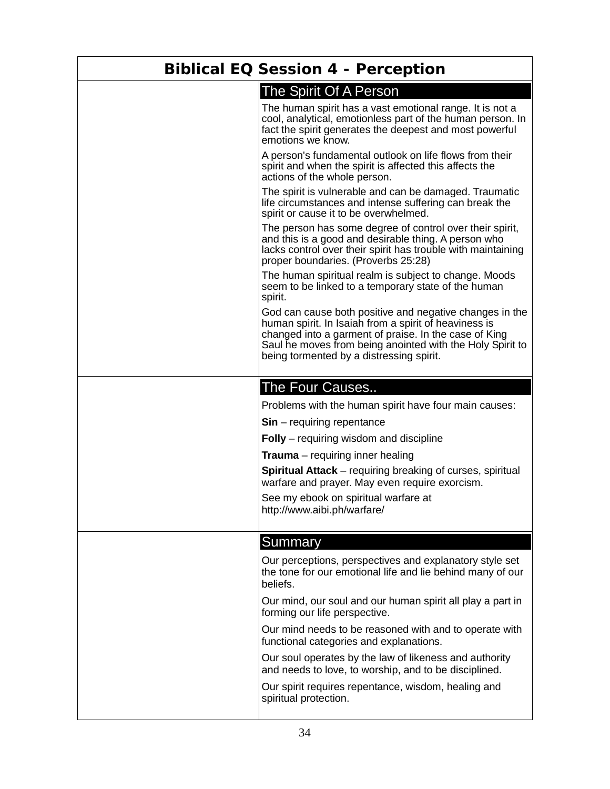| <b>Biblical EQ Session 4 - Perception</b>                                                                                                                                                                                                                                          |
|------------------------------------------------------------------------------------------------------------------------------------------------------------------------------------------------------------------------------------------------------------------------------------|
| The Spirit Of A Person                                                                                                                                                                                                                                                             |
| The human spirit has a vast emotional range. It is not a<br>cool, analytical, emotionless part of the human person. In<br>fact the spirit generates the deepest and most powerful<br>emotions we know.                                                                             |
| A person's fundamental outlook on life flows from their<br>spirit and when the spirit is affected this affects the<br>actions of the whole person.                                                                                                                                 |
| The spirit is vulnerable and can be damaged. Traumatic<br>life circumstances and intense suffering can break the<br>spirit or cause it to be overwhelmed.                                                                                                                          |
| The person has some degree of control over their spirit,<br>and this is a good and desirable thing. A person who<br>lacks control over their spirit has trouble with maintaining<br>proper boundaries. (Proverbs 25:28)                                                            |
| The human spiritual realm is subject to change. Moods<br>seem to be linked to a temporary state of the human<br>spirit.                                                                                                                                                            |
| God can cause both positive and negative changes in the<br>human spirit. In Isaiah from a spirit of heaviness is<br>changed into a garment of praise. In the case of King<br>Saul he moves from being anointed with the Holy Spirit to<br>being tormented by a distressing spirit. |
| The Four Causes                                                                                                                                                                                                                                                                    |
| Problems with the human spirit have four main causes:                                                                                                                                                                                                                              |
| $Sin - requiring$ repentance                                                                                                                                                                                                                                                       |
| <b>Folly</b> – requiring wisdom and discipline                                                                                                                                                                                                                                     |
| <b>Trauma</b> – requiring inner healing                                                                                                                                                                                                                                            |
| Spiritual Attack - requiring breaking of curses, spiritual<br>warfare and prayer. May even require exorcism.                                                                                                                                                                       |
| See my ebook on spiritual warfare at<br>http://www.aibi.ph/warfare/                                                                                                                                                                                                                |
|                                                                                                                                                                                                                                                                                    |
| Summary                                                                                                                                                                                                                                                                            |
| Our perceptions, perspectives and explanatory style set<br>the tone for our emotional life and lie behind many of our<br>beliefs.                                                                                                                                                  |
| Our mind, our soul and our human spirit all play a part in<br>forming our life perspective.                                                                                                                                                                                        |
| Our mind needs to be reasoned with and to operate with<br>functional categories and explanations.                                                                                                                                                                                  |
| Our soul operates by the law of likeness and authority<br>and needs to love, to worship, and to be disciplined.                                                                                                                                                                    |
| Our spirit requires repentance, wisdom, healing and<br>spiritual protection.                                                                                                                                                                                                       |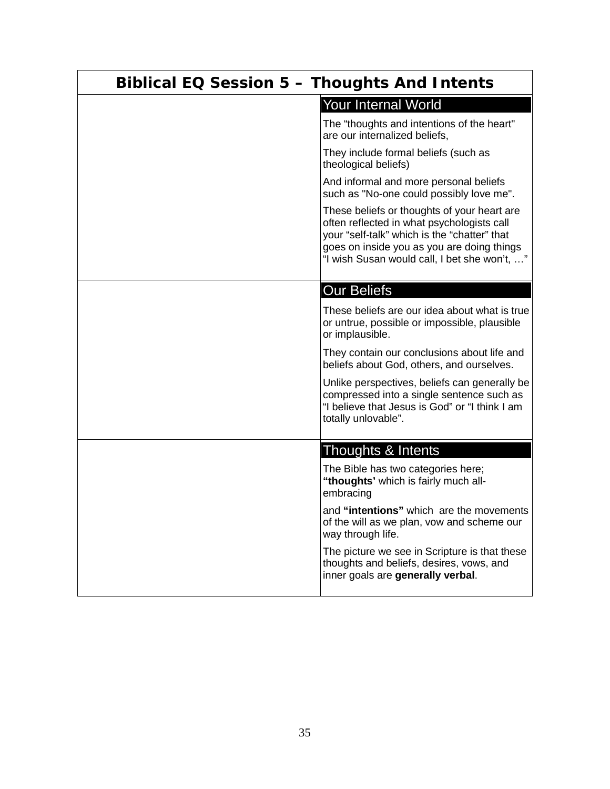| Biblical EQ Session 5 – Thoughts And Intents |                                                                                                                                                                                                                                         |
|----------------------------------------------|-----------------------------------------------------------------------------------------------------------------------------------------------------------------------------------------------------------------------------------------|
|                                              | Your Internal World                                                                                                                                                                                                                     |
|                                              | The "thoughts and intentions of the heart"<br>are our internalized beliefs,                                                                                                                                                             |
|                                              | They include formal beliefs (such as<br>theological beliefs)                                                                                                                                                                            |
|                                              | And informal and more personal beliefs<br>such as "No-one could possibly love me".                                                                                                                                                      |
|                                              | These beliefs or thoughts of your heart are<br>often reflected in what psychologists call<br>your "self-talk" which is the "chatter" that<br>goes on inside you as you are doing things<br>"I wish Susan would call, I bet she won't, " |
|                                              | <b>Our Beliefs</b>                                                                                                                                                                                                                      |
|                                              | These beliefs are our idea about what is true<br>or untrue, possible or impossible, plausible<br>or implausible.                                                                                                                        |
|                                              | They contain our conclusions about life and<br>beliefs about God, others, and ourselves.                                                                                                                                                |
|                                              | Unlike perspectives, beliefs can generally be<br>compressed into a single sentence such as<br>"I believe that Jesus is God" or "I think I am<br>totally unlovable".                                                                     |
|                                              | Thoughts & Intents                                                                                                                                                                                                                      |
|                                              | The Bible has two categories here;<br>"thoughts' which is fairly much all-<br>embracing                                                                                                                                                 |
|                                              | and "intentions" which are the movements<br>of the will as we plan, yow and scheme our<br>way through life.                                                                                                                             |
|                                              | The picture we see in Scripture is that these<br>thoughts and beliefs, desires, vows, and<br>inner goals are generally verbal.                                                                                                          |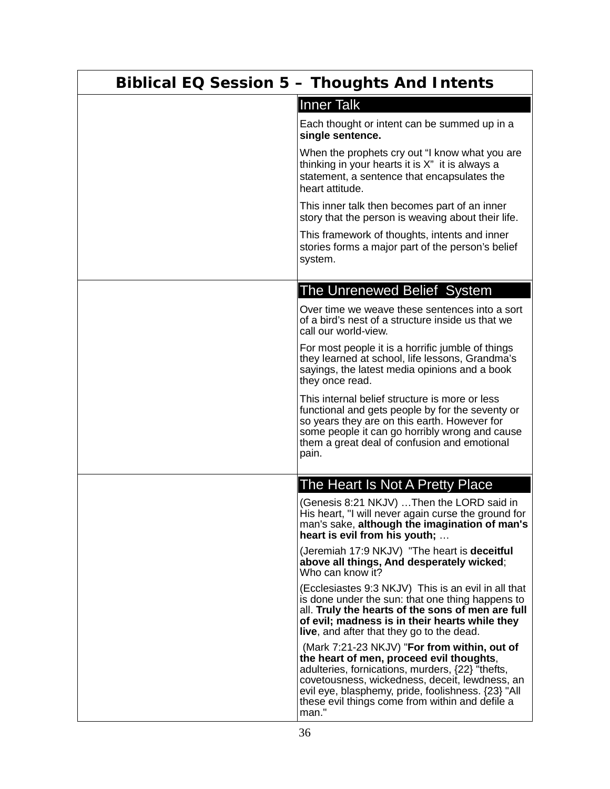| Biblical EQ Session 5 – Thoughts And Intents                                                                                                                                                                                                                                                                     |
|------------------------------------------------------------------------------------------------------------------------------------------------------------------------------------------------------------------------------------------------------------------------------------------------------------------|
| <b>Inner Talk</b>                                                                                                                                                                                                                                                                                                |
| Each thought or intent can be summed up in a<br>single sentence.                                                                                                                                                                                                                                                 |
| When the prophets cry out "I know what you are<br>thinking in your hearts it is $X''$ it is always a<br>statement, a sentence that encapsulates the<br>heart attitude.                                                                                                                                           |
| This inner talk then becomes part of an inner<br>story that the person is weaving about their life.                                                                                                                                                                                                              |
| This framework of thoughts, intents and inner<br>stories forms a major part of the person's belief<br>system.                                                                                                                                                                                                    |
| The Unrenewed Belief System                                                                                                                                                                                                                                                                                      |
| Over time we weave these sentences into a sort<br>of a bird's nest of a structure inside us that we<br>call our world-view.                                                                                                                                                                                      |
| For most people it is a horrific jumble of things<br>they learned at school, life lessons, Grandma's<br>sayings, the latest media opinions and a book<br>they once read.                                                                                                                                         |
| This internal belief structure is more or less<br>functional and gets people by for the seventy or<br>so years they are on this earth. However for<br>some people it can go horribly wrong and cause<br>them a great deal of confusion and emotional<br>pain.                                                    |
| The Heart Is Not A Pretty Place                                                                                                                                                                                                                                                                                  |
| (Genesis 8:21 NKJV) Then the LORD said in<br>His heart, "I will never again curse the ground for<br>man's sake, although the imagination of man's<br>heart is evil from his youth;                                                                                                                               |
| (Jeremiah 17:9 NKJV) "The heart is <b>deceitful</b><br>above all things, And desperately wicked;<br>Who can know it?                                                                                                                                                                                             |
| (Ecclesiastes 9:3 NKJV) This is an evil in all that<br>is done under the sun: that one thing happens to<br>all. Truly the hearts of the sons of men are full<br>of evil; madness is in their hearts while they<br>live, and after that they go to the dead.                                                      |
| (Mark 7:21-23 NKJV) "For from within, out of<br>the heart of men, proceed evil thoughts,<br>adulteries, fornications, murders, {22} "thefts,<br>covetousness, wickedness, deceit, lewdness, an<br>evil eye, blasphemy, pride, foolishness. {23} "All<br>these evil things come from within and defile a<br>man." |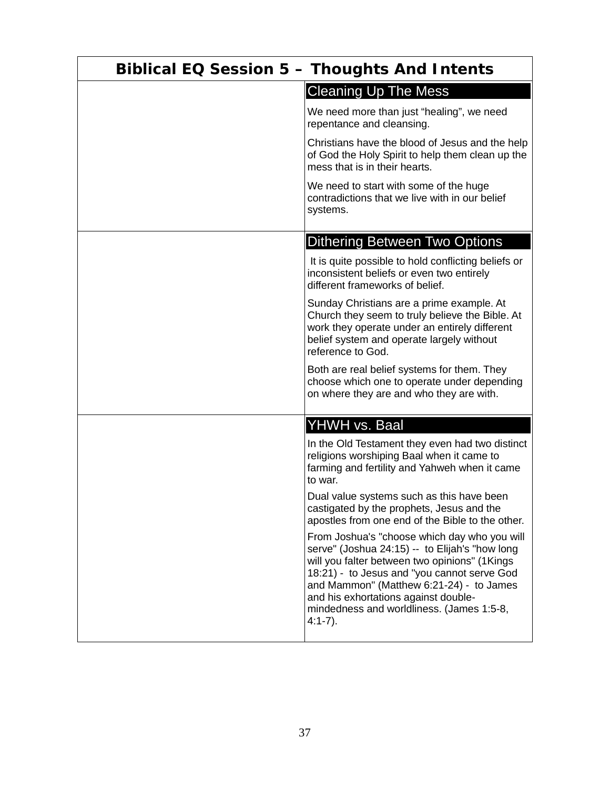| Biblical EQ Session 5 - Thoughts And Intents |                                                                                                                                                                                                                                                                                                                                               |
|----------------------------------------------|-----------------------------------------------------------------------------------------------------------------------------------------------------------------------------------------------------------------------------------------------------------------------------------------------------------------------------------------------|
|                                              | <b>Cleaning Up The Mess</b>                                                                                                                                                                                                                                                                                                                   |
|                                              | We need more than just "healing", we need<br>repentance and cleansing.                                                                                                                                                                                                                                                                        |
|                                              | Christians have the blood of Jesus and the help<br>of God the Holy Spirit to help them clean up the<br>mess that is in their hearts.                                                                                                                                                                                                          |
|                                              | We need to start with some of the huge<br>contradictions that we live with in our belief<br>systems.                                                                                                                                                                                                                                          |
|                                              | <b>Dithering Between Two Options</b>                                                                                                                                                                                                                                                                                                          |
|                                              | It is quite possible to hold conflicting beliefs or<br>inconsistent beliefs or even two entirely<br>different frameworks of belief.                                                                                                                                                                                                           |
|                                              | Sunday Christians are a prime example. At<br>Church they seem to truly believe the Bible. At<br>work they operate under an entirely different<br>belief system and operate largely without<br>reference to God.                                                                                                                               |
|                                              | Both are real belief systems for them. They<br>choose which one to operate under depending<br>on where they are and who they are with.                                                                                                                                                                                                        |
|                                              | YHWH vs. Baal                                                                                                                                                                                                                                                                                                                                 |
|                                              | In the Old Testament they even had two distinct<br>religions worshiping Baal when it came to<br>farming and fertility and Yahweh when it came<br>to war.                                                                                                                                                                                      |
|                                              | Dual value systems such as this have been<br>castigated by the prophets, Jesus and the<br>apostles from one end of the Bible to the other.                                                                                                                                                                                                    |
|                                              | From Joshua's "choose which day who you will<br>serve" (Joshua 24:15) -- to Elijah's "how long<br>will you falter between two opinions" (1Kings<br>18:21) - to Jesus and "you cannot serve God<br>and Mammon" (Matthew 6:21-24) - to James<br>and his exhortations against double-<br>mindedness and worldliness. (James 1:5-8,<br>$4:1-7$ ). |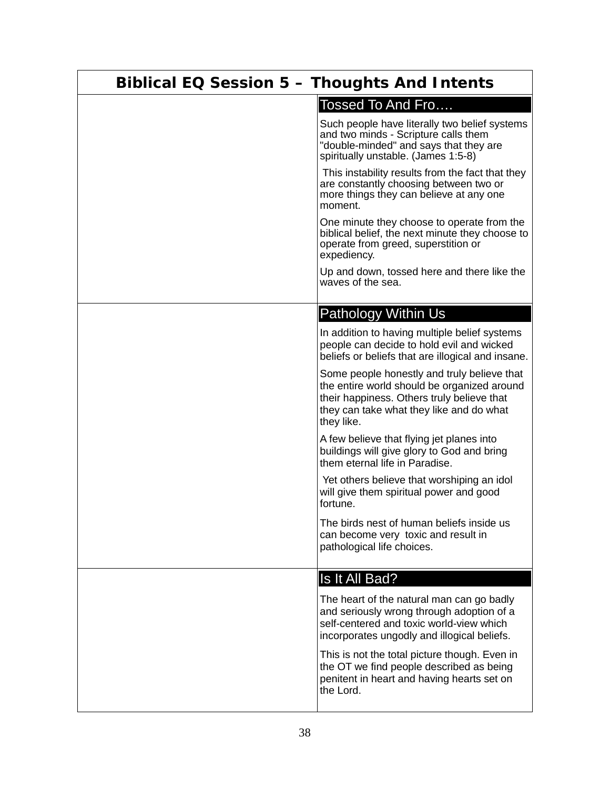| <b>Biblical EQ Session 5 - Thoughts And Intents</b> |                                                                                                                                                                                                    |
|-----------------------------------------------------|----------------------------------------------------------------------------------------------------------------------------------------------------------------------------------------------------|
|                                                     | Tossed To And Fro                                                                                                                                                                                  |
|                                                     | Such people have literally two belief systems<br>and two minds - Scripture calls them<br>"double-minded" and says that they are<br>spiritually unstable. (James 1:5-8)                             |
|                                                     | This instability results from the fact that they<br>are constantly choosing between two or<br>more things they can believe at any one<br>moment.                                                   |
|                                                     | One minute they choose to operate from the<br>biblical belief, the next minute they choose to<br>operate from greed, superstition or<br>expediency.                                                |
|                                                     | Up and down, tossed here and there like the<br>waves of the sea.                                                                                                                                   |
|                                                     | <b>Pathology Within Us</b>                                                                                                                                                                         |
|                                                     | In addition to having multiple belief systems<br>people can decide to hold evil and wicked<br>beliefs or beliefs that are illogical and insane.                                                    |
|                                                     | Some people honestly and truly believe that<br>the entire world should be organized around<br>their happiness. Others truly believe that<br>they can take what they like and do what<br>they like. |
|                                                     | A few believe that flying jet planes into<br>buildings will give glory to God and bring<br>them eternal life in Paradise.                                                                          |
|                                                     | Yet others believe that worshiping an idol<br>will give them spiritual power and good<br>fortune.                                                                                                  |
|                                                     | The birds nest of human beliefs inside us<br>can become very toxic and result in<br>pathological life choices.                                                                                     |
|                                                     | Is It All Bad?                                                                                                                                                                                     |
|                                                     | The heart of the natural man can go badly<br>and seriously wrong through adoption of a<br>self-centered and toxic world-view which<br>incorporates ungodly and illogical beliefs.                  |
|                                                     | This is not the total picture though. Even in<br>the OT we find people described as being<br>penitent in heart and having hearts set on<br>the Lord.                                               |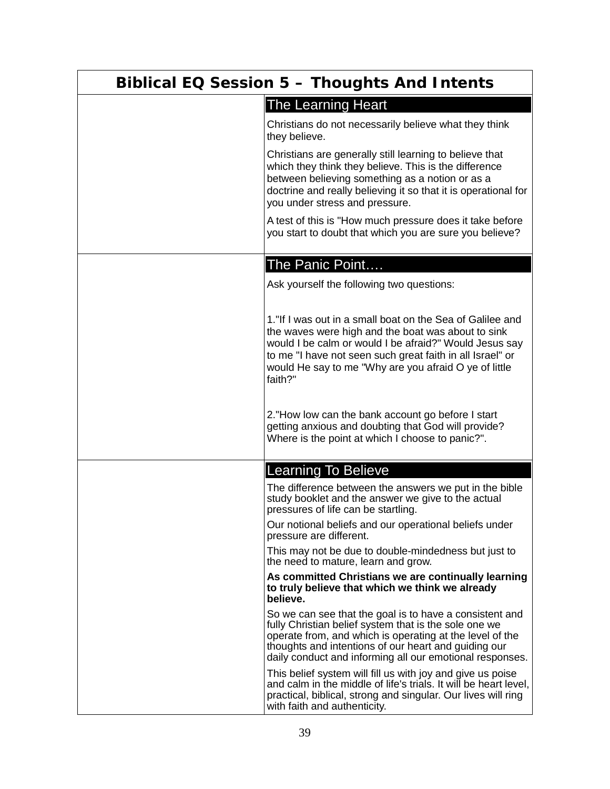| Biblical EQ Session 5 – Thoughts And Intents                                                                                                                                                                                                                                                               |
|------------------------------------------------------------------------------------------------------------------------------------------------------------------------------------------------------------------------------------------------------------------------------------------------------------|
| <b>The Learning Heart</b>                                                                                                                                                                                                                                                                                  |
| Christians do not necessarily believe what they think<br>they believe.                                                                                                                                                                                                                                     |
| Christians are generally still learning to believe that<br>which they think they believe. This is the difference<br>between believing something as a notion or as a<br>doctrine and really believing it so that it is operational for<br>you under stress and pressure.                                    |
| A test of this is "How much pressure does it take before<br>you start to doubt that which you are sure you believe?                                                                                                                                                                                        |
| The Panic Point                                                                                                                                                                                                                                                                                            |
| Ask yourself the following two questions:                                                                                                                                                                                                                                                                  |
| 1."If I was out in a small boat on the Sea of Galilee and<br>the waves were high and the boat was about to sink<br>would I be calm or would I be afraid?" Would Jesus say<br>to me "I have not seen such great faith in all Israel" or<br>would He say to me "Why are you afraid O ye of little<br>faith?" |
| 2. How low can the bank account go before I start<br>getting anxious and doubting that God will provide?<br>Where is the point at which I choose to panic?".                                                                                                                                               |
| <b>Learning To Believe</b>                                                                                                                                                                                                                                                                                 |
| The difference between the answers we put in the bible<br>study booklet and the answer we give to the actual<br>pressures of life can be startling.                                                                                                                                                        |
| Our notional beliefs and our operational beliefs under<br>pressure are different.                                                                                                                                                                                                                          |
| This may not be due to double-mindedness but just to<br>the need to mature, learn and grow.                                                                                                                                                                                                                |
| As committed Christians we are continually learning<br>to truly believe that which we think we already<br>believe.                                                                                                                                                                                         |
| So we can see that the goal is to have a consistent and<br>fully Christian belief system that is the sole one we<br>operate from, and which is operating at the level of the<br>thoughts and intentions of our heart and guiding our<br>daily conduct and informing all our emotional responses.           |
| This belief system will fill us with joy and give us poise<br>and calm in the middle of life's trials. It will be heart level,<br>practical, biblical, strong and singular. Our lives will ring<br>with faith and authenticity.                                                                            |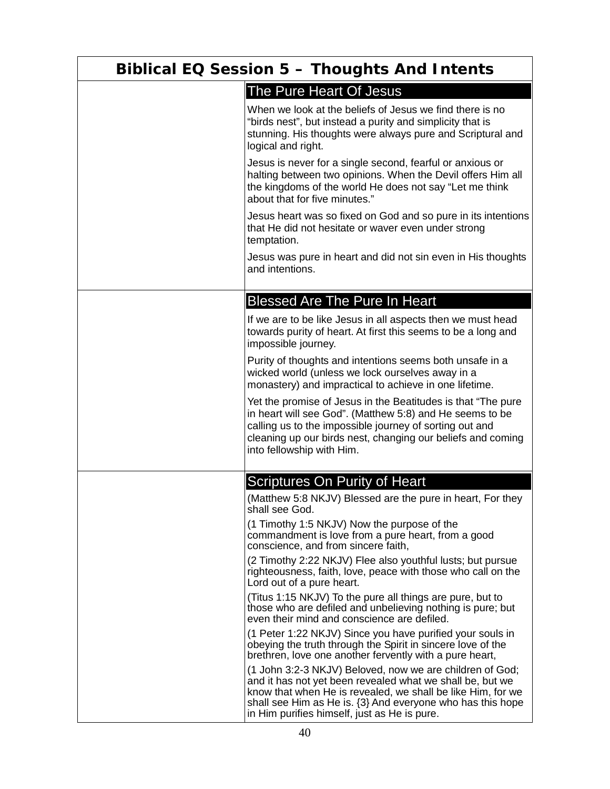| Biblical EQ Session 5 - Thoughts And Intents                                                                                                                                                                                                                                                       |
|----------------------------------------------------------------------------------------------------------------------------------------------------------------------------------------------------------------------------------------------------------------------------------------------------|
| The Pure Heart Of Jesus                                                                                                                                                                                                                                                                            |
| When we look at the beliefs of Jesus we find there is no<br>"birds nest", but instead a purity and simplicity that is<br>stunning. His thoughts were always pure and Scriptural and<br>logical and right.                                                                                          |
| Jesus is never for a single second, fearful or anxious or<br>halting between two opinions. When the Devil offers Him all<br>the kingdoms of the world He does not say "Let me think<br>about that for five minutes."                                                                               |
| Jesus heart was so fixed on God and so pure in its intentions<br>that He did not hesitate or waver even under strong<br>temptation.                                                                                                                                                                |
| Jesus was pure in heart and did not sin even in His thoughts<br>and intentions.                                                                                                                                                                                                                    |
| <b>Blessed Are The Pure In Heart</b>                                                                                                                                                                                                                                                               |
| If we are to be like Jesus in all aspects then we must head<br>towards purity of heart. At first this seems to be a long and<br>impossible journey.                                                                                                                                                |
| Purity of thoughts and intentions seems both unsafe in a<br>wicked world (unless we lock ourselves away in a<br>monastery) and impractical to achieve in one lifetime.                                                                                                                             |
| Yet the promise of Jesus in the Beatitudes is that "The pure"<br>in heart will see God". (Matthew 5:8) and He seems to be<br>calling us to the impossible journey of sorting out and<br>cleaning up our birds nest, changing our beliefs and coming<br>into fellowship with Him.                   |
| <b>Scriptures On Purity of Heart</b>                                                                                                                                                                                                                                                               |
| (Matthew 5:8 NKJV) Blessed are the pure in heart, For they<br>shall see God.                                                                                                                                                                                                                       |
| (1 Timothy 1:5 NKJV) Now the purpose of the<br>commandment is love from a pure heart, from a good<br>conscience, and from sincere faith,                                                                                                                                                           |
| (2 Timothy 2:22 NKJV) Flee also youthful lusts; but pursue<br>righteousness, faith, love, peace with those who call on the<br>Lord out of a pure heart.                                                                                                                                            |
| (Titus 1:15 NKJV) To the pure all things are pure, but to<br>those who are defiled and unbelieving nothing is pure; but<br>even their mind and conscience are defiled.                                                                                                                             |
| (1 Peter 1:22 NKJV) Since you have purified your souls in<br>obeying the truth through the Spirit in sincere love of the<br>brethren, love one another fervently with a pure heart,                                                                                                                |
| (1 John 3:2-3 NKJV) Beloved, now we are children of God;<br>and it has not yet been revealed what we shall be, but we<br>know that when He is revealed, we shall be like Him, for we<br>shall see Him as He is. {3} And everyone who has this hope<br>in Him purifies himself, just as He is pure. |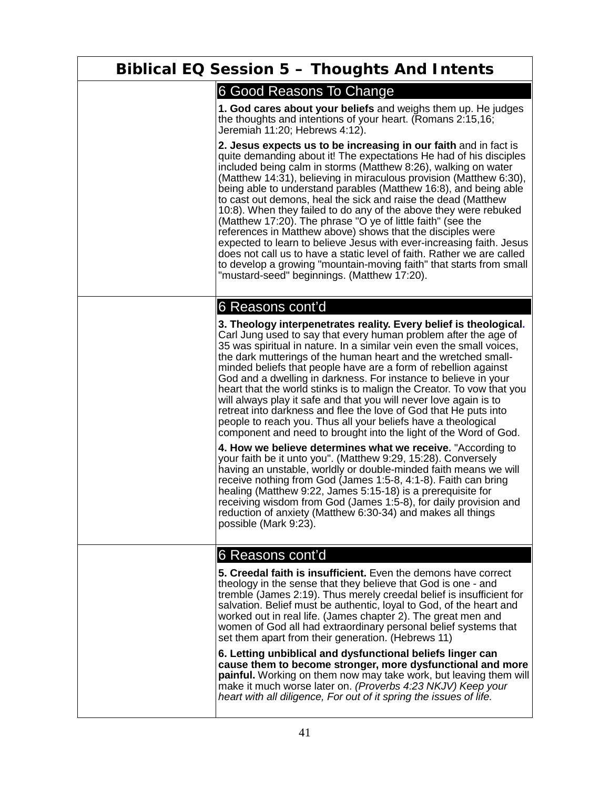| <b>Biblical EQ Session 5 - Thoughts And Intents</b>                                                                                                                                                                                                                                                                                                                                                                                                                                                                                                                                                                                                                                                                                                                                                                                                                                                                                                                                                                                                                                                                                                                                                                                                 |
|-----------------------------------------------------------------------------------------------------------------------------------------------------------------------------------------------------------------------------------------------------------------------------------------------------------------------------------------------------------------------------------------------------------------------------------------------------------------------------------------------------------------------------------------------------------------------------------------------------------------------------------------------------------------------------------------------------------------------------------------------------------------------------------------------------------------------------------------------------------------------------------------------------------------------------------------------------------------------------------------------------------------------------------------------------------------------------------------------------------------------------------------------------------------------------------------------------------------------------------------------------|
| 6 Good Reasons To Change                                                                                                                                                                                                                                                                                                                                                                                                                                                                                                                                                                                                                                                                                                                                                                                                                                                                                                                                                                                                                                                                                                                                                                                                                            |
| 1. God cares about your beliefs and weighs them up. He judges<br>the thoughts and intentions of your heart. (Romans 2:15,16;<br>Jeremiah 11:20; Hebrews 4:12).                                                                                                                                                                                                                                                                                                                                                                                                                                                                                                                                                                                                                                                                                                                                                                                                                                                                                                                                                                                                                                                                                      |
| 2. Jesus expects us to be increasing in our faith and in fact is<br>quite demanding about it! The expectations He had of his disciples<br>included being calm in storms (Matthew 8:26), walking on water<br>(Matthew 14:31), believing in miraculous provision (Matthew 6:30),<br>being able to understand parables (Matthew 16:8), and being able<br>to cast out demons, heal the sick and raise the dead (Matthew<br>10:8). When they failed to do any of the above they were rebuked<br>(Matthew 17:20). The phrase "O ye of little faith" (see the<br>references in Matthew above) shows that the disciples were<br>expected to learn to believe Jesus with ever-increasing faith. Jesus<br>does not call us to have a static level of faith. Rather we are called<br>to develop a growing "mountain-moving faith" that starts from small<br>"mustard-seed" beginnings. (Matthew 17:20).                                                                                                                                                                                                                                                                                                                                                        |
| 6 Reasons cont'd                                                                                                                                                                                                                                                                                                                                                                                                                                                                                                                                                                                                                                                                                                                                                                                                                                                                                                                                                                                                                                                                                                                                                                                                                                    |
| 3. Theology interpenetrates reality. Every belief is theological.<br>Carl Jung used to say that every human problem after the age of<br>35 was spiritual in nature. In a similar vein even the small voices,<br>the dark mutterings of the human heart and the wretched small-<br>minded beliefs that people have are a form of rebellion against<br>God and a dwelling in darkness. For instance to believe in your<br>heart that the world stinks is to malign the Creator. To vow that you<br>will always play it safe and that you will never love again is to<br>retreat into darkness and flee the love of God that He puts into<br>people to reach you. Thus all your beliefs have a theological<br>component and need to brought into the light of the Word of God.<br>4. How we believe determines what we receive. "According to<br>your faith be it unto you". (Matthew 9:29, 15:28). Conversely<br>having an unstable, worldly or double-minded faith means we will<br>receive nothing from God (James 1:5-8, 4:1-8). Faith can bring<br>healing (Matthew 9:22, James 5:15-18) is a prerequisite for<br>receiving wisdom from God (James 1:5-8), for daily provision and<br>reduction of anxiety (Matthew 6:30-34) and makes all things |
| possible (Mark 9:23).                                                                                                                                                                                                                                                                                                                                                                                                                                                                                                                                                                                                                                                                                                                                                                                                                                                                                                                                                                                                                                                                                                                                                                                                                               |
| 6 Reasons cont'd                                                                                                                                                                                                                                                                                                                                                                                                                                                                                                                                                                                                                                                                                                                                                                                                                                                                                                                                                                                                                                                                                                                                                                                                                                    |
| 5. Creedal faith is insufficient. Even the demons have correct<br>theology in the sense that they believe that God is one - and<br>tremble (James 2:19). Thus merely creedal belief is insufficient for<br>salvation. Belief must be authentic, loyal to God, of the heart and<br>worked out in real life. (James chapter 2). The great men and<br>women of God all had extraordinary personal belief systems that<br>set them apart from their generation. (Hebrews 11)                                                                                                                                                                                                                                                                                                                                                                                                                                                                                                                                                                                                                                                                                                                                                                            |
| 6. Letting unbiblical and dysfunctional beliefs linger can<br>cause them to become stronger, more dysfunctional and more<br>painful. Working on them now may take work, but leaving them will<br>make it much worse later on. (Proverbs 4:23 NKJV) Keep your<br>heart with all diligence, For out of it spring the issues of life.                                                                                                                                                                                                                                                                                                                                                                                                                                                                                                                                                                                                                                                                                                                                                                                                                                                                                                                  |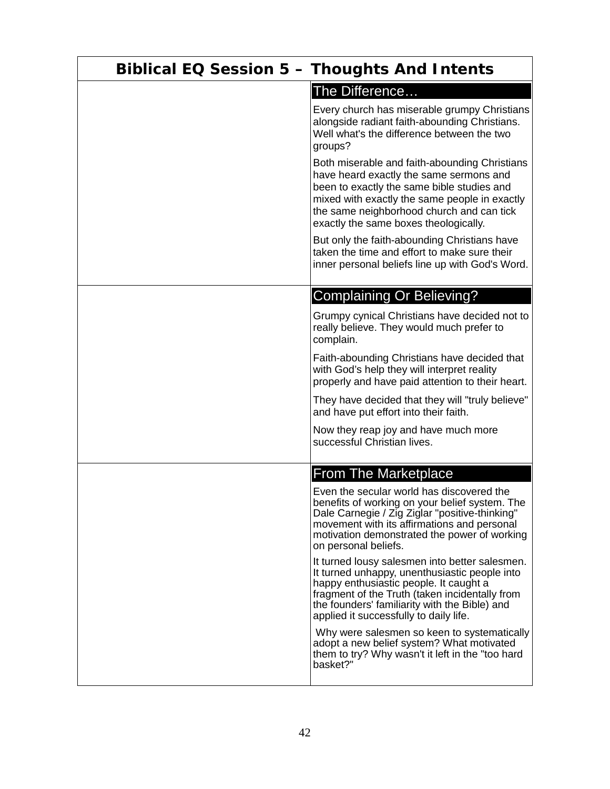| Biblical EQ Session 5 - Thoughts And Intents                                                                                                                                                                                                                                           |
|----------------------------------------------------------------------------------------------------------------------------------------------------------------------------------------------------------------------------------------------------------------------------------------|
| The Difference                                                                                                                                                                                                                                                                         |
| Every church has miserable grumpy Christians<br>alongside radiant faith-abounding Christians.<br>Well what's the difference between the two<br>groups?                                                                                                                                 |
| Both miserable and faith-abounding Christians<br>have heard exactly the same sermons and<br>been to exactly the same bible studies and<br>mixed with exactly the same people in exactly<br>the same neighborhood church and can tick<br>exactly the same boxes theologically.          |
| But only the faith-abounding Christians have<br>taken the time and effort to make sure their<br>inner personal beliefs line up with God's Word.                                                                                                                                        |
| <b>Complaining Or Believing?</b>                                                                                                                                                                                                                                                       |
| Grumpy cynical Christians have decided not to<br>really believe. They would much prefer to<br>complain.                                                                                                                                                                                |
| Faith-abounding Christians have decided that<br>with God's help they will interpret reality<br>properly and have paid attention to their heart.                                                                                                                                        |
| They have decided that they will "truly believe"<br>and have put effort into their faith.                                                                                                                                                                                              |
| Now they reap joy and have much more<br>successful Christian lives.                                                                                                                                                                                                                    |
| <b>From The Marketplace</b>                                                                                                                                                                                                                                                            |
| Even the secular world has discovered the<br>benefits of working on your belief system. The<br>Dale Carnegie / Zig Ziglar "positive-thinking"<br>movement with its affirmations and personal<br>motivation demonstrated the power of working<br>on personal beliefs.                   |
| It turned lousy salesmen into better salesmen.<br>It turned unhappy, unenthusiastic people into<br>happy enthusiastic people. It caught a<br>fragment of the Truth (taken incidentally from<br>the founders' familiarity with the Bible) and<br>applied it successfully to daily life. |
| Why were salesmen so keen to systematically<br>adopt a new belief system? What motivated<br>them to try? Why wasn't it left in the "too hard<br>basket?"                                                                                                                               |
|                                                                                                                                                                                                                                                                                        |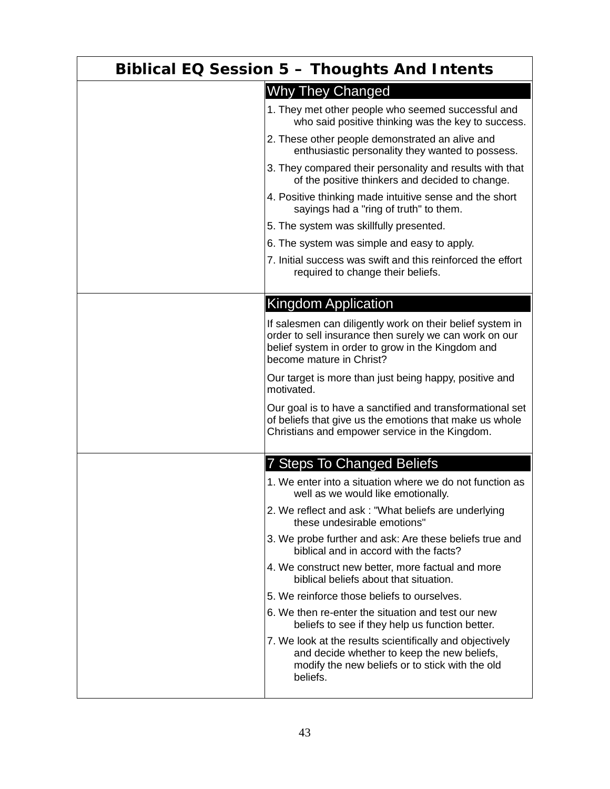| Biblical EQ Session 5 - Thoughts And Intents                                                                                                                                                         |
|------------------------------------------------------------------------------------------------------------------------------------------------------------------------------------------------------|
| Why They Changed                                                                                                                                                                                     |
| 1. They met other people who seemed successful and<br>who said positive thinking was the key to success.                                                                                             |
| 2. These other people demonstrated an alive and<br>enthusiastic personality they wanted to possess.                                                                                                  |
| 3. They compared their personality and results with that<br>of the positive thinkers and decided to change.                                                                                          |
| 4. Positive thinking made intuitive sense and the short<br>sayings had a "ring of truth" to them.                                                                                                    |
| 5. The system was skillfully presented.                                                                                                                                                              |
| 6. The system was simple and easy to apply.                                                                                                                                                          |
| 7. Initial success was swift and this reinforced the effort<br>required to change their beliefs.                                                                                                     |
| <b>Kingdom Application</b>                                                                                                                                                                           |
| If salesmen can diligently work on their belief system in<br>order to sell insurance then surely we can work on our<br>belief system in order to grow in the Kingdom and<br>become mature in Christ? |
| Our target is more than just being happy, positive and<br>motivated.                                                                                                                                 |
| Our goal is to have a sanctified and transformational set<br>of beliefs that give us the emotions that make us whole<br>Christians and empower service in the Kingdom.                               |
| <b>7 Steps To Changed Beliefs</b>                                                                                                                                                                    |
| 1. We enter into a situation where we do not function as<br>well as we would like emotionally.                                                                                                       |
| 2. We reflect and ask: "What beliefs are underlying<br>these undesirable emotions"                                                                                                                   |
| 3. We probe further and ask: Are these beliefs true and<br>biblical and in accord with the facts?                                                                                                    |
| 4. We construct new better, more factual and more<br>biblical beliefs about that situation.                                                                                                          |
| 5. We reinforce those beliefs to ourselves.                                                                                                                                                          |
| 6. We then re-enter the situation and test our new<br>beliefs to see if they help us function better.                                                                                                |
| 7. We look at the results scientifically and objectively<br>and decide whether to keep the new beliefs,<br>modify the new beliefs or to stick with the old<br>beliefs.                               |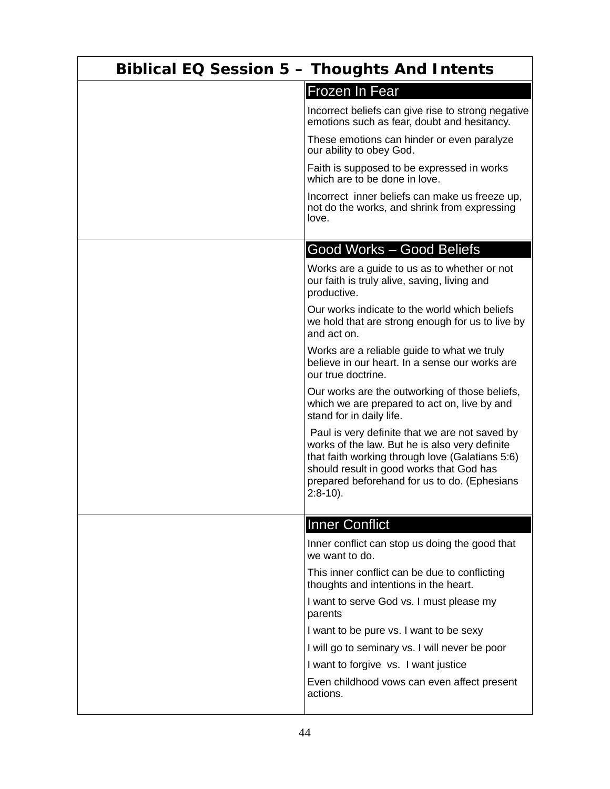| <b>Biblical EQ Session 5 - Thoughts And Intents</b>                                                                                                                                                                                                            |
|----------------------------------------------------------------------------------------------------------------------------------------------------------------------------------------------------------------------------------------------------------------|
| <b>Frozen In Fear</b>                                                                                                                                                                                                                                          |
| Incorrect beliefs can give rise to strong negative<br>emotions such as fear, doubt and hesitancy.                                                                                                                                                              |
| These emotions can hinder or even paralyze<br>our ability to obey God.                                                                                                                                                                                         |
| Faith is supposed to be expressed in works<br>which are to be done in love.                                                                                                                                                                                    |
| Incorrect inner beliefs can make us freeze up,<br>not do the works, and shrink from expressing<br>love.                                                                                                                                                        |
| Good Works - Good Beliefs                                                                                                                                                                                                                                      |
| Works are a guide to us as to whether or not<br>our faith is truly alive, saving, living and<br>productive.                                                                                                                                                    |
| Our works indicate to the world which beliefs<br>we hold that are strong enough for us to live by<br>and act on.                                                                                                                                               |
| Works are a reliable guide to what we truly<br>believe in our heart. In a sense our works are<br>our true doctrine.                                                                                                                                            |
| Our works are the outworking of those beliefs,<br>which we are prepared to act on, live by and<br>stand for in daily life.                                                                                                                                     |
| Paul is very definite that we are not saved by<br>works of the law. But he is also very definite<br>that faith working through love (Galatians 5:6)<br>should result in good works that God has<br>prepared beforehand for us to do. (Ephesians<br>$2:8-10$ ). |
| Inner Conflict                                                                                                                                                                                                                                                 |
| Inner conflict can stop us doing the good that<br>we want to do.                                                                                                                                                                                               |
| This inner conflict can be due to conflicting<br>thoughts and intentions in the heart.                                                                                                                                                                         |
| I want to serve God vs. I must please my<br>parents                                                                                                                                                                                                            |
| I want to be pure vs. I want to be sexy                                                                                                                                                                                                                        |
| I will go to seminary vs. I will never be poor                                                                                                                                                                                                                 |
| I want to forgive vs. I want justice<br>Even childhood vows can even affect present<br>actions.                                                                                                                                                                |
|                                                                                                                                                                                                                                                                |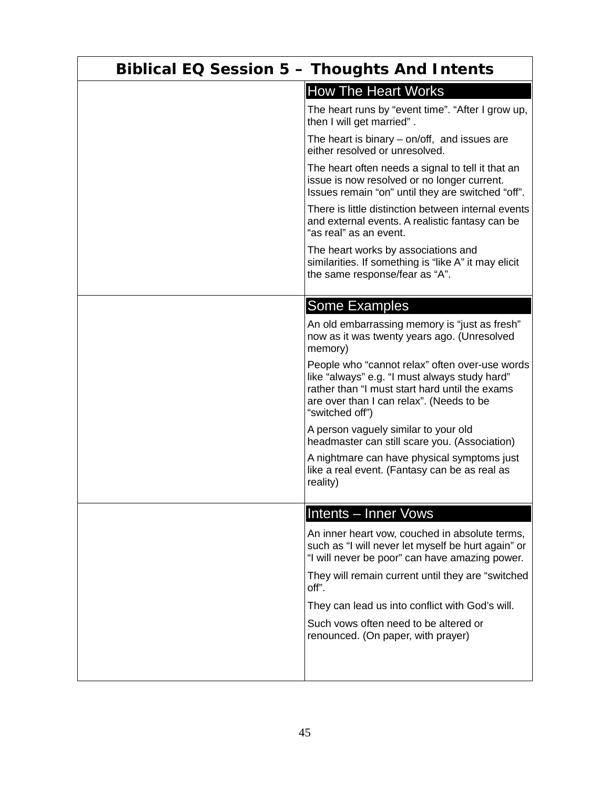| <b>Biblical EQ Session 5 - Thoughts And Intents</b>                                                                                                                                                              |
|------------------------------------------------------------------------------------------------------------------------------------------------------------------------------------------------------------------|
| <b>How The Heart Works</b>                                                                                                                                                                                       |
| The heart runs by "event time". "After I grow up,<br>then I will get married".                                                                                                                                   |
| The heart is binary $-$ on/off, and issues are<br>either resolved or unresolved.                                                                                                                                 |
| The heart often needs a signal to tell it that an<br>issue is now resolved or no longer current.<br>Issues remain "on" until they are switched "off".                                                            |
| There is little distinction between internal events<br>and external events. A realistic fantasy can be<br>"as real" as an event.                                                                                 |
| The heart works by associations and<br>similarities. If something is "like A" it may elicit<br>the same response/fear as "A".                                                                                    |
| <b>Some Examples</b>                                                                                                                                                                                             |
| An old embarrassing memory is "just as fresh"<br>now as it was twenty years ago. (Unresolved<br>memory)                                                                                                          |
| People who "cannot relax" often over-use words<br>like "always" e.g. "I must always study hard"<br>rather than "I must start hard until the exams<br>are over than I can relax". (Needs to be<br>"switched off") |
| A person vaguely similar to your old<br>headmaster can still scare you. (Association)                                                                                                                            |
| A nightmare can have physical symptoms just<br>like a real event. (Fantasy can be as real as<br>reality)                                                                                                         |
| Intents - Inner Vows                                                                                                                                                                                             |
| An inner heart vow, couched in absolute terms,<br>such as "I will never let myself be hurt again" or<br>"I will never be poor" can have amazing power.                                                           |
| They will remain current until they are "switched<br>off".                                                                                                                                                       |
| They can lead us into conflict with God's will.                                                                                                                                                                  |
| Such vows often need to be altered or<br>renounced. (On paper, with prayer)                                                                                                                                      |
|                                                                                                                                                                                                                  |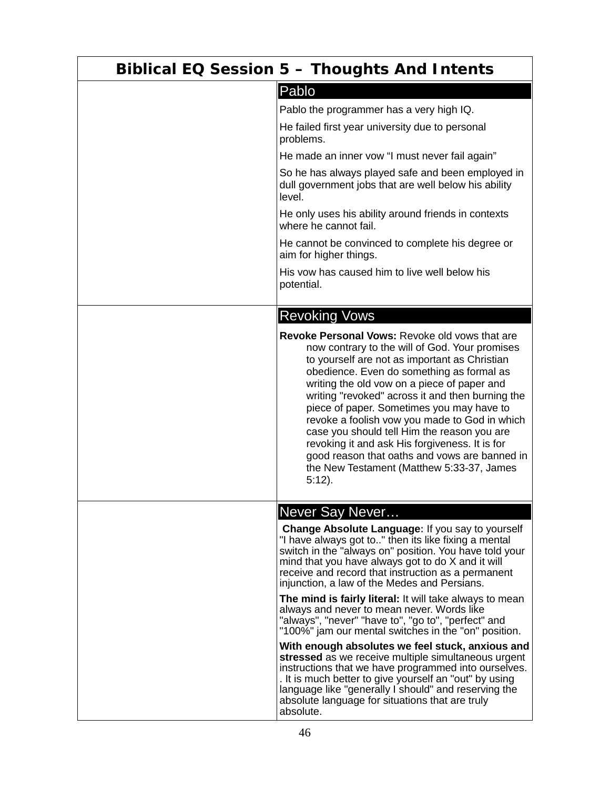| <b>Biblical EQ Session 5 - Thoughts And Intents</b>                                                                                                                                                                                                                                                                                                                                                                                                                                                                                                                                                                                                                                                                                                                                                                                                                                                                     |
|-------------------------------------------------------------------------------------------------------------------------------------------------------------------------------------------------------------------------------------------------------------------------------------------------------------------------------------------------------------------------------------------------------------------------------------------------------------------------------------------------------------------------------------------------------------------------------------------------------------------------------------------------------------------------------------------------------------------------------------------------------------------------------------------------------------------------------------------------------------------------------------------------------------------------|
| Pablo                                                                                                                                                                                                                                                                                                                                                                                                                                                                                                                                                                                                                                                                                                                                                                                                                                                                                                                   |
| Pablo the programmer has a very high IQ.                                                                                                                                                                                                                                                                                                                                                                                                                                                                                                                                                                                                                                                                                                                                                                                                                                                                                |
| He failed first year university due to personal<br>problems.                                                                                                                                                                                                                                                                                                                                                                                                                                                                                                                                                                                                                                                                                                                                                                                                                                                            |
| He made an inner vow "I must never fail again"                                                                                                                                                                                                                                                                                                                                                                                                                                                                                                                                                                                                                                                                                                                                                                                                                                                                          |
| So he has always played safe and been employed in<br>dull government jobs that are well below his ability<br>level.                                                                                                                                                                                                                                                                                                                                                                                                                                                                                                                                                                                                                                                                                                                                                                                                     |
| He only uses his ability around friends in contexts<br>where he cannot fail.                                                                                                                                                                                                                                                                                                                                                                                                                                                                                                                                                                                                                                                                                                                                                                                                                                            |
| He cannot be convinced to complete his degree or<br>aim for higher things.                                                                                                                                                                                                                                                                                                                                                                                                                                                                                                                                                                                                                                                                                                                                                                                                                                              |
| His vow has caused him to live well below his<br>potential.                                                                                                                                                                                                                                                                                                                                                                                                                                                                                                                                                                                                                                                                                                                                                                                                                                                             |
| <b>Revoking Vows</b>                                                                                                                                                                                                                                                                                                                                                                                                                                                                                                                                                                                                                                                                                                                                                                                                                                                                                                    |
| <b>Revoke Personal Vows: Revoke old vows that are</b><br>now contrary to the will of God. Your promises<br>to yourself are not as important as Christian<br>obedience. Even do something as formal as<br>writing the old vow on a piece of paper and<br>writing "revoked" across it and then burning the<br>piece of paper. Sometimes you may have to<br>revoke a foolish vow you made to God in which<br>case you should tell Him the reason you are<br>revoking it and ask His forgiveness. It is for<br>good reason that oaths and vows are banned in<br>the New Testament (Matthew 5:33-37, James<br>$5:12$ ).                                                                                                                                                                                                                                                                                                      |
| Never Say Never<br><b>Change Absolute Language: If you say to yourself</b><br>"I have always got to" then its like fixing a mental<br>switch in the "always on" position. You have told your<br>mind that you have always got to do X and it will<br>receive and record that instruction as a permanent<br>injunction, a law of the Medes and Persians.<br>The mind is fairly literal: It will take always to mean<br>always and never to mean never. Words like<br>"always", "never" "have to", "go to", "perfect" and<br>"100%" jam our mental switches in the "on" position.<br>With enough absolutes we feel stuck, anxious and<br>stressed as we receive multiple simultaneous urgent<br>instructions that we have programmed into ourselves.<br>. It is much better to give yourself an "out" by using<br>language like "generally I should" and reserving the<br>absolute language for situations that are truly |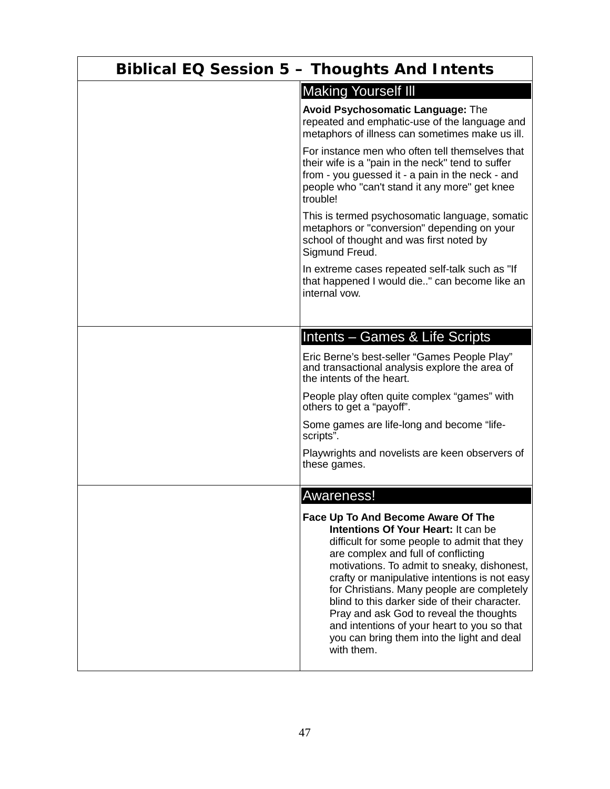| Biblical EQ Session 5 - Thoughts And Intents |                                                                                                                                                                                                                                                                                                                                                                                                                                                                                                                       |
|----------------------------------------------|-----------------------------------------------------------------------------------------------------------------------------------------------------------------------------------------------------------------------------------------------------------------------------------------------------------------------------------------------------------------------------------------------------------------------------------------------------------------------------------------------------------------------|
|                                              | <b>Making Yourself III</b>                                                                                                                                                                                                                                                                                                                                                                                                                                                                                            |
|                                              | <b>Avoid Psychosomatic Language: The</b><br>repeated and emphatic-use of the language and<br>metaphors of illness can sometimes make us ill.                                                                                                                                                                                                                                                                                                                                                                          |
|                                              | For instance men who often tell themselves that<br>their wife is a "pain in the neck" tend to suffer<br>from - you guessed it - a pain in the neck - and<br>people who "can't stand it any more" get knee<br>trouble!                                                                                                                                                                                                                                                                                                 |
|                                              | This is termed psychosomatic language, somatic<br>metaphors or "conversion" depending on your<br>school of thought and was first noted by<br>Sigmund Freud.                                                                                                                                                                                                                                                                                                                                                           |
|                                              | In extreme cases repeated self-talk such as "If<br>that happened I would die" can become like an<br>internal vow.                                                                                                                                                                                                                                                                                                                                                                                                     |
|                                              |                                                                                                                                                                                                                                                                                                                                                                                                                                                                                                                       |
|                                              | Intents – Games & Life Scripts                                                                                                                                                                                                                                                                                                                                                                                                                                                                                        |
|                                              | Eric Berne's best-seller "Games People Play"<br>and transactional analysis explore the area of<br>the intents of the heart.                                                                                                                                                                                                                                                                                                                                                                                           |
|                                              | People play often quite complex "games" with<br>others to get a "payoff".                                                                                                                                                                                                                                                                                                                                                                                                                                             |
|                                              | Some games are life-long and become "life-<br>scripts".                                                                                                                                                                                                                                                                                                                                                                                                                                                               |
|                                              | Playwrights and novelists are keen observers of<br>these games.                                                                                                                                                                                                                                                                                                                                                                                                                                                       |
|                                              | Awareness!                                                                                                                                                                                                                                                                                                                                                                                                                                                                                                            |
|                                              | Face Up To And Become Aware Of The<br>Intentions Of Your Heart: It can be<br>difficult for some people to admit that they<br>are complex and full of conflicting<br>motivations. To admit to sneaky, dishonest,<br>crafty or manipulative intentions is not easy<br>for Christians. Many people are completely<br>blind to this darker side of their character.<br>Pray and ask God to reveal the thoughts<br>and intentions of your heart to you so that<br>you can bring them into the light and deal<br>with them. |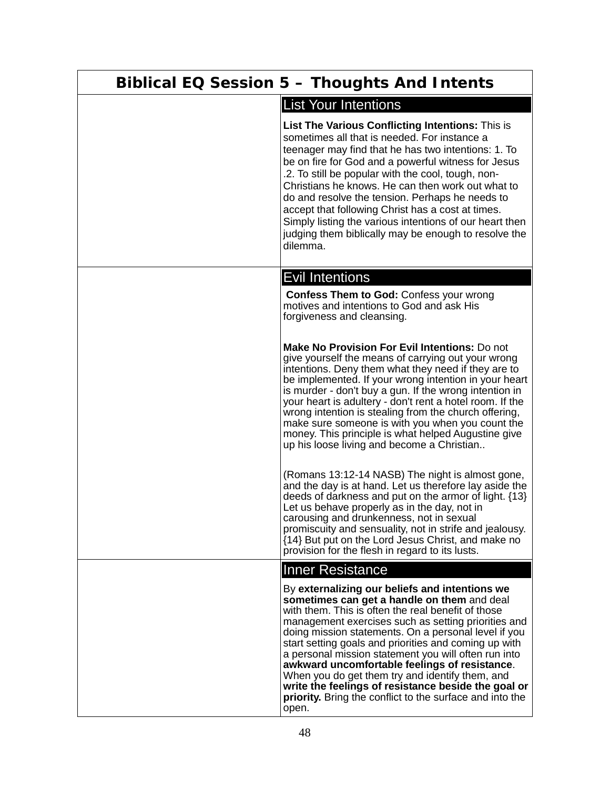| Biblical EQ Session 5 – Thoughts And Intents                                                                                                                                                                                                                                                                                                                                                                                                                                                                                                                                                                        |
|---------------------------------------------------------------------------------------------------------------------------------------------------------------------------------------------------------------------------------------------------------------------------------------------------------------------------------------------------------------------------------------------------------------------------------------------------------------------------------------------------------------------------------------------------------------------------------------------------------------------|
| <b>List Your Intentions</b>                                                                                                                                                                                                                                                                                                                                                                                                                                                                                                                                                                                         |
| List The Various Conflicting Intentions: This is<br>sometimes all that is needed. For instance a<br>teenager may find that he has two intentions: 1. To<br>be on fire for God and a powerful witness for Jesus<br>.2. To still be popular with the cool, tough, non-<br>Christians he knows. He can then work out what to<br>do and resolve the tension. Perhaps he needs to<br>accept that following Christ has a cost at times.<br>Simply listing the various intentions of our heart then<br>judging them biblically may be enough to resolve the<br>dilemma.                                                    |
| Evil Intentions                                                                                                                                                                                                                                                                                                                                                                                                                                                                                                                                                                                                     |
| <b>Confess Them to God: Confess your wrong</b><br>motives and intentions to God and ask His<br>forgiveness and cleansing.                                                                                                                                                                                                                                                                                                                                                                                                                                                                                           |
| <b>Make No Provision For Evil Intentions: Do not</b><br>give yourself the means of carrying out your wrong<br>intentions. Deny them what they need if they are to<br>be implemented. If your wrong intention in your heart<br>is murder - don't buy a gun. If the wrong intention in<br>your heart is adultery - don't rent a hotel room. If the<br>wrong intention is stealing from the church offering,<br>make sure someone is with you when you count the<br>money. This principle is what helped Augustine give<br>up his loose living and become a Christian                                                  |
| (Romans 13:12-14 NASB) The night is almost gone,<br>and the day is at hand. Let us therefore lay aside the<br>deeds of darkness and put on the armor of light. {13}<br>Let us behave properly as in the day, not in<br>carousing and drunkenness, not in sexual<br>promiscuity and sensuality, not in strife and jealousy.<br>{14} But put on the Lord Jesus Christ, and make no<br>provision for the flesh in regard to its lusts.                                                                                                                                                                                 |
| <b>Inner Resistance</b>                                                                                                                                                                                                                                                                                                                                                                                                                                                                                                                                                                                             |
| By externalizing our beliefs and intentions we<br>sometimes can get a handle on them and deal<br>with them. This is often the real benefit of those<br>management exercises such as setting priorities and<br>doing mission statements. On a personal level if you<br>start setting goals and priorities and coming up with<br>a personal mission statement you will often run into<br>awkward uncomfortable feelings of resistance.<br>When you do get them try and identify them, and<br>write the feelings of resistance beside the goal or<br>priority. Bring the conflict to the surface and into the<br>open. |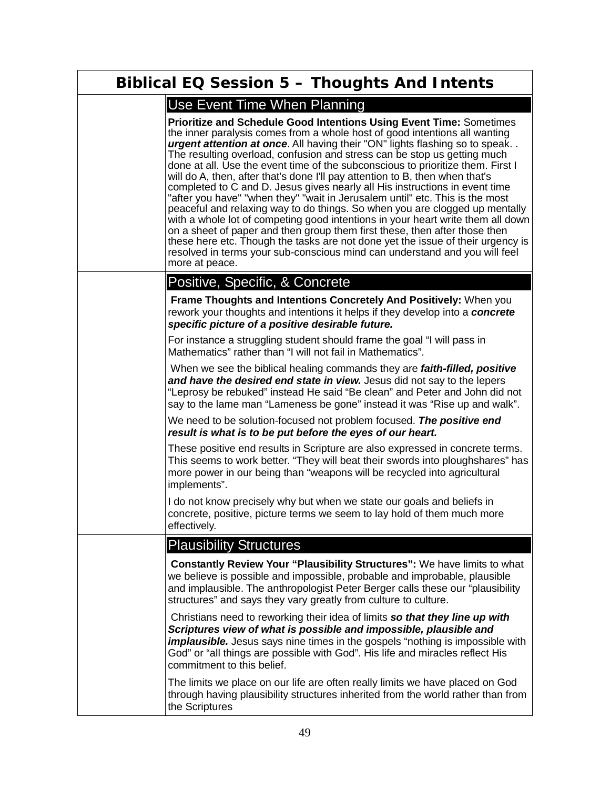## **Biblical EQ Session 5 –** *Thoughts And Intents*

## Use Event Time When Planning

**Prioritize and Schedule Good Intentions Using Event Time:** Sometimes the inner paralysis comes from a whole host of good intentions all wanting *urgent attention at once*. All having their "ON" lights flashing so to speak. . The resulting overload, confusion and stress can be stop us getting much done at all. Use the event time of the subconscious to prioritize them. First I will do A, then, after that's done I'll pay attention to B, then when that's completed to C and D. Jesus gives nearly all His instructions in event time 'after you have" "when they" "wait in Jerusalem until" etc. This is the most peaceful and relaxing way to do things. So when you are clogged up mentally with a whole lot of competing good intentions in your heart write them all down on a sheet of paper and then group them first these, then after those then these here etc. Though the tasks are not done yet the issue of their urgency is resolved in terms your sub-conscious mind can understand and you will feel more at peace.

## Positive, Specific, & Concrete

**Frame Thoughts and Intentions Concretely And Positively:** When you rework your thoughts and intentions it helps if they develop into a *concrete specific picture of a positive desirable future.* 

For instance a struggling student should frame the goal "I will pass in Mathematics" rather than "I will not fail in Mathematics".

When we see the biblical healing commands they are *faith-filled, positive and have the desired end state in view.* Jesus did not say to the lepers "Leprosy be rebuked" instead He said "Be clean" and Peter and John did not say to the lame man "Lameness be gone" instead it was "Rise up and walk".

We need to be solution-focused not problem focused. *The positive end result is what is to be put before the eyes of our heart.*

These positive end results in Scripture are also expressed in concrete terms. This seems to work better. "They will beat their swords into ploughshares" has more power in our being than "weapons will be recycled into agricultural implements".

I do not know precisely why but when we state our goals and beliefs in concrete, positive, picture terms we seem to lay hold of them much more effectively.

## Plausibility Structures

**Constantly Review Your "Plausibility Structures":** We have limits to what we believe is possible and impossible, probable and improbable, plausible and implausible. The anthropologist Peter Berger calls these our "plausibility structures" and says they vary greatly from culture to culture.

Christians need to reworking their idea of limits *so that they line up with Scriptures view of what is possible and impossible, plausible and implausible.* Jesus says nine times in the gospels "nothing is impossible with God" or "all things are possible with God". His life and miracles reflect His commitment to this belief.

The limits we place on our life are often really limits we have placed on God through having plausibility structures inherited from the world rather than from the Scriptures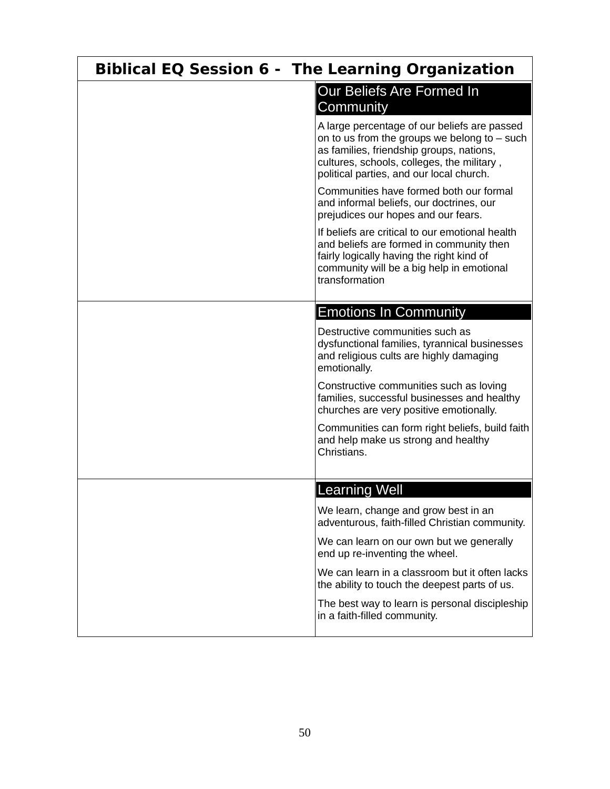| <b>Biblical EQ Session 6 -</b> | <b>The Learning Organization</b>                                                                                                                                                                                                     |
|--------------------------------|--------------------------------------------------------------------------------------------------------------------------------------------------------------------------------------------------------------------------------------|
|                                | Our Beliefs Are Formed In<br>Community                                                                                                                                                                                               |
|                                | A large percentage of our beliefs are passed<br>on to us from the groups we belong to $-$ such<br>as families, friendship groups, nations,<br>cultures, schools, colleges, the military,<br>political parties, and our local church. |
|                                | Communities have formed both our formal<br>and informal beliefs, our doctrines, our<br>prejudices our hopes and our fears.                                                                                                           |
|                                | If beliefs are critical to our emotional health<br>and beliefs are formed in community then<br>fairly logically having the right kind of<br>community will be a big help in emotional<br>transformation                              |
|                                | <b>Emotions In Community</b>                                                                                                                                                                                                         |
|                                | Destructive communities such as<br>dysfunctional families, tyrannical businesses<br>and religious cults are highly damaging<br>emotionally.                                                                                          |
|                                | Constructive communities such as loving<br>families, successful businesses and healthy<br>churches are very positive emotionally.                                                                                                    |
|                                | Communities can form right beliefs, build faith<br>and help make us strong and healthy<br>Christians.                                                                                                                                |
|                                | <b>Learning Well</b>                                                                                                                                                                                                                 |
|                                | We learn, change and grow best in an<br>adventurous, faith-filled Christian community.                                                                                                                                               |
|                                | We can learn on our own but we generally<br>end up re-inventing the wheel.                                                                                                                                                           |
|                                | We can learn in a classroom but it often lacks<br>the ability to touch the deepest parts of us.                                                                                                                                      |
|                                | The best way to learn is personal discipleship<br>in a faith-filled community.                                                                                                                                                       |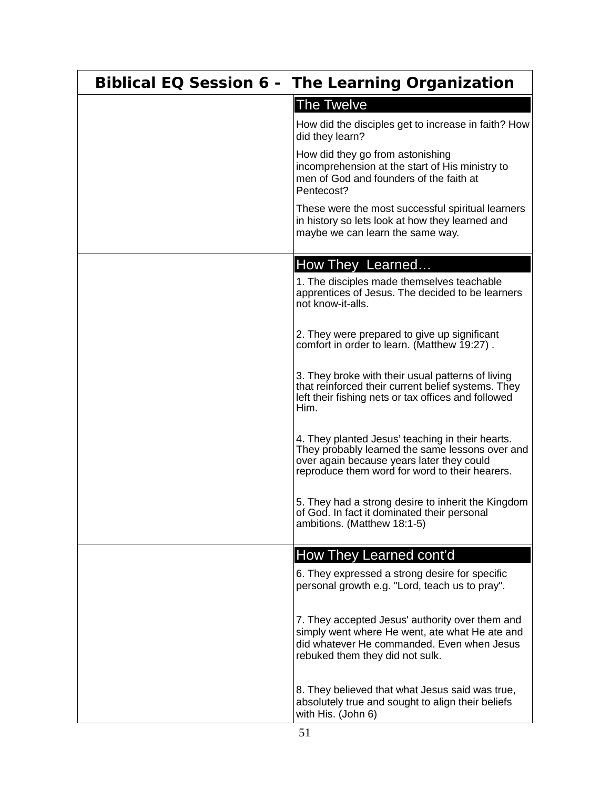| <b>Biblical EQ Session 6 -</b> | <b>The Learning Organization</b>                                                                                                                                                                   |
|--------------------------------|----------------------------------------------------------------------------------------------------------------------------------------------------------------------------------------------------|
|                                | The Twelve                                                                                                                                                                                         |
|                                | How did the disciples get to increase in faith? How<br>did they learn?                                                                                                                             |
|                                | How did they go from astonishing<br>incomprehension at the start of His ministry to<br>men of God and founders of the faith at<br>Pentecost?                                                       |
|                                | These were the most successful spiritual learners<br>in history so lets look at how they learned and<br>maybe we can learn the same way.                                                           |
|                                | How They Learned                                                                                                                                                                                   |
|                                | 1. The disciples made themselves teachable<br>apprentices of Jesus. The decided to be learners<br>not know-it-alls.                                                                                |
|                                | 2. They were prepared to give up significant<br>comfort in order to learn. (Matthew 19:27).                                                                                                        |
|                                | 3. They broke with their usual patterns of living<br>that reinforced their current belief systems. They<br>left their fishing nets or tax offices and followed<br>Him.                             |
|                                | 4. They planted Jesus' teaching in their hearts.<br>They probably learned the same lessons over and<br>over again because years later they could<br>reproduce them word for word to their hearers. |
|                                | 5. They had a strong desire to inherit the Kingdom<br>of God. In fact it dominated their personal<br>ambitions. (Matthew 18:1-5)                                                                   |
|                                | How They Learned cont'd                                                                                                                                                                            |
|                                | 6. They expressed a strong desire for specific<br>personal growth e.g. "Lord, teach us to pray".                                                                                                   |
|                                | 7. They accepted Jesus' authority over them and<br>simply went where He went, ate what He ate and<br>did whatever He commanded. Even when Jesus<br>rebuked them they did not sulk.                 |
|                                | 8. They believed that what Jesus said was true,<br>absolutely true and sought to align their beliefs<br>with His. (John 6)                                                                         |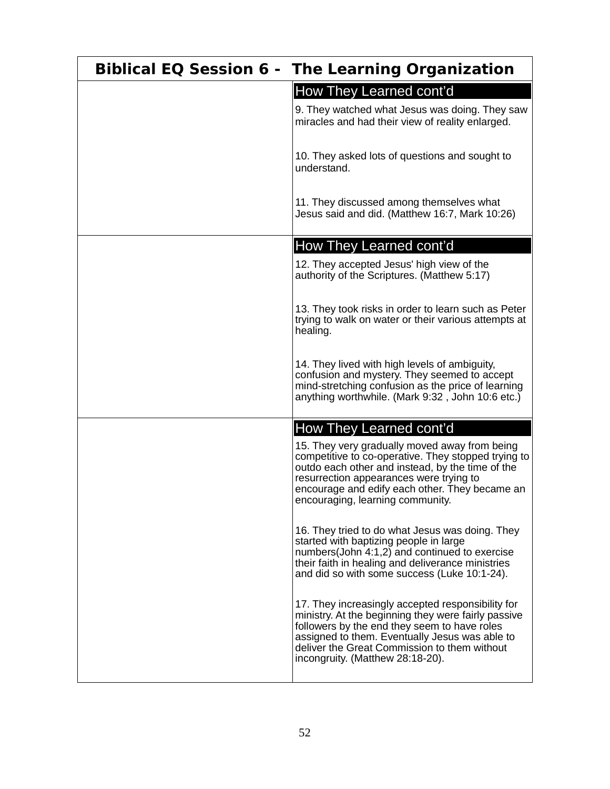| <b>Biblical EQ Session 6 -</b> | <b>The Learning Organization</b>                                                                                                                                                                                                                                                               |
|--------------------------------|------------------------------------------------------------------------------------------------------------------------------------------------------------------------------------------------------------------------------------------------------------------------------------------------|
|                                | How They Learned cont'd                                                                                                                                                                                                                                                                        |
|                                | 9. They watched what Jesus was doing. They saw<br>miracles and had their view of reality enlarged.                                                                                                                                                                                             |
|                                | 10. They asked lots of questions and sought to<br>understand.                                                                                                                                                                                                                                  |
|                                | 11. They discussed among themselves what<br>Jesus said and did. (Matthew 16:7, Mark 10:26)                                                                                                                                                                                                     |
|                                | How They Learned cont'd                                                                                                                                                                                                                                                                        |
|                                | 12. They accepted Jesus' high view of the<br>authority of the Scriptures. (Matthew 5:17)                                                                                                                                                                                                       |
|                                | 13. They took risks in order to learn such as Peter<br>trying to walk on water or their various attempts at<br>healing.                                                                                                                                                                        |
|                                | 14. They lived with high levels of ambiguity,<br>confusion and mystery. They seemed to accept<br>mind-stretching confusion as the price of learning<br>anything worthwhile. (Mark 9:32, John 10:6 etc.)                                                                                        |
|                                | How They Learned cont'd                                                                                                                                                                                                                                                                        |
|                                | 15. They very gradually moved away from being<br>competitive to co-operative. They stopped trying to<br>outdo each other and instead, by the time of the<br>resurrection appearances were trying to<br>encourage and edify each other. They became an<br>encouraging, learning community.      |
|                                | 16. They tried to do what Jesus was doing. They<br>started with baptizing people in large<br>numbers(John 4:1,2) and continued to exercise<br>their faith in healing and deliverance ministries<br>and did so with some success (Luke 10:1-24).                                                |
|                                | 17. They increasingly accepted responsibility for<br>ministry. At the beginning they were fairly passive<br>followers by the end they seem to have roles<br>assigned to them. Eventually Jesus was able to<br>deliver the Great Commission to them without<br>incongruity. (Matthew 28:18-20). |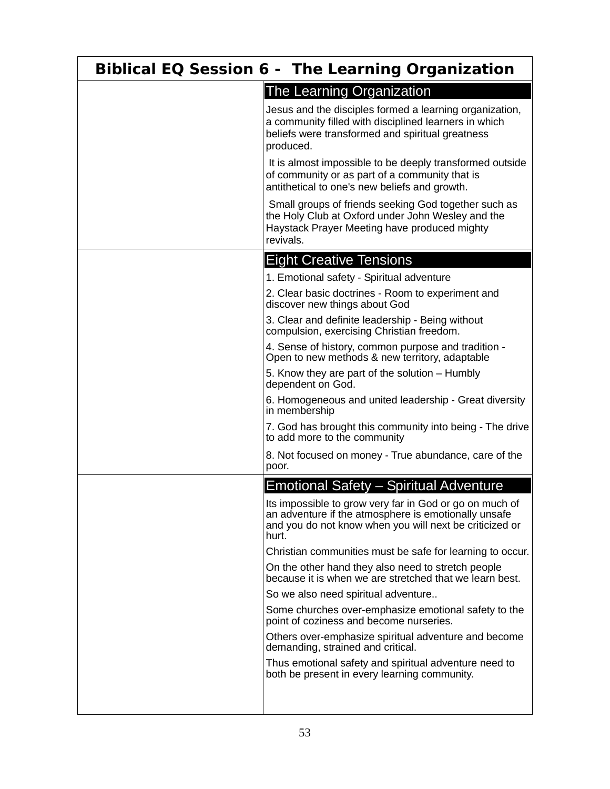| Biblical EQ Session 6 - The Learning Organization                                                                                                                                   |
|-------------------------------------------------------------------------------------------------------------------------------------------------------------------------------------|
| The Learning Organization                                                                                                                                                           |
| Jesus and the disciples formed a learning organization,<br>a community filled with disciplined learners in which<br>beliefs were transformed and spiritual greatness<br>produced.   |
| It is almost impossible to be deeply transformed outside<br>of community or as part of a community that is<br>antithetical to one's new beliefs and growth.                         |
| Small groups of friends seeking God together such as<br>the Holy Club at Oxford under John Wesley and the<br>Haystack Prayer Meeting have produced mighty<br>revivals.              |
| <b>Eight Creative Tensions</b>                                                                                                                                                      |
| 1. Emotional safety - Spiritual adventure                                                                                                                                           |
| 2. Clear basic doctrines - Room to experiment and<br>discover new things about God                                                                                                  |
| 3. Clear and definite leadership - Being without<br>compulsion, exercising Christian freedom.                                                                                       |
| 4. Sense of history, common purpose and tradition -<br>Open to new methods & new territory, adaptable                                                                               |
| 5. Know they are part of the solution – Humbly<br>dependent on God.                                                                                                                 |
| 6. Homogeneous and united leadership - Great diversity<br>in membership                                                                                                             |
| 7. God has brought this community into being - The drive<br>to add more to the community                                                                                            |
| 8. Not focused on money - True abundance, care of the<br>poor.                                                                                                                      |
| <b>Emotional Safety - Spiritual Adventure</b>                                                                                                                                       |
| Its impossible to grow very far in God or go on much of<br>an adventure if the atmosphere is emotionally unsafe<br>and you do not know when you will next be criticized or<br>hurt. |
| Christian communities must be safe for learning to occur.                                                                                                                           |
| On the other hand they also need to stretch people<br>because it is when we are stretched that we learn best.                                                                       |
| So we also need spiritual adventure                                                                                                                                                 |
| Some churches over-emphasize emotional safety to the<br>point of coziness and become nurseries.                                                                                     |
| Others over-emphasize spiritual adventure and become<br>demanding, strained and critical.                                                                                           |
| Thus emotional safety and spiritual adventure need to<br>both be present in every learning community.                                                                               |
|                                                                                                                                                                                     |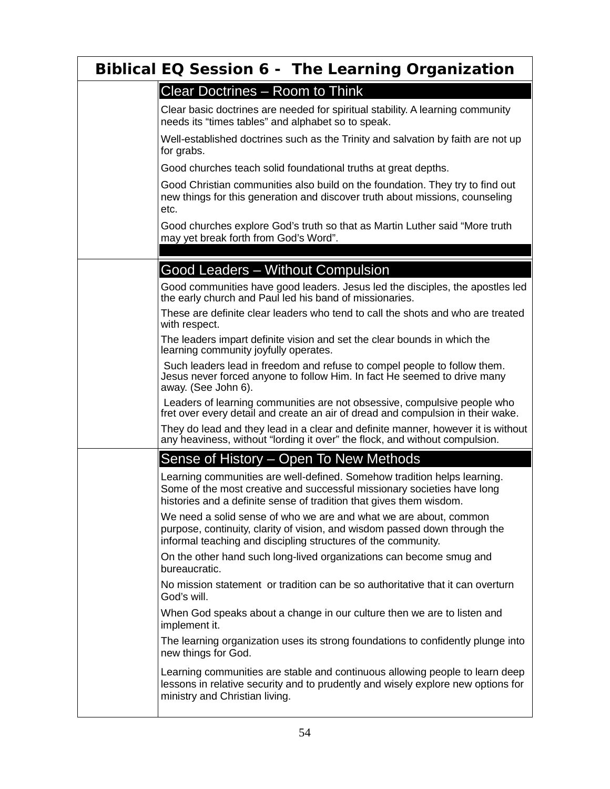| Biblical EQ Session 6 - The Learning Organization                                                                                                                                                                          |
|----------------------------------------------------------------------------------------------------------------------------------------------------------------------------------------------------------------------------|
| Clear Doctrines – Room to Think                                                                                                                                                                                            |
| Clear basic doctrines are needed for spiritual stability. A learning community<br>needs its "times tables" and alphabet so to speak.                                                                                       |
| Well-established doctrines such as the Trinity and salvation by faith are not up<br>for grabs.                                                                                                                             |
| Good churches teach solid foundational truths at great depths.                                                                                                                                                             |
| Good Christian communities also build on the foundation. They try to find out<br>new things for this generation and discover truth about missions, counseling<br>etc.                                                      |
| Good churches explore God's truth so that as Martin Luther said "More truth<br>may yet break forth from God's Word".                                                                                                       |
| <b>Good Leaders - Without Compulsion</b>                                                                                                                                                                                   |
| Good communities have good leaders. Jesus led the disciples, the apostles led<br>the early church and Paul led his band of missionaries.                                                                                   |
| These are definite clear leaders who tend to call the shots and who are treated<br>with respect.                                                                                                                           |
| The leaders impart definite vision and set the clear bounds in which the<br>learning community joyfully operates.                                                                                                          |
| Such leaders lead in freedom and refuse to compel people to follow them.<br>Jesus never forced anyone to follow Him. In fact He seemed to drive many<br>away. (See John 6).                                                |
| Leaders of learning communities are not obsessive, compulsive people who<br>fret over every detail and create an air of dread and compulsion in their wake.                                                                |
| They do lead and they lead in a clear and definite manner, however it is without<br>any heaviness, without "lording it over" the flock, and without compulsion.                                                            |
| Sense of History – Open To New Methods                                                                                                                                                                                     |
| Learning communities are well-defined. Somehow tradition helps learning.<br>Some of the most creative and successful missionary societies have long<br>histories and a definite sense of tradition that gives them wisdom. |
| We need a solid sense of who we are and what we are about, common<br>purpose, continuity, clarity of vision, and wisdom passed down through the<br>informal teaching and discipling structures of the community.           |
| On the other hand such long-lived organizations can become smug and<br>bureaucratic.                                                                                                                                       |
| No mission statement or tradition can be so authoritative that it can overturn<br>God's will.                                                                                                                              |
| When God speaks about a change in our culture then we are to listen and<br>implement it.                                                                                                                                   |
| The learning organization uses its strong foundations to confidently plunge into<br>new things for God.                                                                                                                    |
| Learning communities are stable and continuous allowing people to learn deep<br>lessons in relative security and to prudently and wisely explore new options for<br>ministry and Christian living.                         |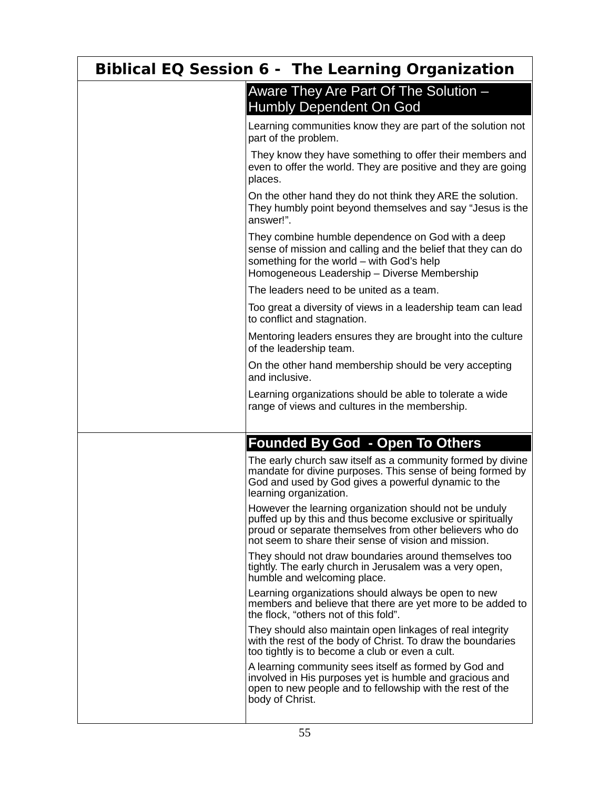| Biblical EQ Session 6 - The Learning Organization                                                                                                                                                                                        |
|------------------------------------------------------------------------------------------------------------------------------------------------------------------------------------------------------------------------------------------|
| Aware They Are Part Of The Solution -<br>Humbly Dependent On God                                                                                                                                                                         |
| Learning communities know they are part of the solution not<br>part of the problem.                                                                                                                                                      |
| They know they have something to offer their members and<br>even to offer the world. They are positive and they are going<br>places.                                                                                                     |
| On the other hand they do not think they ARE the solution.<br>They humbly point beyond themselves and say "Jesus is the<br>answer!".                                                                                                     |
| They combine humble dependence on God with a deep<br>sense of mission and calling and the belief that they can do<br>something for the world - with God's help<br>Homogeneous Leadership - Diverse Membership                            |
| The leaders need to be united as a team.                                                                                                                                                                                                 |
| Too great a diversity of views in a leadership team can lead<br>to conflict and stagnation.                                                                                                                                              |
| Mentoring leaders ensures they are brought into the culture<br>of the leadership team.                                                                                                                                                   |
| On the other hand membership should be very accepting<br>and inclusive.                                                                                                                                                                  |
| Learning organizations should be able to tolerate a wide<br>range of views and cultures in the membership.                                                                                                                               |
| <b>Founded By God - Open To Others</b>                                                                                                                                                                                                   |
| The early church saw itself as a community formed by divine<br>mandate for divine purposes. This sense of being formed by<br>God and used by God gives a powerful dynamic to the<br>learning organization.                               |
| However the learning organization should not be unduly<br>puffed up by this and thus become exclusive or spiritually<br>proud or separate themselves from other believers who do<br>not seem to share their sense of vision and mission. |
| They should not draw boundaries around themselves too<br>tightly. The early church in Jerusalem was a very open,<br>humble and welcoming place.                                                                                          |
| Learning organizations should always be open to new<br>members and believe that there are yet more to be added to<br>the flock, "others not of this fold".                                                                               |
| They should also maintain open linkages of real integrity<br>with the rest of the body of Christ. To draw the boundaries<br>too tightly is to become a club or even a cult.                                                              |
| A learning community sees itself as formed by God and<br>involved in His purposes yet is humble and gracious and<br>open to new people and to fellowship with the rest of the<br>body of Christ.                                         |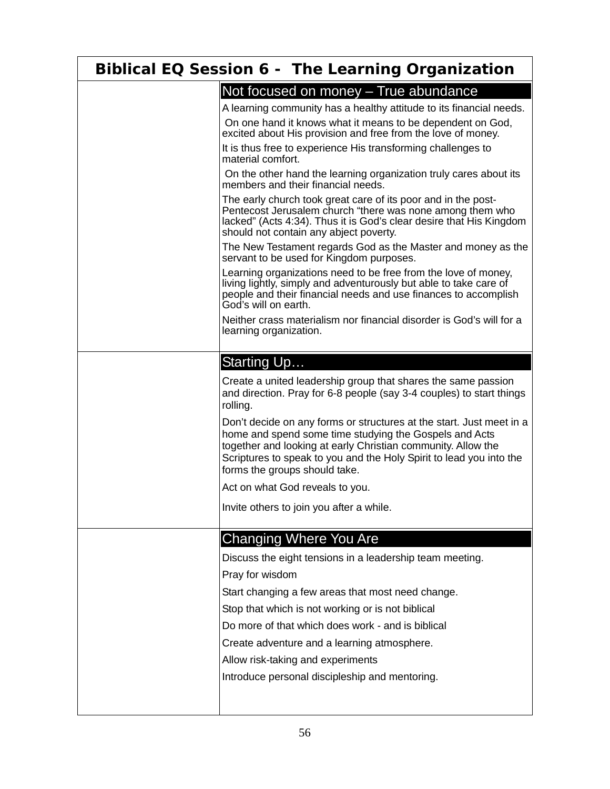| Biblical EQ Session 6 - The Learning Organization                                                                                                                                                                                                                                                      |
|--------------------------------------------------------------------------------------------------------------------------------------------------------------------------------------------------------------------------------------------------------------------------------------------------------|
| Not focused on money – True abundance                                                                                                                                                                                                                                                                  |
| A learning community has a healthy attitude to its financial needs.                                                                                                                                                                                                                                    |
| On one hand it knows what it means to be dependent on God,<br>excited about His provision and free from the love of money.                                                                                                                                                                             |
| It is thus free to experience His transforming challenges to<br>material comfort.                                                                                                                                                                                                                      |
| On the other hand the learning organization truly cares about its<br>members and their financial needs.                                                                                                                                                                                                |
| The early church took great care of its poor and in the post-<br>Pentecost Jerusalem church "there was none among them who<br>lacked" (Acts 4:34). Thus it is God's clear desire that His Kingdom<br>should not contain any abject poverty.                                                            |
| The New Testament regards God as the Master and money as the<br>servant to be used for Kingdom purposes.                                                                                                                                                                                               |
| Learning organizations need to be free from the love of money,<br>living lightly, simply and adventurously but able to take care of<br>people and their financial needs and use finances to accomplish<br>God's will on earth.                                                                         |
| Neither crass materialism nor financial disorder is God's will for a<br>learning organization.                                                                                                                                                                                                         |
| Starting Up                                                                                                                                                                                                                                                                                            |
| Create a united leadership group that shares the same passion<br>and direction. Pray for 6-8 people (say 3-4 couples) to start things<br>rolling.                                                                                                                                                      |
| Don't decide on any forms or structures at the start. Just meet in a<br>home and spend some time studying the Gospels and Acts<br>together and looking at early Christian community. Allow the<br>Scriptures to speak to you and the Holy Spirit to lead you into the<br>forms the groups should take. |
| Act on what God reveals to you.                                                                                                                                                                                                                                                                        |
| Invite others to join you after a while.                                                                                                                                                                                                                                                               |
| <b>Changing Where You Are</b>                                                                                                                                                                                                                                                                          |
| Discuss the eight tensions in a leadership team meeting.                                                                                                                                                                                                                                               |
| Pray for wisdom                                                                                                                                                                                                                                                                                        |
| Start changing a few areas that most need change.                                                                                                                                                                                                                                                      |
| Stop that which is not working or is not biblical                                                                                                                                                                                                                                                      |
| Do more of that which does work - and is biblical                                                                                                                                                                                                                                                      |
| Create adventure and a learning atmosphere.                                                                                                                                                                                                                                                            |
| Allow risk-taking and experiments                                                                                                                                                                                                                                                                      |
| Introduce personal discipleship and mentoring.                                                                                                                                                                                                                                                         |
|                                                                                                                                                                                                                                                                                                        |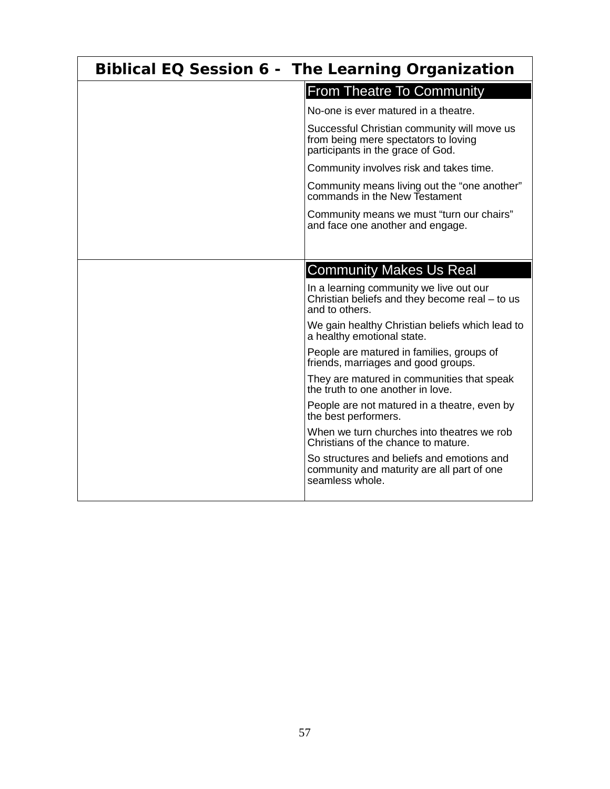| <b>Biblical EQ Session 6 -</b><br><b>The Learning Organization</b> |                                                                                                                          |
|--------------------------------------------------------------------|--------------------------------------------------------------------------------------------------------------------------|
|                                                                    | <b>From Theatre To Community</b>                                                                                         |
|                                                                    | No-one is ever matured in a theatre.                                                                                     |
|                                                                    | Successful Christian community will move us<br>from being mere spectators to loving<br>participants in the grace of God. |
|                                                                    | Community involves risk and takes time.                                                                                  |
|                                                                    | Community means living out the "one another"<br>commands in the New Testament                                            |
|                                                                    | Community means we must "turn our chairs"<br>and face one another and engage.                                            |
|                                                                    |                                                                                                                          |
|                                                                    | <b>Community Makes Us Real</b>                                                                                           |
|                                                                    | In a learning community we live out our<br>Christian beliefs and they become real - to us<br>and to others.              |
|                                                                    | We gain healthy Christian beliefs which lead to<br>a healthy emotional state.                                            |
|                                                                    | People are matured in families, groups of<br>friends, marriages and good groups.                                         |
|                                                                    | They are matured in communities that speak<br>the truth to one another in love.                                          |
|                                                                    | People are not matured in a theatre, even by<br>the best performers.                                                     |
|                                                                    | When we turn churches into theatres we rob<br>Christians of the chance to mature.                                        |
|                                                                    | So structures and beliefs and emotions and<br>community and maturity are all part of one<br>seamless whole.              |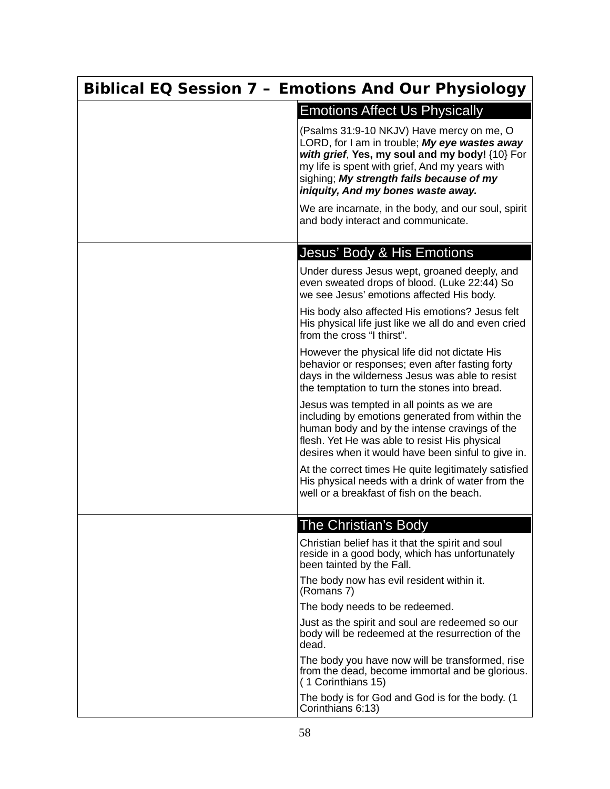| Biblical EQ Session 7 – Emotions And Our Physiology                                                                                                                                                                                                                              |
|----------------------------------------------------------------------------------------------------------------------------------------------------------------------------------------------------------------------------------------------------------------------------------|
| <b>Emotions Affect Us Physically</b>                                                                                                                                                                                                                                             |
| (Psalms 31:9-10 NKJV) Have mercy on me, O<br>LORD, for I am in trouble; My eye wastes away<br>with grief, Yes, my soul and my body! {10} For<br>my life is spent with grief, And my years with<br>sighing; My strength fails because of my<br>iniquity, And my bones waste away. |
| We are incarnate, in the body, and our soul, spirit<br>and body interact and communicate.                                                                                                                                                                                        |
| Jesus' Body & His Emotions                                                                                                                                                                                                                                                       |
| Under duress Jesus wept, groaned deeply, and<br>even sweated drops of blood. (Luke 22:44) So<br>we see Jesus' emotions affected His body.                                                                                                                                        |
| His body also affected His emotions? Jesus felt<br>His physical life just like we all do and even cried<br>from the cross "I thirst".                                                                                                                                            |
| However the physical life did not dictate His<br>behavior or responses; even after fasting forty<br>days in the wilderness Jesus was able to resist<br>the temptation to turn the stones into bread.                                                                             |
| Jesus was tempted in all points as we are<br>including by emotions generated from within the<br>human body and by the intense cravings of the<br>flesh. Yet He was able to resist His physical<br>desires when it would have been sinful to give in.                             |
| At the correct times He quite legitimately satisfied<br>His physical needs with a drink of water from the<br>well or a breakfast of fish on the beach.                                                                                                                           |
| <b>The Christian's Body</b>                                                                                                                                                                                                                                                      |
| Christian belief has it that the spirit and soul<br>reside in a good body, which has unfortunately<br>been tainted by the Fall.                                                                                                                                                  |
| The body now has evil resident within it.<br>(Romans 7)                                                                                                                                                                                                                          |
| The body needs to be redeemed.                                                                                                                                                                                                                                                   |
| Just as the spirit and soul are redeemed so our<br>body will be redeemed at the resurrection of the<br>dead.                                                                                                                                                                     |
| The body you have now will be transformed, rise<br>from the dead, become immortal and be glorious.<br>(1 Corinthians 15)                                                                                                                                                         |
| The body is for God and God is for the body. (1<br>Corinthians 6:13)                                                                                                                                                                                                             |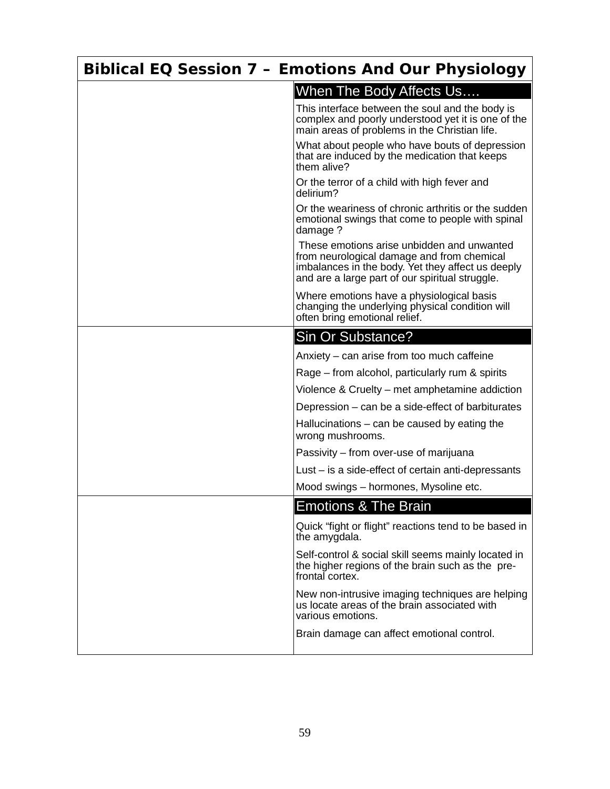| Biblical EQ Session 7 – Emotions And Our Physiology                                                                                                                                              |
|--------------------------------------------------------------------------------------------------------------------------------------------------------------------------------------------------|
| When The Body Affects Us                                                                                                                                                                         |
| This interface between the soul and the body is<br>complex and poorly understood yet it is one of the<br>main areas of problems in the Christian life.                                           |
| What about people who have bouts of depression<br>that are induced by the medication that keeps<br>them alive?                                                                                   |
| Or the terror of a child with high fever and<br>delirium?                                                                                                                                        |
| Or the weariness of chronic arthritis or the sudden<br>emotional swings that come to people with spinal<br>damage?                                                                               |
| These emotions arise unbidden and unwanted<br>from neurological damage and from chemical<br>imbalances in the body. Yet they affect us deeply<br>and are a large part of our spiritual struggle. |
| Where emotions have a physiological basis<br>changing the underlying physical condition will<br>often bring emotional relief.                                                                    |
| Sin Or Substance?                                                                                                                                                                                |
| Anxiety – can arise from too much caffeine                                                                                                                                                       |
| Rage – from alcohol, particularly rum & spirits                                                                                                                                                  |
| Violence & Cruelty – met amphetamine addiction                                                                                                                                                   |
| Depression – can be a side-effect of barbiturates                                                                                                                                                |
| Hallucinations $-$ can be caused by eating the<br>wrong mushrooms.                                                                                                                               |
| Passivity – from over-use of marijuana                                                                                                                                                           |
| Lust – is a side-effect of certain anti-depressants                                                                                                                                              |
| Mood swings - hormones, Mysoline etc.                                                                                                                                                            |
| <b>Emotions &amp; The Brain</b>                                                                                                                                                                  |
| Quick "fight or flight" reactions tend to be based in<br>the amygdala.                                                                                                                           |
| Self-control & social skill seems mainly located in<br>the higher regions of the brain such as the pre-<br>frontal cortex.                                                                       |
| New non-intrusive imaging techniques are helping<br>us locate areas of the brain associated with<br>various emotions.                                                                            |
| Brain damage can affect emotional control.                                                                                                                                                       |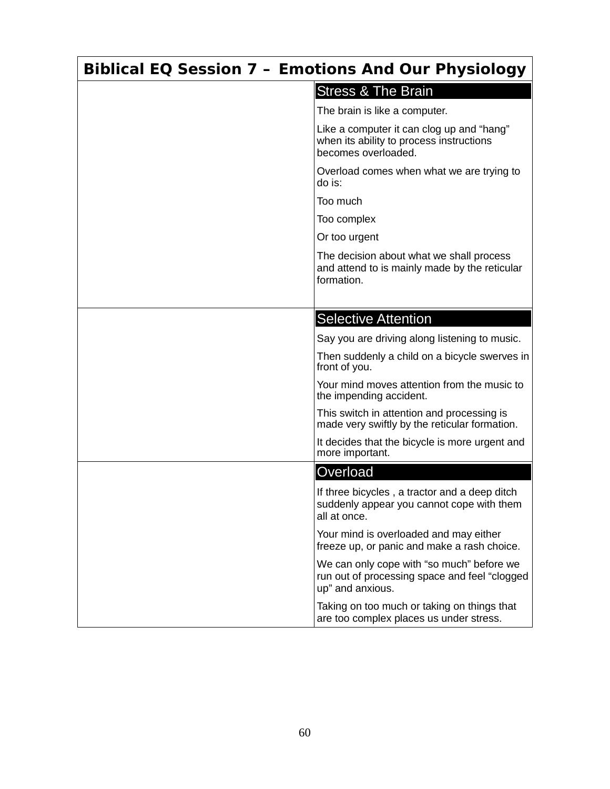| Biblical EQ Session 7 - Emotions And Our Physiology |                                                                                                                |
|-----------------------------------------------------|----------------------------------------------------------------------------------------------------------------|
|                                                     | <b>Stress &amp; The Brain</b>                                                                                  |
|                                                     | The brain is like a computer.                                                                                  |
|                                                     | Like a computer it can clog up and "hang"<br>when its ability to process instructions<br>becomes overloaded.   |
|                                                     | Overload comes when what we are trying to<br>do is:                                                            |
|                                                     | Too much                                                                                                       |
|                                                     | Too complex                                                                                                    |
|                                                     | Or too urgent                                                                                                  |
|                                                     | The decision about what we shall process<br>and attend to is mainly made by the reticular<br>formation.        |
|                                                     |                                                                                                                |
|                                                     | <b>Selective Attention</b>                                                                                     |
|                                                     | Say you are driving along listening to music.                                                                  |
|                                                     | Then suddenly a child on a bicycle swerves in<br>front of you.                                                 |
|                                                     | Your mind moves attention from the music to<br>the impending accident.                                         |
|                                                     | This switch in attention and processing is<br>made very swiftly by the reticular formation.                    |
|                                                     | It decides that the bicycle is more urgent and<br>more important.                                              |
|                                                     | Overload                                                                                                       |
|                                                     | If three bicycles, a tractor and a deep ditch<br>suddenly appear you cannot cope with them<br>all at once.     |
|                                                     | Your mind is overloaded and may either<br>freeze up, or panic and make a rash choice.                          |
|                                                     | We can only cope with "so much" before we<br>run out of processing space and feel "clogged<br>up" and anxious. |
|                                                     | Taking on too much or taking on things that<br>are too complex places us under stress.                         |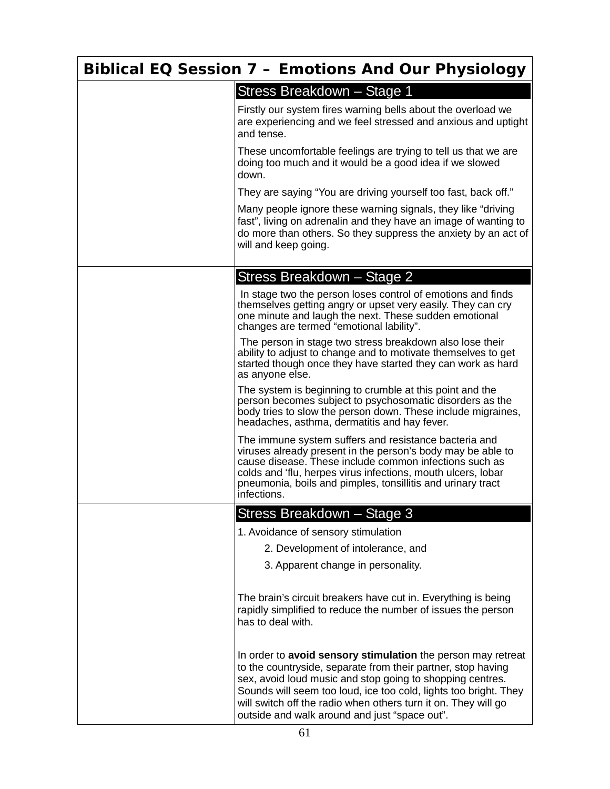| Biblical EQ Session 7 – Emotions And Our Physiology |                                                                                                                                                                                                                                                                                                                                                                                  |  |
|-----------------------------------------------------|----------------------------------------------------------------------------------------------------------------------------------------------------------------------------------------------------------------------------------------------------------------------------------------------------------------------------------------------------------------------------------|--|
|                                                     | Stress Breakdown - Stage 1                                                                                                                                                                                                                                                                                                                                                       |  |
|                                                     | Firstly our system fires warning bells about the overload we<br>are experiencing and we feel stressed and anxious and uptight<br>and tense.                                                                                                                                                                                                                                      |  |
|                                                     | These uncomfortable feelings are trying to tell us that we are<br>doing too much and it would be a good idea if we slowed<br>down.                                                                                                                                                                                                                                               |  |
|                                                     | They are saying "You are driving yourself too fast, back off."                                                                                                                                                                                                                                                                                                                   |  |
|                                                     | Many people ignore these warning signals, they like "driving"<br>fast", living on adrenalin and they have an image of wanting to<br>do more than others. So they suppress the anxiety by an act of<br>will and keep going.                                                                                                                                                       |  |
|                                                     | Stress Breakdown - Stage 2                                                                                                                                                                                                                                                                                                                                                       |  |
|                                                     | In stage two the person loses control of emotions and finds<br>themselves getting angry or upset very easily. They can cry<br>one minute and laugh the next. These sudden emotional<br>changes are termed "emotional lability".                                                                                                                                                  |  |
|                                                     | The person in stage two stress breakdown also lose their<br>ability to adjust to change and to motivate themselves to get<br>started though once they have started they can work as hard<br>as anyone else.                                                                                                                                                                      |  |
|                                                     | The system is beginning to crumble at this point and the<br>person becomes subject to psychosomatic disorders as the<br>body tries to slow the person down. These include migraines,<br>headaches, asthma, dermatitis and hay fever.                                                                                                                                             |  |
|                                                     | The immune system suffers and resistance bacteria and<br>viruses already present in the person's body may be able to<br>cause disease. These include common infections such as<br>colds and 'flu, herpes virus infections, mouth ulcers, lobar<br>pneumonia, boils and pimples, tonsillitis and urinary tract<br>infections.                                                     |  |
|                                                     | Stress Breakdown - Stage 3                                                                                                                                                                                                                                                                                                                                                       |  |
|                                                     | 1. Avoidance of sensory stimulation                                                                                                                                                                                                                                                                                                                                              |  |
|                                                     | 2. Development of intolerance, and                                                                                                                                                                                                                                                                                                                                               |  |
|                                                     | 3. Apparent change in personality.                                                                                                                                                                                                                                                                                                                                               |  |
|                                                     | The brain's circuit breakers have cut in. Everything is being<br>rapidly simplified to reduce the number of issues the person<br>has to deal with.                                                                                                                                                                                                                               |  |
|                                                     | In order to avoid sensory stimulation the person may retreat<br>to the countryside, separate from their partner, stop having<br>sex, avoid loud music and stop going to shopping centres.<br>Sounds will seem too loud, ice too cold, lights too bright. They<br>will switch off the radio when others turn it on. They will go<br>outside and walk around and just "space out". |  |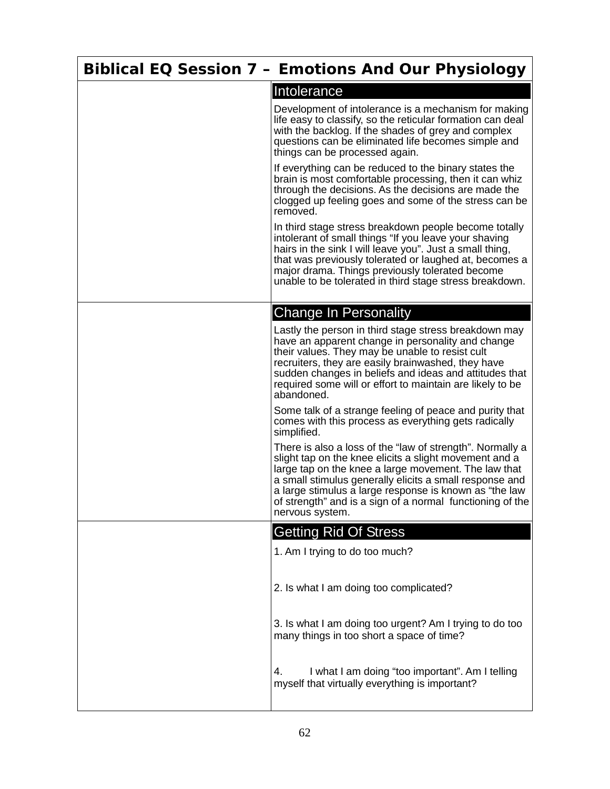| Biblical EQ Session 7 – Emotions And Our Physiology                                                                                                                                                                                                                                                                                                                              |
|----------------------------------------------------------------------------------------------------------------------------------------------------------------------------------------------------------------------------------------------------------------------------------------------------------------------------------------------------------------------------------|
| Intolerance                                                                                                                                                                                                                                                                                                                                                                      |
| Development of intolerance is a mechanism for making<br>life easy to classify, so the reticular formation can deal<br>with the backlog. If the shades of grey and complex<br>questions can be eliminated life becomes simple and<br>things can be processed again.                                                                                                               |
| If everything can be reduced to the binary states the<br>brain is most comfortable processing, then it can whiz<br>through the decisions. As the decisions are made the<br>clogged up feeling goes and some of the stress can be<br>removed.                                                                                                                                     |
| In third stage stress breakdown people become totally<br>intolerant of small things "If you leave your shaving<br>hairs in the sink I will leave you". Just a small thing,<br>that was previously tolerated or laughed at, becomes a<br>major drama. Things previously tolerated become<br>unable to be tolerated in third stage stress breakdown.                               |
| <b>Change In Personality</b>                                                                                                                                                                                                                                                                                                                                                     |
| Lastly the person in third stage stress breakdown may<br>have an apparent change in personality and change<br>their values. They may be unable to resist cult<br>recruiters, they are easily brainwashed, they have<br>sudden changes in beliefs and ideas and attitudes that<br>required some will or effort to maintain are likely to be<br>abandoned.                         |
| Some talk of a strange feeling of peace and purity that<br>comes with this process as everything gets radically<br>simplified.                                                                                                                                                                                                                                                   |
| There is also a loss of the "law of strength". Normally a<br>slight tap on the knee elicits a slight movement and a<br>large tap on the knee a large movement. The law that<br>a small stimulus generally elicits a small response and<br>a large stimulus a large response is known as "the law<br>of strength" and is a sign of a normal functioning of the<br>nervous system. |
| <b>Getting Rid Of Stress</b>                                                                                                                                                                                                                                                                                                                                                     |
| 1. Am I trying to do too much?                                                                                                                                                                                                                                                                                                                                                   |
| 2. Is what I am doing too complicated?                                                                                                                                                                                                                                                                                                                                           |
| 3. Is what I am doing too urgent? Am I trying to do too<br>many things in too short a space of time?                                                                                                                                                                                                                                                                             |
| I what I am doing "too important". Am I telling<br>4.<br>myself that virtually everything is important?                                                                                                                                                                                                                                                                          |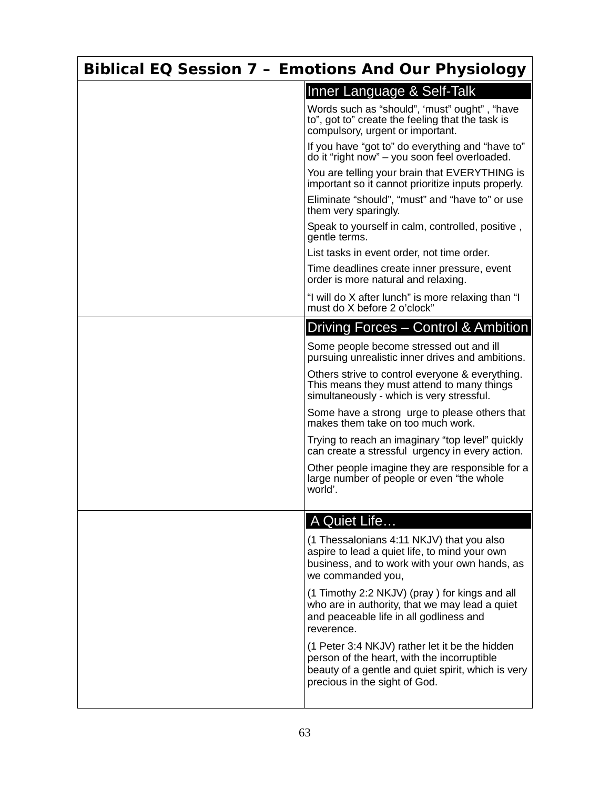| Biblical EQ Session 7 - Emotions And Our Physiology                                                                                                                                  |
|--------------------------------------------------------------------------------------------------------------------------------------------------------------------------------------|
| Inner Language & Self-Talk                                                                                                                                                           |
| Words such as "should", 'must" ought", "have<br>to", got to" create the feeling that the task is<br>compulsory, urgent or important.                                                 |
| If you have "got to" do everything and "have to"<br>do it "right now" - you soon feel overloaded.                                                                                    |
| You are telling your brain that EVERYTHING is<br>important so it cannot prioritize inputs properly.                                                                                  |
| Eliminate "should", "must" and "have to" or use<br>them very sparingly.                                                                                                              |
| Speak to yourself in calm, controlled, positive,<br>gentle terms.                                                                                                                    |
| List tasks in event order, not time order.                                                                                                                                           |
| Time deadlines create inner pressure, event<br>order is more natural and relaxing.                                                                                                   |
| "I will do X after lunch" is more relaxing than "I<br>must do X before 2 o'clock"                                                                                                    |
| Driving Forces - Control & Ambition                                                                                                                                                  |
| Some people become stressed out and ill<br>pursuing unrealistic inner drives and ambitions.                                                                                          |
| Others strive to control everyone & everything.<br>This means they must attend to many things<br>simultaneously - which is very stressful.                                           |
| Some have a strong urge to please others that<br>makes them take on too much work.                                                                                                   |
| Trying to reach an imaginary "top level" quickly<br>can create a stressful urgency in every action.                                                                                  |
| Other people imagine they are responsible for a<br>large number of people or even "the whole<br>world'.                                                                              |
| A Quiet Life                                                                                                                                                                         |
| (1 Thessalonians 4:11 NKJV) that you also<br>aspire to lead a quiet life, to mind your own<br>business, and to work with your own hands, as<br>we commanded you,                     |
| (1 Timothy 2:2 NKJV) (pray) for kings and all<br>who are in authority, that we may lead a quiet<br>and peaceable life in all godliness and<br>reverence.                             |
| (1 Peter 3:4 NKJV) rather let it be the hidden<br>person of the heart, with the incorruptible<br>beauty of a gentle and quiet spirit, which is very<br>precious in the sight of God. |
|                                                                                                                                                                                      |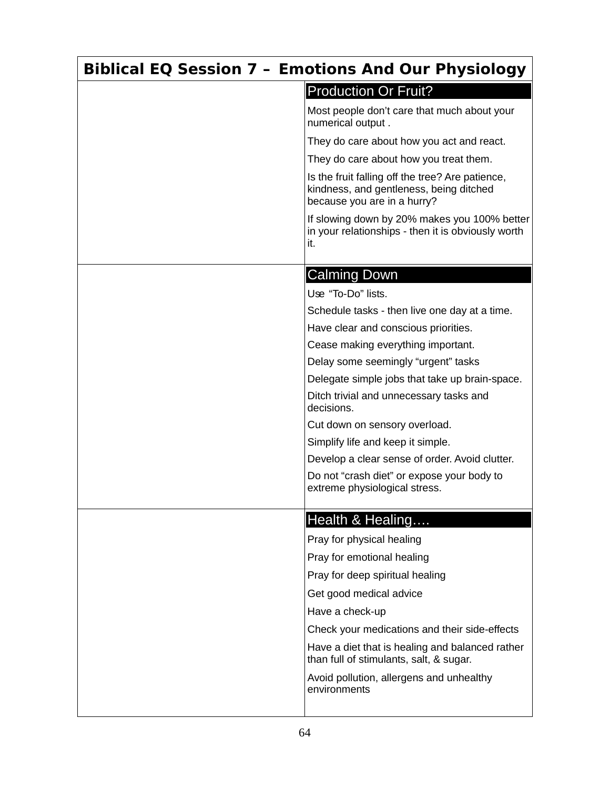| Biblical EQ Session 7 - Emotions And Our Physiology                                                                        |
|----------------------------------------------------------------------------------------------------------------------------|
| <b>Production Or Fruit?</b>                                                                                                |
| Most people don't care that much about your<br>numerical output.                                                           |
| They do care about how you act and react.                                                                                  |
| They do care about how you treat them.                                                                                     |
| Is the fruit falling off the tree? Are patience,<br>kindness, and gentleness, being ditched<br>because you are in a hurry? |
| If slowing down by 20% makes you 100% better<br>in your relationships - then it is obviously worth<br>it.                  |
| Calming Down                                                                                                               |
| Use "To-Do" lists.                                                                                                         |
| Schedule tasks - then live one day at a time.                                                                              |
| Have clear and conscious priorities.                                                                                       |
| Cease making everything important.                                                                                         |
| Delay some seemingly "urgent" tasks                                                                                        |
| Delegate simple jobs that take up brain-space.                                                                             |
| Ditch trivial and unnecessary tasks and<br>decisions.                                                                      |
| Cut down on sensory overload.                                                                                              |
| Simplify life and keep it simple.                                                                                          |
| Develop a clear sense of order. Avoid clutter.                                                                             |
| Do not "crash diet" or expose your body to<br>extreme physiological stress.                                                |
| Health & Healing                                                                                                           |
| Pray for physical healing                                                                                                  |
| Pray for emotional healing                                                                                                 |
| Pray for deep spiritual healing                                                                                            |
| Get good medical advice                                                                                                    |
| Have a check-up                                                                                                            |
| Check your medications and their side-effects                                                                              |
| Have a diet that is healing and balanced rather<br>than full of stimulants, salt, & sugar.                                 |
| Avoid pollution, allergens and unhealthy<br>environments                                                                   |
|                                                                                                                            |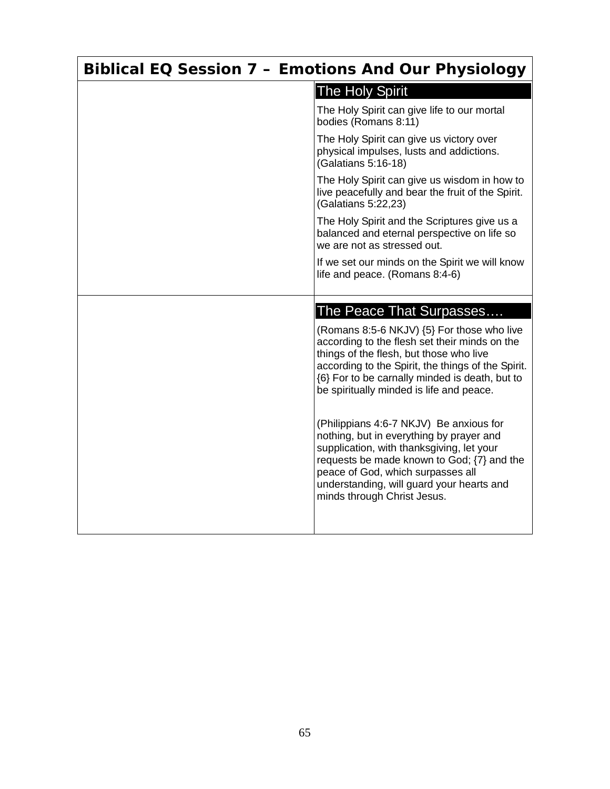| Biblical EQ Session 7 - Emotions And Our Physiology |                                                                                                                                                                                                                                                                                                 |
|-----------------------------------------------------|-------------------------------------------------------------------------------------------------------------------------------------------------------------------------------------------------------------------------------------------------------------------------------------------------|
|                                                     | <b>The Holy Spirit</b>                                                                                                                                                                                                                                                                          |
|                                                     | The Holy Spirit can give life to our mortal<br>bodies (Romans 8:11)                                                                                                                                                                                                                             |
|                                                     | The Holy Spirit can give us victory over<br>physical impulses, lusts and addictions.<br>(Galatians 5:16-18)                                                                                                                                                                                     |
|                                                     | The Holy Spirit can give us wisdom in how to<br>live peacefully and bear the fruit of the Spirit.<br>(Galatians 5:22,23)                                                                                                                                                                        |
|                                                     | The Holy Spirit and the Scriptures give us a<br>balanced and eternal perspective on life so<br>we are not as stressed out.                                                                                                                                                                      |
|                                                     | If we set our minds on the Spirit we will know<br>life and peace. (Romans 8:4-6)                                                                                                                                                                                                                |
|                                                     | The Peace That Surpasses                                                                                                                                                                                                                                                                        |
|                                                     | (Romans 8:5-6 NKJV) {5} For those who live<br>according to the flesh set their minds on the<br>things of the flesh, but those who live<br>according to the Spirit, the things of the Spirit.<br>{6} For to be carnally minded is death, but to<br>be spiritually minded is life and peace.      |
|                                                     | (Philippians 4:6-7 NKJV) Be anxious for<br>nothing, but in everything by prayer and<br>supplication, with thanksgiving, let your<br>requests be made known to God; {7} and the<br>peace of God, which surpasses all<br>understanding, will guard your hearts and<br>minds through Christ Jesus. |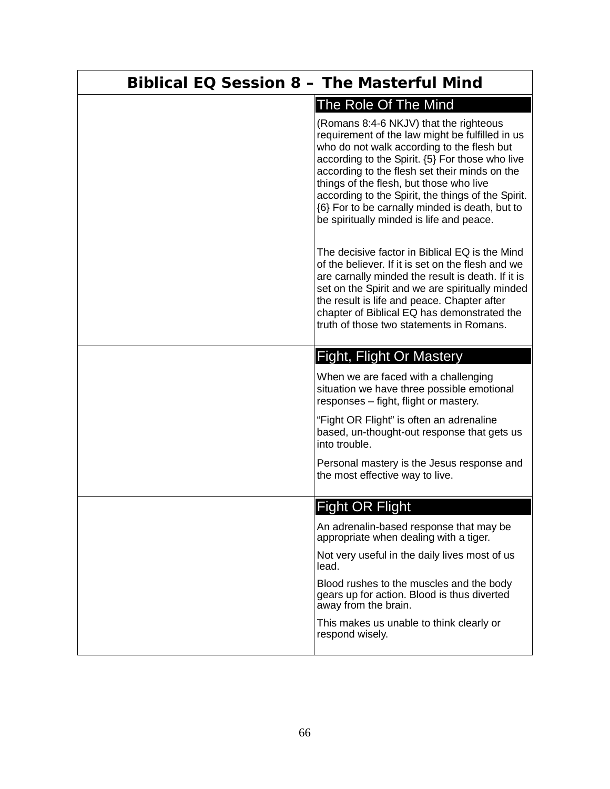| Biblical EQ Session 8 – The Masterful Mind |                                                                                                                                                                                                                                                                                                                                                                                                                                            |
|--------------------------------------------|--------------------------------------------------------------------------------------------------------------------------------------------------------------------------------------------------------------------------------------------------------------------------------------------------------------------------------------------------------------------------------------------------------------------------------------------|
|                                            | The Role Of The Mind                                                                                                                                                                                                                                                                                                                                                                                                                       |
|                                            | (Romans 8:4-6 NKJV) that the righteous<br>requirement of the law might be fulfilled in us<br>who do not walk according to the flesh but<br>according to the Spirit. {5} For those who live<br>according to the flesh set their minds on the<br>things of the flesh, but those who live<br>according to the Spirit, the things of the Spirit.<br>{6} For to be carnally minded is death, but to<br>be spiritually minded is life and peace. |
|                                            | The decisive factor in Biblical EQ is the Mind<br>of the believer. If it is set on the flesh and we<br>are carnally minded the result is death. If it is<br>set on the Spirit and we are spiritually minded<br>the result is life and peace. Chapter after<br>chapter of Biblical EQ has demonstrated the<br>truth of those two statements in Romans.                                                                                      |
|                                            | <b>Fight, Flight Or Mastery</b>                                                                                                                                                                                                                                                                                                                                                                                                            |
|                                            | When we are faced with a challenging<br>situation we have three possible emotional<br>responses - fight, flight or mastery.                                                                                                                                                                                                                                                                                                                |
|                                            | "Fight OR Flight" is often an adrenaline<br>based, un-thought-out response that gets us<br>into trouble.                                                                                                                                                                                                                                                                                                                                   |
|                                            | Personal mastery is the Jesus response and<br>the most effective way to live.                                                                                                                                                                                                                                                                                                                                                              |
|                                            | <b>Fight OR Flight</b>                                                                                                                                                                                                                                                                                                                                                                                                                     |
|                                            | An adrenalin-based response that may be<br>appropriate when dealing with a tiger.                                                                                                                                                                                                                                                                                                                                                          |
|                                            | Not very useful in the daily lives most of us<br>lead.                                                                                                                                                                                                                                                                                                                                                                                     |
|                                            | Blood rushes to the muscles and the body<br>gears up for action. Blood is thus diverted<br>away from the brain.                                                                                                                                                                                                                                                                                                                            |
|                                            | This makes us unable to think clearly or<br>respond wisely.                                                                                                                                                                                                                                                                                                                                                                                |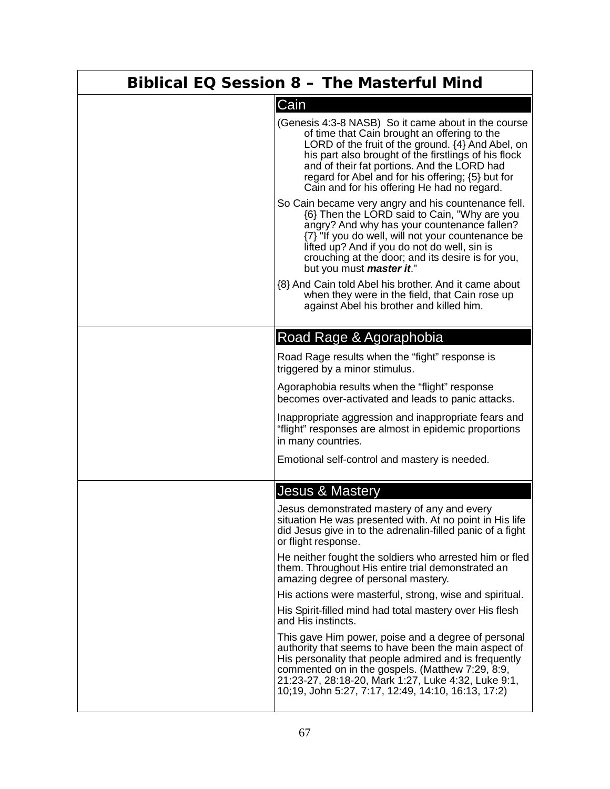| Biblical EQ Session 8 – The Masterful Mind |                                                                                                                                                                                                                                                                                                                                                                     |
|--------------------------------------------|---------------------------------------------------------------------------------------------------------------------------------------------------------------------------------------------------------------------------------------------------------------------------------------------------------------------------------------------------------------------|
|                                            | Cain                                                                                                                                                                                                                                                                                                                                                                |
|                                            | (Genesis 4:3-8 NASB) So it came about in the course<br>of time that Cain brought an offering to the<br>LORD of the fruit of the ground. {4} And Abel, on<br>his part also brought of the firstlings of his flock<br>and of their fat portions. And the LORD had<br>regard for Abel and for his offering; {5} but for<br>Cain and for his offering He had no regard. |
|                                            | So Cain became very angry and his countenance fell.<br>{6} Then the LORD said to Cain, "Why are you<br>angry? And why has your countenance fallen?<br>{7} "If you do well, will not your countenance be<br>lifted up? And if you do not do well, sin is<br>crouching at the door; and its desire is for you,<br>but you must <i>master it.</i> "                    |
|                                            | {8} And Cain told Abel his brother. And it came about<br>when they were in the field, that Cain rose up<br>against Abel his brother and killed him.                                                                                                                                                                                                                 |
|                                            | Road Rage & Agoraphobia                                                                                                                                                                                                                                                                                                                                             |
|                                            | Road Rage results when the "fight" response is<br>triggered by a minor stimulus.                                                                                                                                                                                                                                                                                    |
|                                            | Agoraphobia results when the "flight" response<br>becomes over-activated and leads to panic attacks.                                                                                                                                                                                                                                                                |
|                                            | Inappropriate aggression and inappropriate fears and<br>"flight" responses are almost in epidemic proportions<br>in many countries.                                                                                                                                                                                                                                 |
|                                            | Emotional self-control and mastery is needed.                                                                                                                                                                                                                                                                                                                       |
|                                            | Jesus & Mastery                                                                                                                                                                                                                                                                                                                                                     |
|                                            | Jesus demonstrated mastery of any and every<br>situation He was presented with. At no point in His life<br>did Jesus give in to the adrenalin-filled panic of a fight<br>or flight response.                                                                                                                                                                        |
|                                            | He neither fought the soldiers who arrested him or fled<br>them. Throughout His entire trial demonstrated an<br>amazing degree of personal mastery.                                                                                                                                                                                                                 |
|                                            | His actions were masterful, strong, wise and spiritual.                                                                                                                                                                                                                                                                                                             |
|                                            | His Spirit-filled mind had total mastery over His flesh<br>and His instincts.                                                                                                                                                                                                                                                                                       |
|                                            | This gave Him power, poise and a degree of personal<br>authority that seems to have been the main aspect of<br>His personality that people admired and is frequently<br>commented on in the gospels. (Matthew 7:29, 8:9,<br>21:23-27, 28:18-20, Mark 1:27, Luke 4:32, Luke 9:1,<br>10;19, John 5:27, 7:17, 12:49, 14:10, 16:13, 17:2)                               |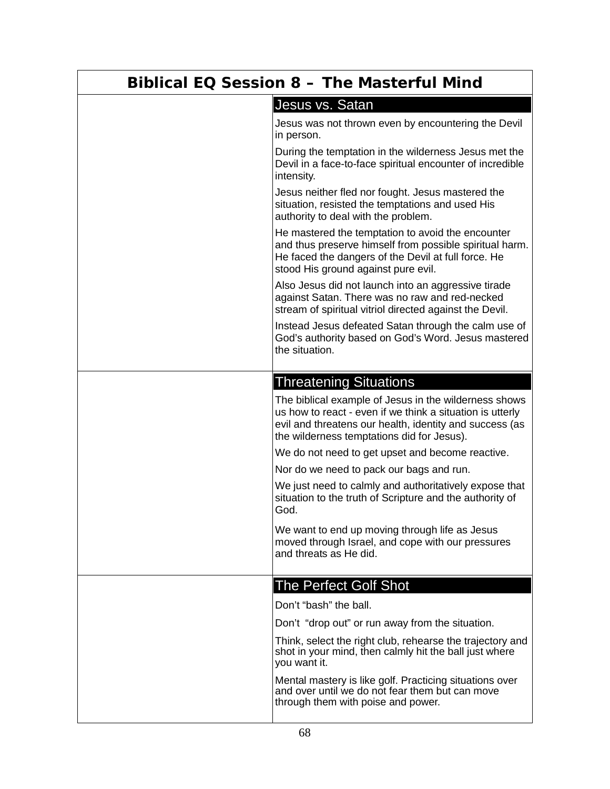| Biblical EQ Session 8 – The Masterful Mind                                                                                                                                                                                  |
|-----------------------------------------------------------------------------------------------------------------------------------------------------------------------------------------------------------------------------|
| Jesus vs. Satan                                                                                                                                                                                                             |
| Jesus was not thrown even by encountering the Devil<br>in person.                                                                                                                                                           |
| During the temptation in the wilderness Jesus met the<br>Devil in a face-to-face spiritual encounter of incredible<br>intensity.                                                                                            |
| Jesus neither fled nor fought. Jesus mastered the<br>situation, resisted the temptations and used His<br>authority to deal with the problem.                                                                                |
| He mastered the temptation to avoid the encounter<br>and thus preserve himself from possible spiritual harm.<br>He faced the dangers of the Devil at full force. He<br>stood His ground against pure evil.                  |
| Also Jesus did not launch into an aggressive tirade<br>against Satan. There was no raw and red-necked<br>stream of spiritual vitriol directed against the Devil.                                                            |
| Instead Jesus defeated Satan through the calm use of<br>God's authority based on God's Word. Jesus mastered<br>the situation.                                                                                               |
| <b>Threatening Situations</b>                                                                                                                                                                                               |
| The biblical example of Jesus in the wilderness shows<br>us how to react - even if we think a situation is utterly<br>evil and threatens our health, identity and success (as<br>the wilderness temptations did for Jesus). |
| We do not need to get upset and become reactive.                                                                                                                                                                            |
| Nor do we need to pack our bags and run.                                                                                                                                                                                    |
| We just need to calmly and authoritatively expose that<br>situation to the truth of Scripture and the authority of<br>God.                                                                                                  |
| We want to end up moving through life as Jesus<br>moved through Israel, and cope with our pressures<br>and threats as He did.                                                                                               |
| The Perfect Golf Shot                                                                                                                                                                                                       |
| Don't "bash" the ball.                                                                                                                                                                                                      |
| Don't "drop out" or run away from the situation.                                                                                                                                                                            |
| Think, select the right club, rehearse the trajectory and<br>shot in your mind, then calmly hit the ball just where<br>you want it.                                                                                         |
| Mental mastery is like golf. Practicing situations over<br>and over until we do not fear them but can move<br>through them with poise and power.                                                                            |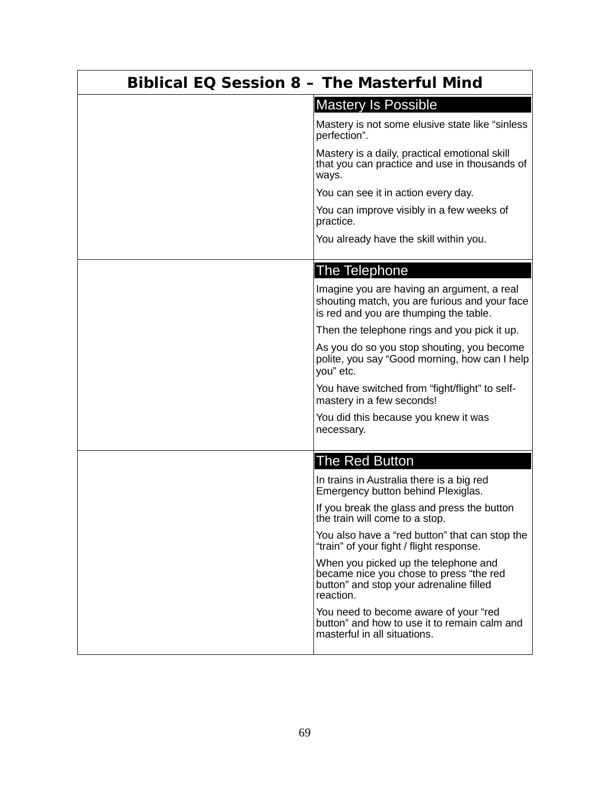| Biblical EQ Session 8 - The Masterful Mind |                                                                                                                                         |
|--------------------------------------------|-----------------------------------------------------------------------------------------------------------------------------------------|
|                                            | <b>Mastery Is Possible</b>                                                                                                              |
|                                            | Mastery is not some elusive state like "sinless<br>perfection".                                                                         |
|                                            | Mastery is a daily, practical emotional skill<br>that you can practice and use in thousands of<br>ways.                                 |
|                                            | You can see it in action every day.                                                                                                     |
|                                            | You can improve visibly in a few weeks of<br>practice.                                                                                  |
|                                            | You already have the skill within you.                                                                                                  |
|                                            | The Telephone                                                                                                                           |
|                                            | Imagine you are having an argument, a real<br>shouting match, you are furious and your face<br>is red and you are thumping the table.   |
|                                            | Then the telephone rings and you pick it up.                                                                                            |
|                                            | As you do so you stop shouting, you become<br>polite, you say "Good morning, how can I help<br>you" etc.                                |
|                                            | You have switched from "fight/flight" to self-<br>mastery in a few seconds!                                                             |
|                                            | You did this because you knew it was<br>necessary.                                                                                      |
|                                            | The Red Button                                                                                                                          |
|                                            | In trains in Australia there is a big red<br>Emergency button behind Plexiglas.                                                         |
|                                            | If you break the glass and press the button<br>the train will come to a stop.                                                           |
|                                            | You also have a "red button" that can stop the<br>"train" of your fight / flight response.                                              |
|                                            | When you picked up the telephone and<br>became nice you chose to press "the red<br>button" and stop your adrenaline filled<br>reaction. |
|                                            | You need to become aware of your "red<br>button" and how to use it to remain calm and<br>masterful in all situations.                   |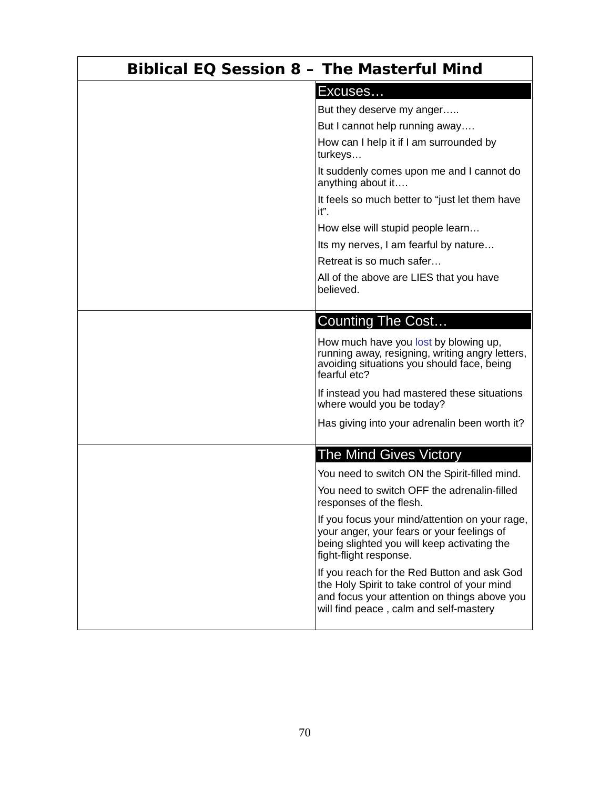| Biblical EQ Session 8 - The Masterful Mind |                                                                                                                                                                                       |
|--------------------------------------------|---------------------------------------------------------------------------------------------------------------------------------------------------------------------------------------|
|                                            | Excuses                                                                                                                                                                               |
|                                            | But they deserve my anger                                                                                                                                                             |
|                                            | But I cannot help running away                                                                                                                                                        |
|                                            | How can I help it if I am surrounded by<br>turkeys                                                                                                                                    |
|                                            | It suddenly comes upon me and I cannot do<br>anything about it                                                                                                                        |
|                                            | It feels so much better to "just let them have<br>it".                                                                                                                                |
|                                            | How else will stupid people learn                                                                                                                                                     |
|                                            | Its my nerves, I am fearful by nature                                                                                                                                                 |
|                                            | Retreat is so much safer                                                                                                                                                              |
|                                            | All of the above are LIES that you have<br>believed.                                                                                                                                  |
|                                            |                                                                                                                                                                                       |
|                                            | <b>Counting The Cost</b>                                                                                                                                                              |
|                                            | How much have you lost by blowing up,<br>running away, resigning, writing angry letters,<br>avoiding situations you should face, being<br>fearful etc?                                |
|                                            | If instead you had mastered these situations<br>where would you be today?                                                                                                             |
|                                            | Has giving into your adrenalin been worth it?                                                                                                                                         |
|                                            | The Mind Gives Victory                                                                                                                                                                |
|                                            | You need to switch ON the Spirit-filled mind.                                                                                                                                         |
|                                            | You need to switch OFF the adrenalin-filled<br>responses of the flesh.                                                                                                                |
|                                            | If you focus your mind/attention on your rage,<br>your anger, your fears or your feelings of<br>being slighted you will keep activating the<br>fight-flight response.                 |
|                                            | If you reach for the Red Button and ask God<br>the Holy Spirit to take control of your mind<br>and focus your attention on things above you<br>will find peace, calm and self-mastery |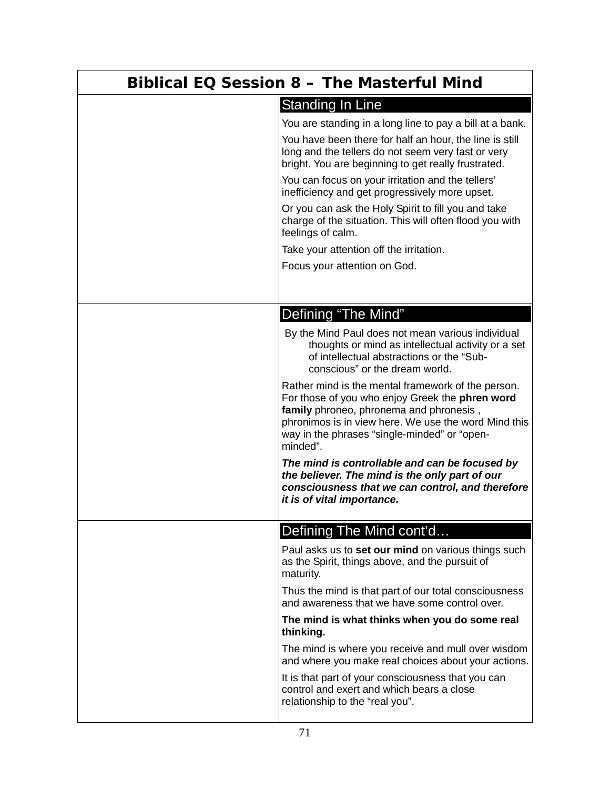| Biblical EQ Session 8 - The Masterful Mind |                                                                                                                                                                                                                                                                      |
|--------------------------------------------|----------------------------------------------------------------------------------------------------------------------------------------------------------------------------------------------------------------------------------------------------------------------|
|                                            | <b>Standing In Line</b>                                                                                                                                                                                                                                              |
|                                            | You are standing in a long line to pay a bill at a bank.                                                                                                                                                                                                             |
|                                            | You have been there for half an hour, the line is still<br>long and the tellers do not seem very fast or very<br>bright. You are beginning to get really frustrated.                                                                                                 |
|                                            | You can focus on your irritation and the tellers'<br>inefficiency and get progressively more upset.                                                                                                                                                                  |
|                                            | Or you can ask the Holy Spirit to fill you and take<br>charge of the situation. This will often flood you with<br>feelings of calm.                                                                                                                                  |
|                                            | Take your attention off the irritation.                                                                                                                                                                                                                              |
|                                            | Focus your attention on God.                                                                                                                                                                                                                                         |
|                                            |                                                                                                                                                                                                                                                                      |
|                                            | Defining "The Mind"                                                                                                                                                                                                                                                  |
|                                            | By the Mind Paul does not mean various individual<br>thoughts or mind as intellectual activity or a set<br>of intellectual abstractions or the "Sub-<br>conscious" or the dream world.                                                                               |
|                                            | Rather mind is the mental framework of the person.<br>For those of you who enjoy Greek the phren word<br>family phroneo, phronema and phronesis,<br>phronimos is in view here. We use the word Mind this<br>way in the phrases "single-minded" or "open-<br>minded". |
|                                            | The mind is controllable and can be focused by<br>the believer. The mind is the only part of our<br>consciousness that we can control, and therefore<br>it is of vital importance.                                                                                   |
|                                            | Defining The Mind cont'd                                                                                                                                                                                                                                             |
|                                            | Paul asks us to set our mind on various things such<br>as the Spirit, things above, and the pursuit of<br>maturity.                                                                                                                                                  |
|                                            | Thus the mind is that part of our total consciousness<br>and awareness that we have some control over.                                                                                                                                                               |
|                                            | The mind is what thinks when you do some real<br>thinking.                                                                                                                                                                                                           |
|                                            | The mind is where you receive and mull over wisdom<br>and where you make real choices about your actions.                                                                                                                                                            |
|                                            | It is that part of your consciousness that you can<br>control and exert and which bears a close<br>relationship to the "real you".                                                                                                                                   |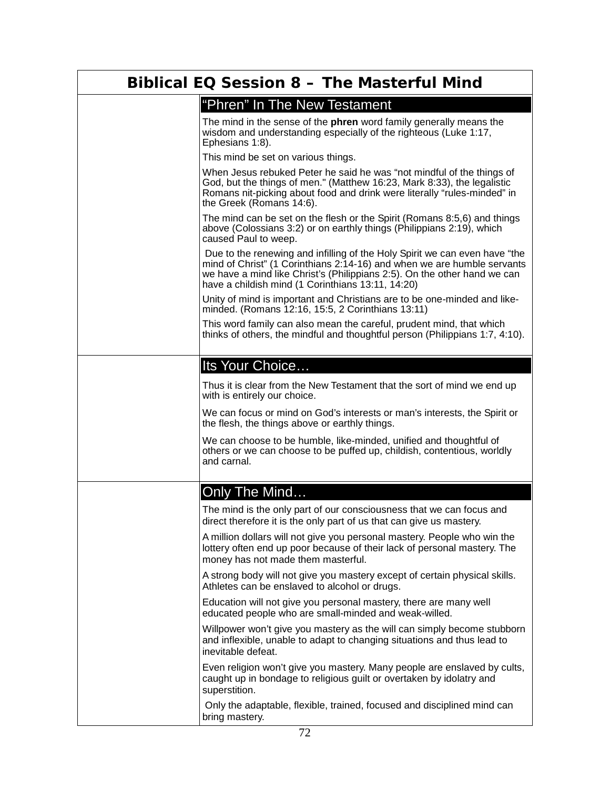| Biblical EQ Session 8 – The Masterful Mind                                                                                                                                                                                                                                             |
|----------------------------------------------------------------------------------------------------------------------------------------------------------------------------------------------------------------------------------------------------------------------------------------|
| "Phren" In The New Testament                                                                                                                                                                                                                                                           |
| The mind in the sense of the <b>phren</b> word family generally means the<br>wisdom and understanding especially of the righteous (Luke 1:17,<br>Ephesians 1:8).                                                                                                                       |
| This mind be set on various things.                                                                                                                                                                                                                                                    |
| When Jesus rebuked Peter he said he was "not mindful of the things of<br>God, but the things of men." (Matthew 16:23, Mark 8:33), the legalistic<br>Romans nit-picking about food and drink were literally "rules-minded" in<br>the Greek (Romans 14:6).                               |
| The mind can be set on the flesh or the Spirit (Romans 8:5,6) and things<br>above (Colossians 3:2) or on earthly things (Philippians 2:19), which<br>caused Paul to weep.                                                                                                              |
| Due to the renewing and infilling of the Holy Spirit we can even have "the<br>mind of Christ" (1 Corinthians 2:14-16) and when we are humble servants<br>we have a mind like Christ's (Philippians 2:5). On the other hand we can<br>have a childish mind (1 Corinthians 13:11, 14:20) |
| Unity of mind is important and Christians are to be one-minded and like-<br>minded. (Romans 12:16, 15:5, 2 Corinthians 13:11)                                                                                                                                                          |
| This word family can also mean the careful, prudent mind, that which<br>thinks of others, the mindful and thoughtful person (Philippians 1:7, 4:10).                                                                                                                                   |
| Its Your Choice                                                                                                                                                                                                                                                                        |
| Thus it is clear from the New Testament that the sort of mind we end up<br>with is entirely our choice.                                                                                                                                                                                |
| We can focus or mind on God's interests or man's interests, the Spirit or<br>the flesh, the things above or earthly things.                                                                                                                                                            |
| We can choose to be humble, like-minded, unified and thoughtful of<br>others or we can choose to be puffed up, childish, contentious, worldly<br>and carnal.                                                                                                                           |
| Only The Mind                                                                                                                                                                                                                                                                          |
| The mind is the only part of our consciousness that we can focus and<br>direct therefore it is the only part of us that can give us mastery.                                                                                                                                           |
| A million dollars will not give you personal mastery. People who win the<br>lottery often end up poor because of their lack of personal mastery. The<br>money has not made them masterful.                                                                                             |
| A strong body will not give you mastery except of certain physical skills.<br>Athletes can be enslaved to alcohol or drugs.                                                                                                                                                            |
| Education will not give you personal mastery, there are many well<br>educated people who are small-minded and weak-willed.                                                                                                                                                             |
| Willpower won't give you mastery as the will can simply become stubborn<br>and inflexible, unable to adapt to changing situations and thus lead to<br>inevitable defeat.                                                                                                               |
| Even religion won't give you mastery. Many people are enslaved by cults,<br>caught up in bondage to religious guilt or overtaken by idolatry and<br>superstition.                                                                                                                      |
| Only the adaptable, flexible, trained, focused and disciplined mind can<br>bring mastery.                                                                                                                                                                                              |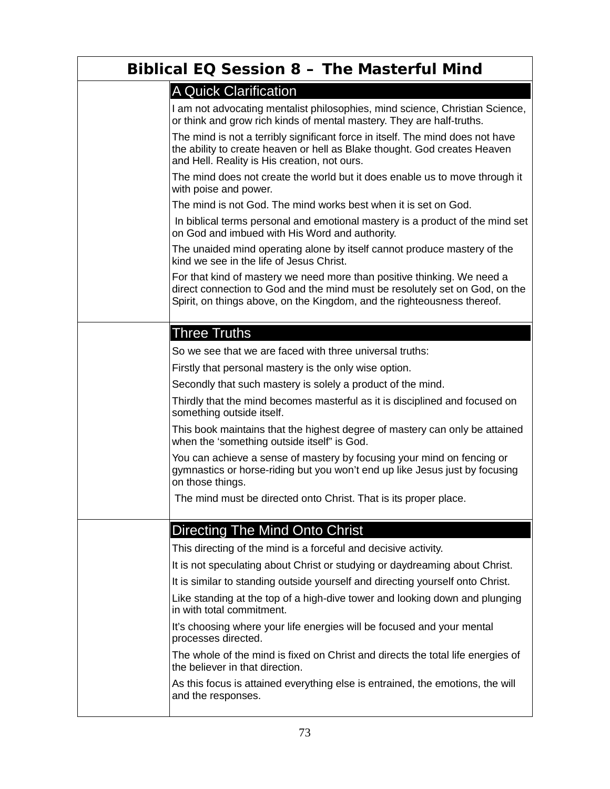| Biblical EQ Session 8 – The Masterful Mind |                                                                                                                                                                                                                                   |  |
|--------------------------------------------|-----------------------------------------------------------------------------------------------------------------------------------------------------------------------------------------------------------------------------------|--|
|                                            | <b>A Quick Clarification</b>                                                                                                                                                                                                      |  |
|                                            | I am not advocating mentalist philosophies, mind science, Christian Science,<br>or think and grow rich kinds of mental mastery. They are half-truths.                                                                             |  |
|                                            | The mind is not a terribly significant force in itself. The mind does not have<br>the ability to create heaven or hell as Blake thought. God creates Heaven<br>and Hell. Reality is His creation, not ours.                       |  |
|                                            | The mind does not create the world but it does enable us to move through it<br>with poise and power.                                                                                                                              |  |
|                                            | The mind is not God. The mind works best when it is set on God.                                                                                                                                                                   |  |
|                                            | In biblical terms personal and emotional mastery is a product of the mind set<br>on God and imbued with His Word and authority.                                                                                                   |  |
|                                            | The unaided mind operating alone by itself cannot produce mastery of the<br>kind we see in the life of Jesus Christ.                                                                                                              |  |
|                                            | For that kind of mastery we need more than positive thinking. We need a<br>direct connection to God and the mind must be resolutely set on God, on the<br>Spirit, on things above, on the Kingdom, and the righteousness thereof. |  |
|                                            | <b>Three Truths</b>                                                                                                                                                                                                               |  |
|                                            | So we see that we are faced with three universal truths:                                                                                                                                                                          |  |
|                                            | Firstly that personal mastery is the only wise option.                                                                                                                                                                            |  |
|                                            | Secondly that such mastery is solely a product of the mind.                                                                                                                                                                       |  |
|                                            | Thirdly that the mind becomes masterful as it is disciplined and focused on<br>something outside itself.                                                                                                                          |  |
|                                            | This book maintains that the highest degree of mastery can only be attained<br>when the 'something outside itself" is God.                                                                                                        |  |
|                                            | You can achieve a sense of mastery by focusing your mind on fencing or<br>gymnastics or horse-riding but you won't end up like Jesus just by focusing<br>on those things.                                                         |  |
|                                            | The mind must be directed onto Christ. That is its proper place.                                                                                                                                                                  |  |
|                                            | <b>Directing The Mind Onto Christ</b>                                                                                                                                                                                             |  |
|                                            | This directing of the mind is a forceful and decisive activity.                                                                                                                                                                   |  |
|                                            | It is not speculating about Christ or studying or daydreaming about Christ.                                                                                                                                                       |  |
|                                            | It is similar to standing outside yourself and directing yourself onto Christ.                                                                                                                                                    |  |
|                                            | Like standing at the top of a high-dive tower and looking down and plunging<br>in with total commitment.                                                                                                                          |  |
|                                            | It's choosing where your life energies will be focused and your mental<br>processes directed.                                                                                                                                     |  |
|                                            | The whole of the mind is fixed on Christ and directs the total life energies of<br>the believer in that direction.                                                                                                                |  |
|                                            | As this focus is attained everything else is entrained, the emotions, the will<br>and the responses.                                                                                                                              |  |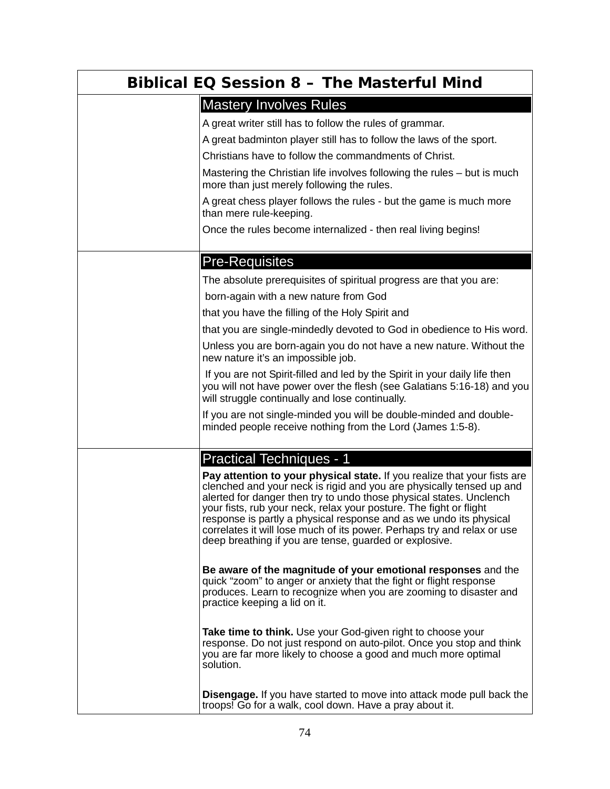| Biblical EQ Session 8 – The Masterful Mind                                                                                                                                                                                                                                                                                                                                                                                                                                                               |
|----------------------------------------------------------------------------------------------------------------------------------------------------------------------------------------------------------------------------------------------------------------------------------------------------------------------------------------------------------------------------------------------------------------------------------------------------------------------------------------------------------|
| <b>Mastery Involves Rules</b>                                                                                                                                                                                                                                                                                                                                                                                                                                                                            |
| A great writer still has to follow the rules of grammar.                                                                                                                                                                                                                                                                                                                                                                                                                                                 |
| A great badminton player still has to follow the laws of the sport.                                                                                                                                                                                                                                                                                                                                                                                                                                      |
| Christians have to follow the commandments of Christ.                                                                                                                                                                                                                                                                                                                                                                                                                                                    |
| Mastering the Christian life involves following the rules – but is much<br>more than just merely following the rules.                                                                                                                                                                                                                                                                                                                                                                                    |
| A great chess player follows the rules - but the game is much more<br>than mere rule-keeping.                                                                                                                                                                                                                                                                                                                                                                                                            |
| Once the rules become internalized - then real living begins!                                                                                                                                                                                                                                                                                                                                                                                                                                            |
| <b>Pre-Requisites</b>                                                                                                                                                                                                                                                                                                                                                                                                                                                                                    |
| The absolute prerequisites of spiritual progress are that you are:                                                                                                                                                                                                                                                                                                                                                                                                                                       |
| born-again with a new nature from God                                                                                                                                                                                                                                                                                                                                                                                                                                                                    |
| that you have the filling of the Holy Spirit and                                                                                                                                                                                                                                                                                                                                                                                                                                                         |
| that you are single-mindedly devoted to God in obedience to His word.                                                                                                                                                                                                                                                                                                                                                                                                                                    |
| Unless you are born-again you do not have a new nature. Without the<br>new nature it's an impossible job.                                                                                                                                                                                                                                                                                                                                                                                                |
| If you are not Spirit-filled and led by the Spirit in your daily life then<br>you will not have power over the flesh (see Galatians 5:16-18) and you<br>will struggle continually and lose continually.                                                                                                                                                                                                                                                                                                  |
| If you are not single-minded you will be double-minded and double-<br>minded people receive nothing from the Lord (James 1:5-8).                                                                                                                                                                                                                                                                                                                                                                         |
| <b>Practical Techniques - 1</b>                                                                                                                                                                                                                                                                                                                                                                                                                                                                          |
| Pay attention to your physical state. If you realize that your fists are<br>clenched and your neck is rigid and you are physically tensed up and<br>alerted for danger then try to undo those physical states. Unclench<br>your fists, rub your neck, relax your posture. The fight or flight<br>response is partly a physical response and as we undo its physical<br>correlates it will lose much of its power. Perhaps try and relax or use<br>deep breathing if you are tense, guarded or explosive. |
| Be aware of the magnitude of your emotional responses and the<br>quick "zoom" to anger or anxiety that the fight or flight response<br>produces. Learn to recognize when you are zooming to disaster and<br>practice keeping a lid on it.                                                                                                                                                                                                                                                                |
| <b>Take time to think.</b> Use your God-given right to choose your<br>response. Do not just respond on auto-pilot. Once you stop and think<br>you are far more likely to choose a good and much more optimal<br>solution.                                                                                                                                                                                                                                                                                |
| <b>Disengage.</b> If you have started to move into attack mode pull back the<br>troops! Go for a walk, cool down. Have a pray about it.                                                                                                                                                                                                                                                                                                                                                                  |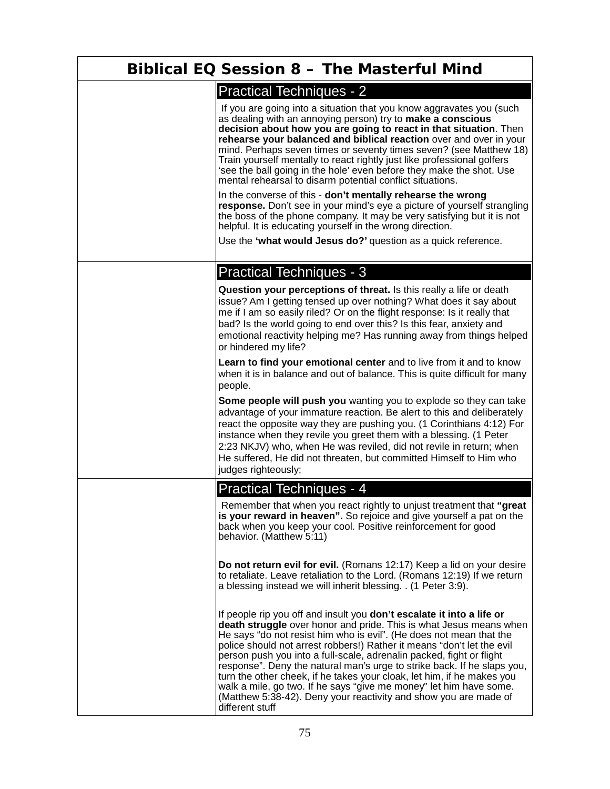| Biblical EQ Session 8 – The Masterful Mind                                                                                                                                                                                                                                                                                                                                                                                                                                                                                                                                                                                                                                             |
|----------------------------------------------------------------------------------------------------------------------------------------------------------------------------------------------------------------------------------------------------------------------------------------------------------------------------------------------------------------------------------------------------------------------------------------------------------------------------------------------------------------------------------------------------------------------------------------------------------------------------------------------------------------------------------------|
| <b>Practical Techniques - 2</b>                                                                                                                                                                                                                                                                                                                                                                                                                                                                                                                                                                                                                                                        |
| If you are going into a situation that you know aggravates you (such<br>as dealing with an annoying person) try to make a conscious<br>decision about how you are going to react in that situation. Then<br>rehearse your balanced and biblical reaction over and over in your<br>mind. Perhaps seven times or seventy times seven? (see Matthew 18)<br>Train yourself mentally to react rightly just like professional golfers<br>'see the ball going in the hole' even before they make the shot. Use<br>mental rehearsal to disarm potential conflict situations.                                                                                                                   |
| In the converse of this - don't mentally rehearse the wrong<br>response. Don't see in your mind's eye a picture of yourself strangling<br>the boss of the phone company. It may be very satisfying but it is not<br>helpful. It is educating yourself in the wrong direction.                                                                                                                                                                                                                                                                                                                                                                                                          |
| Use the 'what would Jesus do?' question as a quick reference.                                                                                                                                                                                                                                                                                                                                                                                                                                                                                                                                                                                                                          |
| <b>Practical Techniques - 3</b>                                                                                                                                                                                                                                                                                                                                                                                                                                                                                                                                                                                                                                                        |
| Question your perceptions of threat. Is this really a life or death<br>issue? Am I getting tensed up over nothing? What does it say about<br>me if I am so easily riled? Or on the flight response: Is it really that<br>bad? Is the world going to end over this? Is this fear, anxiety and<br>emotional reactivity helping me? Has running away from things helped<br>or hindered my life?                                                                                                                                                                                                                                                                                           |
| Learn to find your emotional center and to live from it and to know<br>when it is in balance and out of balance. This is quite difficult for many<br>people.                                                                                                                                                                                                                                                                                                                                                                                                                                                                                                                           |
| Some people will push you wanting you to explode so they can take<br>advantage of your immature reaction. Be alert to this and deliberately<br>react the opposite way they are pushing you. (1 Corinthians 4:12) For<br>instance when they revile you greet them with a blessing. (1 Peter<br>2:23 NKJV) who, when He was reviled, did not revile in return; when<br>He suffered, He did not threaten, but committed Himself to Him who<br>judges righteously;                                                                                                                                                                                                                         |
| <b>Practical Techniques - 4</b>                                                                                                                                                                                                                                                                                                                                                                                                                                                                                                                                                                                                                                                        |
| Remember that when you react rightly to unjust treatment that "great"<br>is your reward in heaven". So rejoice and give yourself a pat on the<br>back when you keep your cool. Positive reinforcement for good<br>behavior. (Matthew 5:11)                                                                                                                                                                                                                                                                                                                                                                                                                                             |
| Do not return evil for evil. (Romans 12:17) Keep a lid on your desire<br>to retaliate. Leave retaliation to the Lord. (Romans 12:19) If we return<br>a blessing instead we will inherit blessing. (1 Peter 3:9).                                                                                                                                                                                                                                                                                                                                                                                                                                                                       |
| If people rip you off and insult you don't escalate it into a life or<br>death struggle over honor and pride. This is what Jesus means when<br>He says "do not resist him who is evil". (He does not mean that the<br>police should not arrest robbers!) Rather it means "don't let the evil<br>person push you into a full-scale, adrenalin packed, fight or flight<br>response". Deny the natural man's urge to strike back. If he slaps you,<br>turn the other cheek, if he takes your cloak, let him, if he makes you<br>walk a mile, go two. If he says "give me money" let him have some.<br>(Matthew 5:38-42). Deny your reactivity and show you are made of<br>different stuff |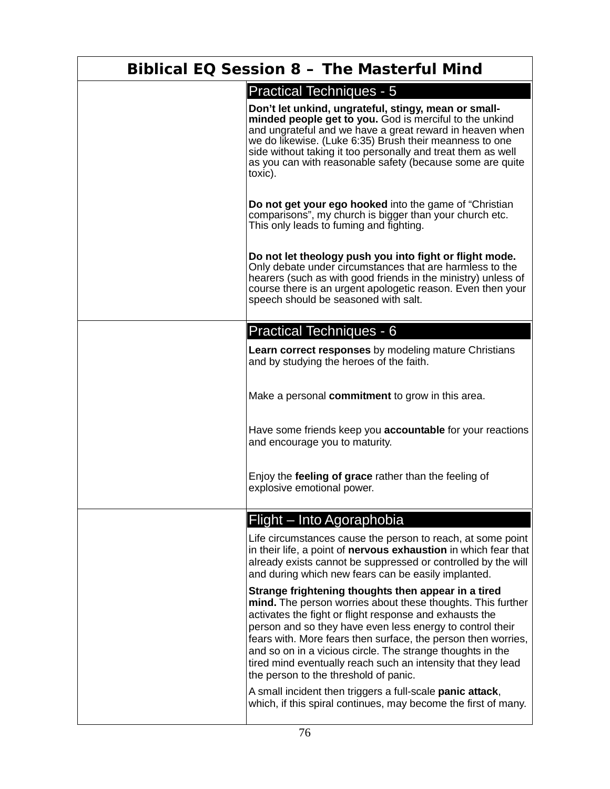| Biblical EQ Session 8 - The Masterful Mind |                                                                                                                                                                                                                                                                                                                                                                                                                                                                                                                                                 |  |
|--------------------------------------------|-------------------------------------------------------------------------------------------------------------------------------------------------------------------------------------------------------------------------------------------------------------------------------------------------------------------------------------------------------------------------------------------------------------------------------------------------------------------------------------------------------------------------------------------------|--|
|                                            | <b>Practical Techniques - 5</b>                                                                                                                                                                                                                                                                                                                                                                                                                                                                                                                 |  |
|                                            | Don't let unkind, ungrateful, stingy, mean or small-<br>minded people get to you. God is merciful to the unkind<br>and ungrateful and we have a great reward in heaven when<br>we do likewise. (Luke 6:35) Brush their meanness to one<br>side without taking it too personally and treat them as well<br>as you can with reasonable safety (because some are quite<br>toxic).                                                                                                                                                                  |  |
|                                            | Do not get your ego hooked into the game of "Christian"<br>comparisons", my church is bigger than your church etc.<br>This only leads to fuming and fighting.                                                                                                                                                                                                                                                                                                                                                                                   |  |
|                                            | Do not let theology push you into fight or flight mode.<br>Only debate under circumstances that are harmless to the<br>hearers (such as with good friends in the ministry) unless of<br>course there is an urgent apologetic reason. Even then your<br>speech should be seasoned with salt.                                                                                                                                                                                                                                                     |  |
|                                            | <b>Practical Techniques - 6</b>                                                                                                                                                                                                                                                                                                                                                                                                                                                                                                                 |  |
|                                            | <b>Learn correct responses</b> by modeling mature Christians<br>and by studying the heroes of the faith.                                                                                                                                                                                                                                                                                                                                                                                                                                        |  |
|                                            | Make a personal commitment to grow in this area.                                                                                                                                                                                                                                                                                                                                                                                                                                                                                                |  |
|                                            | Have some friends keep you <b>accountable</b> for your reactions<br>and encourage you to maturity.                                                                                                                                                                                                                                                                                                                                                                                                                                              |  |
|                                            | Enjoy the feeling of grace rather than the feeling of<br>explosive emotional power.                                                                                                                                                                                                                                                                                                                                                                                                                                                             |  |
|                                            | Flight - Into Agoraphobia                                                                                                                                                                                                                                                                                                                                                                                                                                                                                                                       |  |
|                                            | Life circumstances cause the person to reach, at some point<br>in their life, a point of nervous exhaustion in which fear that<br>already exists cannot be suppressed or controlled by the will<br>and during which new fears can be easily implanted.                                                                                                                                                                                                                                                                                          |  |
|                                            | Strange frightening thoughts then appear in a tired<br>mind. The person worries about these thoughts. This further<br>activates the fight or flight response and exhausts the<br>person and so they have even less energy to control their<br>fears with. More fears then surface, the person then worries,<br>and so on in a vicious circle. The strange thoughts in the<br>tired mind eventually reach such an intensity that they lead<br>the person to the threshold of panic.<br>A small incident then triggers a full-scale panic attack, |  |
|                                            | which, if this spiral continues, may become the first of many.                                                                                                                                                                                                                                                                                                                                                                                                                                                                                  |  |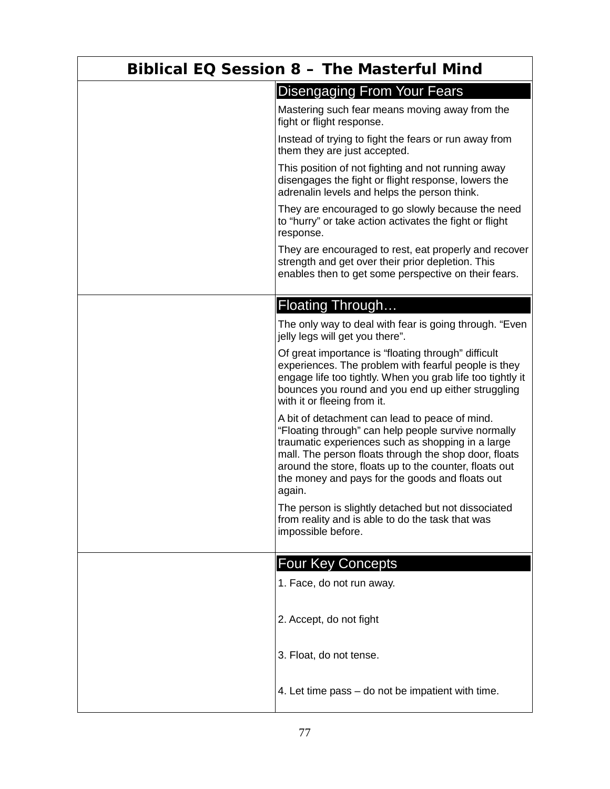| Biblical EQ Session 8 – The Masterful Mind |                                                                                                                                                                                                                                                                                                                                            |
|--------------------------------------------|--------------------------------------------------------------------------------------------------------------------------------------------------------------------------------------------------------------------------------------------------------------------------------------------------------------------------------------------|
|                                            | <b>Disengaging From Your Fears</b>                                                                                                                                                                                                                                                                                                         |
|                                            | Mastering such fear means moving away from the<br>fight or flight response.                                                                                                                                                                                                                                                                |
|                                            | Instead of trying to fight the fears or run away from<br>them they are just accepted.                                                                                                                                                                                                                                                      |
|                                            | This position of not fighting and not running away<br>disengages the fight or flight response, lowers the<br>adrenalin levels and helps the person think.                                                                                                                                                                                  |
|                                            | They are encouraged to go slowly because the need<br>to "hurry" or take action activates the fight or flight<br>response.                                                                                                                                                                                                                  |
|                                            | They are encouraged to rest, eat properly and recover<br>strength and get over their prior depletion. This<br>enables then to get some perspective on their fears.                                                                                                                                                                         |
|                                            | <b>Floating Through</b>                                                                                                                                                                                                                                                                                                                    |
|                                            | The only way to deal with fear is going through. "Even<br>jelly legs will get you there".                                                                                                                                                                                                                                                  |
|                                            | Of great importance is "floating through" difficult<br>experiences. The problem with fearful people is they<br>engage life too tightly. When you grab life too tightly it<br>bounces you round and you end up either struggling<br>with it or fleeing from it.                                                                             |
|                                            | A bit of detachment can lead to peace of mind.<br>"Floating through" can help people survive normally<br>traumatic experiences such as shopping in a large<br>mall. The person floats through the shop door, floats<br>around the store, floats up to the counter, floats out<br>the money and pays for the goods and floats out<br>again. |
|                                            | The person is slightly detached but not dissociated<br>from reality and is able to do the task that was<br>impossible before.                                                                                                                                                                                                              |
|                                            | <b>Four Key Concepts</b>                                                                                                                                                                                                                                                                                                                   |
|                                            | 1. Face, do not run away.                                                                                                                                                                                                                                                                                                                  |
|                                            | 2. Accept, do not fight                                                                                                                                                                                                                                                                                                                    |
|                                            | 3. Float, do not tense.                                                                                                                                                                                                                                                                                                                    |
|                                            | 4. Let time pass – do not be impatient with time.                                                                                                                                                                                                                                                                                          |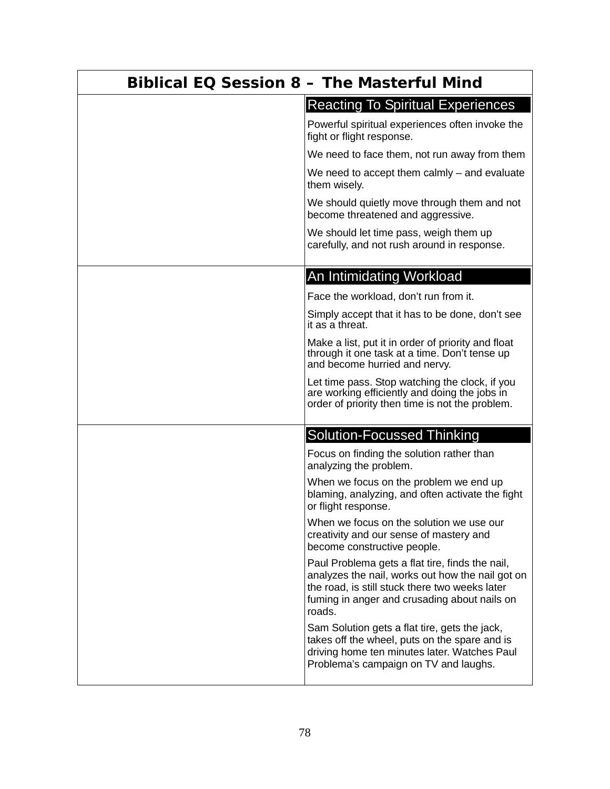| Biblical EQ Session 8 - The Masterful Mind |                                                                                                                                                                                                                 |
|--------------------------------------------|-----------------------------------------------------------------------------------------------------------------------------------------------------------------------------------------------------------------|
|                                            | <b>Reacting To Spiritual Experiences</b>                                                                                                                                                                        |
|                                            | Powerful spiritual experiences often invoke the<br>fight or flight response.                                                                                                                                    |
|                                            | We need to face them, not run away from them                                                                                                                                                                    |
|                                            | We need to accept them calmly $-$ and evaluate<br>them wisely.                                                                                                                                                  |
|                                            | We should quietly move through them and not<br>become threatened and aggressive.                                                                                                                                |
|                                            | We should let time pass, weigh them up<br>carefully, and not rush around in response.                                                                                                                           |
|                                            | An Intimidating Workload                                                                                                                                                                                        |
|                                            | Face the workload, don't run from it.                                                                                                                                                                           |
|                                            | Simply accept that it has to be done, don't see<br>it as a threat.                                                                                                                                              |
|                                            | Make a list, put it in order of priority and float<br>through it one task at a time. Don't tense up<br>and become hurried and nervy.                                                                            |
|                                            | Let time pass. Stop watching the clock, if you<br>are working efficiently and doing the jobs in<br>order of priority then time is not the problem.                                                              |
|                                            | <b>Solution-Focussed Thinking</b>                                                                                                                                                                               |
|                                            | Focus on finding the solution rather than<br>analyzing the problem.                                                                                                                                             |
|                                            | When we focus on the problem we end up<br>blaming, analyzing, and often activate the fight<br>or flight response.                                                                                               |
|                                            | When we focus on the solution we use our<br>creativity and our sense of mastery and<br>become constructive people.                                                                                              |
|                                            | Paul Problema gets a flat tire, finds the nail,<br>analyzes the nail, works out how the nail got on<br>the road, is still stuck there two weeks later<br>fuming in anger and crusading about nails on<br>roads. |
|                                            | Sam Solution gets a flat tire, gets the jack,<br>takes off the wheel, puts on the spare and is<br>driving home ten minutes later. Watches Paul<br>Problema's campaign on TV and laughs.                         |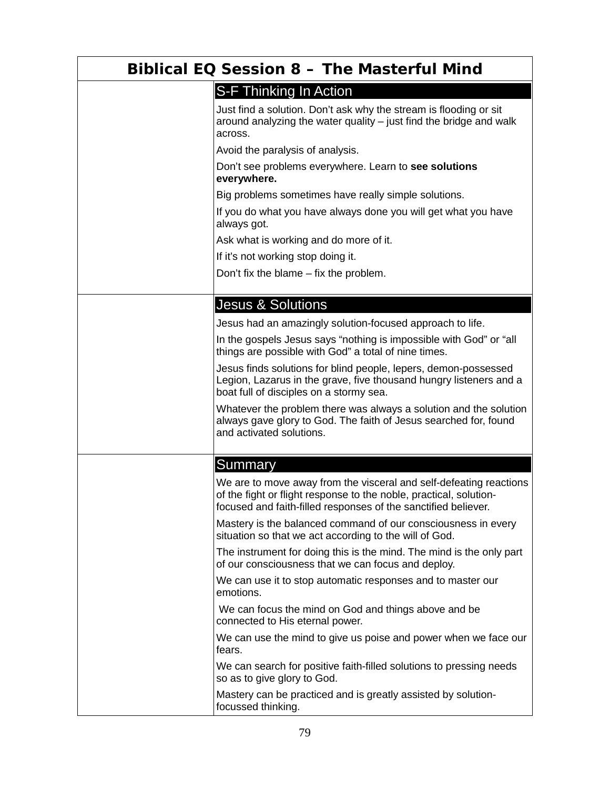| Biblical EQ Session 8 - The Masterful Mind |                                                                                                                                                                                                            |  |
|--------------------------------------------|------------------------------------------------------------------------------------------------------------------------------------------------------------------------------------------------------------|--|
|                                            | S-F Thinking In Action                                                                                                                                                                                     |  |
|                                            | Just find a solution. Don't ask why the stream is flooding or sit<br>around analyzing the water quality $-$ just find the bridge and walk<br>across.                                                       |  |
|                                            | Avoid the paralysis of analysis.                                                                                                                                                                           |  |
|                                            | Don't see problems everywhere. Learn to see solutions<br>everywhere.                                                                                                                                       |  |
|                                            | Big problems sometimes have really simple solutions.                                                                                                                                                       |  |
|                                            | If you do what you have always done you will get what you have<br>always got.                                                                                                                              |  |
|                                            | Ask what is working and do more of it.                                                                                                                                                                     |  |
|                                            | If it's not working stop doing it.                                                                                                                                                                         |  |
|                                            | Don't fix the blame $-$ fix the problem.                                                                                                                                                                   |  |
|                                            |                                                                                                                                                                                                            |  |
|                                            | <b>Jesus &amp; Solutions</b>                                                                                                                                                                               |  |
|                                            | Jesus had an amazingly solution-focused approach to life.                                                                                                                                                  |  |
|                                            | In the gospels Jesus says "nothing is impossible with God" or "all<br>things are possible with God" a total of nine times.                                                                                 |  |
|                                            | Jesus finds solutions for blind people, lepers, demon-possessed<br>Legion, Lazarus in the grave, five thousand hungry listeners and a<br>boat full of disciples on a stormy sea.                           |  |
|                                            | Whatever the problem there was always a solution and the solution<br>always gave glory to God. The faith of Jesus searched for, found<br>and activated solutions.                                          |  |
|                                            | Summary                                                                                                                                                                                                    |  |
|                                            | We are to move away from the visceral and self-defeating reactions<br>of the fight or flight response to the noble, practical, solution-<br>focused and faith-filled responses of the sanctified believer. |  |
|                                            | Mastery is the balanced command of our consciousness in every<br>situation so that we act according to the will of God.                                                                                    |  |
|                                            | The instrument for doing this is the mind. The mind is the only part<br>of our consciousness that we can focus and deploy.                                                                                 |  |
|                                            | We can use it to stop automatic responses and to master our<br>emotions.                                                                                                                                   |  |
|                                            | We can focus the mind on God and things above and be<br>connected to His eternal power.                                                                                                                    |  |
|                                            | We can use the mind to give us poise and power when we face our<br>fears.                                                                                                                                  |  |
|                                            | We can search for positive faith-filled solutions to pressing needs<br>so as to give glory to God.                                                                                                         |  |
|                                            | Mastery can be practiced and is greatly assisted by solution-<br>focussed thinking.                                                                                                                        |  |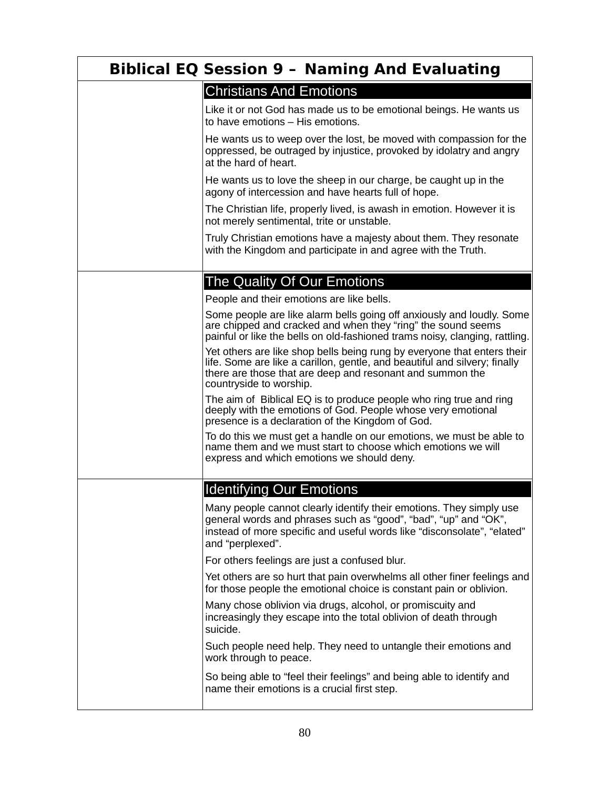| Biblical EQ Session 9 - Naming And Evaluating                                                                                                                                                                                                 |
|-----------------------------------------------------------------------------------------------------------------------------------------------------------------------------------------------------------------------------------------------|
| <b>Christians And Emotions</b>                                                                                                                                                                                                                |
| Like it or not God has made us to be emotional beings. He wants us<br>to have emotions - His emotions.                                                                                                                                        |
| He wants us to weep over the lost, be moved with compassion for the<br>oppressed, be outraged by injustice, provoked by idolatry and angry<br>at the hard of heart.                                                                           |
| He wants us to love the sheep in our charge, be caught up in the<br>agony of intercession and have hearts full of hope.                                                                                                                       |
| The Christian life, properly lived, is awash in emotion. However it is<br>not merely sentimental, trite or unstable.                                                                                                                          |
| Truly Christian emotions have a majesty about them. They resonate<br>with the Kingdom and participate in and agree with the Truth.                                                                                                            |
| The Quality Of Our Emotions                                                                                                                                                                                                                   |
| People and their emotions are like bells.                                                                                                                                                                                                     |
| Some people are like alarm bells going off anxiously and loudly. Some<br>are chipped and cracked and when they "ring" the sound seems<br>painful or like the bells on old-fashioned trams noisy, clanging, rattling.                          |
| Yet others are like shop bells being rung by everyone that enters their<br>life. Some are like a carillon, gentle, and beautiful and silvery; finally<br>there are those that are deep and resonant and summon the<br>countryside to worship. |
| The aim of Biblical EQ is to produce people who ring true and ring<br>deeply with the emotions of God. People whose very emotional<br>presence is a declaration of the Kingdom of God.                                                        |
| To do this we must get a handle on our emotions, we must be able to<br>name them and we must start to choose which emotions we will<br>express and which emotions we should deny.                                                             |
| <b>Identifying Our Emotions</b>                                                                                                                                                                                                               |
| Many people cannot clearly identify their emotions. They simply use<br>general words and phrases such as "good", "bad", "up" and "OK",<br>instead of more specific and useful words like "disconsolate", "elated"<br>and "perplexed".         |
| For others feelings are just a confused blur.                                                                                                                                                                                                 |
| Yet others are so hurt that pain overwhelms all other finer feelings and<br>for those people the emotional choice is constant pain or oblivion.                                                                                               |
| Many chose oblivion via drugs, alcohol, or promiscuity and<br>increasingly they escape into the total oblivion of death through<br>suicide.                                                                                                   |
| Such people need help. They need to untangle their emotions and<br>work through to peace.                                                                                                                                                     |
| So being able to "feel their feelings" and being able to identify and<br>name their emotions is a crucial first step.                                                                                                                         |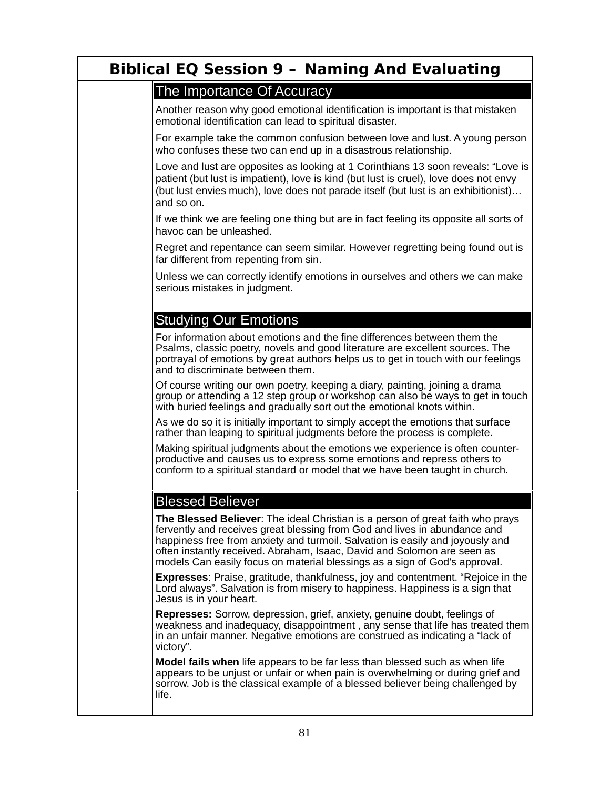| Biblical EQ Session 9 - Naming And Evaluating                                                                                                                                                                                                                                                                                                                                                         |
|-------------------------------------------------------------------------------------------------------------------------------------------------------------------------------------------------------------------------------------------------------------------------------------------------------------------------------------------------------------------------------------------------------|
| The Importance Of Accuracy                                                                                                                                                                                                                                                                                                                                                                            |
| Another reason why good emotional identification is important is that mistaken<br>emotional identification can lead to spiritual disaster.                                                                                                                                                                                                                                                            |
| For example take the common confusion between love and lust. A young person<br>who confuses these two can end up in a disastrous relationship.                                                                                                                                                                                                                                                        |
| Love and lust are opposites as looking at 1 Corinthians 13 soon reveals: "Love is<br>patient (but lust is impatient), love is kind (but lust is cruel), love does not envy<br>(but lust envies much), love does not parade itself (but lust is an exhibitionist)<br>and so on.                                                                                                                        |
| If we think we are feeling one thing but are in fact feeling its opposite all sorts of<br>havoc can be unleashed.                                                                                                                                                                                                                                                                                     |
| Regret and repentance can seem similar. However regretting being found out is<br>far different from repenting from sin.                                                                                                                                                                                                                                                                               |
| Unless we can correctly identify emotions in ourselves and others we can make<br>serious mistakes in judgment.                                                                                                                                                                                                                                                                                        |
| <b>Studying Our Emotions</b>                                                                                                                                                                                                                                                                                                                                                                          |
| For information about emotions and the fine differences between them the<br>Psalms, classic poetry, novels and good literature are excellent sources. The<br>portrayal of emotions by great authors helps us to get in touch with our feelings<br>and to discriminate between them.                                                                                                                   |
| Of course writing our own poetry, keeping a diary, painting, joining a drama<br>group or attending a 12 step group or workshop can also be ways to get in touch<br>with buried feelings and gradually sort out the emotional knots within.                                                                                                                                                            |
| As we do so it is initially important to simply accept the emotions that surface<br>rather than leaping to spiritual judgments before the process is complete.                                                                                                                                                                                                                                        |
| Making spiritual judgments about the emotions we experience is often counter-<br>productive and causes us to express some emotions and repress others to<br>conform to a spiritual standard or model that we have been taught in church.                                                                                                                                                              |
| <b>Blessed Believer</b>                                                                                                                                                                                                                                                                                                                                                                               |
| The Blessed Believer: The ideal Christian is a person of great faith who prays<br>fervently and receives great blessing from God and lives in abundance and<br>happiness free from anxiety and turmoil. Salvation is easily and joyously and<br>often instantly received. Abraham, Isaac, David and Solomon are seen as<br>models Can easily focus on material blessings as a sign of God's approval. |
| <b>Expresses:</b> Praise, gratitude, thankfulness, joy and contentment. "Rejoice in the<br>Lord always". Salvation is from misery to happiness. Happiness is a sign that<br>Jesus is in your heart.                                                                                                                                                                                                   |
| <b>Represses:</b> Sorrow, depression, grief, anxiety, genuine doubt, feelings of<br>weakness and inadequacy, disappointment, any sense that life has treated them<br>in an unfair manner. Negative emotions are construed as indicating a "lack of<br>victory".                                                                                                                                       |
| <b>Model fails when</b> life appears to be far less than blessed such as when life<br>appears to be unjust or unfair or when pain is overwhelming or during grief and<br>sorrow. Job is the classical example of a blessed believer being challenged by<br>life.                                                                                                                                      |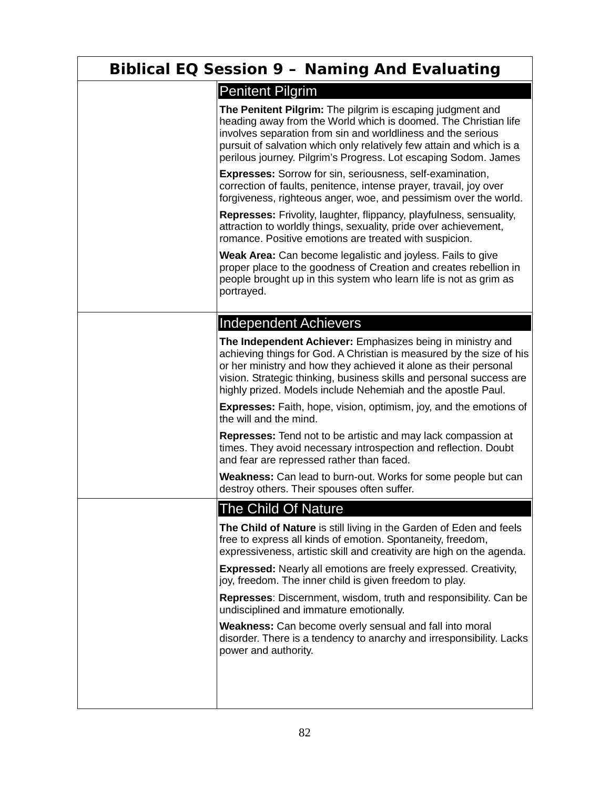| <b>Biblical EQ Session 9 - Naming And Evaluating</b>                                                                                                                                                                                                                                                                                           |
|------------------------------------------------------------------------------------------------------------------------------------------------------------------------------------------------------------------------------------------------------------------------------------------------------------------------------------------------|
| <b>Penitent Pilgrim</b>                                                                                                                                                                                                                                                                                                                        |
| The Penitent Pilgrim: The pilgrim is escaping judgment and<br>heading away from the World which is doomed. The Christian life<br>involves separation from sin and worldliness and the serious<br>pursuit of salvation which only relatively few attain and which is a<br>perilous journey. Pilgrim's Progress. Lot escaping Sodom. James       |
| <b>Expresses:</b> Sorrow for sin, seriousness, self-examination,<br>correction of faults, penitence, intense prayer, travail, joy over<br>forgiveness, righteous anger, woe, and pessimism over the world.                                                                                                                                     |
| <b>Represses:</b> Frivolity, laughter, flippancy, playfulness, sensuality,<br>attraction to worldly things, sexuality, pride over achievement,<br>romance. Positive emotions are treated with suspicion.                                                                                                                                       |
| <b>Weak Area:</b> Can become legalistic and joyless. Fails to give<br>proper place to the goodness of Creation and creates rebellion in<br>people brought up in this system who learn life is not as grim as<br>portrayed.                                                                                                                     |
| <b>Independent Achievers</b>                                                                                                                                                                                                                                                                                                                   |
| The Independent Achiever: Emphasizes being in ministry and<br>achieving things for God. A Christian is measured by the size of his<br>or her ministry and how they achieved it alone as their personal<br>vision. Strategic thinking, business skills and personal success are<br>highly prized. Models include Nehemiah and the apostle Paul. |
| <b>Expresses:</b> Faith, hope, vision, optimism, joy, and the emotions of<br>the will and the mind.                                                                                                                                                                                                                                            |
| Represses: Tend not to be artistic and may lack compassion at<br>times. They avoid necessary introspection and reflection. Doubt<br>and fear are repressed rather than faced.                                                                                                                                                                  |
| <b>Weakness:</b> Can lead to burn-out. Works for some people but can<br>destroy others. Their spouses often suffer.                                                                                                                                                                                                                            |
| The Child Of Nature                                                                                                                                                                                                                                                                                                                            |
| The Child of Nature is still living in the Garden of Eden and feels<br>free to express all kinds of emotion. Spontaneity, freedom,<br>expressiveness, artistic skill and creativity are high on the agenda.                                                                                                                                    |
| <b>Expressed:</b> Nearly all emotions are freely expressed. Creativity,<br>joy, freedom. The inner child is given freedom to play.                                                                                                                                                                                                             |
| <b>Represses:</b> Discernment, wisdom, truth and responsibility. Can be<br>undisciplined and immature emotionally.                                                                                                                                                                                                                             |
| <b>Weakness:</b> Can become overly sensual and fall into moral<br>disorder. There is a tendency to anarchy and irresponsibility. Lacks<br>power and authority.                                                                                                                                                                                 |
|                                                                                                                                                                                                                                                                                                                                                |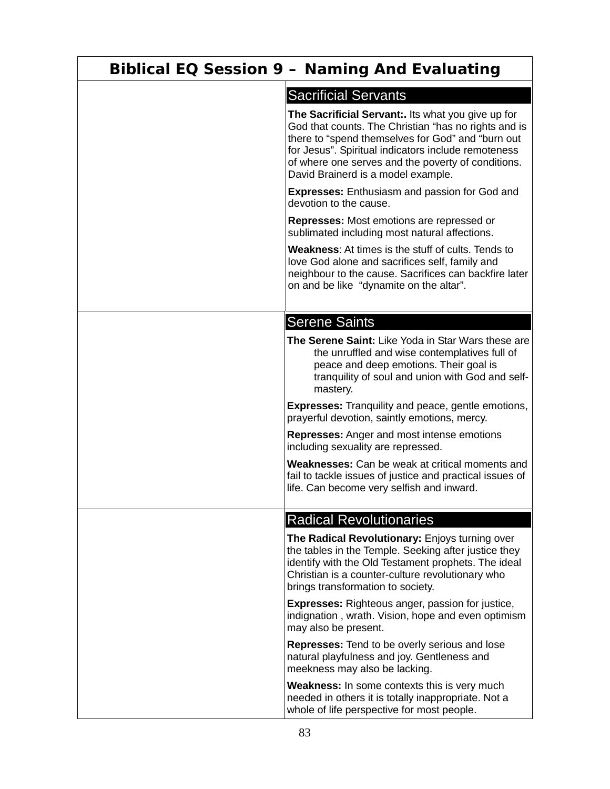| Biblical EQ Session 9 - Naming And Evaluating                                                                                                                                                                                                                                                                      |
|--------------------------------------------------------------------------------------------------------------------------------------------------------------------------------------------------------------------------------------------------------------------------------------------------------------------|
| <b>Sacrificial Servants</b>                                                                                                                                                                                                                                                                                        |
| The Sacrificial Servant:. Its what you give up for<br>God that counts. The Christian "has no rights and is<br>there to "spend themselves for God" and "burn out<br>for Jesus". Spiritual indicators include remoteness<br>of where one serves and the poverty of conditions.<br>David Brainerd is a model example. |
| Expresses: Enthusiasm and passion for God and<br>devotion to the cause.                                                                                                                                                                                                                                            |
| <b>Represses:</b> Most emotions are repressed or<br>sublimated including most natural affections.                                                                                                                                                                                                                  |
| <b>Weakness:</b> At times is the stuff of cults. Tends to<br>love God alone and sacrifices self, family and<br>neighbour to the cause. Sacrifices can backfire later<br>on and be like "dynamite on the altar".                                                                                                    |
| <b>Serene Saints</b>                                                                                                                                                                                                                                                                                               |
| The Serene Saint: Like Yoda in Star Wars these are<br>the unruffled and wise contemplatives full of<br>peace and deep emotions. Their goal is<br>tranquility of soul and union with God and self-<br>mastery.                                                                                                      |
| <b>Expresses:</b> Tranquility and peace, gentle emotions,<br>prayerful devotion, saintly emotions, mercy.                                                                                                                                                                                                          |
| <b>Represses:</b> Anger and most intense emotions<br>including sexuality are repressed.                                                                                                                                                                                                                            |
| Weaknesses: Can be weak at critical moments and<br>fail to tackle issues of justice and practical issues of<br>life. Can become very selfish and inward.                                                                                                                                                           |
| <b>Radical Revolutionaries</b>                                                                                                                                                                                                                                                                                     |
| The Radical Revolutionary: Enjoys turning over<br>the tables in the Temple. Seeking after justice they<br>identify with the Old Testament prophets. The ideal<br>Christian is a counter-culture revolutionary who<br>brings transformation to society.                                                             |
| <b>Expresses:</b> Righteous anger, passion for justice,<br>indignation, wrath. Vision, hope and even optimism<br>may also be present.                                                                                                                                                                              |
| <b>Represses:</b> Tend to be overly serious and lose<br>natural playfulness and joy. Gentleness and<br>meekness may also be lacking.                                                                                                                                                                               |
| <b>Weakness:</b> In some contexts this is very much<br>needed in others it is totally inappropriate. Not a<br>whole of life perspective for most people.                                                                                                                                                           |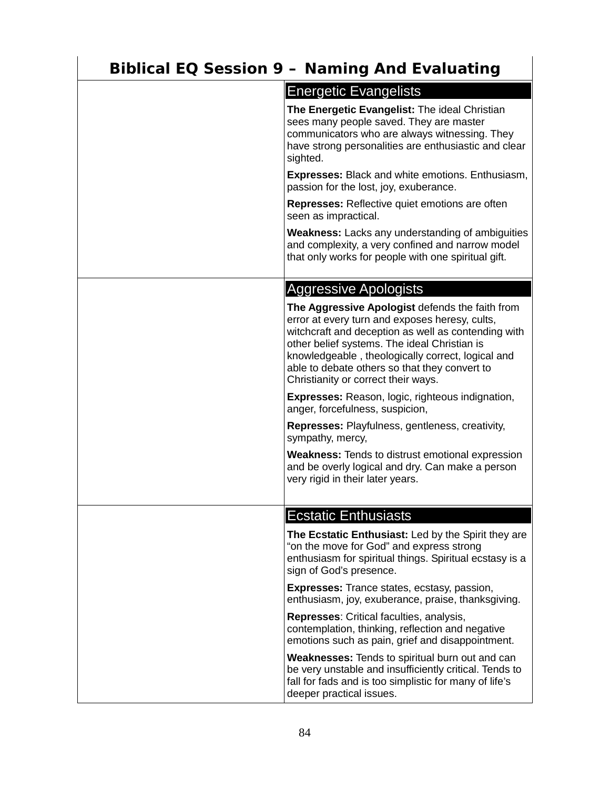| Biblical EQ Session 9 - Naming And Evaluating |                                                                                                                                                                                                                                                                                                                                                       |  |
|-----------------------------------------------|-------------------------------------------------------------------------------------------------------------------------------------------------------------------------------------------------------------------------------------------------------------------------------------------------------------------------------------------------------|--|
|                                               | <b>Energetic Evangelists</b>                                                                                                                                                                                                                                                                                                                          |  |
|                                               | The Energetic Evangelist: The ideal Christian<br>sees many people saved. They are master<br>communicators who are always witnessing. They<br>have strong personalities are enthusiastic and clear<br>sighted.                                                                                                                                         |  |
|                                               | <b>Expresses:</b> Black and white emotions. Enthusiasm,<br>passion for the lost, joy, exuberance.                                                                                                                                                                                                                                                     |  |
|                                               | <b>Represses:</b> Reflective quiet emotions are often<br>seen as impractical.                                                                                                                                                                                                                                                                         |  |
|                                               | <b>Weakness:</b> Lacks any understanding of ambiguities<br>and complexity, a very confined and narrow model<br>that only works for people with one spiritual gift.                                                                                                                                                                                    |  |
|                                               | <b>Aggressive Apologists</b>                                                                                                                                                                                                                                                                                                                          |  |
|                                               | The Aggressive Apologist defends the faith from<br>error at every turn and exposes heresy, cults,<br>witchcraft and deception as well as contending with<br>other belief systems. The ideal Christian is<br>knowledgeable, theologically correct, logical and<br>able to debate others so that they convert to<br>Christianity or correct their ways. |  |
|                                               | <b>Expresses:</b> Reason, logic, righteous indignation,<br>anger, forcefulness, suspicion,                                                                                                                                                                                                                                                            |  |
|                                               | <b>Represses: Playfulness, gentleness, creativity,</b><br>sympathy, mercy,                                                                                                                                                                                                                                                                            |  |
|                                               | <b>Weakness:</b> Tends to distrust emotional expression<br>and be overly logical and dry. Can make a person<br>very rigid in their later years.                                                                                                                                                                                                       |  |
|                                               | <b>Ecstatic Enthusiasts</b>                                                                                                                                                                                                                                                                                                                           |  |
|                                               | The Ecstatic Enthusiast: Led by the Spirit they are<br>"on the move for God" and express strong<br>enthusiasm for spiritual things. Spiritual ecstasy is a<br>sign of God's presence.                                                                                                                                                                 |  |
|                                               | Expresses: Trance states, ecstasy, passion,<br>enthusiasm, joy, exuberance, praise, thanksgiving.                                                                                                                                                                                                                                                     |  |
|                                               | <b>Represses:</b> Critical faculties, analysis,<br>contemplation, thinking, reflection and negative<br>emotions such as pain, grief and disappointment.                                                                                                                                                                                               |  |
|                                               | Weaknesses: Tends to spiritual burn out and can<br>be very unstable and insufficiently critical. Tends to<br>fall for fads and is too simplistic for many of life's<br>deeper practical issues.                                                                                                                                                       |  |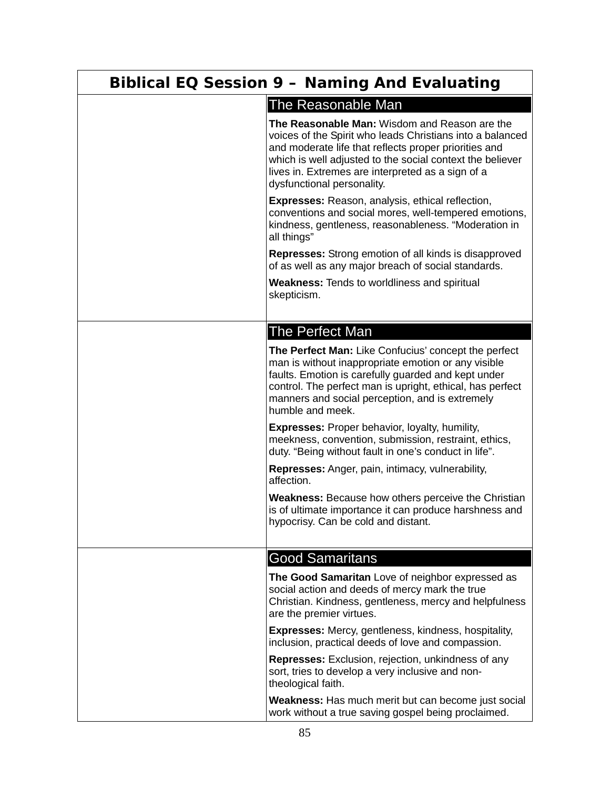| Biblical EQ Session 9 - Naming And Evaluating |                                                                                                                                                                                                                                                                                                                     |  |
|-----------------------------------------------|---------------------------------------------------------------------------------------------------------------------------------------------------------------------------------------------------------------------------------------------------------------------------------------------------------------------|--|
|                                               | The Reasonable Man                                                                                                                                                                                                                                                                                                  |  |
|                                               | The Reasonable Man: Wisdom and Reason are the<br>voices of the Spirit who leads Christians into a balanced<br>and moderate life that reflects proper priorities and<br>which is well adjusted to the social context the believer<br>lives in. Extremes are interpreted as a sign of a<br>dysfunctional personality. |  |
|                                               | <b>Expresses:</b> Reason, analysis, ethical reflection,<br>conventions and social mores, well-tempered emotions,<br>kindness, gentleness, reasonableness. "Moderation in<br>all things"                                                                                                                             |  |
|                                               | <b>Represses:</b> Strong emotion of all kinds is disapproved<br>of as well as any major breach of social standards.                                                                                                                                                                                                 |  |
|                                               | <b>Weakness: Tends to worldliness and spiritual</b><br>skepticism.                                                                                                                                                                                                                                                  |  |
|                                               | The Perfect Man                                                                                                                                                                                                                                                                                                     |  |
|                                               | The Perfect Man: Like Confucius' concept the perfect<br>man is without inappropriate emotion or any visible<br>faults. Emotion is carefully guarded and kept under<br>control. The perfect man is upright, ethical, has perfect<br>manners and social perception, and is extremely<br>humble and meek.              |  |
|                                               | <b>Expresses: Proper behavior, loyalty, humility,</b><br>meekness, convention, submission, restraint, ethics,<br>duty. "Being without fault in one's conduct in life".                                                                                                                                              |  |
|                                               | Represses: Anger, pain, intimacy, vulnerability,<br>affection.                                                                                                                                                                                                                                                      |  |
|                                               | <b>Weakness:</b> Because how others perceive the Christian<br>is of ultimate importance it can produce harshness and<br>hypocrisy. Can be cold and distant.                                                                                                                                                         |  |
|                                               | <b>Good Samaritans</b>                                                                                                                                                                                                                                                                                              |  |
|                                               |                                                                                                                                                                                                                                                                                                                     |  |
|                                               | The Good Samaritan Love of neighbor expressed as<br>social action and deeds of mercy mark the true<br>Christian. Kindness, gentleness, mercy and helpfulness<br>are the premier virtues.                                                                                                                            |  |
|                                               | <b>Expresses:</b> Mercy, gentleness, kindness, hospitality,<br>inclusion, practical deeds of love and compassion.                                                                                                                                                                                                   |  |
|                                               | Represses: Exclusion, rejection, unkindness of any<br>sort, tries to develop a very inclusive and non-<br>theological faith.                                                                                                                                                                                        |  |
|                                               | Weakness: Has much merit but can become just social<br>work without a true saving gospel being proclaimed.                                                                                                                                                                                                          |  |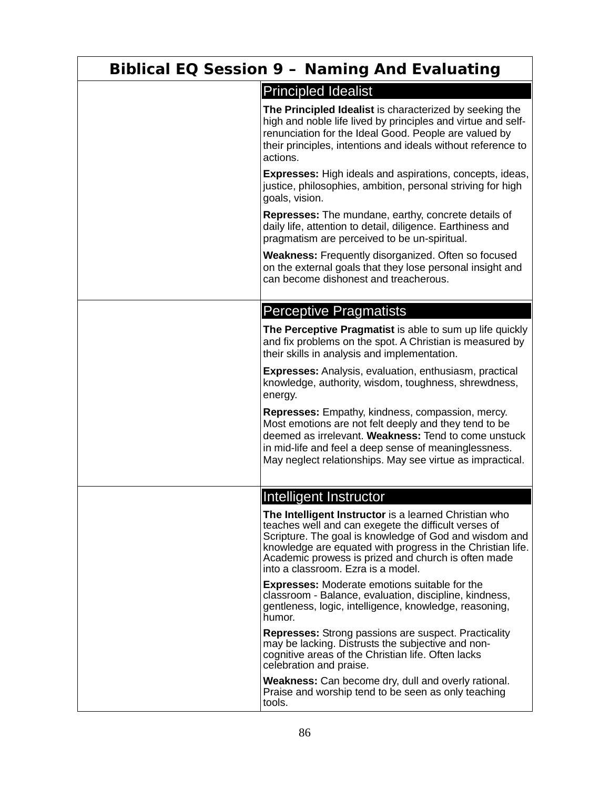| Biblical EQ Session 9 - Naming And Evaluating |                                                                                                                                                                                                                                                                                                                                    |
|-----------------------------------------------|------------------------------------------------------------------------------------------------------------------------------------------------------------------------------------------------------------------------------------------------------------------------------------------------------------------------------------|
|                                               | <b>Principled Idealist</b>                                                                                                                                                                                                                                                                                                         |
|                                               | The Principled Idealist is characterized by seeking the<br>high and noble life lived by principles and virtue and self-<br>renunciation for the Ideal Good. People are valued by<br>their principles, intentions and ideals without reference to<br>actions.                                                                       |
|                                               | <b>Expresses:</b> High ideals and aspirations, concepts, ideas,<br>justice, philosophies, ambition, personal striving for high<br>goals, vision.                                                                                                                                                                                   |
|                                               | <b>Represses:</b> The mundane, earthy, concrete details of<br>daily life, attention to detail, diligence. Earthiness and<br>pragmatism are perceived to be un-spiritual.                                                                                                                                                           |
|                                               | <b>Weakness:</b> Frequently disorganized. Often so focused<br>on the external goals that they lose personal insight and<br>can become dishonest and treacherous.                                                                                                                                                                   |
|                                               | <b>Perceptive Pragmatists</b>                                                                                                                                                                                                                                                                                                      |
|                                               | The Perceptive Pragmatist is able to sum up life quickly<br>and fix problems on the spot. A Christian is measured by<br>their skills in analysis and implementation.                                                                                                                                                               |
|                                               | <b>Expresses:</b> Analysis, evaluation, enthusiasm, practical<br>knowledge, authority, wisdom, toughness, shrewdness,<br>energy.                                                                                                                                                                                                   |
|                                               | <b>Represses:</b> Empathy, kindness, compassion, mercy.<br>Most emotions are not felt deeply and they tend to be<br>deemed as irrelevant. Weakness: Tend to come unstuck<br>in mid-life and feel a deep sense of meaninglessness.<br>May neglect relationships. May see virtue as impractical.                                     |
|                                               | Intelligent Instructor                                                                                                                                                                                                                                                                                                             |
|                                               | The Intelligent Instructor is a learned Christian who<br>teaches well and can exegete the difficult verses of<br>Scripture. The goal is knowledge of God and wisdom and<br>knowledge are equated with progress in the Christian life.<br>Academic prowess is prized and church is often made<br>into a classroom. Ezra is a model. |
|                                               | <b>Expresses:</b> Moderate emotions suitable for the<br>classroom - Balance, evaluation, discipline, kindness,<br>gentleness, logic, intelligence, knowledge, reasoning,<br>humor.                                                                                                                                                 |
|                                               | <b>Represses:</b> Strong passions are suspect. Practicality<br>may be lacking. Distrusts the subjective and non-<br>cognitive areas of the Christian life. Often lacks<br>celebration and praise.                                                                                                                                  |
|                                               | Weakness: Can become dry, dull and overly rational.<br>Praise and worship tend to be seen as only teaching<br>tools.                                                                                                                                                                                                               |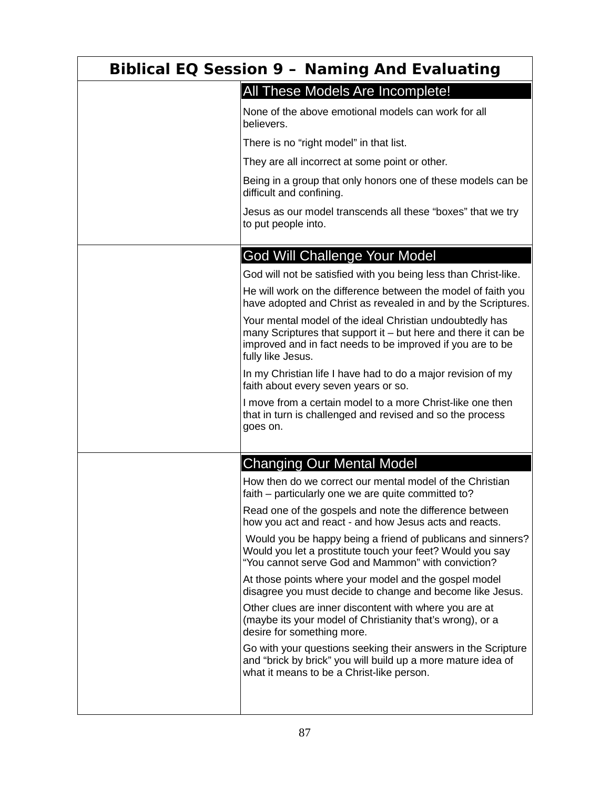| Biblical EQ Session 9 - Naming And Evaluating |                                                                                                                                                                                                               |
|-----------------------------------------------|---------------------------------------------------------------------------------------------------------------------------------------------------------------------------------------------------------------|
|                                               | All These Models Are Incomplete!                                                                                                                                                                              |
|                                               | None of the above emotional models can work for all<br>believers.                                                                                                                                             |
|                                               | There is no "right model" in that list.                                                                                                                                                                       |
|                                               | They are all incorrect at some point or other.                                                                                                                                                                |
|                                               | Being in a group that only honors one of these models can be<br>difficult and confining.                                                                                                                      |
|                                               | Jesus as our model transcends all these "boxes" that we try<br>to put people into.                                                                                                                            |
|                                               | <b>God Will Challenge Your Model</b>                                                                                                                                                                          |
|                                               | God will not be satisfied with you being less than Christ-like.                                                                                                                                               |
|                                               | He will work on the difference between the model of faith you<br>have adopted and Christ as revealed in and by the Scriptures.                                                                                |
|                                               | Your mental model of the ideal Christian undoubtedly has<br>many Scriptures that support it – but here and there it can be<br>improved and in fact needs to be improved if you are to be<br>fully like Jesus. |
|                                               | In my Christian life I have had to do a major revision of my<br>faith about every seven years or so.                                                                                                          |
|                                               | I move from a certain model to a more Christ-like one then<br>that in turn is challenged and revised and so the process<br>goes on.                                                                           |
|                                               | <b>Changing Our Mental Model</b>                                                                                                                                                                              |
|                                               | How then do we correct our mental model of the Christian<br>faith – particularly one we are quite committed to?                                                                                               |
|                                               | Read one of the gospels and note the difference between<br>how you act and react - and how Jesus acts and reacts.                                                                                             |
|                                               | Would you be happy being a friend of publicans and sinners?<br>Would you let a prostitute touch your feet? Would you say<br>"You cannot serve God and Mammon" with conviction?                                |
|                                               | At those points where your model and the gospel model<br>disagree you must decide to change and become like Jesus.                                                                                            |
|                                               | Other clues are inner discontent with where you are at<br>(maybe its your model of Christianity that's wrong), or a<br>desire for something more.                                                             |
|                                               | Go with your questions seeking their answers in the Scripture<br>and "brick by brick" you will build up a more mature idea of<br>what it means to be a Christ-like person.                                    |
|                                               |                                                                                                                                                                                                               |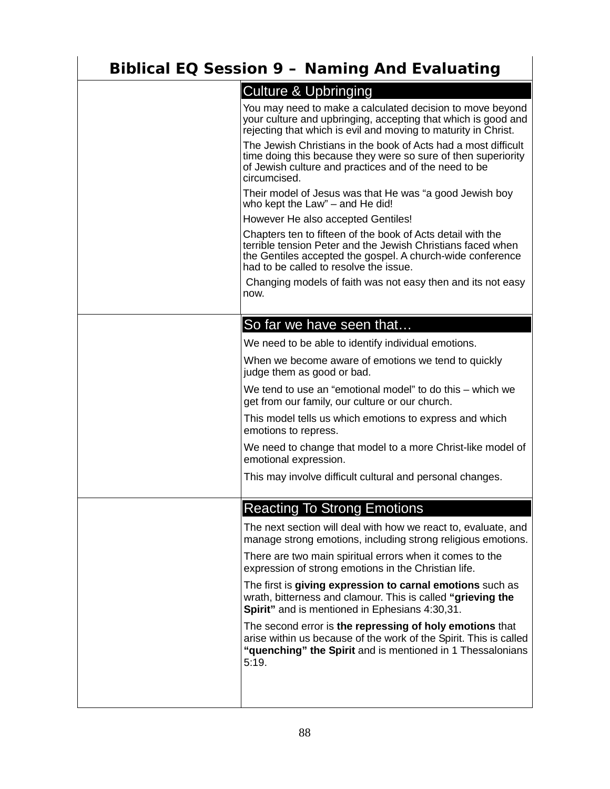| Biblical EQ Session 9 - Naming And Evaluating |                                                                                                                                                                                                                                    |  |
|-----------------------------------------------|------------------------------------------------------------------------------------------------------------------------------------------------------------------------------------------------------------------------------------|--|
|                                               | <b>Culture &amp; Upbringing</b>                                                                                                                                                                                                    |  |
|                                               | You may need to make a calculated decision to move beyond<br>your culture and upbringing, accepting that which is good and<br>rejecting that which is evil and moving to maturity in Christ.                                       |  |
|                                               | The Jewish Christians in the book of Acts had a most difficult<br>time doing this because they were so sure of then superiority<br>of Jewish culture and practices and of the need to be<br>circumcised.                           |  |
|                                               | Their model of Jesus was that He was "a good Jewish boy<br>who kept the Law" - and He did!                                                                                                                                         |  |
|                                               | However He also accepted Gentiles!                                                                                                                                                                                                 |  |
|                                               | Chapters ten to fifteen of the book of Acts detail with the<br>terrible tension Peter and the Jewish Christians faced when<br>the Gentiles accepted the gospel. A church-wide conference<br>had to be called to resolve the issue. |  |
|                                               | Changing models of faith was not easy then and its not easy<br>now.                                                                                                                                                                |  |
|                                               | So far we have seen that                                                                                                                                                                                                           |  |
|                                               | We need to be able to identify individual emotions.                                                                                                                                                                                |  |
|                                               | When we become aware of emotions we tend to quickly<br>judge them as good or bad.                                                                                                                                                  |  |
|                                               | We tend to use an "emotional model" to do this – which we<br>get from our family, our culture or our church.                                                                                                                       |  |
|                                               | This model tells us which emotions to express and which<br>emotions to repress.                                                                                                                                                    |  |
|                                               | We need to change that model to a more Christ-like model of<br>emotional expression.                                                                                                                                               |  |
|                                               | This may involve difficult cultural and personal changes.                                                                                                                                                                          |  |
|                                               | <b>Reacting To Strong Emotions</b>                                                                                                                                                                                                 |  |
|                                               | The next section will deal with how we react to, evaluate, and<br>manage strong emotions, including strong religious emotions.                                                                                                     |  |
|                                               | There are two main spiritual errors when it comes to the<br>expression of strong emotions in the Christian life.                                                                                                                   |  |
|                                               | The first is giving expression to carnal emotions such as<br>wrath, bitterness and clamour. This is called "grieving the<br>Spirit" and is mentioned in Ephesians 4:30,31.                                                         |  |
|                                               | The second error is the repressing of holy emotions that<br>arise within us because of the work of the Spirit. This is called<br>"quenching" the Spirit and is mentioned in 1 Thessalonians<br>5:19.                               |  |
|                                               |                                                                                                                                                                                                                                    |  |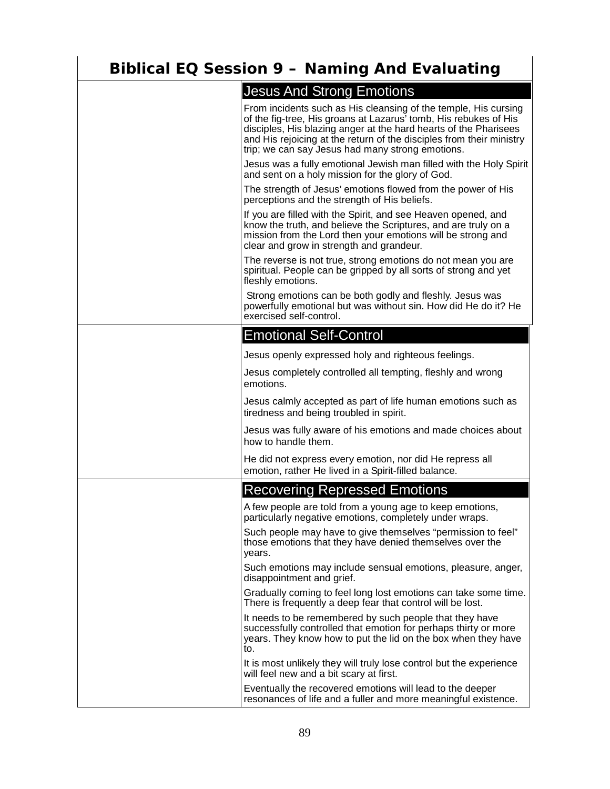| Biblical EQ Session 9 – Naming And Evaluating                                                                                                                                                                                                                                                                                       |
|-------------------------------------------------------------------------------------------------------------------------------------------------------------------------------------------------------------------------------------------------------------------------------------------------------------------------------------|
| <b>Jesus And Strong Emotions</b>                                                                                                                                                                                                                                                                                                    |
| From incidents such as His cleansing of the temple, His cursing<br>of the fig-tree, His groans at Lazarus' tomb, His rebukes of His<br>disciples, His blazing anger at the hard hearts of the Pharisees<br>and His rejoicing at the return of the disciples from their ministry<br>trip; we can say Jesus had many strong emotions. |
| Jesus was a fully emotional Jewish man filled with the Holy Spirit<br>and sent on a holy mission for the glory of God.                                                                                                                                                                                                              |
| The strength of Jesus' emotions flowed from the power of His<br>perceptions and the strength of His beliefs.                                                                                                                                                                                                                        |
| If you are filled with the Spirit, and see Heaven opened, and<br>know the truth, and believe the Scriptures, and are truly on a<br>mission from the Lord then your emotions will be strong and<br>clear and grow in strength and grandeur.                                                                                          |
| The reverse is not true, strong emotions do not mean you are<br>spiritual. People can be gripped by all sorts of strong and yet<br>fleshly emotions.                                                                                                                                                                                |
| Strong emotions can be both godly and fleshly. Jesus was<br>powerfully emotional but was without sin. How did He do it? He<br>exercised self-control.                                                                                                                                                                               |
| <b>Emotional Self-Control</b>                                                                                                                                                                                                                                                                                                       |
| Jesus openly expressed holy and righteous feelings.                                                                                                                                                                                                                                                                                 |
| Jesus completely controlled all tempting, fleshly and wrong<br>emotions.                                                                                                                                                                                                                                                            |
| Jesus calmly accepted as part of life human emotions such as<br>tiredness and being troubled in spirit.                                                                                                                                                                                                                             |
| Jesus was fully aware of his emotions and made choices about<br>how to handle them.                                                                                                                                                                                                                                                 |
| He did not express every emotion, nor did He repress all<br>emotion, rather He lived in a Spirit-filled balance.                                                                                                                                                                                                                    |
| <b>Recovering Repressed Emotions</b>                                                                                                                                                                                                                                                                                                |
| A few people are told from a young age to keep emotions,<br>particularly negative emotions, completely under wraps.                                                                                                                                                                                                                 |
| Such people may have to give themselves "permission to feel"<br>those emotions that they have denied themselves over the<br>years.                                                                                                                                                                                                  |
| Such emotions may include sensual emotions, pleasure, anger,<br>disappointment and grief.                                                                                                                                                                                                                                           |
| Gradually coming to feel long lost emotions can take some time.<br>There is frequently a deep fear that control will be lost.                                                                                                                                                                                                       |
| It needs to be remembered by such people that they have<br>successfully controlled that emotion for perhaps thirty or more<br>years. They know how to put the lid on the box when they have<br>to.                                                                                                                                  |
| It is most unlikely they will truly lose control but the experience<br>will feel new and a bit scary at first.                                                                                                                                                                                                                      |
| Eventually the recovered emotions will lead to the deeper<br>resonances of life and a fuller and more meaningful existence.                                                                                                                                                                                                         |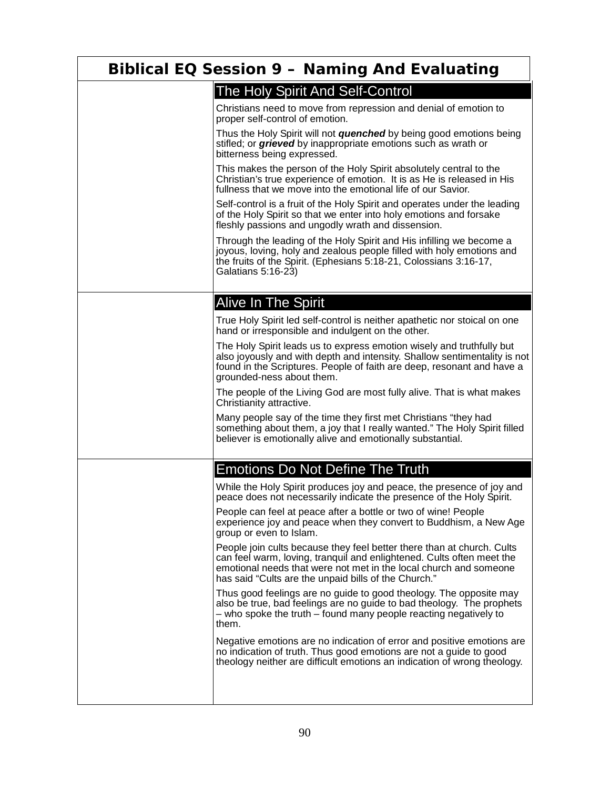| Biblical EQ Session 9 – Naming And Evaluating                                                                                                                                                                                                                                |
|------------------------------------------------------------------------------------------------------------------------------------------------------------------------------------------------------------------------------------------------------------------------------|
| <b>The Holy Spirit And Self-Control</b>                                                                                                                                                                                                                                      |
| Christians need to move from repression and denial of emotion to<br>proper self-control of emotion.                                                                                                                                                                          |
| Thus the Holy Spirit will not <i>quenched</i> by being good emotions being<br>stifled; or <i>grieved</i> by inappropriate emotions such as wrath or<br>bitterness being expressed.                                                                                           |
| This makes the person of the Holy Spirit absolutely central to the<br>Christian's true experience of emotion. It is as He is released in His<br>fullness that we move into the emotional life of our Savior.                                                                 |
| Self-control is a fruit of the Holy Spirit and operates under the leading<br>of the Holy Spirit so that we enter into holy emotions and forsake<br>fleshly passions and ungodly wrath and dissension.                                                                        |
| Through the leading of the Holy Spirit and His infilling we become a<br>joyous, loving, holy and zealous people filled with holy emotions and<br>the fruits of the Spirit. (Ephesians 5:18-21, Colossians 3:16-17,<br>Galatians 5:16-23)                                     |
| <b>Alive In The Spirit</b>                                                                                                                                                                                                                                                   |
| True Holy Spirit led self-control is neither apathetic nor stoical on one<br>hand or irresponsible and indulgent on the other.                                                                                                                                               |
| The Holy Spirit leads us to express emotion wisely and truthfully but<br>also joyously and with depth and intensity. Shallow sentimentality is not<br>found in the Scriptures. People of faith are deep, resonant and have a<br>grounded-ness about them.                    |
| The people of the Living God are most fully alive. That is what makes<br>Christianity attractive.                                                                                                                                                                            |
| Many people say of the time they first met Christians "they had<br>something about them, a joy that I really wanted." The Holy Spirit filled<br>believer is emotionally alive and emotionally substantial.                                                                   |
| <b>Emotions Do Not Define The Truth</b>                                                                                                                                                                                                                                      |
| While the Holy Spirit produces joy and peace, the presence of joy and<br>peace does not necessarily indicate the presence of the Holy Spirit.                                                                                                                                |
| People can feel at peace after a bottle or two of wine! People<br>experience joy and peace when they convert to Buddhism, a New Age<br>group or even to Islam.                                                                                                               |
| People join cults because they feel better there than at church. Cults<br>can feel warm, loving, tranquil and enlightened. Cults often meet the<br>emotional needs that were not met in the local church and someone<br>has said "Cults are the unpaid bills of the Church." |
| Thus good feelings are no guide to good theology. The opposite may<br>also be true, bad feelings are no guide to bad theology. The prophets<br>- who spoke the truth - found many people reacting negatively to<br>them.                                                     |
| Negative emotions are no indication of error and positive emotions are<br>no indication of truth. Thus good emotions are not a guide to good<br>theology neither are difficult emotions an indication of wrong theology.                                                     |
|                                                                                                                                                                                                                                                                              |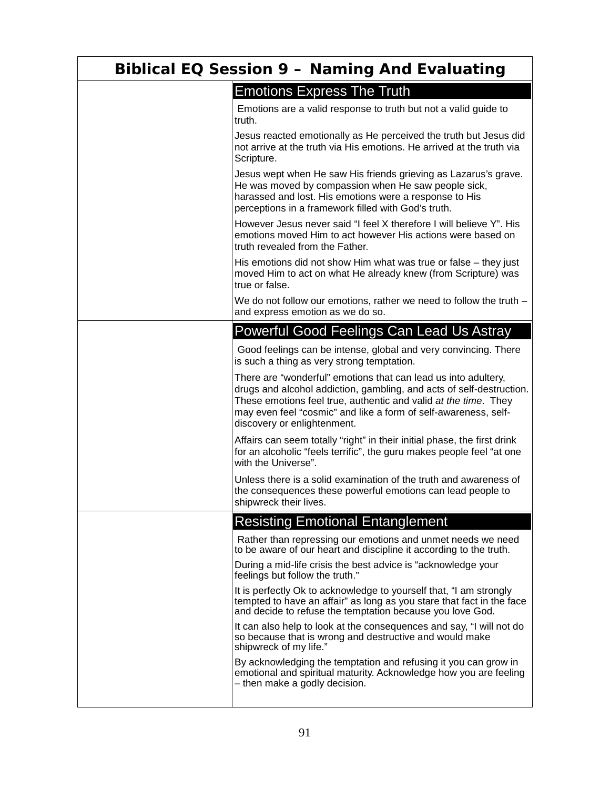| <b>Biblical EQ Session 9 - Naming And Evaluating</b> |                                                                                                                                                                                                                                                                                                             |
|------------------------------------------------------|-------------------------------------------------------------------------------------------------------------------------------------------------------------------------------------------------------------------------------------------------------------------------------------------------------------|
|                                                      | <b>Emotions Express The Truth</b>                                                                                                                                                                                                                                                                           |
|                                                      | Emotions are a valid response to truth but not a valid guide to<br>truth.                                                                                                                                                                                                                                   |
|                                                      | Jesus reacted emotionally as He perceived the truth but Jesus did<br>not arrive at the truth via His emotions. He arrived at the truth via<br>Scripture.                                                                                                                                                    |
|                                                      | Jesus wept when He saw His friends grieving as Lazarus's grave.<br>He was moved by compassion when He saw people sick,<br>harassed and lost. His emotions were a response to His<br>perceptions in a framework filled with God's truth.                                                                     |
|                                                      | However Jesus never said "I feel X therefore I will believe Y". His<br>emotions moved Him to act however His actions were based on<br>truth revealed from the Father.                                                                                                                                       |
|                                                      | His emotions did not show Him what was true or false $-$ they just<br>moved Him to act on what He already knew (from Scripture) was<br>true or false.                                                                                                                                                       |
|                                                      | We do not follow our emotions, rather we need to follow the truth -<br>and express emotion as we do so.                                                                                                                                                                                                     |
|                                                      | Powerful Good Feelings Can Lead Us Astray                                                                                                                                                                                                                                                                   |
|                                                      | Good feelings can be intense, global and very convincing. There<br>is such a thing as very strong temptation.                                                                                                                                                                                               |
|                                                      | There are "wonderful" emotions that can lead us into adultery,<br>drugs and alcohol addiction, gambling, and acts of self-destruction.<br>These emotions feel true, authentic and valid at the time. They<br>may even feel "cosmic" and like a form of self-awareness, self-<br>discovery or enlightenment. |
|                                                      | Affairs can seem totally "right" in their initial phase, the first drink<br>for an alcoholic "feels terrific", the guru makes people feel "at one<br>with the Universe".                                                                                                                                    |
|                                                      | Unless there is a solid examination of the truth and awareness of<br>the consequences these powerful emotions can lead people to<br>shipwreck their lives.                                                                                                                                                  |
|                                                      | <b>Resisting Emotional Entanglement</b>                                                                                                                                                                                                                                                                     |
|                                                      | Rather than repressing our emotions and unmet needs we need<br>to be aware of our heart and discipline it according to the truth.                                                                                                                                                                           |
|                                                      | During a mid-life crisis the best advice is "acknowledge your<br>feelings but follow the truth."                                                                                                                                                                                                            |
|                                                      | It is perfectly Ok to acknowledge to yourself that, "I am strongly<br>tempted to have an affair" as long as you stare that fact in the face<br>and decide to refuse the temptation because you love God.                                                                                                    |
|                                                      | It can also help to look at the consequences and say, "I will not do<br>so because that is wrong and destructive and would make<br>shipwreck of my life."                                                                                                                                                   |
|                                                      | By acknowledging the temptation and refusing it you can grow in<br>emotional and spiritual maturity. Acknowledge how you are feeling<br>- then make a godly decision.                                                                                                                                       |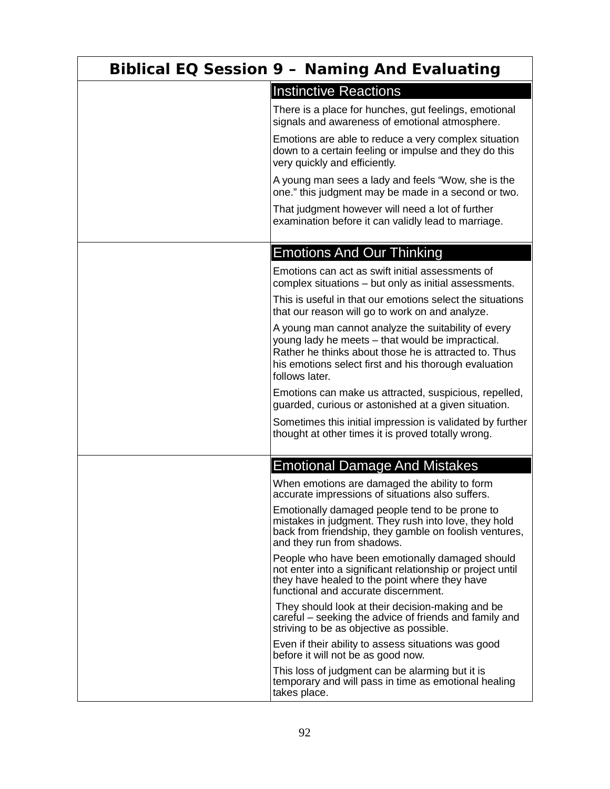| Biblical EQ Session 9 - Naming And Evaluating                                                                                                                                                                                               |
|---------------------------------------------------------------------------------------------------------------------------------------------------------------------------------------------------------------------------------------------|
| <b>Instinctive Reactions</b>                                                                                                                                                                                                                |
| There is a place for hunches, gut feelings, emotional<br>signals and awareness of emotional atmosphere.                                                                                                                                     |
| Emotions are able to reduce a very complex situation<br>down to a certain feeling or impulse and they do this<br>very quickly and efficiently.                                                                                              |
| A young man sees a lady and feels "Wow, she is the<br>one." this judgment may be made in a second or two.                                                                                                                                   |
| That judgment however will need a lot of further<br>examination before it can validly lead to marriage.                                                                                                                                     |
| <b>Emotions And Our Thinking</b>                                                                                                                                                                                                            |
| Emotions can act as swift initial assessments of<br>complex situations - but only as initial assessments.                                                                                                                                   |
| This is useful in that our emotions select the situations<br>that our reason will go to work on and analyze.                                                                                                                                |
| A young man cannot analyze the suitability of every<br>young lady he meets - that would be impractical.<br>Rather he thinks about those he is attracted to. Thus<br>his emotions select first and his thorough evaluation<br>follows later. |
| Emotions can make us attracted, suspicious, repelled,<br>guarded, curious or astonished at a given situation.                                                                                                                               |
| Sometimes this initial impression is validated by further<br>thought at other times it is proved totally wrong.                                                                                                                             |
| <b>Emotional Damage And Mistakes</b>                                                                                                                                                                                                        |
| When emotions are damaged the ability to form<br>accurate impressions of situations also suffers.                                                                                                                                           |
| Emotionally damaged people tend to be prone to<br>mistakes in judgment. They rush into love, they hold<br>back from friendship, they gamble on foolish ventures,<br>and they run from shadows.                                              |
| People who have been emotionally damaged should<br>not enter into a significant relationship or project until<br>they have healed to the point where they have<br>functional and accurate discernment.                                      |
| They should look at their decision-making and be<br>careful - seeking the advice of friends and family and<br>striving to be as objective as possible.                                                                                      |
| Even if their ability to assess situations was good<br>before it will not be as good now.                                                                                                                                                   |
| This loss of judgment can be alarming but it is<br>temporary and will pass in time as emotional healing<br>takes place.                                                                                                                     |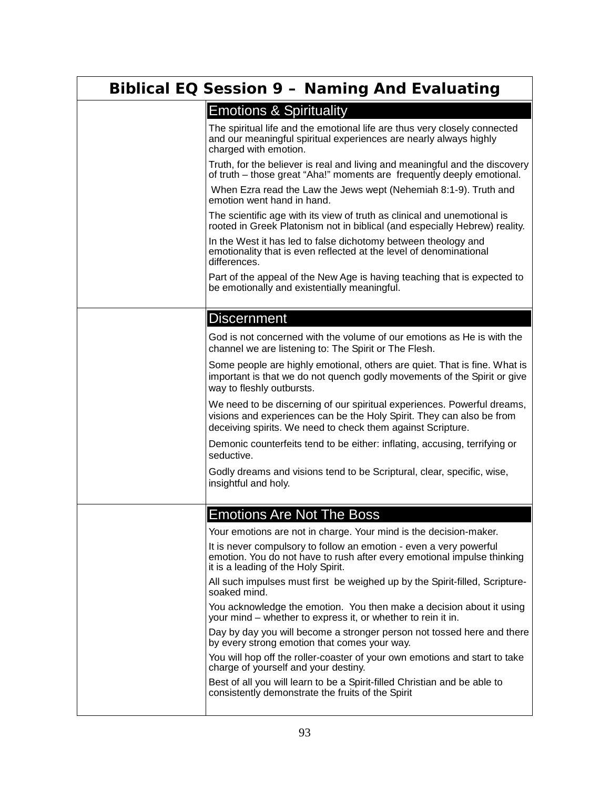| <b>Emotions &amp; Spirituality</b><br>The spiritual life and the emotional life are thus very closely connected<br>and our meaningful spiritual experiences are nearly always highly<br>charged with emotion.<br>Truth, for the believer is real and living and meaningful and the discovery<br>of truth – those great "Aha!" moments are frequently deeply emotional.<br>When Ezra read the Law the Jews wept (Nehemiah 8:1-9). Truth and<br>emotion went hand in hand.<br>The scientific age with its view of truth as clinical and unemotional is<br>rooted in Greek Platonism not in biblical (and especially Hebrew) reality.<br>In the West it has led to false dichotomy between theology and<br>emotionality that is even reflected at the level of denominational<br>differences.<br>Part of the appeal of the New Age is having teaching that is expected to |
|------------------------------------------------------------------------------------------------------------------------------------------------------------------------------------------------------------------------------------------------------------------------------------------------------------------------------------------------------------------------------------------------------------------------------------------------------------------------------------------------------------------------------------------------------------------------------------------------------------------------------------------------------------------------------------------------------------------------------------------------------------------------------------------------------------------------------------------------------------------------|
|                                                                                                                                                                                                                                                                                                                                                                                                                                                                                                                                                                                                                                                                                                                                                                                                                                                                        |
|                                                                                                                                                                                                                                                                                                                                                                                                                                                                                                                                                                                                                                                                                                                                                                                                                                                                        |
|                                                                                                                                                                                                                                                                                                                                                                                                                                                                                                                                                                                                                                                                                                                                                                                                                                                                        |
|                                                                                                                                                                                                                                                                                                                                                                                                                                                                                                                                                                                                                                                                                                                                                                                                                                                                        |
|                                                                                                                                                                                                                                                                                                                                                                                                                                                                                                                                                                                                                                                                                                                                                                                                                                                                        |
|                                                                                                                                                                                                                                                                                                                                                                                                                                                                                                                                                                                                                                                                                                                                                                                                                                                                        |
| be emotionally and existentially meaningful.                                                                                                                                                                                                                                                                                                                                                                                                                                                                                                                                                                                                                                                                                                                                                                                                                           |
| <b>Discernment</b>                                                                                                                                                                                                                                                                                                                                                                                                                                                                                                                                                                                                                                                                                                                                                                                                                                                     |
| God is not concerned with the volume of our emotions as He is with the<br>channel we are listening to: The Spirit or The Flesh.                                                                                                                                                                                                                                                                                                                                                                                                                                                                                                                                                                                                                                                                                                                                        |
| Some people are highly emotional, others are quiet. That is fine. What is<br>important is that we do not quench godly movements of the Spirit or give<br>way to fleshly outbursts.                                                                                                                                                                                                                                                                                                                                                                                                                                                                                                                                                                                                                                                                                     |
| We need to be discerning of our spiritual experiences. Powerful dreams,<br>visions and experiences can be the Holy Spirit. They can also be from<br>deceiving spirits. We need to check them against Scripture.                                                                                                                                                                                                                                                                                                                                                                                                                                                                                                                                                                                                                                                        |
| Demonic counterfeits tend to be either: inflating, accusing, terrifying or<br>seductive.                                                                                                                                                                                                                                                                                                                                                                                                                                                                                                                                                                                                                                                                                                                                                                               |
| Godly dreams and visions tend to be Scriptural, clear, specific, wise,<br>insightful and holy.                                                                                                                                                                                                                                                                                                                                                                                                                                                                                                                                                                                                                                                                                                                                                                         |
| <b>Emotions Are Not The Boss</b>                                                                                                                                                                                                                                                                                                                                                                                                                                                                                                                                                                                                                                                                                                                                                                                                                                       |
| Your emotions are not in charge. Your mind is the decision-maker.                                                                                                                                                                                                                                                                                                                                                                                                                                                                                                                                                                                                                                                                                                                                                                                                      |
| It is never compulsory to follow an emotion - even a very powerful<br>emotion. You do not have to rush after every emotional impulse thinking<br>it is a leading of the Holy Spirit.                                                                                                                                                                                                                                                                                                                                                                                                                                                                                                                                                                                                                                                                                   |
| All such impulses must first be weighed up by the Spirit-filled, Scripture-<br>soaked mind.                                                                                                                                                                                                                                                                                                                                                                                                                                                                                                                                                                                                                                                                                                                                                                            |
| You acknowledge the emotion. You then make a decision about it using<br>your mind – whether to express it, or whether to rein it in.                                                                                                                                                                                                                                                                                                                                                                                                                                                                                                                                                                                                                                                                                                                                   |
| Day by day you will become a stronger person not tossed here and there<br>by every strong emotion that comes your way.                                                                                                                                                                                                                                                                                                                                                                                                                                                                                                                                                                                                                                                                                                                                                 |
| You will hop off the roller-coaster of your own emotions and start to take<br>charge of yourself and your destiny.                                                                                                                                                                                                                                                                                                                                                                                                                                                                                                                                                                                                                                                                                                                                                     |
| Best of all you will learn to be a Spirit-filled Christian and be able to<br>consistently demonstrate the fruits of the Spirit                                                                                                                                                                                                                                                                                                                                                                                                                                                                                                                                                                                                                                                                                                                                         |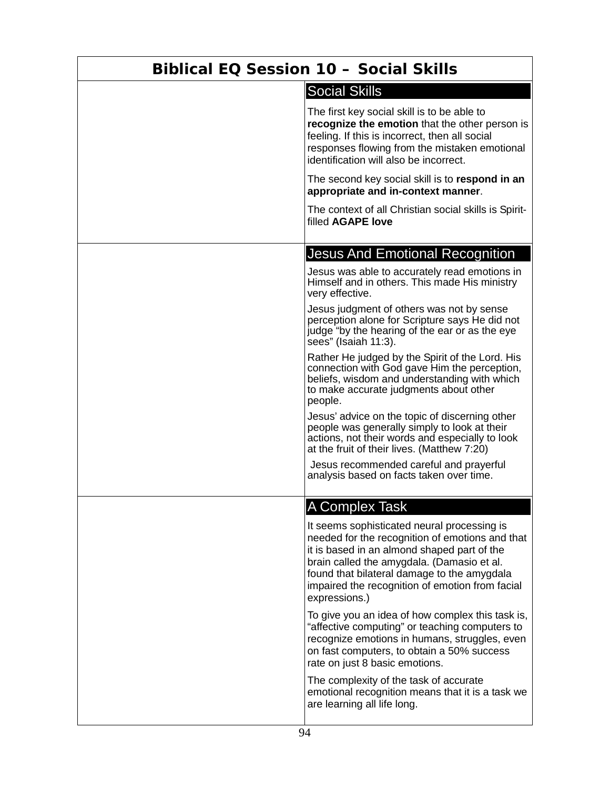| <b>Biblical EQ Session 10 - Social Skills</b> |                                                                                                                                                                                                                                                                                                                |
|-----------------------------------------------|----------------------------------------------------------------------------------------------------------------------------------------------------------------------------------------------------------------------------------------------------------------------------------------------------------------|
|                                               | <b>Social Skills</b>                                                                                                                                                                                                                                                                                           |
|                                               | The first key social skill is to be able to<br>recognize the emotion that the other person is<br>feeling. If this is incorrect, then all social<br>responses flowing from the mistaken emotional<br>identification will also be incorrect.                                                                     |
|                                               | The second key social skill is to respond in an<br>appropriate and in-context manner.                                                                                                                                                                                                                          |
|                                               | The context of all Christian social skills is Spirit-<br>filled AGAPE love                                                                                                                                                                                                                                     |
|                                               | <b>Jesus And Emotional Recognition</b>                                                                                                                                                                                                                                                                         |
|                                               | Jesus was able to accurately read emotions in<br>Himself and in others. This made His ministry<br>very effective.                                                                                                                                                                                              |
|                                               | Jesus judgment of others was not by sense<br>perception alone for Scripture says He did not<br>judge "by the hearing of the ear or as the eye<br>sees" (Isaiah 11:3).                                                                                                                                          |
|                                               | Rather He judged by the Spirit of the Lord. His<br>connection with God gave Him the perception,<br>beliefs, wisdom and understanding with which<br>to make accurate judgments about other<br>people.                                                                                                           |
|                                               | Jesus' advice on the topic of discerning other<br>people was generally simply to look at their<br>actions, not their words and especially to look<br>at the fruit of their lives. (Matthew 7:20)                                                                                                               |
|                                               | Jesus recommended careful and prayerful<br>analysis based on facts taken over time.                                                                                                                                                                                                                            |
|                                               | A Complex Task                                                                                                                                                                                                                                                                                                 |
|                                               | It seems sophisticated neural processing is<br>needed for the recognition of emotions and that<br>it is based in an almond shaped part of the<br>brain called the amygdala. (Damasio et al.<br>found that bilateral damage to the amygdala<br>impaired the recognition of emotion from facial<br>expressions.) |
|                                               | To give you an idea of how complex this task is,<br>"affective computing" or teaching computers to<br>recognize emotions in humans, struggles, even<br>on fast computers, to obtain a 50% success<br>rate on just 8 basic emotions.                                                                            |
|                                               | The complexity of the task of accurate<br>emotional recognition means that it is a task we<br>are learning all life long.                                                                                                                                                                                      |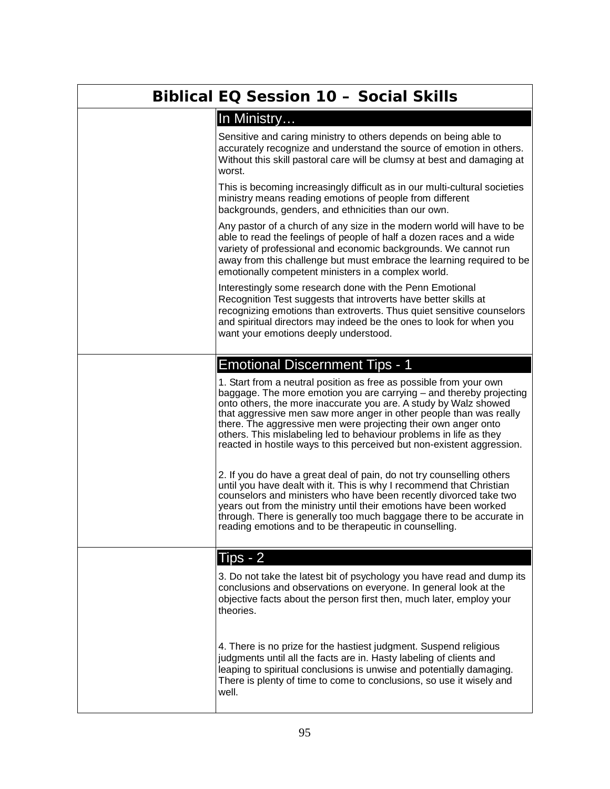| <b>Biblical EQ Session 10 - Social Skills</b>                                                                                                                                                                                                                                                                                                                                                                                                                                                         |
|-------------------------------------------------------------------------------------------------------------------------------------------------------------------------------------------------------------------------------------------------------------------------------------------------------------------------------------------------------------------------------------------------------------------------------------------------------------------------------------------------------|
| In Ministry                                                                                                                                                                                                                                                                                                                                                                                                                                                                                           |
| Sensitive and caring ministry to others depends on being able to<br>accurately recognize and understand the source of emotion in others.<br>Without this skill pastoral care will be clumsy at best and damaging at<br>worst.                                                                                                                                                                                                                                                                         |
| This is becoming increasingly difficult as in our multi-cultural societies<br>ministry means reading emotions of people from different<br>backgrounds, genders, and ethnicities than our own.                                                                                                                                                                                                                                                                                                         |
| Any pastor of a church of any size in the modern world will have to be<br>able to read the feelings of people of half a dozen races and a wide<br>variety of professional and economic backgrounds. We cannot run<br>away from this challenge but must embrace the learning required to be<br>emotionally competent ministers in a complex world.                                                                                                                                                     |
| Interestingly some research done with the Penn Emotional<br>Recognition Test suggests that introverts have better skills at<br>recognizing emotions than extroverts. Thus quiet sensitive counselors<br>and spiritual directors may indeed be the ones to look for when you<br>want your emotions deeply understood.                                                                                                                                                                                  |
| <b>Emotional Discernment Tips - 1</b>                                                                                                                                                                                                                                                                                                                                                                                                                                                                 |
| 1. Start from a neutral position as free as possible from your own<br>baggage. The more emotion you are carrying – and thereby projecting<br>onto others, the more inaccurate you are. A study by Walz showed<br>that aggressive men saw more anger in other people than was really<br>there. The aggressive men were projecting their own anger onto<br>others. This mislabeling led to behaviour problems in life as they<br>reacted in hostile ways to this perceived but non-existent aggression. |
| 2. If you do have a great deal of pain, do not try counselling others<br>until you have dealt with it. This is why I recommend that Christian<br>counselors and ministers who have been recently divorced take two<br>years out from the ministry until their emotions have been worked<br>through. There is generally too much baggage there to be accurate in<br>reading emotions and to be therapeutic in counselling.                                                                             |
| $Tips - 2$                                                                                                                                                                                                                                                                                                                                                                                                                                                                                            |
| 3. Do not take the latest bit of psychology you have read and dump its<br>conclusions and observations on everyone. In general look at the<br>objective facts about the person first then, much later, employ your<br>theories.                                                                                                                                                                                                                                                                       |
| 4. There is no prize for the hastiest judgment. Suspend religious<br>judgments until all the facts are in. Hasty labeling of clients and<br>leaping to spiritual conclusions is unwise and potentially damaging.<br>There is plenty of time to come to conclusions, so use it wisely and<br>well.                                                                                                                                                                                                     |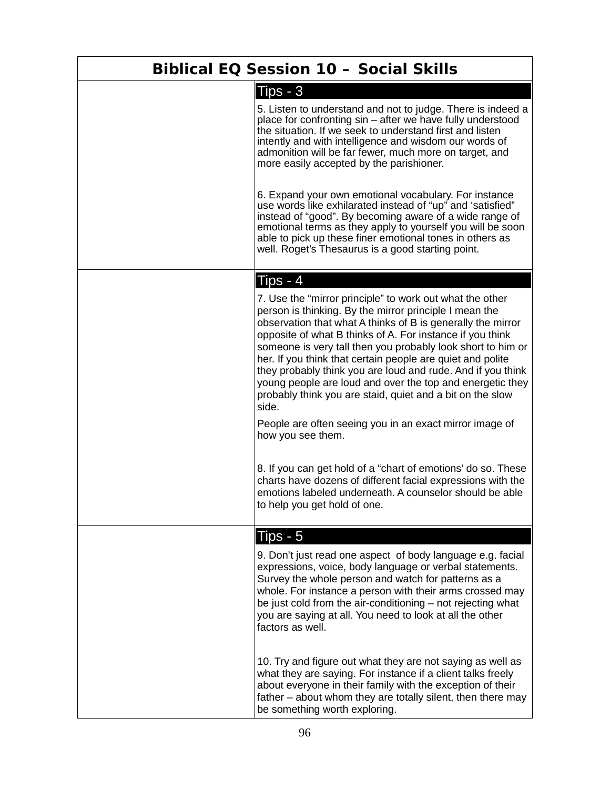| <b>Biblical EQ Session 10 - Social Skills</b>                                                                                                                                                                                                                                                                                                                                                                                                                                                                                                                                                                                                                 |
|---------------------------------------------------------------------------------------------------------------------------------------------------------------------------------------------------------------------------------------------------------------------------------------------------------------------------------------------------------------------------------------------------------------------------------------------------------------------------------------------------------------------------------------------------------------------------------------------------------------------------------------------------------------|
| $Tips - 3$                                                                                                                                                                                                                                                                                                                                                                                                                                                                                                                                                                                                                                                    |
| 5. Listen to understand and not to judge. There is indeed a<br>place for confronting sin – after we have fully understood<br>the situation. If we seek to understand first and listen<br>intently and with intelligence and wisdom our words of<br>admonition will be far fewer, much more on target, and<br>more easily accepted by the parishioner.                                                                                                                                                                                                                                                                                                         |
| 6. Expand your own emotional vocabulary. For instance<br>use words like exhilarated instead of "up" and 'satisfied"<br>instead of "good". By becoming aware of a wide range of<br>emotional terms as they apply to yourself you will be soon<br>able to pick up these finer emotional tones in others as<br>well. Roget's Thesaurus is a good starting point.                                                                                                                                                                                                                                                                                                 |
| Tips - 4                                                                                                                                                                                                                                                                                                                                                                                                                                                                                                                                                                                                                                                      |
| 7. Use the "mirror principle" to work out what the other<br>person is thinking. By the mirror principle I mean the<br>observation that what A thinks of B is generally the mirror<br>opposite of what B thinks of A. For instance if you think<br>someone is very tall then you probably look short to him or<br>her. If you think that certain people are quiet and polite<br>they probably think you are loud and rude. And if you think<br>young people are loud and over the top and energetic they<br>probably think you are staid, quiet and a bit on the slow<br>side.<br>People are often seeing you in an exact mirror image of<br>how you see them. |
| 8. If you can get hold of a "chart of emotions' do so. These<br>charts have dozens of different facial expressions with the<br>emotions labeled underneath. A counselor should be able<br>to help you get hold of one.                                                                                                                                                                                                                                                                                                                                                                                                                                        |
| Tips - 5                                                                                                                                                                                                                                                                                                                                                                                                                                                                                                                                                                                                                                                      |
| 9. Don't just read one aspect of body language e.g. facial<br>expressions, voice, body language or verbal statements.<br>Survey the whole person and watch for patterns as a<br>whole. For instance a person with their arms crossed may<br>be just cold from the air-conditioning – not rejecting what<br>you are saying at all. You need to look at all the other<br>factors as well.                                                                                                                                                                                                                                                                       |
| 10. Try and figure out what they are not saying as well as<br>what they are saying. For instance if a client talks freely<br>about everyone in their family with the exception of their<br>father – about whom they are totally silent, then there may<br>be something worth exploring.                                                                                                                                                                                                                                                                                                                                                                       |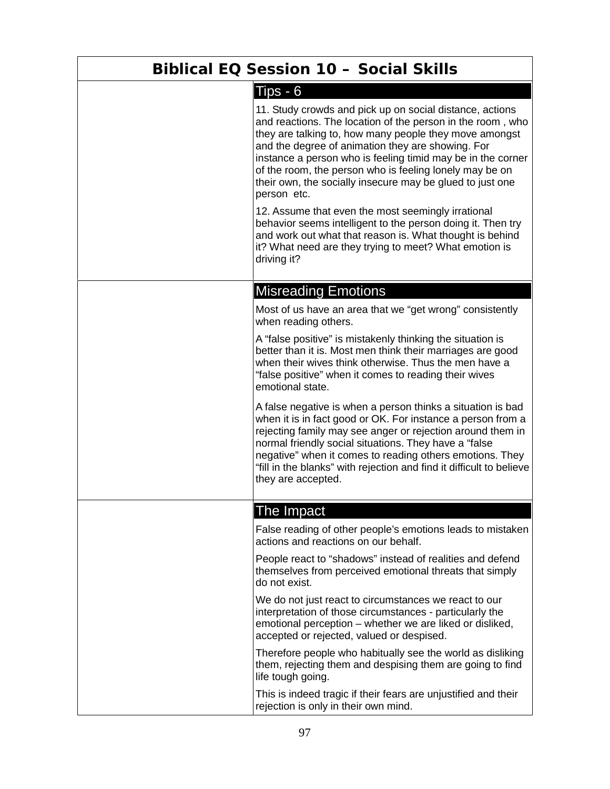| Biblical EQ Session 10 - Social Skills |                                                                                                                                                                                                                                                                                                                                                                                                                                             |  |
|----------------------------------------|---------------------------------------------------------------------------------------------------------------------------------------------------------------------------------------------------------------------------------------------------------------------------------------------------------------------------------------------------------------------------------------------------------------------------------------------|--|
|                                        | $Tips - 6$                                                                                                                                                                                                                                                                                                                                                                                                                                  |  |
|                                        | 11. Study crowds and pick up on social distance, actions<br>and reactions. The location of the person in the room, who<br>they are talking to, how many people they move amongst<br>and the degree of animation they are showing. For<br>instance a person who is feeling timid may be in the corner<br>of the room, the person who is feeling lonely may be on<br>their own, the socially insecure may be glued to just one<br>person etc. |  |
|                                        | 12. Assume that even the most seemingly irrational<br>behavior seems intelligent to the person doing it. Then try<br>and work out what that reason is. What thought is behind<br>it? What need are they trying to meet? What emotion is<br>driving it?                                                                                                                                                                                      |  |
|                                        | <b>Misreading Emotions</b>                                                                                                                                                                                                                                                                                                                                                                                                                  |  |
|                                        | Most of us have an area that we "get wrong" consistently<br>when reading others.                                                                                                                                                                                                                                                                                                                                                            |  |
|                                        | A "false positive" is mistakenly thinking the situation is<br>better than it is. Most men think their marriages are good<br>when their wives think otherwise. Thus the men have a<br>"false positive" when it comes to reading their wives<br>emotional state.                                                                                                                                                                              |  |
|                                        | A false negative is when a person thinks a situation is bad<br>when it is in fact good or OK. For instance a person from a<br>rejecting family may see anger or rejection around them in<br>normal friendly social situations. They have a "false<br>negative" when it comes to reading others emotions. They<br>"fill in the blanks" with rejection and find it difficult to believe<br>they are accepted.                                 |  |
|                                        | The Impact                                                                                                                                                                                                                                                                                                                                                                                                                                  |  |
|                                        | False reading of other people's emotions leads to mistaken<br>actions and reactions on our behalf.                                                                                                                                                                                                                                                                                                                                          |  |
|                                        | People react to "shadows" instead of realities and defend<br>themselves from perceived emotional threats that simply<br>do not exist.                                                                                                                                                                                                                                                                                                       |  |
|                                        | We do not just react to circumstances we react to our<br>interpretation of those circumstances - particularly the<br>emotional perception - whether we are liked or disliked,<br>accepted or rejected, valued or despised.                                                                                                                                                                                                                  |  |
|                                        | Therefore people who habitually see the world as disliking<br>them, rejecting them and despising them are going to find<br>life tough going.                                                                                                                                                                                                                                                                                                |  |
|                                        | This is indeed tragic if their fears are unjustified and their<br>rejection is only in their own mind.                                                                                                                                                                                                                                                                                                                                      |  |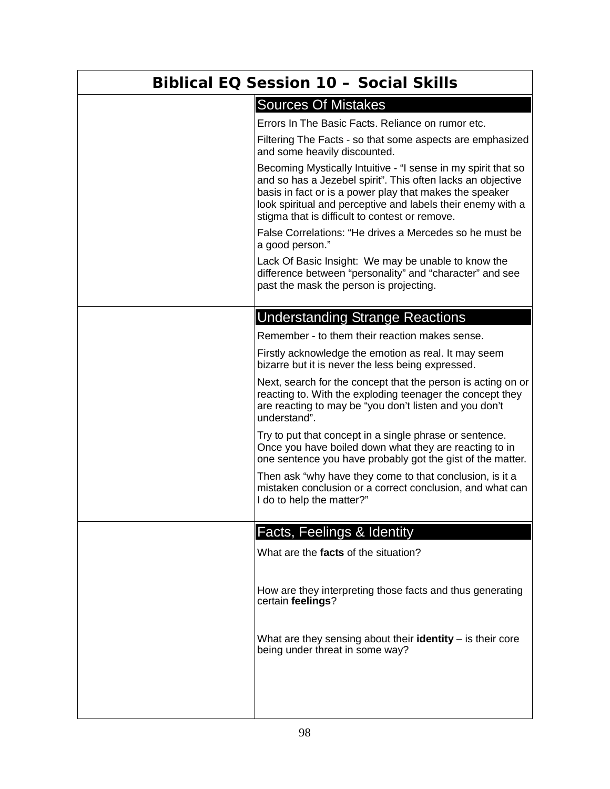| Biblical EQ Session 10 - Social Skills                                                                                                                                                                                                                                                                   |
|----------------------------------------------------------------------------------------------------------------------------------------------------------------------------------------------------------------------------------------------------------------------------------------------------------|
| <b>Sources Of Mistakes</b>                                                                                                                                                                                                                                                                               |
| Errors In The Basic Facts. Reliance on rumor etc.                                                                                                                                                                                                                                                        |
| Filtering The Facts - so that some aspects are emphasized<br>and some heavily discounted.                                                                                                                                                                                                                |
| Becoming Mystically Intuitive - "I sense in my spirit that so<br>and so has a Jezebel spirit". This often lacks an objective<br>basis in fact or is a power play that makes the speaker<br>look spiritual and perceptive and labels their enemy with a<br>stigma that is difficult to contest or remove. |
| False Correlations: "He drives a Mercedes so he must be<br>a good person."                                                                                                                                                                                                                               |
| Lack Of Basic Insight: We may be unable to know the<br>difference between "personality" and "character" and see<br>past the mask the person is projecting.                                                                                                                                               |
| <b>Understanding Strange Reactions</b>                                                                                                                                                                                                                                                                   |
| Remember - to them their reaction makes sense.                                                                                                                                                                                                                                                           |
| Firstly acknowledge the emotion as real. It may seem<br>bizarre but it is never the less being expressed.                                                                                                                                                                                                |
| Next, search for the concept that the person is acting on or<br>reacting to. With the exploding teenager the concept they<br>are reacting to may be "you don't listen and you don't<br>understand".                                                                                                      |
| Try to put that concept in a single phrase or sentence.<br>Once you have boiled down what they are reacting to in<br>one sentence you have probably got the gist of the matter.                                                                                                                          |
| Then ask "why have they come to that conclusion, is it a<br>mistaken conclusion or a correct conclusion, and what can<br>I do to help the matter?"                                                                                                                                                       |
| <b>Facts, Feelings &amp; Identity</b>                                                                                                                                                                                                                                                                    |
| What are the <b>facts</b> of the situation?                                                                                                                                                                                                                                                              |
| How are they interpreting those facts and thus generating<br>certain feelings?                                                                                                                                                                                                                           |
| What are they sensing about their <b>identity</b> $-$ is their core<br>being under threat in some way?                                                                                                                                                                                                   |
|                                                                                                                                                                                                                                                                                                          |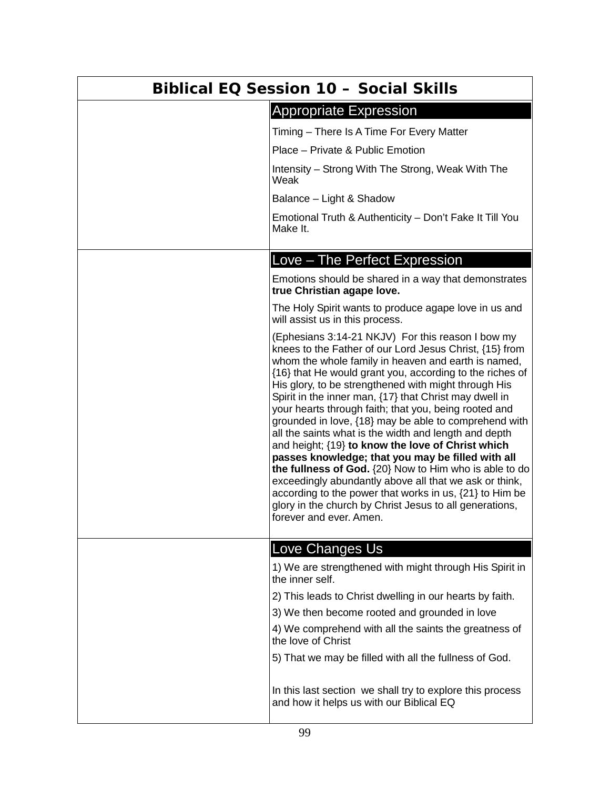| <b>Biblical EQ Session 10 - Social Skills</b> |                                                                                                                                                                                                                                                                                                                                                                                                                                                                                                                                                                                                                                                                                                                                                                                                                                                                                                                 |
|-----------------------------------------------|-----------------------------------------------------------------------------------------------------------------------------------------------------------------------------------------------------------------------------------------------------------------------------------------------------------------------------------------------------------------------------------------------------------------------------------------------------------------------------------------------------------------------------------------------------------------------------------------------------------------------------------------------------------------------------------------------------------------------------------------------------------------------------------------------------------------------------------------------------------------------------------------------------------------|
|                                               | <b>Appropriate Expression</b>                                                                                                                                                                                                                                                                                                                                                                                                                                                                                                                                                                                                                                                                                                                                                                                                                                                                                   |
|                                               | Timing – There Is A Time For Every Matter                                                                                                                                                                                                                                                                                                                                                                                                                                                                                                                                                                                                                                                                                                                                                                                                                                                                       |
|                                               | Place – Private & Public Emotion                                                                                                                                                                                                                                                                                                                                                                                                                                                                                                                                                                                                                                                                                                                                                                                                                                                                                |
|                                               | Intensity – Strong With The Strong, Weak With The<br>Weak                                                                                                                                                                                                                                                                                                                                                                                                                                                                                                                                                                                                                                                                                                                                                                                                                                                       |
|                                               | Balance - Light & Shadow                                                                                                                                                                                                                                                                                                                                                                                                                                                                                                                                                                                                                                                                                                                                                                                                                                                                                        |
|                                               | Emotional Truth & Authenticity - Don't Fake It Till You<br>Make It.                                                                                                                                                                                                                                                                                                                                                                                                                                                                                                                                                                                                                                                                                                                                                                                                                                             |
|                                               | Love – The Perfect Expression                                                                                                                                                                                                                                                                                                                                                                                                                                                                                                                                                                                                                                                                                                                                                                                                                                                                                   |
|                                               | Emotions should be shared in a way that demonstrates<br>true Christian agape love.                                                                                                                                                                                                                                                                                                                                                                                                                                                                                                                                                                                                                                                                                                                                                                                                                              |
|                                               | The Holy Spirit wants to produce agape love in us and<br>will assist us in this process.                                                                                                                                                                                                                                                                                                                                                                                                                                                                                                                                                                                                                                                                                                                                                                                                                        |
|                                               | (Ephesians 3:14-21 NKJV) For this reason I bow my<br>knees to the Father of our Lord Jesus Christ, {15} from<br>whom the whole family in heaven and earth is named,<br>{16} that He would grant you, according to the riches of<br>His glory, to be strengthened with might through His<br>Spirit in the inner man, {17} that Christ may dwell in<br>your hearts through faith; that you, being rooted and<br>grounded in love, {18} may be able to comprehend with<br>all the saints what is the width and length and depth<br>and height; {19} to know the love of Christ which<br>passes knowledge; that you may be filled with all<br>the fullness of God. {20} Now to Him who is able to do<br>exceedingly abundantly above all that we ask or think,<br>according to the power that works in us, $\{21\}$ to Him be<br>glory in the church by Christ Jesus to all generations,<br>forever and ever. Amen. |
|                                               | Love Changes Us                                                                                                                                                                                                                                                                                                                                                                                                                                                                                                                                                                                                                                                                                                                                                                                                                                                                                                 |
|                                               | 1) We are strengthened with might through His Spirit in<br>the inner self.                                                                                                                                                                                                                                                                                                                                                                                                                                                                                                                                                                                                                                                                                                                                                                                                                                      |
|                                               | 2) This leads to Christ dwelling in our hearts by faith.                                                                                                                                                                                                                                                                                                                                                                                                                                                                                                                                                                                                                                                                                                                                                                                                                                                        |
|                                               | 3) We then become rooted and grounded in love                                                                                                                                                                                                                                                                                                                                                                                                                                                                                                                                                                                                                                                                                                                                                                                                                                                                   |
|                                               | 4) We comprehend with all the saints the greatness of<br>the love of Christ                                                                                                                                                                                                                                                                                                                                                                                                                                                                                                                                                                                                                                                                                                                                                                                                                                     |
|                                               | 5) That we may be filled with all the fullness of God.                                                                                                                                                                                                                                                                                                                                                                                                                                                                                                                                                                                                                                                                                                                                                                                                                                                          |
|                                               | In this last section we shall try to explore this process<br>and how it helps us with our Biblical EQ                                                                                                                                                                                                                                                                                                                                                                                                                                                                                                                                                                                                                                                                                                                                                                                                           |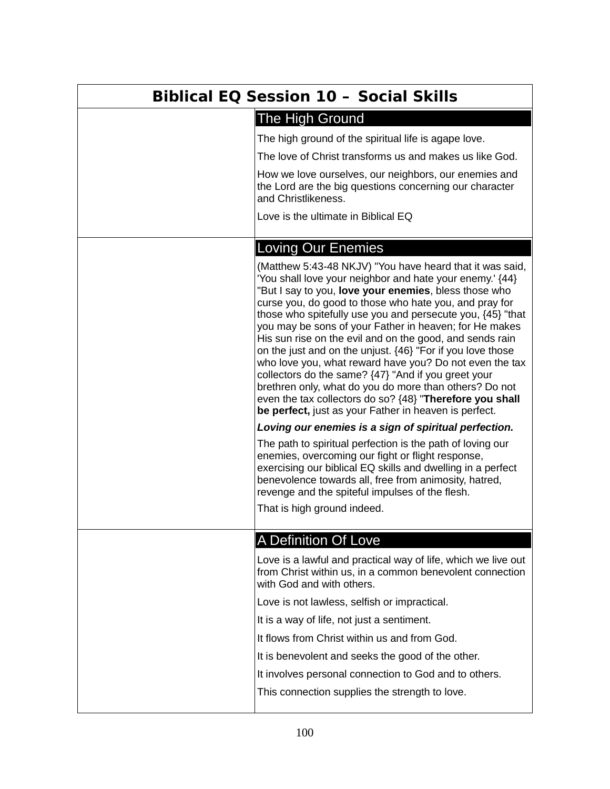| Biblical EQ Session 10 - Social Skills                                                                                                                                                                                                                                                                                                                                                                                                                                                                                                                                                                                                                                                                                                                                                         |
|------------------------------------------------------------------------------------------------------------------------------------------------------------------------------------------------------------------------------------------------------------------------------------------------------------------------------------------------------------------------------------------------------------------------------------------------------------------------------------------------------------------------------------------------------------------------------------------------------------------------------------------------------------------------------------------------------------------------------------------------------------------------------------------------|
| The High Ground                                                                                                                                                                                                                                                                                                                                                                                                                                                                                                                                                                                                                                                                                                                                                                                |
| The high ground of the spiritual life is agape love.                                                                                                                                                                                                                                                                                                                                                                                                                                                                                                                                                                                                                                                                                                                                           |
| The love of Christ transforms us and makes us like God.                                                                                                                                                                                                                                                                                                                                                                                                                                                                                                                                                                                                                                                                                                                                        |
| How we love ourselves, our neighbors, our enemies and<br>the Lord are the big questions concerning our character<br>and Christlikeness.                                                                                                                                                                                                                                                                                                                                                                                                                                                                                                                                                                                                                                                        |
| Love is the ultimate in Biblical EQ                                                                                                                                                                                                                                                                                                                                                                                                                                                                                                                                                                                                                                                                                                                                                            |
| Loving Our Enemies                                                                                                                                                                                                                                                                                                                                                                                                                                                                                                                                                                                                                                                                                                                                                                             |
| (Matthew 5:43-48 NKJV) "You have heard that it was said,<br>'You shall love your neighbor and hate your enemy.' {44}<br>"But I say to you, love your enemies, bless those who<br>curse you, do good to those who hate you, and pray for<br>those who spitefully use you and persecute you, $\{45\}$ "that<br>you may be sons of your Father in heaven; for He makes<br>His sun rise on the evil and on the good, and sends rain<br>on the just and on the unjust. {46} "For if you love those<br>who love you, what reward have you? Do not even the tax<br>collectors do the same? {47} "And if you greet your<br>brethren only, what do you do more than others? Do not<br>even the tax collectors do so? {48} "Therefore you shall<br>be perfect, just as your Father in heaven is perfect. |
| Loving our enemies is a sign of spiritual perfection.                                                                                                                                                                                                                                                                                                                                                                                                                                                                                                                                                                                                                                                                                                                                          |
| The path to spiritual perfection is the path of loving our<br>enemies, overcoming our fight or flight response,<br>exercising our biblical EQ skills and dwelling in a perfect<br>benevolence towards all, free from animosity, hatred,<br>revenge and the spiteful impulses of the flesh.<br>That is high ground indeed.                                                                                                                                                                                                                                                                                                                                                                                                                                                                      |
| A Definition Of Love                                                                                                                                                                                                                                                                                                                                                                                                                                                                                                                                                                                                                                                                                                                                                                           |
| Love is a lawful and practical way of life, which we live out<br>from Christ within us, in a common benevolent connection<br>with God and with others.                                                                                                                                                                                                                                                                                                                                                                                                                                                                                                                                                                                                                                         |
| Love is not lawless, selfish or impractical.                                                                                                                                                                                                                                                                                                                                                                                                                                                                                                                                                                                                                                                                                                                                                   |
| It is a way of life, not just a sentiment.                                                                                                                                                                                                                                                                                                                                                                                                                                                                                                                                                                                                                                                                                                                                                     |
| It flows from Christ within us and from God.                                                                                                                                                                                                                                                                                                                                                                                                                                                                                                                                                                                                                                                                                                                                                   |
| It is benevolent and seeks the good of the other.                                                                                                                                                                                                                                                                                                                                                                                                                                                                                                                                                                                                                                                                                                                                              |
| It involves personal connection to God and to others.                                                                                                                                                                                                                                                                                                                                                                                                                                                                                                                                                                                                                                                                                                                                          |
| This connection supplies the strength to love.                                                                                                                                                                                                                                                                                                                                                                                                                                                                                                                                                                                                                                                                                                                                                 |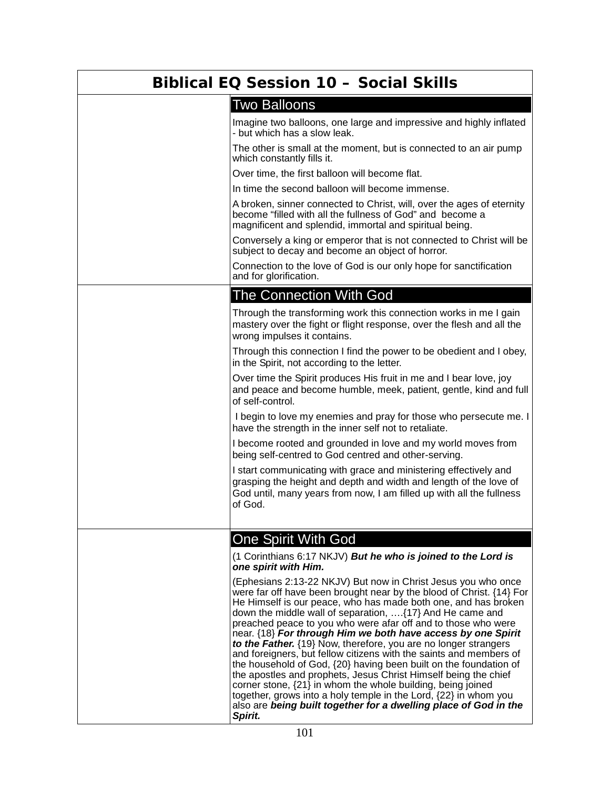| <b>Biblical EQ Session 10 - Social Skills</b> |                                                                                                                                                                                                                                                                                                                                                                                                                                                                                                                                                                                                                                                                                                                                                                                                                                                                                                          |
|-----------------------------------------------|----------------------------------------------------------------------------------------------------------------------------------------------------------------------------------------------------------------------------------------------------------------------------------------------------------------------------------------------------------------------------------------------------------------------------------------------------------------------------------------------------------------------------------------------------------------------------------------------------------------------------------------------------------------------------------------------------------------------------------------------------------------------------------------------------------------------------------------------------------------------------------------------------------|
|                                               | <b>Two Balloons</b>                                                                                                                                                                                                                                                                                                                                                                                                                                                                                                                                                                                                                                                                                                                                                                                                                                                                                      |
|                                               | Imagine two balloons, one large and impressive and highly inflated<br>- but which has a slow leak.                                                                                                                                                                                                                                                                                                                                                                                                                                                                                                                                                                                                                                                                                                                                                                                                       |
|                                               | The other is small at the moment, but is connected to an air pump<br>which constantly fills it.                                                                                                                                                                                                                                                                                                                                                                                                                                                                                                                                                                                                                                                                                                                                                                                                          |
|                                               | Over time, the first balloon will become flat.                                                                                                                                                                                                                                                                                                                                                                                                                                                                                                                                                                                                                                                                                                                                                                                                                                                           |
|                                               | In time the second balloon will become immense.                                                                                                                                                                                                                                                                                                                                                                                                                                                                                                                                                                                                                                                                                                                                                                                                                                                          |
|                                               | A broken, sinner connected to Christ, will, over the ages of eternity<br>become "filled with all the fullness of God" and become a<br>magnificent and splendid, immortal and spiritual being.                                                                                                                                                                                                                                                                                                                                                                                                                                                                                                                                                                                                                                                                                                            |
|                                               | Conversely a king or emperor that is not connected to Christ will be<br>subject to decay and become an object of horror.                                                                                                                                                                                                                                                                                                                                                                                                                                                                                                                                                                                                                                                                                                                                                                                 |
|                                               | Connection to the love of God is our only hope for sanctification<br>and for glorification.                                                                                                                                                                                                                                                                                                                                                                                                                                                                                                                                                                                                                                                                                                                                                                                                              |
|                                               | <b>The Connection With God</b>                                                                                                                                                                                                                                                                                                                                                                                                                                                                                                                                                                                                                                                                                                                                                                                                                                                                           |
|                                               | Through the transforming work this connection works in me I gain<br>mastery over the fight or flight response, over the flesh and all the<br>wrong impulses it contains.                                                                                                                                                                                                                                                                                                                                                                                                                                                                                                                                                                                                                                                                                                                                 |
|                                               | Through this connection I find the power to be obedient and I obey,<br>in the Spirit, not according to the letter.                                                                                                                                                                                                                                                                                                                                                                                                                                                                                                                                                                                                                                                                                                                                                                                       |
|                                               | Over time the Spirit produces His fruit in me and I bear love, joy<br>and peace and become humble, meek, patient, gentle, kind and full<br>of self-control.                                                                                                                                                                                                                                                                                                                                                                                                                                                                                                                                                                                                                                                                                                                                              |
|                                               | I begin to love my enemies and pray for those who persecute me. I<br>have the strength in the inner self not to retaliate.                                                                                                                                                                                                                                                                                                                                                                                                                                                                                                                                                                                                                                                                                                                                                                               |
|                                               | I become rooted and grounded in love and my world moves from<br>being self-centred to God centred and other-serving.                                                                                                                                                                                                                                                                                                                                                                                                                                                                                                                                                                                                                                                                                                                                                                                     |
|                                               | I start communicating with grace and ministering effectively and<br>grasping the height and depth and width and length of the love of<br>God until, many years from now, I am filled up with all the fullness<br>of God.                                                                                                                                                                                                                                                                                                                                                                                                                                                                                                                                                                                                                                                                                 |
|                                               | One Spirit With God                                                                                                                                                                                                                                                                                                                                                                                                                                                                                                                                                                                                                                                                                                                                                                                                                                                                                      |
|                                               | (1 Corinthians 6:17 NKJV) But he who is joined to the Lord is<br>one spirit with Him.                                                                                                                                                                                                                                                                                                                                                                                                                                                                                                                                                                                                                                                                                                                                                                                                                    |
|                                               | (Ephesians 2:13-22 NKJV) But now in Christ Jesus you who once<br>were far off have been brought near by the blood of Christ. {14} For<br>He Himself is our peace, who has made both one, and has broken<br>down the middle wall of separation,  {17} And He came and<br>preached peace to you who were afar off and to those who were<br>near. {18} For through Him we both have access by one Spirit<br>to the Father. {19} Now, therefore, you are no longer strangers<br>and foreigners, but fellow citizens with the saints and members of<br>the household of God, {20} having been built on the foundation of<br>the apostles and prophets, Jesus Christ Himself being the chief<br>corner stone, {21} in whom the whole building, being joined<br>together, grows into a holy temple in the Lord, {22} in whom you<br>also are being built together for a dwelling place of God in the<br>Spirit. |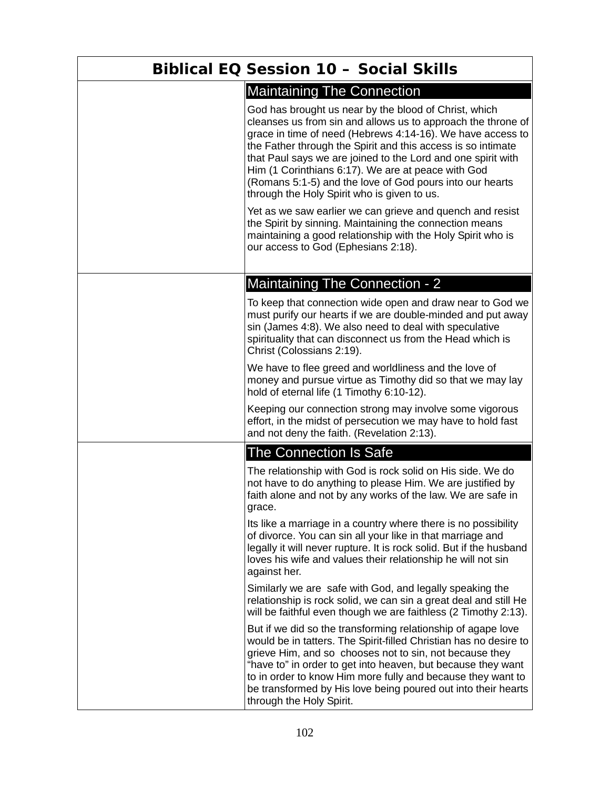| <b>Biblical EQ Session 10 - Social Skills</b>                                                                                                                                                                                                                                                                                                                                                                                                                                        |
|--------------------------------------------------------------------------------------------------------------------------------------------------------------------------------------------------------------------------------------------------------------------------------------------------------------------------------------------------------------------------------------------------------------------------------------------------------------------------------------|
| <b>Maintaining The Connection</b>                                                                                                                                                                                                                                                                                                                                                                                                                                                    |
| God has brought us near by the blood of Christ, which<br>cleanses us from sin and allows us to approach the throne of<br>grace in time of need (Hebrews 4:14-16). We have access to<br>the Father through the Spirit and this access is so intimate<br>that Paul says we are joined to the Lord and one spirit with<br>Him (1 Corinthians 6:17). We are at peace with God<br>(Romans 5:1-5) and the love of God pours into our hearts<br>through the Holy Spirit who is given to us. |
| Yet as we saw earlier we can grieve and quench and resist<br>the Spirit by sinning. Maintaining the connection means<br>maintaining a good relationship with the Holy Spirit who is<br>our access to God (Ephesians 2:18).                                                                                                                                                                                                                                                           |
| <b>Maintaining The Connection - 2</b>                                                                                                                                                                                                                                                                                                                                                                                                                                                |
| To keep that connection wide open and draw near to God we<br>must purify our hearts if we are double-minded and put away<br>sin (James 4:8). We also need to deal with speculative<br>spirituality that can disconnect us from the Head which is<br>Christ (Colossians 2:19).                                                                                                                                                                                                        |
| We have to flee greed and worldliness and the love of<br>money and pursue virtue as Timothy did so that we may lay<br>hold of eternal life (1 Timothy 6:10-12).                                                                                                                                                                                                                                                                                                                      |
| Keeping our connection strong may involve some vigorous<br>effort, in the midst of persecution we may have to hold fast<br>and not deny the faith. (Revelation 2:13).                                                                                                                                                                                                                                                                                                                |
| The Connection Is Safe                                                                                                                                                                                                                                                                                                                                                                                                                                                               |
| The relationship with God is rock solid on His side. We do<br>not have to do anything to please Him. We are justified by<br>faith alone and not by any works of the law. We are safe in<br>grace.                                                                                                                                                                                                                                                                                    |
| Its like a marriage in a country where there is no possibility<br>of divorce. You can sin all your like in that marriage and<br>legally it will never rupture. It is rock solid. But if the husband<br>loves his wife and values their relationship he will not sin<br>against her.                                                                                                                                                                                                  |
| Similarly we are safe with God, and legally speaking the<br>relationship is rock solid, we can sin a great deal and still He<br>will be faithful even though we are faithless (2 Timothy 2:13).                                                                                                                                                                                                                                                                                      |
| But if we did so the transforming relationship of agape love<br>would be in tatters. The Spirit-filled Christian has no desire to<br>grieve Him, and so chooses not to sin, not because they<br>"have to" in order to get into heaven, but because they want<br>to in order to know Him more fully and because they want to<br>be transformed by His love being poured out into their hearts<br>through the Holy Spirit.                                                             |